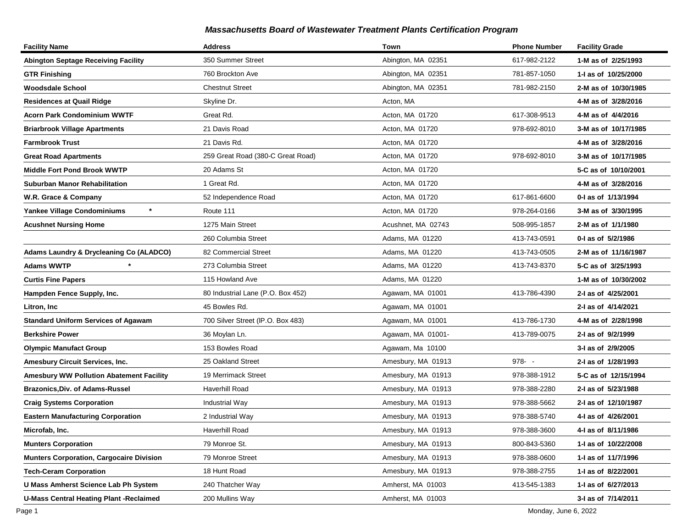| <b>Facility Name</b>                            | <b>Address</b>                    | Town               | <b>Phone Number</b> | <b>Facility Grade</b> |
|-------------------------------------------------|-----------------------------------|--------------------|---------------------|-----------------------|
| <b>Abington Septage Receiving Facility</b>      | 350 Summer Street                 | Abington, MA 02351 | 617-982-2122        | 1-M as of 2/25/1993   |
| <b>GTR Finishing</b>                            | 760 Brockton Ave                  | Abington, MA 02351 | 781-857-1050        | 1-I as of 10/25/2000  |
| Woodsdale School                                | <b>Chestnut Street</b>            | Abington, MA 02351 | 781-982-2150        | 2-M as of 10/30/1985  |
| Residences at Quail Ridge                       | Skyline Dr.                       | Acton, MA          |                     | 4-M as of 3/28/2016   |
| <b>Acorn Park Condominium WWTF</b>              | Great Rd.                         | Acton, MA 01720    | 617-308-9513        | 4-M as of 4/4/2016    |
| <b>Briarbrook Village Apartments</b>            | 21 Davis Road                     | Acton, MA 01720    | 978-692-8010        | 3-M as of 10/17/1985  |
| <b>Farmbrook Trust</b>                          | 21 Davis Rd.                      | Acton, MA 01720    |                     | 4-M as of 3/28/2016   |
| <b>Great Road Apartments</b>                    | 259 Great Road (380-C Great Road) | Acton, MA 01720    | 978-692-8010        | 3-M as of 10/17/1985  |
| Middle Fort Pond Brook WWTP                     | 20 Adams St                       | Acton, MA 01720    |                     | 5-C as of 10/10/2001  |
| Suburban Manor Rehabilitation                   | 1 Great Rd.                       | Acton, MA 01720    |                     | 4-M as of 3/28/2016   |
| W.R. Grace & Company                            | 52 Independence Road              | Acton, MA 01720    | 617-861-6600        | 0-1 as of 1/13/1994   |
| $\star$<br>Yankee Village Condominiums          | Route 111                         | Acton, MA 01720    | 978-264-0166        | 3-M as of 3/30/1995   |
| <b>Acushnet Nursing Home</b>                    | 1275 Main Street                  | Acushnet, MA 02743 | 508-995-1857        | 2-M as of 1/1/1980    |
|                                                 | 260 Columbia Street               | Adams, MA 01220    | 413-743-0591        | 0-I as of 5/2/1986    |
| Adams Laundry & Drycleaning Co (ALADCO)         | 82 Commercial Street              | Adams, MA 01220    | 413-743-0505        | 2-M as of 11/16/1987  |
| <b>Adams WWTP</b>                               | 273 Columbia Street               | Adams, MA 01220    | 413-743-8370        | 5-C as of 3/25/1993   |
| <b>Curtis Fine Papers</b>                       | 115 Howland Ave                   | Adams, MA 01220    |                     | 1-M as of 10/30/2002  |
| Hampden Fence Supply, Inc.                      | 80 Industrial Lane (P.O. Box 452) | Agawam, MA 01001   | 413-786-4390        | 2-I as of 4/25/2001   |
| Litron, Inc                                     | 45 Bowles Rd.                     | Agawam, MA 01001   |                     | 2-I as of 4/14/2021   |
| <b>Standard Uniform Services of Agawam</b>      | 700 Silver Street (IP.O. Box 483) | Agawam, MA 01001   | 413-786-1730        | 4-M as of 2/28/1998   |
| <b>Berkshire Power</b>                          | 36 Moylan Ln.                     | Agawam, MA 01001-  | 413-789-0075        | 2-I as of 9/2/1999    |
| <b>Olympic Manufact Group</b>                   | 153 Bowles Road                   | Agawam, Ma 10100   |                     | 3-I as of 2/9/2005    |
| Amesbury Circuit Services, Inc.                 | 25 Oakland Street                 | Amesbury, MA 01913 | $978 - -$           | 2-I as of 1/28/1993   |
| <b>Amesbury WW Pollution Abatement Facility</b> | 19 Merrimack Street               | Amesbury, MA 01913 | 978-388-1912        | 5-C as of 12/15/1994  |
| <b>Brazonics, Div. of Adams-Russel</b>          | Haverhill Road                    | Amesbury, MA 01913 | 978-388-2280        | 2-I as of 5/23/1988   |
| <b>Craig Systems Corporation</b>                | Industrial Way                    | Amesbury, MA 01913 | 978-388-5662        | 2-I as of 12/10/1987  |
| <b>Eastern Manufacturing Corporation</b>        | 2 Industrial Way                  | Amesbury, MA 01913 | 978-388-5740        | 4-I as of 4/26/2001   |
| Microfab, Inc.                                  | Haverhill Road                    | Amesbury, MA 01913 | 978-388-3600        | 4-I as of 8/11/1986   |
| <b>Munters Corporation</b>                      | 79 Monroe St.                     | Amesbury, MA 01913 | 800-843-5360        | 1-1 as of 10/22/2008  |
| <b>Munters Corporation, Cargocaire Division</b> | 79 Monroe Street                  | Amesbury, MA 01913 | 978-388-0600        | 1-I as of 11/7/1996   |
| <b>Tech-Ceram Corporation</b>                   | 18 Hunt Road                      | Amesbury, MA 01913 | 978-388-2755        | 1-I as of 8/22/2001   |
| U Mass Amherst Science Lab Ph System            | 240 Thatcher Way                  | Amherst, MA 01003  | 413-545-1383        | 1-I as of 6/27/2013   |
| <b>U-Mass Central Heating Plant -Reclaimed</b>  | 200 Mullins Way                   | Amherst, MA 01003  |                     | 3-I as of 7/14/2011   |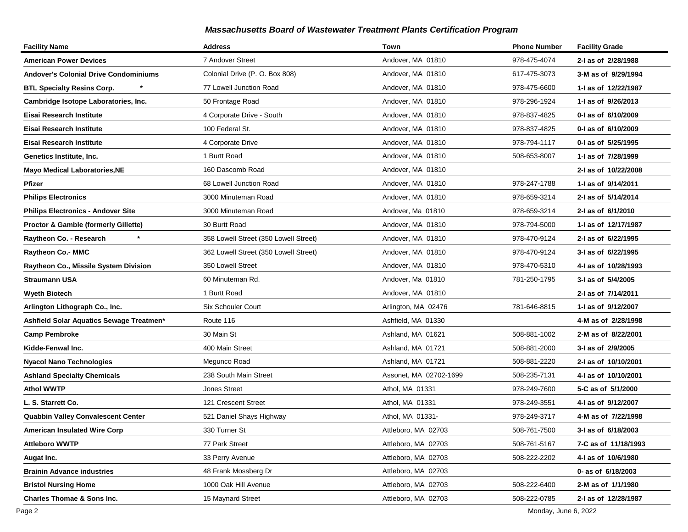| <b>Facility Name</b>                            | <b>Address</b>                        | Town                   | <b>Phone Number</b> | <b>Facility Grade</b> |
|-------------------------------------------------|---------------------------------------|------------------------|---------------------|-----------------------|
| <b>American Power Devices</b>                   | 7 Andover Street                      | Andover, MA 01810      | 978-475-4074        | 2-I as of 2/28/1988   |
| <b>Andover's Colonial Drive Condominiums</b>    | Colonial Drive (P. O. Box 808)        | Andover, MA 01810      | 617-475-3073        | 3-M as of 9/29/1994   |
| <b>BTL Specialty Resins Corp.</b>               | 77 Lowell Junction Road               | Andover, MA 01810      | 978-475-6600        | 1- as of 12/22/1987   |
| Cambridge Isotope Laboratories, Inc.            | 50 Frontage Road                      | Andover, MA 01810      | 978-296-1924        | 1-1 as of 9/26/2013   |
| Eisai Research Institute                        | 4 Corporate Drive - South             | Andover, MA 01810      | 978-837-4825        | 0-I as of 6/10/2009   |
| Eisai Research Institute                        | 100 Federal St.                       | Andover, MA 01810      | 978-837-4825        | 0-1 as of 6/10/2009   |
| Eisai Research Institute                        | 4 Corporate Drive                     | Andover, MA 01810      | 978-794-1117        | 0-I as of 5/25/1995   |
| Genetics Institute, Inc.                        | 1 Burtt Road                          | Andover, MA 01810      | 508-653-8007        | 1-I as of 7/28/1999   |
| <b>Mayo Medical Laboratories, NE</b>            | 160 Dascomb Road                      | Andover, MA 01810      |                     | 2-I as of 10/22/2008  |
| Pfizer                                          | 68 Lowell Junction Road               | Andover, MA 01810      | 978-247-1788        | 1-1 as of 9/14/2011   |
| <b>Philips Electronics</b>                      | 3000 Minuteman Road                   | Andover, MA 01810      | 978-659-3214        | 2-I as of 5/14/2014   |
| <b>Philips Electronics - Andover Site</b>       | 3000 Minuteman Road                   | Andover, Ma 01810      | 978-659-3214        | 2-I as of 6/1/2010    |
| <b>Proctor &amp; Gamble (formerly Gillette)</b> | 30 Burtt Road                         | Andover, MA 01810      | 978-794-5000        | 1-I as of 12/17/1987  |
| Raytheon Co. - Research                         | 358 Lowell Street (350 Lowell Street) | Andover, MA 01810      | 978-470-9124        | 2-I as of 6/22/1995   |
| <b>Raytheon Co.- MMC</b>                        | 362 Lowell Street (350 Lowell Street) | Andover, MA 01810      | 978-470-9124        | 3-I as of 6/22/1995   |
| Raytheon Co., Missile System Division           | 350 Lowell Street                     | Andover, MA 01810      | 978-470-5310        | 4-I as of 10/28/1993  |
| <b>Straumann USA</b>                            | 60 Minuteman Rd.                      | Andover, Ma 01810      | 781-250-1795        | 3-I as of 5/4/2005    |
| <b>Wyeth Biotech</b>                            | 1 Burtt Road                          | Andover, MA 01810      |                     | 2-I as of 7/14/2011   |
| Arlington Lithograph Co., Inc.                  | <b>Six Schouler Court</b>             | Arlington, MA 02476    | 781-646-8815        | 1-I as of 9/12/2007   |
| Ashfield Solar Aquatics Sewage Treatmen*        | Route 116                             | Ashfield, MA 01330     |                     | 4-M as of 2/28/1998   |
| <b>Camp Pembroke</b>                            | 30 Main St                            | Ashland, MA 01621      | 508-881-1002        | 2-M as of 8/22/2001   |
| Kidde-Fenwal Inc.                               | 400 Main Street                       | Ashland, MA 01721      | 508-881-2000        | 3-I as of 2/9/2005    |
| <b>Nyacol Nano Technologies</b>                 | Megunco Road                          | Ashland, MA 01721      | 508-881-2220        | 2-I as of 10/10/2001  |
| <b>Ashland Specialty Chemicals</b>              | 238 South Main Street                 | Assonet, MA 02702-1699 | 508-235-7131        | 4-I as of 10/10/2001  |
| <b>Athol WWTP</b>                               | <b>Jones Street</b>                   | Athol, MA 01331        | 978-249-7600        | 5-C as of 5/1/2000    |
| L. S. Starrett Co.                              | 121 Crescent Street                   | Athol, MA 01331        | 978-249-3551        | 4-1 as of 9/12/2007   |
| Quabbin Valley Convalescent Center              | 521 Daniel Shays Highway              | Athol, MA 01331-       | 978-249-3717        | 4-M as of 7/22/1998   |
| <b>American Insulated Wire Corp</b>             | 330 Turner St                         | Attleboro, MA 02703    | 508-761-7500        | 3-I as of 6/18/2003   |
| <b>Attleboro WWTP</b>                           | 77 Park Street                        | Attleboro, MA 02703    | 508-761-5167        | 7-C as of 11/18/1993  |
| Augat Inc.                                      | 33 Perry Avenue                       | Attleboro, MA 02703    | 508-222-2202        | 4-I as of 10/6/1980   |
| <b>Brainin Advance industries</b>               | 48 Frank Mossberg Dr                  | Attleboro, MA 02703    |                     | 0- as of 6/18/2003    |
| <b>Bristol Nursing Home</b>                     | 1000 Oak Hill Avenue                  | Attleboro, MA 02703    | 508-222-6400        | 2-M as of 1/1/1980    |
| <b>Charles Thomae &amp; Sons Inc.</b>           | 15 Maynard Street                     | Attleboro, MA 02703    | 508-222-0785        | 2-I as of 12/28/1987  |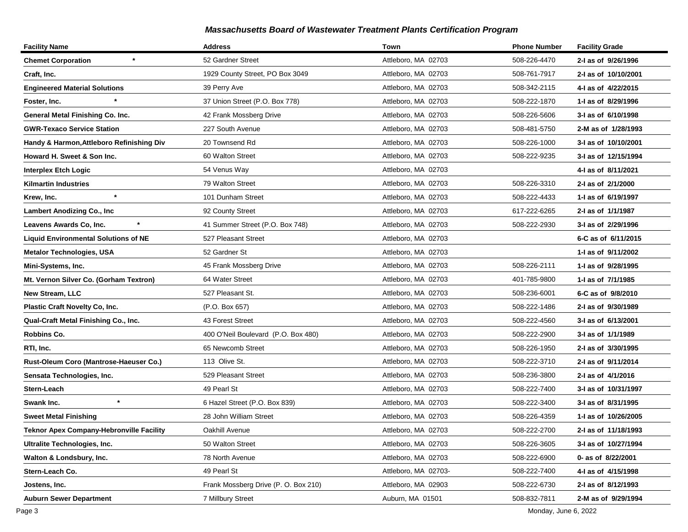| <b>Facility Name</b>                        | <b>Address</b>                       | Town                 | <b>Phone Number</b> | <b>Facility Grade</b> |
|---------------------------------------------|--------------------------------------|----------------------|---------------------|-----------------------|
| <b>Chemet Corporation</b>                   | 52 Gardner Street                    | Attleboro, MA 02703  | 508-226-4470        | 2-I as of 9/26/1996   |
| Craft, Inc.                                 | 1929 County Street, PO Box 3049      | Attleboro, MA 02703  | 508-761-7917        | 2-I as of 10/10/2001  |
| <b>Engineered Material Solutions</b>        | 39 Perry Ave                         | Attleboro, MA 02703  | 508-342-2115        | 4-1 as of 4/22/2015   |
| Foster, Inc.                                | 37 Union Street (P.O. Box 778)       | Attleboro, MA 02703  | 508-222-1870        | 1-I as of 8/29/1996   |
| General Metal Finishing Co. Inc.            | 42 Frank Mossberg Drive              | Attleboro, MA 02703  | 508-226-5606        | 3-I as of 6/10/1998   |
| <b>GWR-Texaco Service Station</b>           | 227 South Avenue                     | Attleboro, MA 02703  | 508-481-5750        | 2-M as of 1/28/1993   |
| Handy & Harmon, Attleboro Refinishing Div   | 20 Townsend Rd                       | Attleboro, MA 02703  | 508-226-1000        | 3-I as of 10/10/2001  |
| Howard H. Sweet & Son Inc.                  | 60 Walton Street                     | Attleboro, MA 02703  | 508-222-9235        | 3-I as of 12/15/1994  |
| <b>Interplex Etch Logic</b>                 | 54 Venus Way                         | Attleboro, MA 02703  |                     | 4-I as of 8/11/2021   |
| Kilmartin Industries                        | 79 Walton Street                     | Attleboro, MA 02703  | 508-226-3310        | 2-I as of 2/1/2000    |
| $\star$<br>Krew, Inc.                       | 101 Dunham Street                    | Attleboro, MA 02703  | 508-222-4433        | 1-I as of 6/19/1997   |
| <b>Lambert Anodizing Co., Inc.</b>          | 92 County Street                     | Attleboro, MA 02703  | 617-222-6265        | 2-I as of 1/1/1987    |
| Leavens Awards Co, Inc.                     | 41 Summer Street (P.O. Box 748)      | Attleboro, MA 02703  | 508-222-2930        | 3-I as of 2/29/1996   |
| <b>Liquid Environmental Solutions of NE</b> | 527 Pleasant Street                  | Attleboro, MA 02703  |                     | 6-C as of 6/11/2015   |
| <b>Metalor Technologies, USA</b>            | 52 Gardner St                        | Attleboro, MA 02703  |                     | 1-I as of 9/11/2002   |
| Mini-Systems, Inc.                          | 45 Frank Mossberg Drive              | Attleboro, MA 02703  | 508-226-2111        | 1-I as of 9/28/1995   |
| Mt. Vernon Silver Co. (Gorham Textron)      | 64 Water Street                      | Attleboro, MA 02703  | 401-785-9800        | 1-I as of 7/1/1985    |
| <b>New Stream, LLC</b>                      | 527 Pleasant St.                     | Attleboro, MA 02703  | 508-236-6001        | 6-C as of 9/8/2010    |
| <b>Plastic Craft Novelty Co, Inc.</b>       | (P.O. Box 657)                       | Attleboro, MA 02703  | 508-222-1486        | 2-I as of 9/30/1989   |
| Qual-Craft Metal Finishing Co., Inc.        | 43 Forest Street                     | Attleboro, MA 02703  | 508-222-4560        | 3-I as of 6/13/2001   |
| Robbins Co.                                 | 400 O'Neil Boulevard (P.O. Box 480)  | Attleboro, MA 02703  | 508-222-2900        | 3-I as of 1/1/1989    |
| RTI, Inc.                                   | 65 Newcomb Street                    | Attleboro, MA 02703  | 508-226-1950        | 2-I as of 3/30/1995   |
| Rust-Oleum Coro (Mantrose-Haeuser Co.)      | 113 Olive St.                        | Attleboro, MA 02703  | 508-222-3710        | 2-I as of 9/11/2014   |
| Sensata Technologies, Inc.                  | 529 Pleasant Street                  | Attleboro, MA 02703  | 508-236-3800        | 2-I as of 4/1/2016    |
| Stern-Leach                                 | 49 Pearl St                          | Attleboro, MA 02703  | 508-222-7400        | 3-I as of 10/31/1997  |
| $\star$<br>Swank Inc.                       | 6 Hazel Street (P.O. Box 839)        | Attleboro, MA 02703  | 508-222-3400        | 3-I as of 8/31/1995   |
| <b>Sweet Metal Finishing</b>                | 28 John William Street               | Attleboro, MA 02703  | 508-226-4359        | 1-I as of 10/26/2005  |
| Teknor Apex Company-Hebronville Facility    | Oakhill Avenue                       | Attleboro, MA 02703  | 508-222-2700        | 2-I as of 11/18/1993  |
| Ultralite Technologies, Inc.                | 50 Walton Street                     | Attleboro, MA 02703  | 508-226-3605        | 3-I as of 10/27/1994  |
| Walton & Londsbury, Inc.                    | 78 North Avenue                      | Attleboro, MA 02703  | 508-222-6900        | 0- as of 8/22/2001    |
| Stern-Leach Co.                             | 49 Pearl St                          | Attleboro, MA 02703- | 508-222-7400        | 4-I as of 4/15/1998   |
| Jostens, Inc.                               | Frank Mossberg Drive (P. O. Box 210) | Attleboro, MA 02903  | 508-222-6730        | 2-I as of 8/12/1993   |
| <b>Auburn Sewer Department</b>              | 7 Millbury Street                    | Auburn, MA 01501     | 508-832-7811        | 2-M as of 9/29/1994   |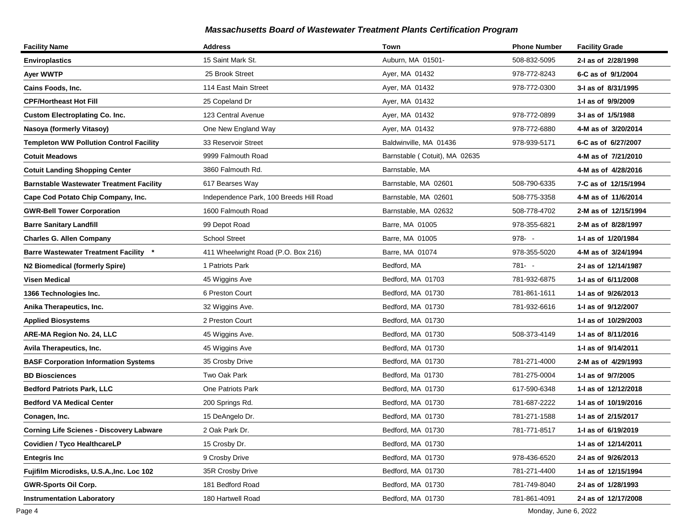| <b>Facility Name</b>                            | <b>Address</b>                          | Town                          | <b>Phone Number</b> | <b>Facility Grade</b> |
|-------------------------------------------------|-----------------------------------------|-------------------------------|---------------------|-----------------------|
| <b>Enviroplastics</b>                           | 15 Saint Mark St.                       | Auburn, MA 01501-             | 508-832-5095        | 2-I as of 2/28/1998   |
| Ayer WWTP                                       | 25 Brook Street                         | Ayer, MA 01432                | 978-772-8243        | 6-C as of 9/1/2004    |
| Cains Foods, Inc.                               | 114 East Main Street                    | Ayer, MA 01432                | 978-772-0300        | 3-I as of 8/31/1995   |
| <b>CPF/Hortheast Hot Fill</b>                   | 25 Copeland Dr                          | Ayer, MA 01432                |                     | 1-I as of 9/9/2009    |
| <b>Custom Electroplating Co. Inc.</b>           | 123 Central Avenue                      | Ayer, MA 01432                | 978-772-0899        | 3-I as of 1/5/1988    |
| Nasoya (formerly Vitasoy)                       | One New England Way                     | Ayer, MA 01432                | 978-772-6880        | 4-M as of 3/20/2014   |
| <b>Templeton WW Pollution Control Facility</b>  | 33 Reservoir Street                     | Baldwinville, MA 01436        | 978-939-5171        | 6-C as of 6/27/2007   |
| <b>Cotuit Meadows</b>                           | 9999 Falmouth Road                      | Barnstable (Cotuit), MA 02635 |                     | 4-M as of 7/21/2010   |
| <b>Cotuit Landing Shopping Center</b>           | 3860 Falmouth Rd.                       | Barnstable, MA                |                     | 4-M as of 4/28/2016   |
| <b>Barnstable Wastewater Treatment Facility</b> | 617 Bearses Way                         | Barnstable, MA 02601          | 508-790-6335        | 7-C as of 12/15/1994  |
| Cape Cod Potato Chip Company, Inc.              | Independence Park, 100 Breeds Hill Road | Barnstable, MA 02601          | 508-775-3358        | 4-M as of 11/6/2014   |
| <b>GWR-Bell Tower Corporation</b>               | 1600 Falmouth Road                      | Barnstable, MA 02632          | 508-778-4702        | 2-M as of 12/15/1994  |
| <b>Barre Sanitary Landfill</b>                  | 99 Depot Road                           | Barre, MA 01005               | 978-355-6821        | 2-M as of 8/28/1997   |
| <b>Charles G. Allen Company</b>                 | <b>School Street</b>                    | Barre, MA 01005               | $978 - -$           | 1- as of 1/20/1984    |
| <b>Barre Wastewater Treatment Facility *</b>    | 411 Wheelwright Road (P.O. Box 216)     | Barre, MA 01074               | 978-355-5020        | 4-M as of 3/24/1994   |
| N2 Biomedical (formerly Spire)                  | 1 Patriots Park                         | Bedford, MA                   | 781- -              | 2-I as of 12/14/1987  |
| Visen Medical                                   | 45 Wiggins Ave                          | Bedford, MA 01703             | 781-932-6875        | 1-I as of 6/11/2008   |
| 1366 Technologies Inc.                          | 6 Preston Court                         | Bedford, MA 01730             | 781-861-1611        | 1-1 as of 9/26/2013   |
| Anika Therapeutics, Inc.                        | 32 Wiggins Ave.                         | Bedford, MA 01730             | 781-932-6616        | 1-1 as of 9/12/2007   |
| <b>Applied Biosystems</b>                       | 2 Preston Court                         | Bedford, MA 01730             |                     | 1-I as of 10/29/2003  |
| ARE-MA Region No. 24, LLC                       | 45 Wiggins Ave.                         | Bedford, MA 01730             | 508-373-4149        | 1-1 as of 8/11/2016   |
| Avila Therapeutics, Inc.                        | 45 Wiggins Ave                          | Bedford, MA 01730             |                     | 1-I as of 9/14/2011   |
| <b>BASF Corporation Information Systems</b>     | 35 Crosby Drive                         | Bedford, MA 01730             | 781-271-4000        | 2-M as of 4/29/1993   |
| <b>BD Biosciences</b>                           | Two Oak Park                            | Bedford, Ma 01730             | 781-275-0004        | 1-I as of 9/7/2005    |
| Bedford Patriots Park, LLC                      | One Patriots Park                       | Bedford, MA 01730             | 617-590-6348        | 1- as of 12/12/2018   |
| <b>Bedford VA Medical Center</b>                | 200 Springs Rd.                         | Bedford, MA 01730             | 781-687-2222        | 1-I as of 10/19/2016  |
| Conagen, Inc.                                   | 15 DeAngelo Dr.                         | Bedford, MA 01730             | 781-271-1588        | 1-1 as of 2/15/2017   |
| <b>Corning Life Scienes - Discovery Labware</b> | 2 Oak Park Dr.                          | Bedford, MA 01730             | 781-771-8517        | 1-I as of 6/19/2019   |
| Covidien / Tyco HealthcareLP                    | 15 Crosby Dr.                           | Bedford, MA 01730             |                     | 1- as of 12/14/2011   |
| <b>Entegris Inc</b>                             | 9 Crosby Drive                          | Bedford, MA 01730             | 978-436-6520        | 2-I as of 9/26/2013   |
| Fujifilm Microdisks, U.S.A., Inc. Loc 102       | 35R Crosby Drive                        | Bedford, MA 01730             | 781-271-4400        | 1-I as of 12/15/1994  |
| <b>GWR-Sports Oil Corp.</b>                     | 181 Bedford Road                        | Bedford, MA 01730             | 781-749-8040        | 2-I as of 1/28/1993   |
| <b>Instrumentation Laboratory</b>               | 180 Hartwell Road                       | Bedford, MA 01730             | 781-861-4091        | 2-I as of 12/17/2008  |

Page 4 Monday, June 6, 2022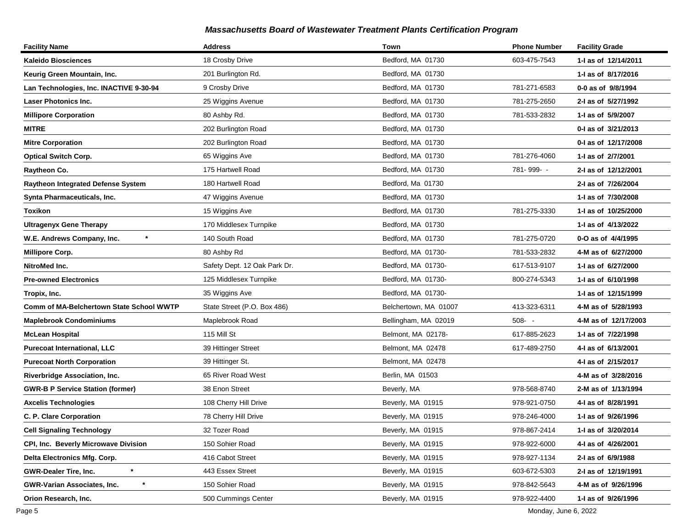| <b>Facility Name</b>                      | <b>Address</b>               | Town                  | <b>Phone Number</b> | <b>Facility Grade</b> |
|-------------------------------------------|------------------------------|-----------------------|---------------------|-----------------------|
| Kaleido Biosciences                       | 18 Crosby Drive              | Bedford, MA 01730     | 603-475-7543        | 1-I as of 12/14/2011  |
| Keurig Green Mountain, Inc.               | 201 Burlington Rd.           | Bedford, MA 01730     |                     | 1-1 as of 8/17/2016   |
| Lan Technologies, Inc. INACTIVE 9-30-94   | 9 Crosby Drive               | Bedford, MA 01730     | 781-271-6583        | 0-0 as of 9/8/1994    |
| <b>Laser Photonics Inc.</b>               | 25 Wiggins Avenue            | Bedford, MA 01730     | 781-275-2650        | 2-I as of 5/27/1992   |
| <b>Millipore Corporation</b>              | 80 Ashby Rd.                 | Bedford, MA 01730     | 781-533-2832        | 1-I as of 5/9/2007    |
| <b>MITRE</b>                              | 202 Burlington Road          | Bedford, MA 01730     |                     | 0-1 as of 3/21/2013   |
| <b>Mitre Corporation</b>                  | 202 Burlington Road          | Bedford, MA 01730     |                     | 0-1 as of 12/17/2008  |
| <b>Optical Switch Corp.</b>               | 65 Wiggins Ave               | Bedford, MA 01730     | 781-276-4060        | 1-I as of 2/7/2001    |
| Raytheon Co.                              | 175 Hartwell Road            | Bedford, MA 01730     | 781-999--           | 2-I as of 12/12/2001  |
| <b>Raytheon Integrated Defense System</b> | 180 Hartwell Road            | Bedford, Ma 01730     |                     | 2-I as of 7/26/2004   |
| Synta Pharmaceuticals, Inc.               | 47 Wiggins Avenue            | Bedford, MA 01730     |                     | 1-1 as of 7/30/2008   |
| Toxikon                                   | 15 Wiggins Ave               | Bedford, MA 01730     | 781-275-3330        | 1-I as of 10/25/2000  |
| <b>Ultragenyx Gene Therapy</b>            | 170 Middlesex Turnpike       | Bedford, MA 01730     |                     | 1-1 as of 4/13/2022   |
| $\ast$<br>W.E. Andrews Company, Inc.      | 140 South Road               | Bedford, MA 01730     | 781-275-0720        | 0-O as of 4/4/1995    |
| <b>Millipore Corp.</b>                    | 80 Ashby Rd                  | Bedford, MA 01730-    | 781-533-2832        | 4-M as of 6/27/2000   |
| NitroMed Inc.                             | Safety Dept. 12 Oak Park Dr. | Bedford, MA 01730-    | 617-513-9107        | 1-I as of 6/27/2000   |
| <b>Pre-owned Electronics</b>              | 125 Middlesex Turnpike       | Bedford, MA 01730-    | 800-274-5343        | 1-I as of 6/10/1998   |
| Tropix, Inc.                              | 35 Wiggins Ave               | Bedford, MA 01730-    |                     | 1- as of 12/15/1999   |
| Comm of MA-Belchertown State School WWTP  | State Street (P.O. Box 486)  | Belchertown, MA 01007 | 413-323-6311        | 4-M as of 5/28/1993   |
| <b>Maplebrook Condominiums</b>            | Maplebrook Road              | Bellingham, MA 02019  | $508 - -$           | 4-M as of 12/17/2003  |
| <b>McLean Hospital</b>                    | 115 Mill St                  | Belmont, MA 02178-    | 617-885-2623        | 1-I as of 7/22/1998   |
| Purecoat International, LLC               | 39 Hittinger Street          | Belmont, MA 02478     | 617-489-2750        | 4-1 as of 6/13/2001   |
| <b>Purecoat North Corporation</b>         | 39 Hittinger St.             | Belmont, MA 02478     |                     | 4-I as of 2/15/2017   |
| <b>Riverbridge Association, Inc.</b>      | 65 River Road West           | Berlin, MA 01503      |                     | 4-M as of 3/28/2016   |
| <b>GWR-B P Service Station (former)</b>   | 38 Enon Street               | Beverly, MA           | 978-568-8740        | 2-M as of 1/13/1994   |
| <b>Axcelis Technologies</b>               | 108 Cherry Hill Drive        | Beverly, MA 01915     | 978-921-0750        | 4-I as of 8/28/1991   |
| C. P. Clare Corporation                   | 78 Cherry Hill Drive         | Beverly, MA 01915     | 978-246-4000        | 1-I as of 9/26/1996   |
| <b>Cell Signaling Technology</b>          | 32 Tozer Road                | Beverly, MA 01915     | 978-867-2414        | 1-I as of 3/20/2014   |
| CPI, Inc. Beverly Microwave Division      | 150 Sohier Road              | Beverly, MA 01915     | 978-922-6000        | 4-1 as of 4/26/2001   |
| Delta Electronics Mfg. Corp.              | 416 Cabot Street             | Beverly, MA 01915     | 978-927-1134        | 2-I as of 6/9/1988    |
| $\star$<br><b>GWR-Dealer Tire, Inc.</b>   | 443 Essex Street             | Beverly, MA 01915     | 603-672-5303        | 2-I as of 12/19/1991  |
| <b>GWR-Varian Associates, Inc.</b>        | 150 Sohier Road              | Beverly, MA 01915     | 978-842-5643        | 4-M as of 9/26/1996   |
| Orion Research, Inc.                      | 500 Cummings Center          | Beverly, MA 01915     | 978-922-4400        | 1-I as of 9/26/1996   |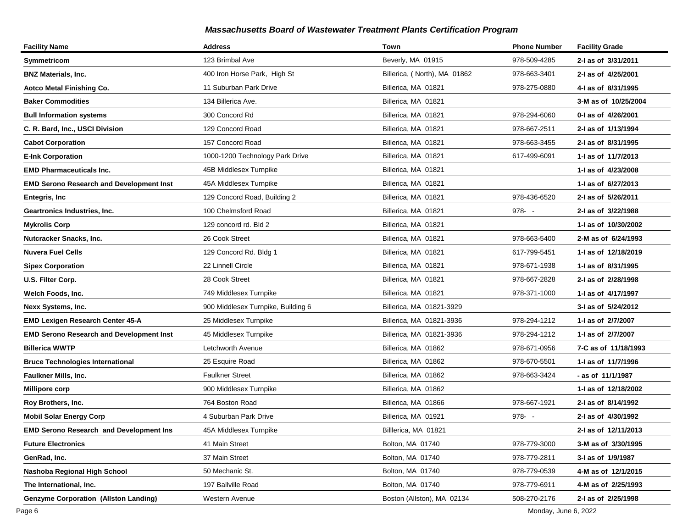| <b>Facility Name</b>                            | <b>Address</b>                     | Town                         | <b>Phone Number</b> | <b>Facility Grade</b> |
|-------------------------------------------------|------------------------------------|------------------------------|---------------------|-----------------------|
| Symmetricom                                     | 123 Brimbal Ave                    | Beverly, MA 01915            | 978-509-4285        | 2-I as of 3/31/2011   |
| <b>BNZ Materials, Inc.</b>                      | 400 Iron Horse Park, High St       | Billerica, (North), MA 01862 | 978-663-3401        | 2-I as of 4/25/2001   |
| <b>Aotco Metal Finishing Co.</b>                | 11 Suburban Park Drive             | Billerica, MA 01821          | 978-275-0880        | 4-I as of 8/31/1995   |
| <b>Baker Commodities</b>                        | 134 Billerica Ave.                 | Billerica, MA 01821          |                     | 3-M as of 10/25/2004  |
| <b>Bull Information systems</b>                 | 300 Concord Rd                     | Billerica, MA 01821          | 978-294-6060        | 0-1 as of 4/26/2001   |
| C. R. Bard, Inc., USCI Division                 | 129 Concord Road                   | Billerica, MA 01821          | 978-667-2511        | 2-I as of 1/13/1994   |
| <b>Cabot Corporation</b>                        | 157 Concord Road                   | Billerica, MA 01821          | 978-663-3455        | 2-I as of 8/31/1995   |
| <b>E-Ink Corporation</b>                        | 1000-1200 Technology Park Drive    | Billerica, MA 01821          | 617-499-6091        | 1- as of 11/7/2013    |
| <b>EMD Pharmaceuticals Inc.</b>                 | 45B Middlesex Turnpike             | Billerica, MA 01821          |                     | 1-I as of 4/23/2008   |
| <b>EMD Serono Research and Development Inst</b> | 45A Middlesex Turnpike             | Billerica, MA 01821          |                     | 1-I as of 6/27/2013   |
| <b>Entegris, Inc</b>                            | 129 Concord Road, Building 2       | Billerica, MA 01821          | 978-436-6520        | 2-I as of 5/26/2011   |
| Geartronics Industries, Inc.                    | 100 Chelmsford Road                | Billerica, MA 01821          | $978 - -$           | 2-I as of 3/22/1988   |
| <b>Mykrolis Corp</b>                            | 129 concord rd. Bld 2              | Billerica, MA 01821          |                     | 1-1 as of 10/30/2002  |
| Nutcracker Snacks, Inc.                         | 26 Cook Street                     | Billerica, MA 01821          | 978-663-5400        | 2-M as of 6/24/1993   |
| <b>Nuvera Fuel Cells</b>                        | 129 Concord Rd. Bldg 1             | Billerica, MA 01821          | 617-799-5451        | 1-J as of 12/18/2019  |
| <b>Sipex Corporation</b>                        | 22 Linnell Circle                  | Billerica, MA 01821          | 978-671-1938        | 1-I as of 8/31/1995   |
| U.S. Filter Corp.                               | 28 Cook Street                     | Billerica, MA 01821          | 978-667-2828        | 2-I as of 2/28/1998   |
| Welch Foods, Inc.                               | 749 Middlesex Turnpike             | Billerica, MA 01821          | 978-371-1000        | 1-I as of 4/17/1997   |
| Nexx Systems, Inc.                              | 900 Middlesex Turnpike, Building 6 | Billerica, MA 01821-3929     |                     | 3-I as of 5/24/2012   |
| EMD Lexigen Research Center 45-A                | 25 Middlesex Turnpike              | Billerica, MA 01821-3936     | 978-294-1212        | 1-I as of 2/7/2007    |
| <b>EMD Serono Research and Development Inst</b> | 45 Middlesex Turnpike              | Billerica, MA 01821-3936     | 978-294-1212        | 1-I as of 2/7/2007    |
| <b>Billerica WWTP</b>                           | Letchworth Avenue                  | Billerica, MA 01862          | 978-671-0956        | 7-C as of 11/18/1993  |
| <b>Bruce Technologies International</b>         | 25 Esquire Road                    | Billerica, MA 01862          | 978-670-5501        | 1- as of 11/7/1996    |
| <b>Faulkner Mills, Inc.</b>                     | <b>Faulkner Street</b>             | Billerica, MA 01862          | 978-663-3424        | - as of 11/1/1987     |
| <b>Millipore corp</b>                           | 900 Middlesex Turnpike             | Billerica, MA 01862          |                     | 1- as of 12/18/2002   |
| Roy Brothers, Inc.                              | 764 Boston Road                    | Billerica, MA 01866          | 978-667-1921        | 2-I as of 8/14/1992   |
| <b>Mobil Solar Energy Corp</b>                  | 4 Suburban Park Drive              | Billerica, MA 01921          | $978 - -$           | 2-I as of 4/30/1992   |
| <b>EMD Serono Research and Development Ins</b>  | 45A Middlesex Turnpike             | Billlerica, MA 01821         |                     | 2-I as of 12/11/2013  |
| <b>Future Electronics</b>                       | 41 Main Street                     | Bolton, MA 01740             | 978-779-3000        | 3-M as of 3/30/1995   |
| GenRad, Inc.                                    | 37 Main Street                     | Bolton, MA 01740             | 978-779-2811        | 3-I as of 1/9/1987    |
| Nashoba Regional High School                    | 50 Mechanic St.                    | Bolton, MA 01740             | 978-779-0539        | 4-M as of 12/1/2015   |
| The International, Inc.                         | 197 Ballville Road                 | Bolton, MA 01740             | 978-779-6911        | 4-M as of 2/25/1993   |
| <b>Genzyme Corporation (Allston Landing)</b>    | Western Avenue                     | Boston (Allston), MA 02134   | 508-270-2176        | 2-I as of 2/25/1998   |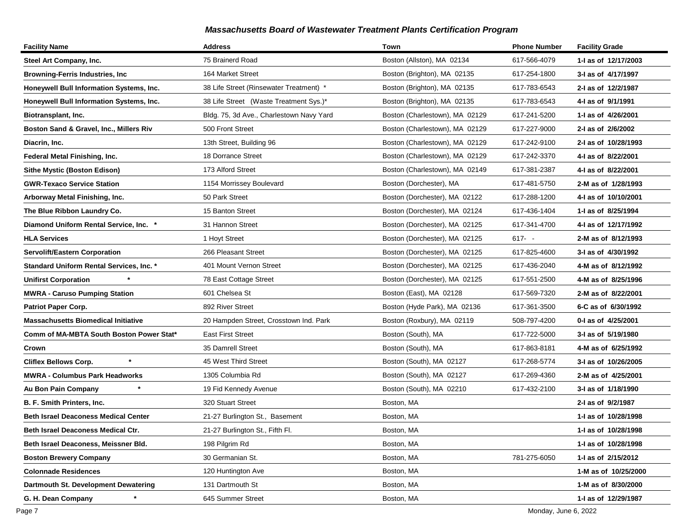| <b>Facility Name</b>                            | <b>Address</b>                           | Town                           | <b>Phone Number</b> | <b>Facility Grade</b> |
|-------------------------------------------------|------------------------------------------|--------------------------------|---------------------|-----------------------|
| Steel Art Company, Inc.                         | 75 Brainerd Road                         | Boston (Allston), MA 02134     | 617-566-4079        | 1-1 as of 12/17/2003  |
| <b>Browning-Ferris Industries, Inc.</b>         | 164 Market Street                        | Boston (Brighton), MA 02135    | 617-254-1800        | 3-I as of 4/17/1997   |
| Honeywell Bull Information Systems, Inc.        | 38 Life Street (Rinsewater Treatment) *  | Boston (Brighton), MA 02135    | 617-783-6543        | 2-I as of 12/2/1987   |
| Honeywell Bull Information Systems, Inc.        | 38 Life Street (Waste Treatment Sys.)*   | Boston (Brighton), MA 02135    | 617-783-6543        | 4-I as of 9/1/1991    |
| Biotransplant, Inc.                             | Bldg. 75, 3d Ave., Charlestown Navy Yard | Boston (Charlestown), MA 02129 | 617-241-5200        | 1-I as of 4/26/2001   |
| Boston Sand & Gravel, Inc., Millers Riv         | 500 Front Street                         | Boston (Charlestown), MA 02129 | 617-227-9000        | 2-I as of 2/6/2002    |
| Diacrin, Inc.                                   | 13th Street, Building 96                 | Boston (Charlestown), MA 02129 | 617-242-9100        | 2-I as of 10/28/1993  |
| Federal Metal Finishing, Inc.                   | 18 Dorrance Street                       | Boston (Charlestown), MA 02129 | 617-242-3370        | 4-I as of 8/22/2001   |
| <b>Sithe Mystic (Boston Edison)</b>             | 173 Alford Street                        | Boston (Charlestown), MA 02149 | 617-381-2387        | 4-I as of 8/22/2001   |
| <b>GWR-Texaco Service Station</b>               | 1154 Morrissey Boulevard                 | Boston (Dorchester), MA        | 617-481-5750        | 2-M as of 1/28/1993   |
| Arborway Metal Finishing, Inc.                  | 50 Park Street                           | Boston (Dorchester), MA 02122  | 617-288-1200        | 4-I as of 10/10/2001  |
| The Blue Ribbon Laundry Co.                     | 15 Banton Street                         | Boston (Dorchester), MA 02124  | 617-436-1404        | 1-I as of 8/25/1994   |
| Diamond Uniform Rental Service, Inc. *          | 31 Hannon Street                         | Boston (Dorchester), MA 02125  | 617-341-4700        | 4-1 as of 12/17/1992  |
| <b>HLA Services</b>                             | 1 Hoyt Street                            | Boston (Dorchester), MA 02125  | $617 - -$           | 2-M as of 8/12/1993   |
| <b>Servolift/Eastern Corporation</b>            | 266 Pleasant Street                      | Boston (Dorchester), MA 02125  | 617-825-4600        | 3-I as of 4/30/1992   |
| <b>Standard Uniform Rental Services, Inc. *</b> | 401 Mount Vernon Street                  | Boston (Dorchester), MA 02125  | 617-436-2040        | 4-M as of 8/12/1992   |
| <b>Unifirst Corporation</b>                     | 78 East Cottage Street                   | Boston (Dorchester), MA 02125  | 617-551-2500        | 4-M as of 8/25/1996   |
| <b>MWRA - Caruso Pumping Station</b>            | 601 Chelsea St                           | Boston (East), MA 02128        | 617-569-7320        | 2-M as of 8/22/2001   |
| Patriot Paper Corp.                             | 892 River Street                         | Boston (Hyde Park), MA 02136   | 617-361-3500        | 6-C as of 6/30/1992   |
| <b>Massachusetts Biomedical Initiative</b>      | 20 Hampden Street, Crosstown Ind. Park   | Boston (Roxbury), MA 02119     | 508-797-4200        | 0-I as of 4/25/2001   |
| Comm of MA-MBTA South Boston Power Stat*        | <b>East First Street</b>                 | Boston (South), MA             | 617-722-5000        | 3-I as of 5/19/1980   |
| Crown                                           | 35 Damrell Street                        | Boston (South), MA             | 617-863-8181        | 4-M as of 6/25/1992   |
| $\star$<br><b>Cliflex Bellows Corp.</b>         | 45 West Third Street                     | Boston (South), MA 02127       | 617-268-5774        | 3-I as of 10/26/2005  |
| <b>MWRA - Columbus Park Headworks</b>           | 1305 Columbia Rd                         | Boston (South), MA 02127       | 617-269-4360        | 2-M as of 4/25/2001   |
| Au Bon Pain Company                             | 19 Fid Kennedy Avenue                    | Boston (South), MA 02210       | 617-432-2100        | 3-I as of 1/18/1990   |
| B. F. Smith Printers, Inc.                      | 320 Stuart Street                        | Boston, MA                     |                     | 2-I as of 9/2/1987    |
| <b>Beth Israel Deaconess Medical Center</b>     | 21-27 Burlington St., Basement           | Boston, MA                     |                     | 1-I as of 10/28/1998  |
| Beth Israel Deaconess Medical Ctr.              | 21-27 Burlington St., Fifth Fl.          | Boston, MA                     |                     | 1-I as of 10/28/1998  |
| Beth Israel Deaconess, Meissner Bld.            | 198 Pilgrim Rd                           | Boston, MA                     |                     | 1- as of 10/28/1998   |
| <b>Boston Brewery Company</b>                   | 30 Germanian St.                         | Boston, MA                     | 781-275-6050        | 1- as of 2/15/2012    |
| <b>Colonnade Residences</b>                     | 120 Huntington Ave                       | Boston, MA                     |                     | 1-M as of 10/25/2000  |
| Dartmouth St. Development Dewatering            | 131 Dartmouth St                         | Boston, MA                     |                     | 1-M as of 8/30/2000   |
| G. H. Dean Company                              | 645 Summer Street                        | Boston, MA                     |                     | 1-I as of 12/29/1987  |

Page 7 Monday, June 6, 2022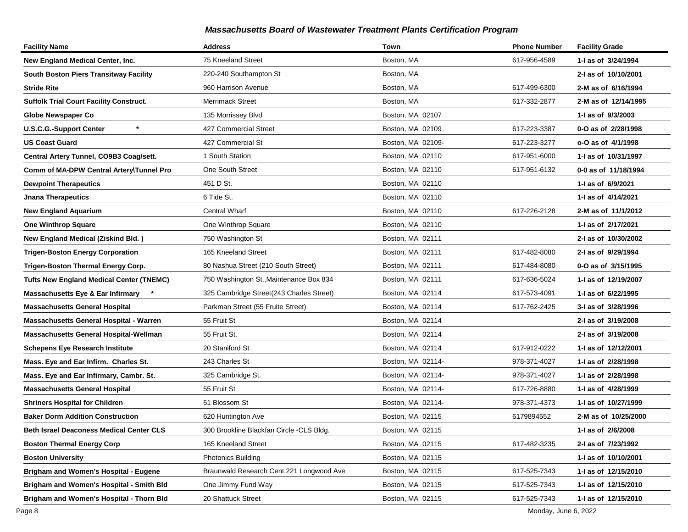| <b>Facility Name</b>                            | <b>Address</b>                           | Town              | <b>Phone Number</b> | <b>Facility Grade</b> |
|-------------------------------------------------|------------------------------------------|-------------------|---------------------|-----------------------|
| New England Medical Center, Inc.                | 75 Kneeland Street                       | Boston, MA        | 617-956-4589        | 1-I as of 3/24/1994   |
| South Boston Piers Transitway Facility          | 220-240 Southampton St                   | Boston, MA        |                     | 2-I as of 10/10/2001  |
| <b>Stride Rite</b>                              | 960 Harrison Avenue                      | Boston, MA        | 617-499-6300        | 2-M as of 6/16/1994   |
| <b>Suffolk Trial Court Facility Construct.</b>  | <b>Merrimack Street</b>                  | Boston, MA        | 617-332-2877        | 2-M as of 12/14/1995  |
| <b>Globe Newspaper Co</b>                       | 135 Morrissey Blvd                       | Boston, MA 02107  |                     | 1-I as of 9/3/2003    |
| $\star$<br><b>U.S.C.G.-Support Center</b>       | 427 Commercial Street                    | Boston, MA 02109  | 617-223-3387        | 0-O as of 2/28/1998   |
| US Coast Guard                                  | 427 Commercial St                        | Boston, MA 02109- | 617-223-3277        | o-O as of 4/1/1998    |
| Central Artery Tunnel, CO9B3 Coag/sett.         | 1 South Station                          | Boston, MA 02110  | 617-951-6000        | 1-I as of 10/31/1997  |
| Comm of MA-DPW Central Artery\Tunnel Pro        | One South Street                         | Boston, MA 02110  | 617-951-6132        | 0-0 as of 11/18/1994  |
| <b>Dewpoint Therapeutics</b>                    | 451 D St.                                | Boston, MA 02110  |                     | 1-I as of 6/9/2021    |
| <b>Jnana Therapeutics</b>                       | 6 Tide St.                               | Boston, MA 02110  |                     | 1-I as of 4/14/2021   |
| <b>New England Aquarium</b>                     | <b>Central Wharf</b>                     | Boston, MA 02110  | 617-226-2128        | 2-M as of 11/1/2012   |
| <b>One Winthrop Square</b>                      | One Winthrop Square                      | Boston, MA 02110  |                     | 1-I as of 2/17/2021   |
| New England Medical (Ziskind Bld.)              | 750 Washington St                        | Boston, MA 02111  |                     | 2-I as of 10/30/2002  |
| <b>Trigen-Boston Energy Corporation</b>         | 165 Kneeland Street                      | Boston, MA 02111  | 617-482-8080        | 2-I as of 9/29/1994   |
| Trigen-Boston Thermal Energy Corp.              | 80 Nashua Street (210 South Street)      | Boston, MA 02111  | 617-484-8080        | 0-O as of 3/15/1995   |
| <b>Tufts New England Medical Center (TNEMC)</b> | 750 Washington St., Maintenance Box 834  | Boston, MA 02111  | 617-636-5024        | 1-I as of 12/19/2007  |
| <b>Massachusetts Eye &amp; Ear Infirmary</b>    | 325 Cambridge Street(243 Charles Street) | Boston, MA 02114  | 617-573-4091        | 1-I as of 6/22/1995   |
| <b>Massachusetts General Hospital</b>           | Parkman Street (55 Fruite Street)        | Boston, MA 02114  | 617-762-2425        | 3-I as of 3/28/1996   |
| Massachusetts General Hospital - Warren         | 55 Fruit St                              | Boston, MA 02114  |                     | 2-I as of 3/19/2008   |
| Massachusetts General Hospital-Wellman          | 55 Fruit St.                             | Boston, MA 02114  |                     | 2-I as of 3/19/2008   |
| Schepens Eye Research Institute                 | 20 Staniford St                          | Boston, MA 02114  | 617-912-0222        | 1-I as of 12/12/2001  |
| Mass. Eye and Ear Infirm. Charles St.           | 243 Charles St                           | Boston, MA 02114- | 978-371-4027        | 1- as of 2/28/1998    |
| Mass. Eye and Ear Infirmary, Cambr. St.         | 325 Cambridge St.                        | Boston, MA 02114- | 978-371-4027        | 1-I as of 2/28/1998   |
| <b>Massachusetts General Hospital</b>           | 55 Fruit St                              | Boston, MA 02114- | 617-726-8880        | 1-I as of 4/28/1999   |
| <b>Shriners Hospital for Children</b>           | 51 Blossom St                            | Boston, MA 02114- | 978-371-4373        | 1-I as of 10/27/1999  |
| <b>Baker Dorm Addition Construction</b>         | 620 Huntington Ave                       | Boston, MA 02115  | 6179894552          | 2-M as of 10/25/2000  |
| <b>Beth Israel Deaconess Medical Center CLS</b> | 300 Brookline Blackfan Circle -CLS Bldg. | Boston, MA 02115  |                     | 1-I as of 2/6/2008    |
| <b>Boston Thermal Energy Corp</b>               | 165 Kneeland Street                      | Boston, MA 02115  | 617-482-3235        | 2-I as of 7/23/1992   |
| Boston University                               | <b>Photonics Building</b>                | Boston, MA 02115  |                     | 1-I as of 10/10/2001  |
| Brigham and Women's Hospital - Eugene           | Braunwald Research Cent.221 Longwood Ave | Boston, MA 02115  | 617-525-7343        | 1-I as of 12/15/2010  |
| Brigham and Women's Hospital - Smith Bld        | One Jimmy Fund Way                       | Boston, MA 02115  | 617-525-7343        | 1-I as of 12/15/2010  |
| Brigham and Women's Hospital - Thorn Bld        | 20 Shattuck Street                       | Boston, MA 02115  | 617-525-7343        | 1-I as of 12/15/2010  |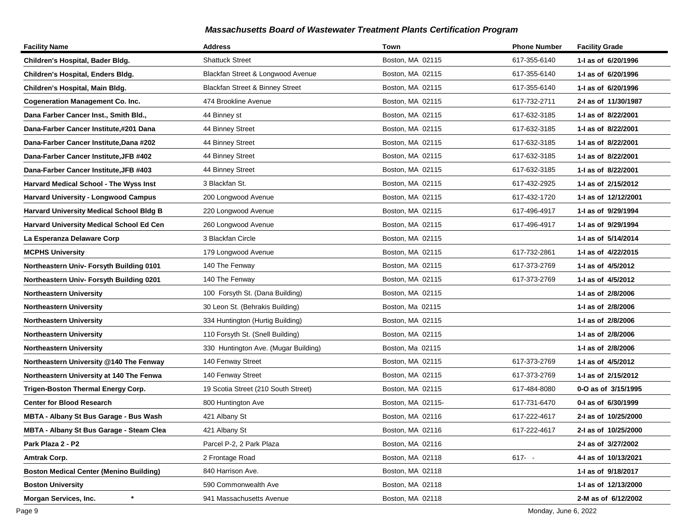| <b>Facility Name</b>                            | <b>Address</b>                       | Town              | <b>Phone Number</b> | <b>Facility Grade</b> |
|-------------------------------------------------|--------------------------------------|-------------------|---------------------|-----------------------|
| Children's Hospital, Bader Bldg.                | <b>Shattuck Street</b>               | Boston, MA 02115  | 617-355-6140        | 1-I as of 6/20/1996   |
| Children's Hospital, Enders Bldg.               | Blackfan Street & Longwood Avenue    | Boston, MA 02115  | 617-355-6140        | 1-I as of 6/20/1996   |
| Children's Hospital, Main Bldg.                 | Blackfan Street & Binney Street      | Boston, MA 02115  | 617-355-6140        | 1-I as of 6/20/1996   |
| <b>Cogeneration Management Co. Inc.</b>         | 474 Brookline Avenue                 | Boston, MA 02115  | 617-732-2711        | 2-I as of 11/30/1987  |
| Dana Farber Cancer Inst., Smith Bld.,           | 44 Binney st                         | Boston, MA 02115  | 617-632-3185        | 1-I as of 8/22/2001   |
| Dana-Farber Cancer Institute,#201 Dana          | 44 Binney Street                     | Boston, MA 02115  | 617-632-3185        | 1-I as of 8/22/2001   |
| Dana-Farber Cancer Institute, Dana #202         | 44 Binney Street                     | Boston, MA 02115  | 617-632-3185        | 1-I as of 8/22/2001   |
| Dana-Farber Cancer Institute, JFB #402          | 44 Binney Street                     | Boston, MA 02115  | 617-632-3185        | 1-I as of 8/22/2001   |
| Dana-Farber Cancer Institute, JFB #403          | 44 Binney Street                     | Boston, MA 02115  | 617-632-3185        | 1-I as of 8/22/2001   |
| Harvard Medical School - The Wyss Inst          | 3 Blackfan St.                       | Boston, MA 02115  | 617-432-2925        | 1-1 as of 2/15/2012   |
| Harvard University - Longwood Campus            | 200 Longwood Avenue                  | Boston, MA 02115  | 617-432-1720        | 1-I as of 12/12/2001  |
| <b>Harvard University Medical School Bldg B</b> | 220 Longwood Avenue                  | Boston, MA 02115  | 617-496-4917        | 1-I as of 9/29/1994   |
| Harvard University Medical School Ed Cen        | 260 Longwood Avenue                  | Boston, MA 02115  | 617-496-4917        | 1-I as of 9/29/1994   |
| La Esperanza Delaware Corp                      | 3 Blackfan Circle                    | Boston, MA 02115  |                     | 1-I as of 5/14/2014   |
| <b>MCPHS University</b>                         | 179 Longwood Avenue                  | Boston, MA 02115  | 617-732-2861        | 1-I as of 4/22/2015   |
| Northeastern Univ- Forsyth Building 0101        | 140 The Fenway                       | Boston, MA 02115  | 617-373-2769        | 1-I as of 4/5/2012    |
| Northeastern Univ- Forsyth Building 0201        | 140 The Fenway                       | Boston, MA 02115  | 617-373-2769        | 1-I as of 4/5/2012    |
| <b>Northeastern University</b>                  | 100 Forsyth St. (Dana Building)      | Boston, MA 02115  |                     | 1-I as of 2/8/2006    |
| <b>Northeastern University</b>                  | 30 Leon St. (Behrakis Building)      | Boston, Ma 02115  |                     | 1-I as of 2/8/2006    |
| <b>Northeastern University</b>                  | 334 Huntington (Hurtig Building)     | Boston, MA 02115  |                     | 1-I as of 2/8/2006    |
| <b>Northeastern University</b>                  | 110 Forsyth St. (Snell Building)     | Boston, MA 02115  |                     | 1-I as of 2/8/2006    |
| <b>Northeastern University</b>                  | 330 Huntington Ave. (Mugar Building) | Boston, Ma 02115  |                     | 1-I as of 2/8/2006    |
| Northeastern University @140 The Fenway         | 140 Fenway Street                    | Boston, MA 02115  | 617-373-2769        | 1-I as of 4/5/2012    |
| Northeastern University at 140 The Fenwa        | 140 Fenway Street                    | Boston, MA 02115  | 617-373-2769        | 1-1 as of 2/15/2012   |
| Trigen-Boston Thermal Energy Corp.              | 19 Scotia Street (210 South Street)  | Boston, MA 02115  | 617-484-8080        | 0-O as of 3/15/1995   |
| <b>Center for Blood Research</b>                | 800 Huntington Ave                   | Boston, MA 02115- | 617-731-6470        | 0-I as of 6/30/1999   |
| MBTA - Albany St Bus Garage - Bus Wash          | 421 Albany St                        | Boston, MA 02116  | 617-222-4617        | 2-I as of 10/25/2000  |
| MBTA - Albany St Bus Garage - Steam Clea        | 421 Albany St                        | Boston, MA 02116  | 617-222-4617        | 2-I as of 10/25/2000  |
| Park Plaza 2 - P2                               | Parcel P-2, 2 Park Plaza             | Boston, MA 02116  |                     | 2-I as of 3/27/2002   |
| Amtrak Corp.                                    | 2 Frontage Road                      | Boston, MA 02118  | $617 - -$           | 4-I as of 10/13/2021  |
| <b>Boston Medical Center (Menino Building)</b>  | 840 Harrison Ave.                    | Boston, MA 02118  |                     | 1-I as of 9/18/2017   |
| <b>Boston University</b>                        | 590 Commonwealth Ave                 | Boston, MA 02118  |                     | 1-I as of 12/13/2000  |
| $\ast$<br>Morgan Services, Inc.                 | 941 Massachusetts Avenue             | Boston, MA 02118  |                     | 2-M as of 6/12/2002   |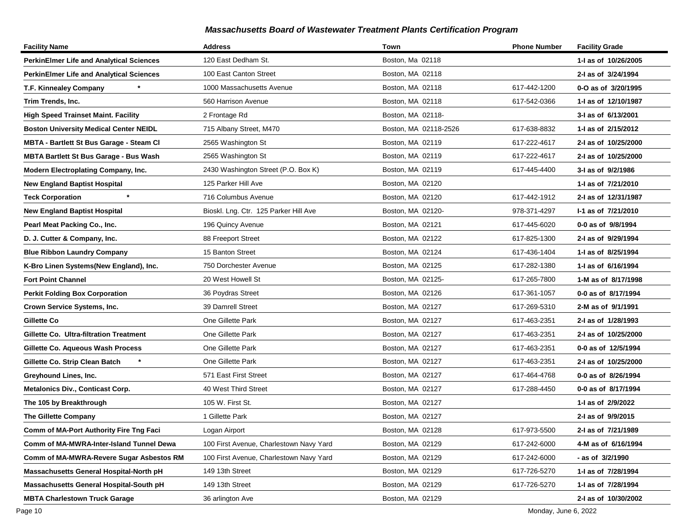| <b>Facility Name</b>                            | <b>Address</b>                          | Town                  | <b>Phone Number</b> | <b>Facility Grade</b> |
|-------------------------------------------------|-----------------------------------------|-----------------------|---------------------|-----------------------|
| <b>PerkinElmer Life and Analytical Sciences</b> | 120 East Dedham St.                     | Boston, Ma 02118      |                     | 1-I as of 10/26/2005  |
| <b>PerkinElmer Life and Analytical Sciences</b> | 100 East Canton Street                  | Boston, MA 02118      |                     | 2-I as of 3/24/1994   |
| T.F. Kinnealey Company                          | 1000 Massachusetts Avenue               | Boston, MA 02118      | 617-442-1200        | 0-O as of 3/20/1995   |
| Trim Trends, Inc.                               | 560 Harrison Avenue                     | Boston, MA 02118      | 617-542-0366        | 1-I as of 12/10/1987  |
| <b>High Speed Trainset Maint. Facility</b>      | 2 Frontage Rd                           | Boston, MA 02118-     |                     | 3-I as of 6/13/2001   |
| <b>Boston University Medical Center NEIDL</b>   | 715 Albany Street, M470                 | Boston, MA 02118-2526 | 617-638-8832        | 1-I as of 2/15/2012   |
| <b>MBTA - Bartlett St Bus Garage - Steam Cl</b> | 2565 Washington St                      | Boston, MA 02119      | 617-222-4617        | 2-I as of 10/25/2000  |
| <b>MBTA Bartlett St Bus Garage - Bus Wash</b>   | 2565 Washington St                      | Boston, MA 02119      | 617-222-4617        | 2-I as of 10/25/2000  |
| Modern Electroplating Company, Inc.             | 2430 Washington Street (P.O. Box K)     | Boston, MA 02119      | 617-445-4400        | 3-I as of 9/2/1986    |
| <b>New England Baptist Hospital</b>             | 125 Parker Hill Ave                     | Boston, MA 02120      |                     | 1- as of 7/21/2010    |
| <b>Teck Corporation</b>                         | 716 Columbus Avenue                     | Boston, MA 02120      | 617-442-1912        | 2-I as of 12/31/1987  |
| <b>New England Baptist Hospital</b>             | Bioskl. Lng. Ctr. 125 Parker Hill Ave   | Boston, MA 02120-     | 978-371-4297        | I-1 as of 7/21/2010   |
| Pearl Meat Packing Co., Inc.                    | 196 Quincy Avenue                       | Boston, MA 02121      | 617-445-6020        | 0-0 as of 9/8/1994    |
| D. J. Cutter & Company, Inc.                    | 88 Freeport Street                      | Boston, MA 02122      | 617-825-1300        | 2-I as of 9/29/1994   |
| <b>Blue Ribbon Laundry Company</b>              | 15 Banton Street                        | Boston, MA 02124      | 617-436-1404        | 1-I as of 8/25/1994   |
| K-Bro Linen Systems(New England), Inc.          | 750 Dorchester Avenue                   | Boston, MA 02125      | 617-282-1380        | 1-I as of 6/16/1994   |
| <b>Fort Point Channel</b>                       | 20 West Howell St                       | Boston, MA 02125-     | 617-265-7800        | 1-M as of 8/17/1998   |
| <b>Perkit Folding Box Corporation</b>           | 36 Poydras Street                       | Boston, MA 02126      | 617-361-1057        | 0-0 as of 8/17/1994   |
| Crown Service Systems, Inc.                     | 39 Damrell Street                       | Boston, MA 02127      | 617-269-5310        | 2-M as of 9/1/1991    |
| Gillette Co                                     | One Gillette Park                       | Boston, MA 02127      | 617-463-2351        | 2-I as of 1/28/1993   |
| Gillette Co. Ultra-filtration Treatment         | One Gillette Park                       | Boston, MA 02127      | 617-463-2351        | 2-I as of 10/25/2000  |
| Gillette Co. Aqueous Wash Process               | One Gillette Park                       | Boston, MA 02127      | 617-463-2351        | 0-0 as of 12/5/1994   |
| Gillette Co. Strip Clean Batch                  | One Gillette Park                       | Boston, MA 02127      | 617-463-2351        | 2-I as of 10/25/2000  |
| Greyhound Lines, Inc.                           | 571 East First Street                   | Boston, MA 02127      | 617-464-4768        | 0-0 as of 8/26/1994   |
| <b>Metalonics Div., Conticast Corp.</b>         | 40 West Third Street                    | Boston, MA 02127      | 617-288-4450        | 0-0 as of 8/17/1994   |
| The 105 by Breakthrough                         | 105 W. First St.                        | Boston, MA 02127      |                     | 1-I as of 2/9/2022    |
| <b>The Gillette Company</b>                     | 1 Gillette Park                         | Boston, MA 02127      |                     | 2-I as of 9/9/2015    |
| Comm of MA-Port Authority Fire Tng Faci         | Logan Airport                           | Boston, MA 02128      | 617-973-5500        | 2-I as of 7/21/1989   |
| Comm of MA-MWRA-Inter-Island Tunnel Dewa        | 100 First Avenue, Charlestown Navy Yard | Boston, MA 02129      | 617-242-6000        | 4-M as of 6/16/1994   |
| Comm of MA-MWRA-Revere Sugar Asbestos RM        | 100 First Avenue, Charlestown Navy Yard | Boston, MA 02129      | 617-242-6000        | - as of 3/2/1990      |
| Massachusetts General Hospital-North pH         | 149 13th Street                         | Boston, MA 02129      | 617-726-5270        | 1- as of 7/28/1994    |
| Massachusetts General Hospital-South pH         | 149 13th Street                         | Boston, MA 02129      | 617-726-5270        | 1-I as of 7/28/1994   |
| <b>MBTA Charlestown Truck Garage</b>            | 36 arlington Ave                        | Boston, MA 02129      |                     | 2-I as of 10/30/2002  |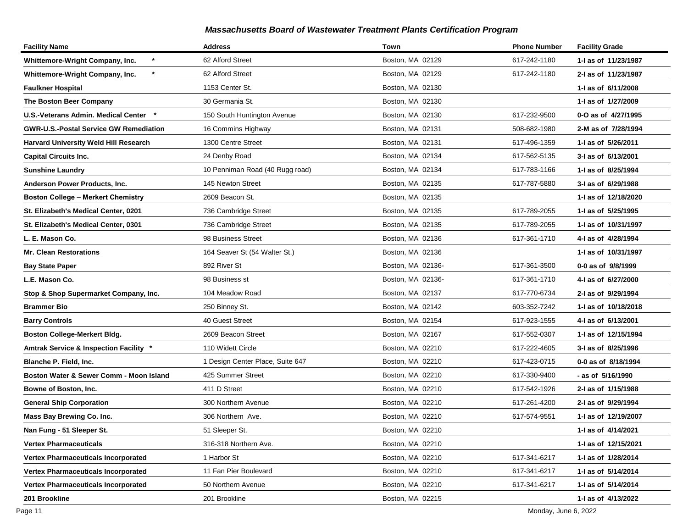| <b>Facility Name</b>                          | <b>Address</b>                   | Town              | <b>Phone Number</b> | <b>Facility Grade</b> |
|-----------------------------------------------|----------------------------------|-------------------|---------------------|-----------------------|
| *<br>Whittemore-Wright Company, Inc.          | 62 Alford Street                 | Boston, MA 02129  | 617-242-1180        | 1-I as of 11/23/1987  |
| Whittemore-Wright Company, Inc.               | 62 Alford Street                 | Boston, MA 02129  | 617-242-1180        | 2-I as of 11/23/1987  |
| <b>Faulkner Hospital</b>                      | 1153 Center St.                  | Boston, MA 02130  |                     | 1-I as of 6/11/2008   |
| The Boston Beer Company                       | 30 Germania St.                  | Boston, MA 02130  |                     | 1-I as of 1/27/2009   |
| U.S.-Veterans Admin. Medical Center *         | 150 South Huntington Avenue      | Boston, MA 02130  | 617-232-9500        | 0-O as of 4/27/1995   |
| <b>GWR-U.S.-Postal Service GW Remediation</b> | 16 Commins Highway               | Boston, MA 02131  | 508-682-1980        | 2-M as of 7/28/1994   |
| <b>Harvard University Weld Hill Research</b>  | 1300 Centre Street               | Boston, MA 02131  | 617-496-1359        | 1-I as of 5/26/2011   |
| <b>Capital Circuits Inc.</b>                  | 24 Denby Road                    | Boston, MA 02134  | 617-562-5135        | 3-I as of 6/13/2001   |
| <b>Sunshine Laundry</b>                       | 10 Penniman Road (40 Rugg road)  | Boston, MA 02134  | 617-783-1166        | 1-I as of 8/25/1994   |
| Anderson Power Products, Inc.                 | 145 Newton Street                | Boston, MA 02135  | 617-787-5880        | 3-I as of 6/29/1988   |
| <b>Boston College - Merkert Chemistry</b>     | 2609 Beacon St.                  | Boston, MA 02135  |                     | 1-I as of 12/18/2020  |
| St. Elizabeth's Medical Center, 0201          | 736 Cambridge Street             | Boston, MA 02135  | 617-789-2055        | 1-I as of 5/25/1995   |
| St. Elizabeth's Medical Center, 0301          | 736 Cambridge Street             | Boston, MA 02135  | 617-789-2055        | 1-I as of 10/31/1997  |
| L. E. Mason Co.                               | 98 Business Street               | Boston, MA 02136  | 617-361-1710        | 4-I as of 4/28/1994   |
| <b>Mr. Clean Restorations</b>                 | 164 Seaver St (54 Walter St.)    | Boston, MA 02136  |                     | 1-I as of 10/31/1997  |
| <b>Bay State Paper</b>                        | 892 River St                     | Boston, MA 02136- | 617-361-3500        | 0-0 as of 9/8/1999    |
| L.E. Mason Co.                                | 98 Business st                   | Boston, MA 02136- | 617-361-1710        | 4-I as of 6/27/2000   |
| Stop & Shop Supermarket Company, Inc.         | 104 Meadow Road                  | Boston, MA 02137  | 617-770-6734        | 2-I as of 9/29/1994   |
| <b>Brammer Bio</b>                            | 250 Binney St.                   | Boston, MA 02142  | 603-352-7242        | 1-I as of 10/18/2018  |
| <b>Barry Controls</b>                         | 40 Guest Street                  | Boston, MA 02154  | 617-923-1555        | 4-I as of 6/13/2001   |
| <b>Boston College-Merkert Bldg.</b>           | 2609 Beacon Street               | Boston, MA 02167  | 617-552-0307        | 1-I as of 12/15/1994  |
| Amtrak Service & Inspection Facility *        | 110 Widett Circle                | Boston, MA 02210  | 617-222-4605        | 3-I as of 8/25/1996   |
| Blanche P. Field, Inc.                        | 1 Design Center Place, Suite 647 | Boston, MA 02210  | 617-423-0715        | 0-0 as of 8/18/1994   |
| Boston Water & Sewer Comm - Moon Island       | 425 Summer Street                | Boston, MA 02210  | 617-330-9400        | - as of 5/16/1990     |
| Bowne of Boston, Inc.                         | 411 D Street                     | Boston, MA 02210  | 617-542-1926        | 2-I as of 1/15/1988   |
| <b>General Ship Corporation</b>               | 300 Northern Avenue              | Boston, MA 02210  | 617-261-4200        | 2-I as of 9/29/1994   |
| Mass Bay Brewing Co. Inc.                     | 306 Northern Ave.                | Boston, MA 02210  | 617-574-9551        | 1-I as of 12/19/2007  |
| Nan Fung - 51 Sleeper St.                     | 51 Sleeper St.                   | Boston, MA 02210  |                     | 1-I as of 4/14/2021   |
| <b>Vertex Pharmaceuticals</b>                 | 316-318 Northern Ave.            | Boston, MA 02210  |                     | 1-I as of 12/15/2021  |
| <b>Vertex Pharmaceuticals Incorporated</b>    | 1 Harbor St                      | Boston, MA 02210  | 617-341-6217        | 1-I as of 1/28/2014   |
| <b>Vertex Pharmaceuticals Incorporated</b>    | 11 Fan Pier Boulevard            | Boston, MA 02210  | 617-341-6217        | 1-I as of 5/14/2014   |
| <b>Vertex Pharmaceuticals Incorporated</b>    | 50 Northern Avenue               | Boston, MA 02210  | 617-341-6217        | 1-I as of 5/14/2014   |
| 201 Brookline                                 | 201 Brookline                    | Boston, MA 02215  |                     | 1-I as of 4/13/2022   |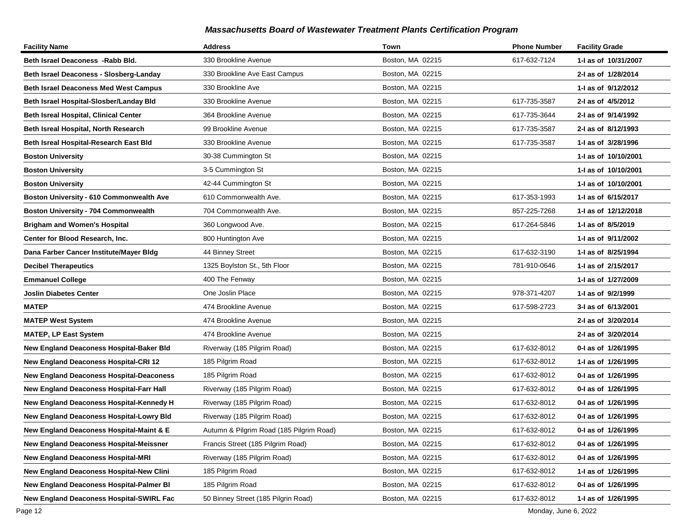| <b>Facility Name</b>                            | <b>Address</b>                           | Town             | <b>Phone Number</b> | <b>Facility Grade</b> |
|-------------------------------------------------|------------------------------------------|------------------|---------------------|-----------------------|
| Beth Israel Deaconess -Rabb Bld.                | 330 Brookline Avenue                     | Boston, MA 02215 | 617-632-7124        | 1-I as of 10/31/2007  |
| Beth Israel Deaconess - Slosberg-Landay         | 330 Brookline Ave East Campus            | Boston, MA 02215 |                     | 2-I as of 1/28/2014   |
| <b>Beth Israel Deaconess Med West Campus</b>    | 330 Brookline Ave                        | Boston, MA 02215 |                     | 1-1 as of 9/12/2012   |
| Beth Israel Hospital-Slosber/Landay Bld         | 330 Brookline Avenue                     | Boston, MA 02215 | 617-735-3587        | 2-I as of 4/5/2012    |
| <b>Beth Isreal Hospital, Clinical Center</b>    | 364 Brookline Avenue                     | Boston, MA 02215 | 617-735-3644        | 2-I as of 9/14/1992   |
| Beth Isreal Hospital, North Research            | 99 Brookline Avenue                      | Boston, MA 02215 | 617-735-3587        | 2-I as of 8/12/1993   |
| Beth Isreal Hospital-Research East Bld          | 330 Brookline Avenue                     | Boston, MA 02215 | 617-735-3587        | 1-I as of 3/28/1996   |
| <b>Boston University</b>                        | 30-38 Cummington St                      | Boston, MA 02215 |                     | 1-I as of 10/10/2001  |
| <b>Boston University</b>                        | 3-5 Cummington St                        | Boston, MA 02215 |                     | 1-I as of 10/10/2001  |
| <b>Boston University</b>                        | 42-44 Cummington St                      | Boston, MA 02215 |                     | 1-I as of 10/10/2001  |
| Boston University - 610 Commonwealth Ave        | 610 Commonwealth Ave.                    | Boston, MA 02215 | 617-353-1993        | 1- as of 6/15/2017    |
| <b>Boston University - 704 Commonwealth</b>     | 704 Commonwealth Ave.                    | Boston, MA 02215 | 857-225-7268        | 1-J as of 12/12/2018  |
| <b>Brigham and Women's Hospital</b>             | 360 Longwood Ave.                        | Boston, MA 02215 | 617-264-5846        | 1-I as of 8/5/2019    |
| Center for Blood Research, Inc.                 | 800 Huntington Ave                       | Boston, MA 02215 |                     | 1-I as of 9/11/2002   |
| Dana Farber Cancer Institute/Mayer Bldg         | 44 Binney Street                         | Boston, MA 02215 | 617-632-3190        | 1-I as of 8/25/1994   |
| <b>Decibel Therapeutics</b>                     | 1325 Boylston St., 5th Floor             | Boston, MA 02215 | 781-910-0646        | 1-I as of 2/15/2017   |
| <b>Emmanuel College</b>                         | 400 The Fenway                           | Boston, MA 02215 |                     | 1-I as of 1/27/2009   |
| <b>Joslin Diabetes Center</b>                   | One Joslin Place                         | Boston, MA 02215 | 978-371-4207        | 1-I as of 9/2/1999    |
| <b>MATEP</b>                                    | 474 Brookline Avenue                     | Boston, MA 02215 | 617-598-2723        | 3-I as of 6/13/2001   |
| <b>MATEP West System</b>                        | 474 Brookline Avenue                     | Boston, MA 02215 |                     | 2-I as of 3/20/2014   |
| <b>MATEP, LP East System</b>                    | 474 Brookline Avenue                     | Boston, MA 02215 |                     | 2-I as of 3/20/2014   |
| New England Deaconess Hospital-Baker Bld        | Riverway (185 Pilgrim Road)              | Boston, MA 02215 | 617-632-8012        | 0-I as of 1/26/1995   |
| <b>New England Deaconess Hospital-CRI 12</b>    | 185 Pilgrim Road                         | Boston, MA 02215 | 617-632-8012        | 1- as of 1/26/1995    |
| <b>New England Deaconess Hospital-Deaconess</b> | 185 Pilgrim Road                         | Boston, MA 02215 | 617-632-8012        | 0-I as of 1/26/1995   |
| New England Deaconess Hospital-Farr Hall        | Riverway (185 Pilgrim Road)              | Boston, MA 02215 | 617-632-8012        | 0-I as of 1/26/1995   |
| New England Deaconess Hospital-Kennedy H        | Riverway (185 Pilgrim Road)              | Boston, MA 02215 | 617-632-8012        | 0-I as of 1/26/1995   |
| <b>New England Deaconess Hospital-Lowry Bld</b> | Riverway (185 Pilgrim Road)              | Boston, MA 02215 | 617-632-8012        | 0-I as of 1/26/1995   |
| New England Deaconess Hospital-Maint & E        | Autumn & Pilgrim Road (185 Pilgrim Road) | Boston, MA 02215 | 617-632-8012        | 0-I as of 1/26/1995   |
| <b>New England Deaconess Hospital-Meissner</b>  | Francis Street (185 Pilgrim Road)        | Boston, MA 02215 | 617-632-8012        | 0-I as of 1/26/1995   |
| <b>New England Deaconess Hospital-MRI</b>       | Riverway (185 Pilgrim Road)              | Boston, MA 02215 | 617-632-8012        | 0-I as of 1/26/1995   |
| <b>New England Deaconess Hospital-New Clini</b> | 185 Pilgrim Road                         | Boston, MA 02215 | 617-632-8012        | 1-I as of 1/26/1995   |
| <b>New England Deaconess Hospital-Palmer BI</b> | 185 Pilgrim Road                         | Boston, MA 02215 | 617-632-8012        | 0-I as of 1/26/1995   |
| New England Deaconess Hospital-SWIRL Fac        | 50 Binney Street (185 Pilgrin Road)      | Boston, MA 02215 | 617-632-8012        | 1-I as of 1/26/1995   |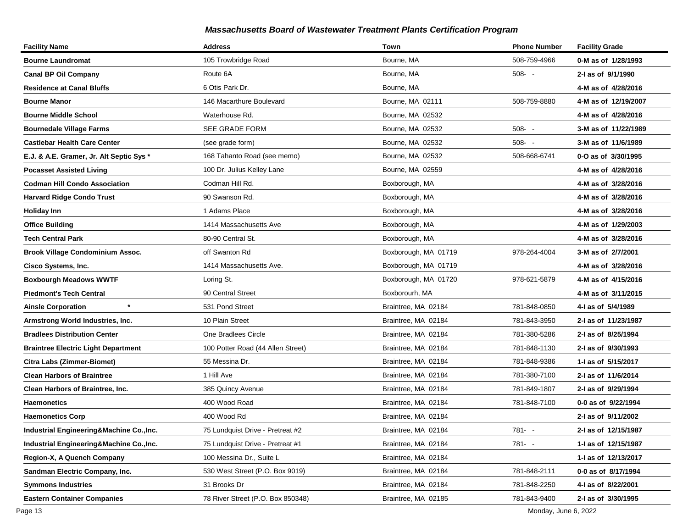| <b>Facility Name</b>                       | <b>Address</b>                    | Town                 | <b>Phone Number</b> | <b>Facility Grade</b> |
|--------------------------------------------|-----------------------------------|----------------------|---------------------|-----------------------|
| <b>Bourne Laundromat</b>                   | 105 Trowbridge Road               | Bourne, MA           | 508-759-4966        | 0-M as of 1/28/1993   |
| <b>Canal BP Oil Company</b>                | Route 6A                          | Bourne, MA           | $508 - -$           | 2-I as of 9/1/1990    |
| <b>Residence at Canal Bluffs</b>           | 6 Otis Park Dr.                   | Bourne, MA           |                     | 4-M as of 4/28/2016   |
| <b>Bourne Manor</b>                        | 146 Macarthure Boulevard          | Bourne, MA 02111     | 508-759-8880        | 4-M as of 12/19/2007  |
| <b>Bourne Middle School</b>                | Waterhouse Rd.                    | Bourne, MA 02532     |                     | 4-M as of 4/28/2016   |
| <b>Bournedale Village Farms</b>            | SEE GRADE FORM                    | Bourne, MA 02532     | $508 - -$           | 3-M as of 11/22/1989  |
| <b>Castlebar Health Care Center</b>        | (see grade form)                  | Bourne, MA 02532     | $508 - -$           | 3-M as of 11/6/1989   |
| E.J. & A.E. Gramer, Jr. Alt Septic Sys *   | 168 Tahanto Road (see memo)       | Bourne, MA 02532     | 508-668-6741        | 0-O as of 3/30/1995   |
| <b>Pocasset Assisted Living</b>            | 100 Dr. Julius Kelley Lane        | Bourne, MA 02559     |                     | 4-M as of 4/28/2016   |
| <b>Codman Hill Condo Association</b>       | Codman Hill Rd.                   | Boxborough, MA       |                     | 4-M as of 3/28/2016   |
| <b>Harvard Ridge Condo Trust</b>           | 90 Swanson Rd.                    | Boxborough, MA       |                     | 4-M as of 3/28/2016   |
| <b>Holiday Inn</b>                         | 1 Adams Place                     | Boxborough, MA       |                     | 4-M as of 3/28/2016   |
| <b>Office Building</b>                     | 1414 Massachusetts Ave            | Boxborough, MA       |                     | 4-M as of 1/29/2003   |
| <b>Tech Central Park</b>                   | 80-90 Central St.                 | Boxborough, MA       |                     | 4-M as of 3/28/2016   |
| <b>Brook Village Condominium Assoc.</b>    | off Swanton Rd                    | Boxborough, MA 01719 | 978-264-4004        | 3-M as of 2/7/2001    |
| Cisco Systems, Inc.                        | 1414 Massachusetts Ave.           | Boxborough, MA 01719 |                     | 4-M as of 3/28/2016   |
| <b>Boxbourgh Meadows WWTF</b>              | Loring St.                        | Boxborough, MA 01720 | 978-621-5879        | 4-M as of 4/15/2016   |
| <b>Piedmont's Tech Central</b>             | 90 Central Street                 | Boxborourh, MA       |                     | 4-M as of 3/11/2015   |
| $\pmb{\ast}$<br><b>Ainsle Corporation</b>  | 531 Pond Street                   | Braintree, MA 02184  | 781-848-0850        | 4-I as of 5/4/1989    |
| Armstrong World Industries, Inc.           | 10 Plain Street                   | Braintree, MA 02184  | 781-843-3950        | 2-I as of 11/23/1987  |
| <b>Bradlees Distribution Center</b>        | One Bradlees Circle               | Braintree, MA 02184  | 781-380-5286        | 2-I as of 8/25/1994   |
| <b>Braintree Electric Light Department</b> | 100 Potter Road (44 Allen Street) | Braintree, MA 02184  | 781-848-1130        | 2-I as of 9/30/1993   |
| <b>Citra Labs (Zimmer-Biomet)</b>          | 55 Messina Dr.                    | Braintree, MA 02184  | 781-848-9386        | 1-I as of 5/15/2017   |
| <b>Clean Harbors of Braintree</b>          | 1 Hill Ave                        | Braintree, MA 02184  | 781-380-7100        | 2-I as of 11/6/2014   |
| Clean Harbors of Braintree, Inc.           | 385 Quincy Avenue                 | Braintree, MA 02184  | 781-849-1807        | 2-I as of 9/29/1994   |
| <b>Haemonetics</b>                         | 400 Wood Road                     | Braintree, MA 02184  | 781-848-7100        | 0-0 as of 9/22/1994   |
| <b>Haemonetics Corp</b>                    | 400 Wood Rd                       | Braintree, MA 02184  |                     | 2-I as of 9/11/2002   |
| Industrial Engineering&Machine Co., Inc.   | 75 Lundquist Drive - Pretreat #2  | Braintree, MA 02184  | 781- -              | 2-I as of 12/15/1987  |
| Industrial Engineering&Machine Co., Inc.   | 75 Lundquist Drive - Pretreat #1  | Braintree, MA 02184  | 781- -              | 1- as of 12/15/1987   |
| Region-X, A Quench Company                 | 100 Messina Dr., Suite L          | Braintree, MA 02184  |                     | 1-I as of 12/13/2017  |
| Sandman Electric Company, Inc.             | 530 West Street (P.O. Box 9019)   | Braintree, MA 02184  | 781-848-2111        | 0-0 as of 8/17/1994   |
| <b>Symmons Industries</b>                  | 31 Brooks Dr                      | Braintree, MA 02184  | 781-848-2250        | 4-I as of 8/22/2001   |
| <b>Eastern Container Companies</b>         | 78 River Street (P.O. Box 850348) | Braintree, MA 02185  | 781-843-9400        | 2-I as of 3/30/1995   |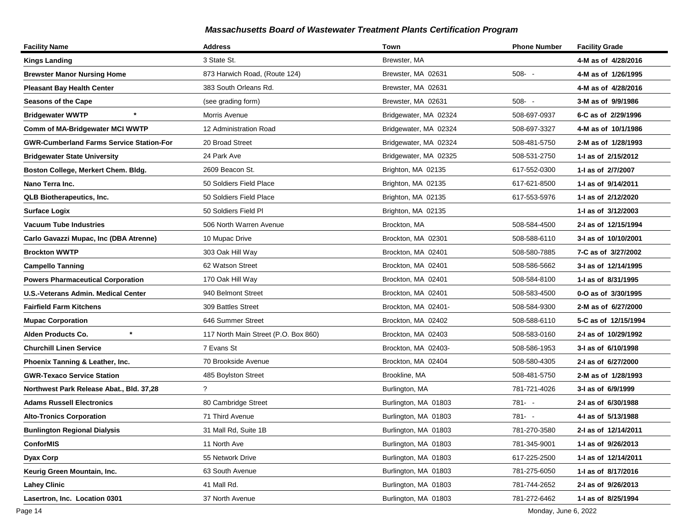| <b>Facility Name</b>                            | <b>Address</b>                       | Town                  | <b>Phone Number</b> | <b>Facility Grade</b> |
|-------------------------------------------------|--------------------------------------|-----------------------|---------------------|-----------------------|
| <b>Kings Landing</b>                            | 3 State St.                          | Brewster, MA          |                     | 4-M as of 4/28/2016   |
| <b>Brewster Manor Nursing Home</b>              | 873 Harwich Road, (Route 124)        | Brewster, MA 02631    | $508 - -$           | 4-M as of 1/26/1995   |
| <b>Pleasant Bay Health Center</b>               | 383 South Orleans Rd.                | Brewster, MA 02631    |                     | 4-M as of 4/28/2016   |
| <b>Seasons of the Cape</b>                      | (see grading form)                   | Brewster, MA 02631    | $508 - -$           | 3-M as of 9/9/1986    |
| <b>Bridgewater WWTP</b>                         | Morris Avenue                        | Bridgewater, MA 02324 | 508-697-0937        | 6-C as of 2/29/1996   |
| Comm of MA-Bridgewater MCI WWTP                 | 12 Administration Road               | Bridgewater, MA 02324 | 508-697-3327        | 4-M as of 10/1/1986   |
| <b>GWR-Cumberland Farms Service Station-For</b> | 20 Broad Street                      | Bridgewater, MA 02324 | 508-481-5750        | 2-M as of 1/28/1993   |
| <b>Bridgewater State University</b>             | 24 Park Ave                          | Bridgewater, MA 02325 | 508-531-2750        | 1-1 as of 2/15/2012   |
| Boston College, Merkert Chem. Bldg.             | 2609 Beacon St.                      | Brighton, MA 02135    | 617-552-0300        | 1-I as of 2/7/2007    |
| Nano Terra Inc.                                 | 50 Soldiers Field Place              | Brighton, MA 02135    | 617-621-8500        | 1-1 as of 9/14/2011   |
| <b>QLB Biotherapeutics, Inc.</b>                | 50 Soldiers Field Place              | Brighton, MA 02135    | 617-553-5976        | 1-1 as of 2/12/2020   |
| <b>Surface Logix</b>                            | 50 Soldiers Field Pl                 | Brighton, MA 02135    |                     | 1-I as of 3/12/2003   |
| <b>Vacuum Tube Industries</b>                   | 506 North Warren Avenue              | Brockton, MA          | 508-584-4500        | 2-I as of 12/15/1994  |
| Carlo Gavazzi Mupac, Inc (DBA Atrenne)          | 10 Mupac Drive                       | Brockton, MA 02301    | 508-588-6110        | 3-I as of 10/10/2001  |
| <b>Brockton WWTP</b>                            | 303 Oak Hill Way                     | Brockton, MA 02401    | 508-580-7885        | 7-C as of 3/27/2002   |
| <b>Campello Tanning</b>                         | 62 Watson Street                     | Brockton, MA 02401    | 508-586-5662        | 3-I as of 12/14/1995  |
| <b>Powers Pharmaceutical Corporation</b>        | 170 Oak Hill Way                     | Brockton, MA 02401    | 508-584-8100        | 1- as of 8/31/1995    |
| U.S.-Veterans Admin. Medical Center             | 940 Belmont Street                   | Brockton, MA 02401    | 508-583-4500        | 0-O as of 3/30/1995   |
| <b>Fairfield Farm Kitchens</b>                  | 309 Battles Street                   | Brockton, MA 02401-   | 508-584-9300        | 2-M as of 6/27/2000   |
| <b>Mupac Corporation</b>                        | 646 Summer Street                    | Brockton, MA 02402    | 508-588-6110        | 5-C as of 12/15/1994  |
| Alden Products Co.                              | 117 North Main Street (P.O. Box 860) | Brockton, MA 02403    | 508-583-0160        | 2-I as of 10/29/1992  |
| <b>Churchill Linen Service</b>                  | 7 Evans St                           | Brockton, MA 02403-   | 508-586-1953        | 3-I as of 6/10/1998   |
| Phoenix Tanning & Leather, Inc.                 | 70 Brookside Avenue                  | Brockton, MA 02404    | 508-580-4305        | 2-I as of 6/27/2000   |
| <b>GWR-Texaco Service Station</b>               | 485 Boylston Street                  | Brookline, MA         | 508-481-5750        | 2-M as of 1/28/1993   |
| Northwest Park Release Abat., Bld. 37,28        | $\tilde{?}$                          | Burlington, MA        | 781-721-4026        | 3-I as of 6/9/1999    |
| <b>Adams Russell Electronics</b>                | 80 Cambridge Street                  | Burlington, MA 01803  | 781- -              | 2-I as of 6/30/1988   |
| <b>Alto-Tronics Corporation</b>                 | 71 Third Avenue                      | Burlington, MA 01803  | $781 - -$           | 4-I as of 5/13/1988   |
| <b>Bunlington Regional Dialysis</b>             | 31 Mall Rd, Suite 1B                 | Burlington, MA 01803  | 781-270-3580        | 2-I as of 12/14/2011  |
| <b>ConforMIS</b>                                | 11 North Ave                         | Burlington, MA 01803  | 781-345-9001        | 1-1 as of 9/26/2013   |
| Dyax Corp                                       | 55 Network Drive                     | Burlington, MA 01803  | 617-225-2500        | 1- as of 12/14/2011   |
| Keurig Green Mountain, Inc.                     | 63 South Avenue                      | Burlington, MA 01803  | 781-275-6050        | 1-I as of 8/17/2016   |
| <b>Lahey Clinic</b>                             | 41 Mall Rd.                          | Burlington, MA 01803  | 781-744-2652        | 2-I as of 9/26/2013   |
| Lasertron, Inc. Location 0301                   | 37 North Avenue                      | Burlington, MA 01803  | 781-272-6462        | 1-I as of 8/25/1994   |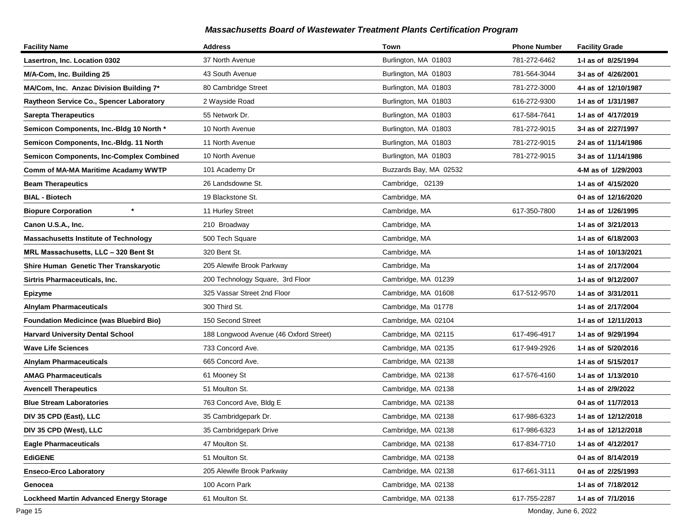| <b>Facility Name</b>                            | <b>Address</b>                         | Town                   | <b>Phone Number</b> | <b>Facility Grade</b> |
|-------------------------------------------------|----------------------------------------|------------------------|---------------------|-----------------------|
| Lasertron, Inc. Location 0302                   | 37 North Avenue                        | Burlington, MA 01803   | 781-272-6462        | 1-I as of 8/25/1994   |
| M/A-Com, Inc. Building 25                       | 43 South Avenue                        | Burlington, MA 01803   | 781-564-3044        | 3-I as of 4/26/2001   |
| MA/Com, Inc. Anzac Division Building 7*         | 80 Cambridge Street                    | Burlington, MA 01803   | 781-272-3000        | 4-1 as of 12/10/1987  |
| Raytheon Service Co., Spencer Laboratory        | 2 Wayside Road                         | Burlington, MA 01803   | 616-272-9300        | 1- as of 1/31/1987    |
| <b>Sarepta Therapeutics</b>                     | 55 Network Dr.                         | Burlington, MA 01803   | 617-584-7641        | 1-1 as of 4/17/2019   |
| Semicon Components, Inc.-Bldg 10 North *        | 10 North Avenue                        | Burlington, MA 01803   | 781-272-9015        | 3-I as of 2/27/1997   |
| Semicon Components, Inc.-Bldg. 11 North         | 11 North Avenue                        | Burlington, MA 01803   | 781-272-9015        | 2-I as of 11/14/1986  |
| <b>Semicon Components, Inc-Complex Combined</b> | 10 North Avenue                        | Burlington, MA 01803   | 781-272-9015        | 3-I as of 11/14/1986  |
| Comm of MA-MA Maritime Acadamy WWTP             | 101 Academy Dr                         | Buzzards Bay, MA 02532 |                     | 4-M as of 1/29/2003   |
| <b>Beam Therapeutics</b>                        | 26 Landsdowne St.                      | Cambridge, 02139       |                     | 1-1 as of 4/15/2020   |
| <b>BIAL - Biotech</b>                           | 19 Blackstone St.                      | Cambridge, MA          |                     | 0-1 as of 12/16/2020  |
| $\star$<br><b>Biopure Corporation</b>           | 11 Hurley Street                       | Cambridge, MA          | 617-350-7800        | 1-I as of 1/26/1995   |
| Canon U.S.A., Inc.                              | 210 Broadway                           | Cambridge, MA          |                     | 1-1 as of 3/21/2013   |
| <b>Massachusetts Institute of Technology</b>    | 500 Tech Square                        | Cambridge, MA          |                     | 1-1 as of 6/18/2003   |
| MRL Massachusetts, LLC - 320 Bent St            | 320 Bent St.                           | Cambridge, MA          |                     | 1-1 as of 10/13/2021  |
| Shire Human Genetic Ther Transkaryotic          | 205 Alewife Brook Parkway              | Cambridge, Ma          |                     | 1- as of 2/17/2004    |
| Sirtris Pharmaceuticals, Inc.                   | 200 Technology Square, 3rd Floor       | Cambridge, MA 01239    |                     | 1-1 as of 9/12/2007   |
| Epizyme                                         | 325 Vassar Street 2nd Floor            | Cambridge, MA 01608    | 617-512-9570        | 1-I as of 3/31/2011   |
| <b>Alnylam Pharmaceuticals</b>                  | 300 Third St.                          | Cambridge, Ma 01778    |                     | 1-I as of 2/17/2004   |
| <b>Foundation Medicince (was Bluebird Bio)</b>  | 150 Second Street                      | Cambridge, MA 02104    |                     | 1- as of 12/11/2013   |
| <b>Harvard University Dental School</b>         | 188 Longwood Avenue (46 Oxford Street) | Cambridge, MA 02115    | 617-496-4917        | 1-I as of 9/29/1994   |
| <b>Wave Life Sciences</b>                       | 733 Concord Ave.                       | Cambridge, MA 02135    | 617-949-2926        | 1-1 as of 5/20/2016   |
| <b>Alnylam Pharmaceuticals</b>                  | 665 Concord Ave.                       | Cambridge, MA 02138    |                     | 1- as of 5/15/2017    |
| <b>AMAG Pharmaceuticals</b>                     | 61 Mooney St                           | Cambridge, MA 02138    | 617-576-4160        | 1-I as of 1/13/2010   |
| <b>Avencell Therapeutics</b>                    | 51 Moulton St.                         | Cambridge, MA 02138    |                     | 1-I as of 2/9/2022    |
| <b>Blue Stream Laboratories</b>                 | 763 Concord Ave, Bldg E                | Cambridge, MA 02138    |                     | 0-1 as of 11/7/2013   |
| DIV 35 CPD (East), LLC                          | 35 Cambridgepark Dr.                   | Cambridge, MA 02138    | 617-986-6323        | 1- as of 12/12/2018   |
| DIV 35 CPD (West), LLC                          | 35 Cambridgepark Drive                 | Cambridge, MA 02138    | 617-986-6323        | 1-I as of 12/12/2018  |
| <b>Eagle Pharmaceuticals</b>                    | 47 Moulton St.                         | Cambridge, MA 02138    | 617-834-7710        | 1-I as of 4/12/2017   |
| <b>EdiGENE</b>                                  | 51 Moulton St.                         | Cambridge, MA 02138    |                     | 0-I as of 8/14/2019   |
| <b>Enseco-Erco Laboratory</b>                   | 205 Alewife Brook Parkway              | Cambridge, MA 02138    | 617-661-3111        | 0-I as of 2/25/1993   |
| Genocea                                         | 100 Acorn Park                         | Cambridge, MA 02138    |                     | 1-I as of 7/18/2012   |
| Lockheed Martin Advanced Energy Storage         | 61 Moulton St.                         | Cambridge, MA 02138    | 617-755-2287        | 1-I as of 7/1/2016    |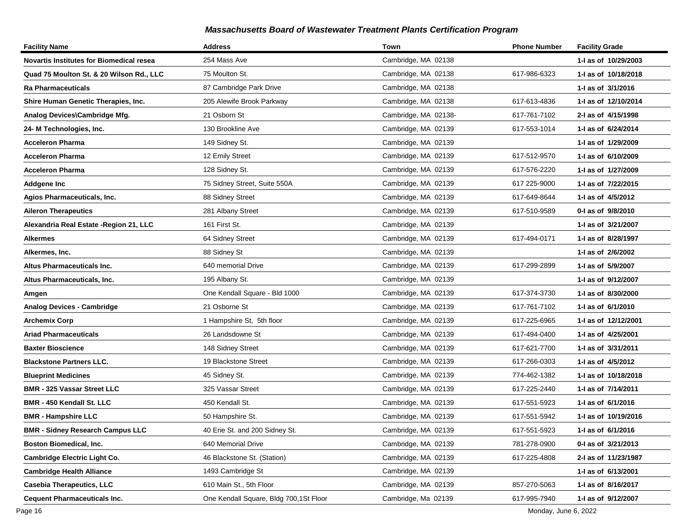| <b>Facility Name</b>                     | <b>Address</b>                         | Town                 | <b>Phone Number</b> | <b>Facility Grade</b> |
|------------------------------------------|----------------------------------------|----------------------|---------------------|-----------------------|
| Novartis Institutes for Biomedical resea | 254 Mass Ave                           | Cambridge, MA 02138  |                     | 1-1 as of 10/29/2003  |
| Quad 75 Moulton St. & 20 Wilson Rd., LLC | 75 Moulton St.                         | Cambridge, MA 02138  | 617-986-6323        | 1- as of 10/18/2018   |
| Ra Pharmaceuticals                       | 87 Cambridge Park Drive                | Cambridge, MA 02138  |                     | 1-I as of 3/1/2016    |
| Shire Human Genetic Therapies, Inc.      | 205 Alewife Brook Parkway              | Cambridge, MA 02138  | 617-613-4836        | 1-I as of 12/10/2014  |
| Analog Devices\Cambridge Mfg.            | 21 Osborn St                           | Cambridge, MA 02138- | 617-761-7102        | 2-I as of 4/15/1998   |
| 24- M Technologies, Inc.                 | 130 Brookline Ave                      | Cambridge, MA 02139  | 617-553-1014        | 1-I as of 6/24/2014   |
| <b>Acceleron Pharma</b>                  | 149 Sidney St.                         | Cambridge, MA 02139  |                     | 1-I as of 1/29/2009   |
| Acceleron Pharma                         | 12 Emily Street                        | Cambridge, MA 02139  | 617-512-9570        | 1-I as of 6/10/2009   |
| Acceleron Pharma                         | 128 Sidney St.                         | Cambridge, MA 02139  | 617-576-2220        | 1-I as of 1/27/2009   |
| <b>Addgene Inc</b>                       | 75 Sidney Street, Suite 550A           | Cambridge, MA 02139  | 617 225-9000        | 1-I as of 7/22/2015   |
| Agios Pharmaceuticals, Inc.              | 88 Sidney Street                       | Cambridge, MA 02139  | 617-649-8644        | 1-I as of 4/5/2012    |
| <b>Aileron Therapeutics</b>              | 281 Albany Street                      | Cambridge, MA 02139  | 617-510-9589        | 0-1 as of 9/8/2010    |
| Alexandria Real Estate - Region 21, LLC  | 161 First St.                          | Cambridge, MA 02139  |                     | 1-I as of 3/21/2007   |
| Alkermes                                 | 64 Sidney Street                       | Cambridge, MA 02139  | 617-494-0171        | 1-I as of 8/28/1997   |
| Alkermes, Inc.                           | 88 Sidney St                           | Cambridge, MA 02139  |                     | 1-I as of 2/6/2002    |
| Altus Pharmaceuticals Inc.               | 640 memorial Drive                     | Cambridge, MA 02139  | 617-299-2899        | 1-I as of 5/9/2007    |
| Altus Pharmaceuticals, Inc.              | 195 Albany St.                         | Cambridge, MA 02139  |                     | 1-I as of 9/12/2007   |
| Amgen                                    | One Kendall Square - Bld 1000          | Cambridge, MA 02139  | 617-374-3730        | 1-I as of 8/30/2000   |
| <b>Analog Devices - Cambridge</b>        | 21 Osborne St                          | Cambridge, MA 02139  | 617-761-7102        | 1-I as of 6/1/2010    |
| <b>Archemix Corp</b>                     | 1 Hampshire St, 5th floor              | Cambridge, MA 02139  | 617-225-6965        | 1-I as of 12/12/2001  |
| <b>Ariad Pharmaceuticals</b>             | 26 Landsdowne St                       | Cambridge, MA 02139  | 617-494-0400        | 1-I as of 4/25/2001   |
| <b>Baxter Bioscience</b>                 | 148 Sidney Street                      | Cambridge, MA 02139  | 617-621-7700        | 1-I as of 3/31/2011   |
| <b>Blackstone Partners LLC.</b>          | 19 Blackstone Street                   | Cambridge, MA 02139  | 617-266-0303        | 1-I as of 4/5/2012    |
| <b>Blueprint Medicines</b>               | 45 Sidney St.                          | Cambridge, MA 02139  | 774-462-1382        | 1-I as of 10/18/2018  |
| <b>BMR - 325 Vassar Street LLC</b>       | 325 Vassar Street                      | Cambridge, MA 02139  | 617-225-2440        | 1-I as of 7/14/2011   |
| <b>BMR - 450 Kendall St. LLC</b>         | 450 Kendall St.                        | Cambridge, MA 02139  | 617-551-5923        | 1-I as of 6/1/2016    |
| <b>BMR - Hampshire LLC</b>               | 50 Hampshire St.                       | Cambridge, MA 02139  | 617-551-5942        | 1-I as of 10/19/2016  |
| <b>BMR - Sidney Research Campus LLC</b>  | 40 Erie St. and 200 Sidney St.         | Cambridge, MA 02139  | 617-551-5923        | 1-I as of 6/1/2016    |
| <b>Boston Biomedical, Inc.</b>           | 640 Memorial Drive                     | Cambridge, MA 02139  | 781-278-0900        | 0-1 as of 3/21/2013   |
| Cambridge Electric Light Co.             | 46 Blackstone St. (Station)            | Cambridge, MA 02139  | 617-225-4808        | 2-I as of 11/23/1987  |
| <b>Cambridge Health Alliance</b>         | 1493 Cambridge St                      | Cambridge, MA 02139  |                     | 1-I as of 6/13/2001   |
| <b>Casebia Therapeutics, LLC</b>         | 610 Main St., 5th Floor                | Cambridge, MA 02139  | 857-270-5063        | 1-I as of 8/16/2017   |
| <b>Cequent Pharmaceuticals Inc.</b>      | One Kendall Square, Bldg 700,1St Floor | Cambridge, Ma 02139  | 617-995-7940        | 1-I as of 9/12/2007   |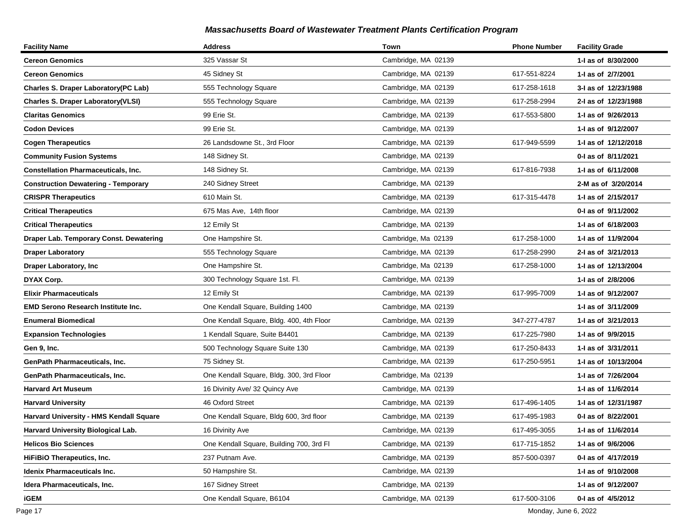| <b>Facility Name</b>                        | <b>Address</b>                           | Town                | <b>Phone Number</b> | <b>Facility Grade</b> |
|---------------------------------------------|------------------------------------------|---------------------|---------------------|-----------------------|
| <b>Cereon Genomics</b>                      | 325 Vassar St                            | Cambridge, MA 02139 |                     | 1-I as of 8/30/2000   |
| <b>Cereon Genomics</b>                      | 45 Sidney St                             | Cambridge, MA 02139 | 617-551-8224        | 1-I as of 2/7/2001    |
| <b>Charles S. Draper Laboratory(PC Lab)</b> | 555 Technology Square                    | Cambridge, MA 02139 | 617-258-1618        | 3-I as of 12/23/1988  |
| <b>Charles S. Draper Laboratory(VLSI)</b>   | 555 Technology Square                    | Cambridge, MA 02139 | 617-258-2994        | 2-I as of 12/23/1988  |
| <b>Claritas Genomics</b>                    | 99 Erie St.                              | Cambridge, MA 02139 | 617-553-5800        | 1-I as of 9/26/2013   |
| <b>Codon Devices</b>                        | 99 Erie St.                              | Cambridge, MA 02139 |                     | 1-I as of 9/12/2007   |
| <b>Cogen Therapeutics</b>                   | 26 Landsdowne St., 3rd Floor             | Cambridge, MA 02139 | 617-949-5599        | 1- as of 12/12/2018   |
| <b>Community Fusion Systems</b>             | 148 Sidney St.                           | Cambridge, MA 02139 |                     | 0-1 as of 8/11/2021   |
| <b>Constellation Pharmaceuticals, Inc.</b>  | 148 Sidney St.                           | Cambridge, MA 02139 | 617-816-7938        | 1-1 as of 6/11/2008   |
| <b>Construction Dewatering - Temporary</b>  | 240 Sidney Street                        | Cambridge, MA 02139 |                     | 2-M as of 3/20/2014   |
| <b>CRISPR Therapeutics</b>                  | 610 Main St.                             | Cambridge, MA 02139 | 617-315-4478        | 1- as of 2/15/2017    |
| <b>Critical Therapeutics</b>                | 675 Mas Ave, 14th floor                  | Cambridge, MA 02139 |                     | 0-1 as of 9/11/2002   |
| <b>Critical Therapeutics</b>                | 12 Emily St                              | Cambridge, MA 02139 |                     | 1-1 as of 6/18/2003   |
| Draper Lab. Temporary Const. Dewatering     | One Hampshire St.                        | Cambridge, Ma 02139 | 617-258-1000        | 1-I as of 11/9/2004   |
| <b>Draper Laboratory</b>                    | 555 Technology Square                    | Cambridge, MA 02139 | 617-258-2990        | 2-I as of 3/21/2013   |
| Draper Laboratory, Inc                      | One Hampshire St.                        | Cambridge, Ma 02139 | 617-258-1000        | 1-I as of 12/13/2004  |
| DYAX Corp.                                  | 300 Technology Square 1st. Fl.           | Cambridge, MA 02139 |                     | 1-I as of 2/8/2006    |
| <b>Elixir Pharmaceuticals</b>               | 12 Emily St                              | Cambridge, MA 02139 | 617-995-7009        | 1-1 as of 9/12/2007   |
| <b>EMD Serono Research Institute Inc.</b>   | One Kendall Square, Building 1400        | Cambridge, MA 02139 |                     | 1-I as of 3/11/2009   |
| <b>Enumeral Biomedical</b>                  | One Kendall Square, Bldg. 400, 4th Floor | Cambridge, MA 02139 | 347-277-4787        | 1-I as of 3/21/2013   |
| <b>Expansion Technologies</b>               | 1 Kendall Square, Suite B4401            | Cambridge, MA 02139 | 617-225-7980        | 1-I as of 9/9/2015    |
| Gen 9, Inc.                                 | 500 Technology Square Suite 130          | Cambridge, MA 02139 | 617-250-8433        | 1-I as of 3/31/2011   |
| GenPath Pharmaceuticals, Inc.               | 75 Sidney St.                            | Cambridge, MA 02139 | 617-250-5951        | 1- as of 10/13/2004   |
| GenPath Pharmaceuticals, Inc.               | One Kendall Square, Bldg. 300, 3rd Floor | Cambridge, Ma 02139 |                     | 1-I as of 7/26/2004   |
| <b>Harvard Art Museum</b>                   | 16 Divinity Ave/ 32 Quincy Ave           | Cambridge, MA 02139 |                     | 1-I as of 11/6/2014   |
| <b>Harvard University</b>                   | 46 Oxford Street                         | Cambridge, MA 02139 | 617-496-1405        | 1-I as of 12/31/1987  |
| Harvard University - HMS Kendall Square     | One Kendall Square, Bldg 600, 3rd floor  | Cambridge, MA 02139 | 617-495-1983        | 0-1 as of 8/22/2001   |
| Harvard University Biological Lab.          | 16 Divinity Ave                          | Cambridge, MA 02139 | 617-495-3055        | 1-I as of 11/6/2014   |
| <b>Helicos Bio Sciences</b>                 | One Kendall Square, Building 700, 3rd FI | Cambridge, MA 02139 | 617-715-1852        | 1-I as of 9/6/2006    |
| <b>HiFiBiO Therapeutics, Inc.</b>           | 237 Putnam Ave.                          | Cambridge, MA 02139 | 857-500-0397        | 0-I as of 4/17/2019   |
| <b>Idenix Pharmaceuticals Inc.</b>          | 50 Hampshire St.                         | Cambridge, MA 02139 |                     | 1-I as of 9/10/2008   |
| Idera Pharmaceuticals, Inc.                 | 167 Sidney Street                        | Cambridge, MA 02139 |                     | 1-I as of 9/12/2007   |
| <b>iGEM</b>                                 | One Kendall Square, B6104                | Cambridge, MA 02139 | 617-500-3106        | 0-I as of 4/5/2012    |

Page 17 Monday, June 6, 2022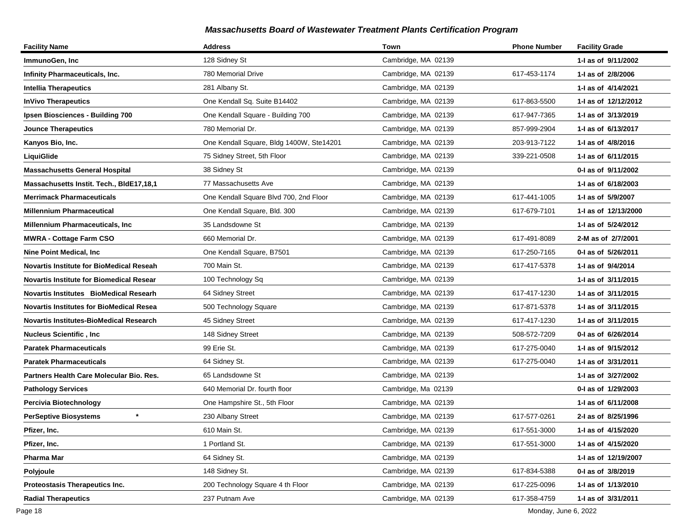| <b>Facility Name</b>                            | <b>Address</b>                           | Town                | <b>Phone Number</b> | <b>Facility Grade</b> |
|-------------------------------------------------|------------------------------------------|---------------------|---------------------|-----------------------|
| ImmunoGen, Inc                                  | 128 Sidney St                            | Cambridge, MA 02139 |                     | 1-1 as of 9/11/2002   |
| <b>Infinity Pharmaceuticals, Inc.</b>           | 780 Memorial Drive                       | Cambridge, MA 02139 | 617-453-1174        | 1-I as of 2/8/2006    |
| <b>Intellia Therapeutics</b>                    | 281 Albany St.                           | Cambridge, MA 02139 |                     | 1-I as of 4/14/2021   |
| <b>InVivo Therapeutics</b>                      | One Kendall Sq. Suite B14402             | Cambridge, MA 02139 | 617-863-5500        | 1- as of 12/12/2012   |
| Ipsen Biosciences - Building 700                | One Kendall Square - Building 700        | Cambridge, MA 02139 | 617-947-7365        | 1-I as of 3/13/2019   |
| <b>Jounce Therapeutics</b>                      | 780 Memorial Dr.                         | Cambridge, MA 02139 | 857-999-2904        | 1-I as of 6/13/2017   |
| Kanyos Bio, Inc.                                | One Kendall Square, Bldg 1400W, Ste14201 | Cambridge, MA 02139 | 203-913-7122        | 1-I as of 4/8/2016    |
| LiquiGlide                                      | 75 Sidney Street, 5th Floor              | Cambridge, MA 02139 | 339-221-0508        | 1-I as of 6/11/2015   |
| <b>Massachusetts General Hospital</b>           | 38 Sidney St                             | Cambridge, MA 02139 |                     | 0-I as of 9/11/2002   |
| Massachusetts Instit. Tech., BIdE17,18,1        | 77 Massachusetts Ave                     | Cambridge, MA 02139 |                     | 1-I as of 6/18/2003   |
| Merrimack Pharmaceuticals                       | One Kendall Square Blvd 700, 2nd Floor   | Cambridge, MA 02139 | 617-441-1005        | 1-I as of 5/9/2007    |
| <b>Millennium Pharmaceutical</b>                | One Kendall Square, Bld. 300             | Cambridge, MA 02139 | 617-679-7101        | 1- as of 12/13/2000   |
| Millennium Pharmaceuticals, Inc                 | 35 Landsdowne St                         | Cambridge, MA 02139 |                     | 1-I as of 5/24/2012   |
| <b>MWRA - Cottage Farm CSO</b>                  | 660 Memorial Dr.                         | Cambridge, MA 02139 | 617-491-8089        | 2-M as of 2/7/2001    |
| <b>Nine Point Medical, Inc.</b>                 | One Kendall Square, B7501                | Cambridge, MA 02139 | 617-250-7165        | 0-I as of 5/26/2011   |
| Novartis Institute for BioMedical Reseah        | 700 Main St.                             | Cambridge, MA 02139 | 617-417-5378        | 1- as of 9/4/2014     |
| <b>Novartis Institute for Biomedical Resear</b> | 100 Technology Sq                        | Cambridge, MA 02139 |                     | 1-I as of 3/11/2015   |
| <b>Novartis Institutes BioMedical Researh</b>   | 64 Sidney Street                         | Cambridge, MA 02139 | 617-417-1230        | 1-I as of 3/11/2015   |
| <b>Novartis Institutes for BioMedical Resea</b> | 500 Technology Square                    | Cambridge, MA 02139 | 617-871-5378        | 1-I as of 3/11/2015   |
| Novartis Institutes-BioMedical Research         | 45 Sidney Street                         | Cambridge, MA 02139 | 617-417-1230        | 1-I as of 3/11/2015   |
| Nucleus Scientific , Inc                        | 148 Sidney Street                        | Cambridge, MA 02139 | 508-572-7209        | 0-I as of 6/26/2014   |
| <b>Paratek Pharmaceuticals</b>                  | 99 Erie St.                              | Cambridge, MA 02139 | 617-275-0040        | 1-1 as of 9/15/2012   |
| <b>Paratek Pharmaceuticals</b>                  | 64 Sidney St.                            | Cambridge, MA 02139 | 617-275-0040        | 1- as of 3/31/2011    |
| Partners Health Care Molecular Bio. Res.        | 65 Landsdowne St                         | Cambridge, MA 02139 |                     | 1-I as of 3/27/2002   |
| <b>Pathology Services</b>                       | 640 Memorial Dr. fourth floor            | Cambridge, Ma 02139 |                     | 0-I as of 1/29/2003   |
| Percivia Biotechnology                          | One Hampshire St., 5th Floor             | Cambridge, MA 02139 |                     | 1-I as of 6/11/2008   |
| <b>PerSeptive Biosystems</b><br>$^\star$        | 230 Albany Street                        | Cambridge, MA 02139 | 617-577-0261        | 2-I as of 8/25/1996   |
| Pfizer, Inc.                                    | 610 Main St.                             | Cambridge, MA 02139 | 617-551-3000        | 1-I as of 4/15/2020   |
| Pfizer, Inc.                                    | 1 Portland St.                           | Cambridge, MA 02139 | 617-551-3000        | 1-I as of 4/15/2020   |
| Pharma Mar                                      | 64 Sidney St.                            | Cambridge, MA 02139 |                     | 1-I as of 12/19/2007  |
| Polyjoule                                       | 148 Sidney St.                           | Cambridge, MA 02139 | 617-834-5388        | 0-I as of 3/8/2019    |
| Proteostasis Therapeutics Inc.                  | 200 Technology Square 4 th Floor         | Cambridge, MA 02139 | 617-225-0096        | 1-I as of 1/13/2010   |
| <b>Radial Therapeutics</b>                      | 237 Putnam Ave                           | Cambridge, MA 02139 | 617-358-4759        | 1-I as of 3/31/2011   |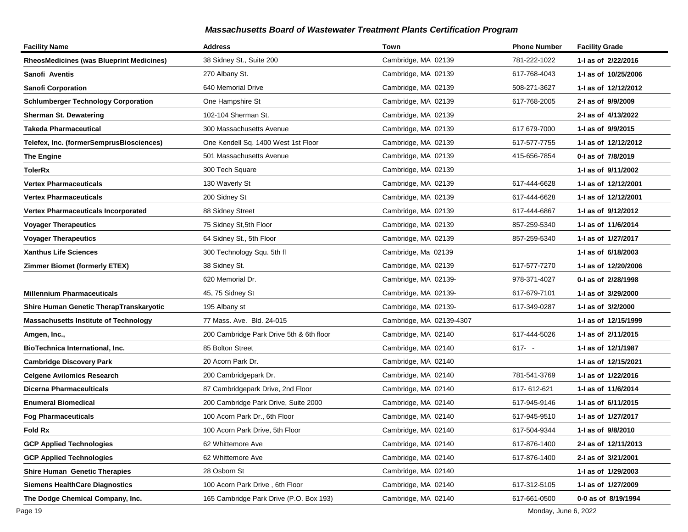| <b>Facility Name</b>                            | <b>Address</b>                           | Town                     | <b>Phone Number</b> | <b>Facility Grade</b> |
|-------------------------------------------------|------------------------------------------|--------------------------|---------------------|-----------------------|
| <b>RheosMedicines (was Blueprint Medicines)</b> | 38 Sidney St., Suite 200                 | Cambridge, MA 02139      | 781-222-1022        | 1-1 as of 2/22/2016   |
| Sanofi Aventis                                  | 270 Albany St.                           | Cambridge, MA 02139      | 617-768-4043        | 1-1 as of 10/25/2006  |
| Sanofi Corporation                              | 640 Memorial Drive                       | Cambridge, MA 02139      | 508-271-3627        | 1-I as of 12/12/2012  |
| <b>Schlumberger Technology Corporation</b>      | One Hampshire St                         | Cambridge, MA 02139      | 617-768-2005        | 2-I as of 9/9/2009    |
| <b>Sherman St. Dewatering</b>                   | 102-104 Sherman St.                      | Cambridge, MA 02139      |                     | 2-I as of 4/13/2022   |
| Takeda Pharmaceutical                           | 300 Massachusetts Avenue                 | Cambridge, MA 02139      | 617 679-7000        | 1-I as of 9/9/2015    |
| Telefex, Inc. (formerSemprusBiosciences)        | One Kendell Sq. 1400 West 1st Floor      | Cambridge, MA 02139      | 617-577-7755        | 1- as of 12/12/2012   |
| <b>The Engine</b>                               | 501 Massachusetts Avenue                 | Cambridge, MA 02139      | 415-656-7854        | 0-I as of 7/8/2019    |
| TolerRx                                         | 300 Tech Square                          | Cambridge, MA 02139      |                     | 1-1 as of 9/11/2002   |
| Vertex Pharmaceuticals                          | 130 Waverly St                           | Cambridge, MA 02139      | 617-444-6628        | 1- as of 12/12/2001   |
| Vertex Pharmaceuticals                          | 200 Sidney St                            | Cambridge, MA 02139      | 617-444-6628        | 1- as of 12/12/2001   |
| Vertex Pharmaceuticals Incorporated             | 88 Sidney Street                         | Cambridge, MA 02139      | 617-444-6867        | 1-1 as of 9/12/2012   |
| <b>Voyager Therapeutics</b>                     | 75 Sidney St, 5th Floor                  | Cambridge, MA 02139      | 857-259-5340        | 1-I as of 11/6/2014   |
| <b>Voyager Therapeutics</b>                     | 64 Sidney St., 5th Floor                 | Cambridge, MA 02139      | 857-259-5340        | 1-I as of 1/27/2017   |
| <b>Xanthus Life Sciences</b>                    | 300 Technology Squ. 5th fl               | Cambridge, Ma 02139      |                     | 1-1 as of 6/18/2003   |
| <b>Zimmer Biomet (formerly ETEX)</b>            | 38 Sidney St.                            | Cambridge, MA 02139      | 617-577-7270        | 1-1 as of 12/20/2006  |
|                                                 | 620 Memorial Dr.                         | Cambridge, MA 02139-     | 978-371-4027        | 0-I as of 2/28/1998   |
| <b>Millennium Pharmaceuticals</b>               | 45, 75 Sidney St                         | Cambridge, MA 02139-     | 617-679-7101        | 1-I as of 3/29/2000   |
| Shire Human Genetic TherapTranskaryotic         | 195 Albany st                            | Cambridge, MA 02139-     | 617-349-0287        | 1-I as of 3/2/2000    |
| <b>Massachusetts Institute of Technology</b>    | 77 Mass. Ave. Bld. 24-015                | Cambridge, MA 02139-4307 |                     | 1-I as of 12/15/1999  |
| Amgen, Inc.,                                    | 200 Cambridge Park Drive 5th & 6th floor | Cambridge, MA 02140      | 617-444-5026        | 1-1 as of 2/11/2015   |
| BioTechnica International, Inc.                 | 85 Bolton Street                         | Cambridge, MA 02140      | $617 - -$           | 1-I as of 12/1/1987   |
| <b>Cambridge Discovery Park</b>                 | 20 Acorn Park Dr.                        | Cambridge, MA 02140      |                     | 1-I as of 12/15/2021  |
| <b>Celgene Avilomics Research</b>               | 200 Cambridgepark Dr.                    | Cambridge, MA 02140      | 781-541-3769        | 1-I as of 1/22/2016   |
| Dicerna Pharmaceulticals                        | 87 Cambridgepark Drive, 2nd Floor        | Cambridge, MA 02140      | 617-612-621         | 1-I as of 11/6/2014   |
| <b>Enumeral Biomedical</b>                      | 200 Cambridge Park Drive, Suite 2000     | Cambridge, MA 02140      | 617-945-9146        | 1-I as of 6/11/2015   |
| <b>Fog Pharmaceuticals</b>                      | 100 Acorn Park Dr., 6th Floor            | Cambridge, MA 02140      | 617-945-9510        | 1-I as of 1/27/2017   |
| <b>Fold Rx</b>                                  | 100 Acorn Park Drive, 5th Floor          | Cambridge, MA 02140      | 617-504-9344        | 1-I as of 9/8/2010    |
| <b>GCP Applied Technologies</b>                 | 62 Whittemore Ave                        | Cambridge, MA 02140      | 617-876-1400        | 2-1 as of 12/11/2013  |
| <b>GCP Applied Technologies</b>                 | 62 Whittemore Ave                        | Cambridge, MA 02140      | 617-876-1400        | 2-I as of 3/21/2001   |
| <b>Shire Human Genetic Therapies</b>            | 28 Osborn St                             | Cambridge, MA 02140      |                     | 1-I as of 1/29/2003   |
| <b>Siemens HealthCare Diagnostics</b>           | 100 Acorn Park Drive, 6th Floor          | Cambridge, MA 02140      | 617-312-5105        | 1-I as of 1/27/2009   |
| The Dodge Chemical Company, Inc.                | 165 Cambridge Park Drive (P.O. Box 193)  | Cambridge, MA 02140      | 617-661-0500        | 0-0 as of 8/19/1994   |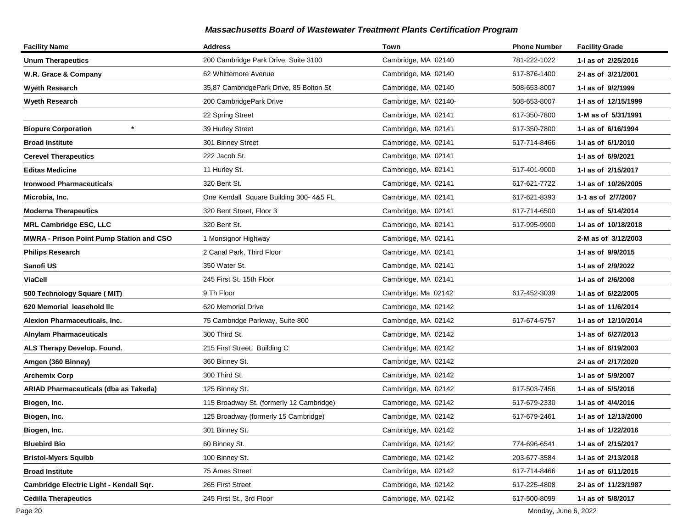| <b>Facility Name</b>                     | <b>Address</b>                           | Town                 | <b>Phone Number</b> | <b>Facility Grade</b> |
|------------------------------------------|------------------------------------------|----------------------|---------------------|-----------------------|
| <b>Unum Therapeutics</b>                 | 200 Cambridge Park Drive, Suite 3100     | Cambridge, MA 02140  | 781-222-1022        | 1-I as of 2/25/2016   |
| W.R. Grace & Company                     | 62 Whittemore Avenue                     | Cambridge, MA 02140  | 617-876-1400        | 2-I as of 3/21/2001   |
| Wyeth Research                           | 35,87 CambridgePark Drive, 85 Bolton St  | Cambridge, MA 02140  | 508-653-8007        | 1-I as of 9/2/1999    |
| <b>Wyeth Research</b>                    | 200 CambridgePark Drive                  | Cambridge, MA 02140- | 508-653-8007        | 1-I as of 12/15/1999  |
|                                          | 22 Spring Street                         | Cambridge, MA 02141  | 617-350-7800        | 1-M as of 5/31/1991   |
| $\star$<br><b>Biopure Corporation</b>    | 39 Hurley Street                         | Cambridge, MA 02141  | 617-350-7800        | 1-I as of 6/16/1994   |
| <b>Broad Institute</b>                   | 301 Binney Street                        | Cambridge, MA 02141  | 617-714-8466        | 1-I as of 6/1/2010    |
| <b>Cerevel Therapeutics</b>              | 222 Jacob St.                            | Cambridge, MA 02141  |                     | 1-I as of 6/9/2021    |
| <b>Editas Medicine</b>                   | 11 Hurley St.                            | Cambridge, MA 02141  | 617-401-9000        | 1-I as of 2/15/2017   |
| <b>Ironwood Pharmaceuticals</b>          | 320 Bent St.                             | Cambridge, MA 02141  | 617-621-7722        | 1-I as of 10/26/2005  |
| Microbia, Inc.                           | One Kendall Square Building 300-4&5 FL   | Cambridge, MA 02141  | 617-621-8393        | 1-1 as of 2/7/2007    |
| <b>Moderna Therapeutics</b>              | 320 Bent Street. Floor 3                 | Cambridge, MA 02141  | 617-714-6500        | 1-I as of 5/14/2014   |
| <b>MRL Cambridge ESC, LLC</b>            | 320 Bent St.                             | Cambridge, MA 02141  | 617-995-9900        | 1-I as of 10/18/2018  |
| MWRA - Prison Point Pump Station and CSO | 1 Monsignor Highway                      | Cambridge, MA 02141  |                     | 2-M as of 3/12/2003   |
| <b>Philips Research</b>                  | 2 Canal Park, Third Floor                | Cambridge, MA 02141  |                     | 1-I as of 9/9/2015    |
| Sanofi US                                | 350 Water St.                            | Cambridge, MA 02141  |                     | 1-I as of 2/9/2022    |
| <b>ViaCell</b>                           | 245 First St. 15th Floor                 | Cambridge, MA 02141  |                     | 1-I as of 2/6/2008    |
| 500 Technology Square (MIT)              | 9 Th Floor                               | Cambridge, Ma 02142  | 617-452-3039        | 1-I as of 6/22/2005   |
| 620 Memorial leasehold llc               | 620 Memorial Drive                       | Cambridge, MA 02142  |                     | 1- as of 11/6/2014    |
| Alexion Pharmaceuticals, Inc.            | 75 Cambridge Parkway, Suite 800          | Cambridge, MA 02142  | 617-674-5757        | 1-I as of 12/10/2014  |
| <b>Alnylam Pharmaceuticals</b>           | 300 Third St.                            | Cambridge, MA 02142  |                     | 1-I as of 6/27/2013   |
| ALS Therapy Develop. Found.              | 215 First Street, Building C             | Cambridge, MA 02142  |                     | 1-I as of 6/19/2003   |
| Amgen (360 Binney)                       | 360 Binney St.                           | Cambridge, MA 02142  |                     | 2-I as of 2/17/2020   |
| <b>Archemix Corp</b>                     | 300 Third St.                            | Cambridge, MA 02142  |                     | 1-I as of 5/9/2007    |
| ARIAD Pharmaceuticals (dba as Takeda)    | 125 Binney St.                           | Cambridge, MA 02142  | 617-503-7456        | 1-I as of 5/5/2016    |
| Biogen, Inc.                             | 115 Broadway St. (formerly 12 Cambridge) | Cambridge, MA 02142  | 617-679-2330        | 1-I as of 4/4/2016    |
| Biogen, Inc.                             | 125 Broadway (formerly 15 Cambridge)     | Cambridge, MA 02142  | 617-679-2461        | 1-I as of 12/13/2000  |
| Biogen, Inc.                             | 301 Binney St.                           | Cambridge, MA 02142  |                     | 1-I as of 1/22/2016   |
| <b>Bluebird Bio</b>                      | 60 Binney St.                            | Cambridge, MA 02142  | 774-696-6541        | 1-I as of 2/15/2017   |
| <b>Bristol-Myers Squibb</b>              | 100 Binney St.                           | Cambridge, MA 02142  | 203-677-3584        | 1-I as of 2/13/2018   |
| <b>Broad Institute</b>                   | 75 Ames Street                           | Cambridge, MA 02142  | 617-714-8466        | 1-I as of 6/11/2015   |
| Cambridge Electric Light - Kendall Sqr.  | 265 First Street                         | Cambridge, MA 02142  | 617-225-4808        | 2-I as of 11/23/1987  |
| <b>Cedilla Therapeutics</b>              | 245 First St., 3rd Floor                 | Cambridge, MA 02142  | 617-500-8099        | 1-I as of 5/8/2017    |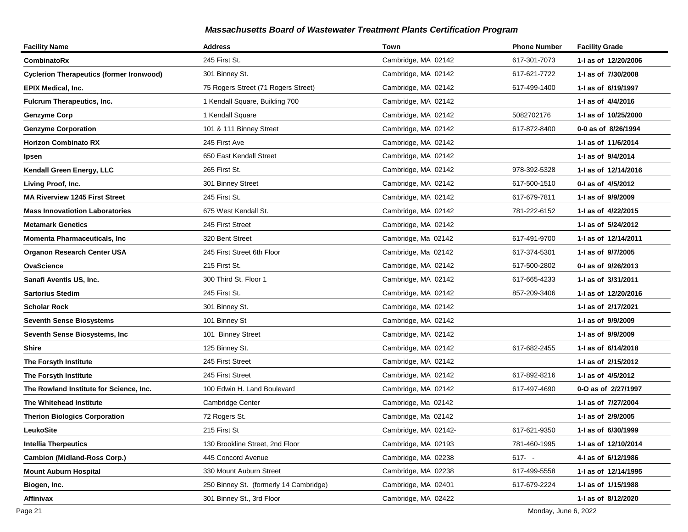| <b>Facility Name</b>                            | <b>Address</b>                         | Town                 | <b>Phone Number</b> | <b>Facility Grade</b> |
|-------------------------------------------------|----------------------------------------|----------------------|---------------------|-----------------------|
| CombinatoRx                                     | 245 First St.                          | Cambridge, MA 02142  | 617-301-7073        | 1-I as of 12/20/2006  |
| <b>Cyclerion Therapeutics (former Ironwood)</b> | 301 Binney St.                         | Cambridge, MA 02142  | 617-621-7722        | 1-I as of 7/30/2008   |
| EPIX Medical, Inc.                              | 75 Rogers Street (71 Rogers Street)    | Cambridge, MA 02142  | 617-499-1400        | 1-I as of 6/19/1997   |
| <b>Fulcrum Therapeutics, Inc.</b>               | 1 Kendall Square, Building 700         | Cambridge, MA 02142  |                     | 1-I as of 4/4/2016    |
| <b>Genzyme Corp</b>                             | 1 Kendall Square                       | Cambridge, MA 02142  | 5082702176          | 1-I as of 10/25/2000  |
| <b>Genzyme Corporation</b>                      | 101 & 111 Binney Street                | Cambridge, MA 02142  | 617-872-8400        | 0-0 as of 8/26/1994   |
| <b>Horizon Combinato RX</b>                     | 245 First Ave                          | Cambridge, MA 02142  |                     | 1-I as of 11/6/2014   |
| Ipsen                                           | 650 East Kendall Street                | Cambridge, MA 02142  |                     | 1-I as of 9/4/2014    |
| Kendall Green Energy, LLC                       | 265 First St.                          | Cambridge, MA 02142  | 978-392-5328        | 1-I as of 12/14/2016  |
| Living Proof, Inc.                              | 301 Binney Street                      | Cambridge, MA 02142  | 617-500-1510        | 0-1 as of 4/5/2012    |
| <b>MA Riverview 1245 First Street</b>           | 245 First St.                          | Cambridge, MA 02142  | 617-679-7811        | 1-I as of 9/9/2009    |
| <b>Mass Innovatiotion Laboratories</b>          | 675 West Kendall St.                   | Cambridge, MA 02142  | 781-222-6152        | 1-I as of 4/22/2015   |
| <b>Metamark Genetics</b>                        | 245 First Street                       | Cambridge, MA 02142  |                     | 1-I as of 5/24/2012   |
| <b>Momenta Pharmaceuticals, Inc</b>             | 320 Bent Street                        | Cambridge, Ma 02142  | 617-491-9700        | 1- as of 12/14/2011   |
| <b>Organon Research Center USA</b>              | 245 First Street 6th Floor             | Cambridge, Ma 02142  | 617-374-5301        | 1-I as of 9/7/2005    |
| OvaScience                                      | 215 First St.                          | Cambridge, MA 02142  | 617-500-2802        | 0-I as of 9/26/2013   |
| Sanafi Aventis US, Inc.                         | 300 Third St. Floor 1                  | Cambridge, MA 02142  | 617-665-4233        | 1-I as of 3/31/2011   |
| <b>Sartorius Stedim</b>                         | 245 First St.                          | Cambridge, MA 02142  | 857-209-3406        | 1-I as of 12/20/2016  |
| <b>Scholar Rock</b>                             | 301 Binney St.                         | Cambridge, MA 02142  |                     | 1-I as of 2/17/2021   |
| <b>Seventh Sense Biosystems</b>                 | 101 Binney St                          | Cambridge, MA 02142  |                     | 1-I as of 9/9/2009    |
| Seventh Sense Biosystems, Inc                   | 101 Binney Street                      | Cambridge, MA 02142  |                     | 1-I as of 9/9/2009    |
| Shire                                           | 125 Binney St.                         | Cambridge, MA 02142  | 617-682-2455        | 1-I as of 6/14/2018   |
| The Forsyth Institute                           | 245 First Street                       | Cambridge, MA 02142  |                     | 1- as of 2/15/2012    |
| The Forsyth Institute                           | 245 First Street                       | Cambridge, MA 02142  | 617-892-8216        | 1-I as of 4/5/2012    |
| The Rowland Institute for Science, Inc.         | 100 Edwin H. Land Boulevard            | Cambridge, MA 02142  | 617-497-4690        | 0-O as of 2/27/1997   |
| The Whitehead Institute                         | Cambridge Center                       | Cambridge, Ma 02142  |                     | 1-I as of 7/27/2004   |
| <b>Therion Biologics Corporation</b>            | 72 Rogers St.                          | Cambridge, Ma 02142  |                     | 1-I as of 2/9/2005    |
| LeukoSite                                       | 215 First St                           | Cambridge, MA 02142- | 617-621-9350        | 1-I as of 6/30/1999   |
| Intellia Therpeutics                            | 130 Brookline Street, 2nd Floor        | Cambridge, MA 02193  | 781-460-1995        | 1- as of 12/10/2014   |
| <b>Cambion (Midland-Ross Corp.)</b>             | 445 Concord Avenue                     | Cambridge, MA 02238  | $617 - -$           | 4-I as of 6/12/1986   |
| Mount Auburn Hospital                           | 330 Mount Auburn Street                | Cambridge, MA 02238  | 617-499-5558        | 1-I as of 12/14/1995  |
| Biogen, Inc.                                    | 250 Binney St. (formerly 14 Cambridge) | Cambridge, MA 02401  | 617-679-2224        | 1-I as of 1/15/1988   |
| Affinivax                                       | 301 Binney St., 3rd Floor              | Cambridge, MA 02422  |                     | 1-I as of 8/12/2020   |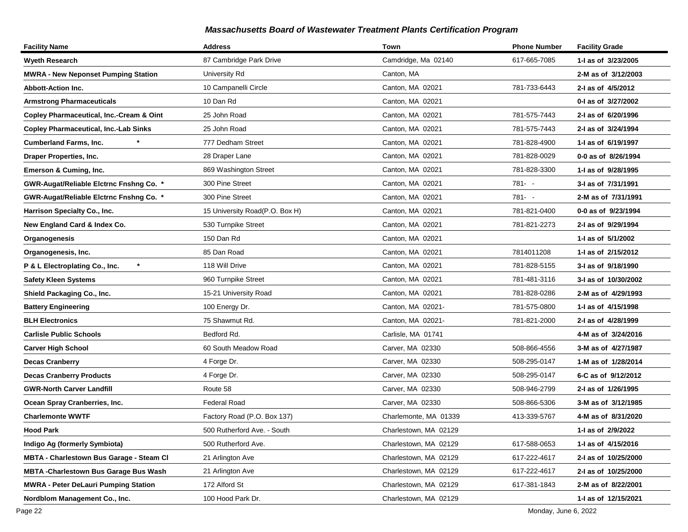| <b>Facility Name</b>                            | <b>Address</b>                 | Town                  | <b>Phone Number</b> | <b>Facility Grade</b> |
|-------------------------------------------------|--------------------------------|-----------------------|---------------------|-----------------------|
| <b>Wyeth Research</b>                           | 87 Cambridge Park Drive        | Camdridge, Ma 02140   | 617-665-7085        | 1-I as of 3/23/2005   |
| <b>MWRA - New Neponset Pumping Station</b>      | University Rd                  | Canton, MA            |                     | 2-M as of 3/12/2003   |
| <b>Abbott-Action Inc.</b>                       | 10 Campanelli Circle           | Canton, MA 02021      | 781-733-6443        | 2-I as of 4/5/2012    |
| <b>Armstrong Pharmaceuticals</b>                | 10 Dan Rd                      | Canton, MA 02021      |                     | 0-1 as of 3/27/2002   |
| Copley Pharmaceutical, Inc.-Cream & Oint        | 25 John Road                   | Canton, MA 02021      | 781-575-7443        | 2-I as of 6/20/1996   |
| <b>Copley Pharmaceutical, Inc.-Lab Sinks</b>    | 25 John Road                   | Canton, MA 02021      | 781-575-7443        | 2-I as of 3/24/1994   |
| <b>Cumberland Farms, Inc.</b>                   | 777 Dedham Street              | Canton, MA 02021      | 781-828-4900        | 1-I as of 6/19/1997   |
| <b>Draper Properties, Inc.</b>                  | 28 Draper Lane                 | Canton, MA 02021      | 781-828-0029        | 0-0 as of 8/26/1994   |
| Emerson & Cuming, Inc.                          | 869 Washington Street          | Canton, MA 02021      | 781-828-3300        | 1-I as of 9/28/1995   |
| GWR-Augat/Reliable Elctrnc Fnshng Co. *         | 300 Pine Street                | Canton, MA 02021      | $781 - -$           | 3-I as of 7/31/1991   |
| GWR-Augat/Reliable Elctrnc Fnshng Co. *         | 300 Pine Street                | Canton, MA 02021      | 781- -              | 2-M as of 7/31/1991   |
| Harrison Specialty Co., Inc.                    | 15 University Road(P.O. Box H) | Canton, MA 02021      | 781-821-0400        | 0-0 as of 9/23/1994   |
| New England Card & Index Co.                    | 530 Turnpike Street            | Canton, MA 02021      | 781-821-2273        | 2-I as of 9/29/1994   |
| Organogenesis                                   | 150 Dan Rd                     | Canton, MA 02021      |                     | 1-I as of 5/1/2002    |
| Organogenesis, Inc.                             | 85 Dan Road                    | Canton, MA 02021      | 7814011208          | 1-1 as of 2/15/2012   |
| $\star$<br>P & L Electroplating Co., Inc.       | 118 Will Drive                 | Canton, MA 02021      | 781-828-5155        | 3-I as of 9/18/1990   |
| <b>Safety Kleen Systems</b>                     | 960 Turnpike Street            | Canton, MA 02021      | 781-481-3116        | 3-I as of 10/30/2002  |
| Shield Packaging Co., Inc.                      | 15-21 University Road          | Canton, MA 02021      | 781-828-0286        | 2-M as of 4/29/1993   |
| <b>Battery Engineering</b>                      | 100 Energy Dr.                 | Canton, MA 02021-     | 781-575-0800        | 1-1 as of 4/15/1998   |
| <b>BLH Electronics</b>                          | 75 Shawmut Rd.                 | Canton, MA 02021-     | 781-821-2000        | 2-I as of 4/28/1999   |
| <b>Carlisle Public Schools</b>                  | Bedford Rd.                    | Carlisle, MA 01741    |                     | 4-M as of 3/24/2016   |
| <b>Carver High School</b>                       | 60 South Meadow Road           | Carver, MA 02330      | 508-866-4556        | 3-M as of 4/27/1987   |
| <b>Decas Cranberry</b>                          | 4 Forge Dr.                    | Carver, MA 02330      | 508-295-0147        | 1-M as of 1/28/2014   |
| <b>Decas Cranberry Products</b>                 | 4 Forge Dr.                    | Carver, MA 02330      | 508-295-0147        | 6-C as of 9/12/2012   |
| <b>GWR-North Carver Landfill</b>                | Route 58                       | Carver, MA 02330      | 508-946-2799        | 2-I as of 1/26/1995   |
| Ocean Spray Cranberries, Inc.                   | <b>Federal Road</b>            | Carver, MA 02330      | 508-866-5306        | 3-M as of 3/12/1985   |
| <b>Charlemonte WWTF</b>                         | Factory Road (P.O. Box 137)    | Charlemonte, MA 01339 | 413-339-5767        | 4-M as of 8/31/2020   |
| <b>Hood Park</b>                                | 500 Rutherford Ave. - South    | Charlestown, MA 02129 |                     | 1-I as of 2/9/2022    |
| Indigo Ag (formerly Symbiota)                   | 500 Rutherford Ave.            | Charlestown, MA 02129 | 617-588-0653        | 1-I as of 4/15/2016   |
| <b>MBTA - Charlestown Bus Garage - Steam CI</b> | 21 Arlington Ave               | Charlestown, MA 02129 | 617-222-4617        | 2-I as of 10/25/2000  |
| <b>MBTA - Charlestown Bus Garage Bus Wash</b>   | 21 Arlington Ave               | Charlestown, MA 02129 | 617-222-4617        | 2-I as of 10/25/2000  |
| <b>MWRA - Peter DeLauri Pumping Station</b>     | 172 Alford St                  | Charlestown, MA 02129 | 617-381-1843        | 2-M as of 8/22/2001   |
| Nordblom Management Co., Inc.                   | 100 Hood Park Dr.              | Charlestown, MA 02129 |                     | 1-I as of 12/15/2021  |

Page 22 Monday, June 6, 2022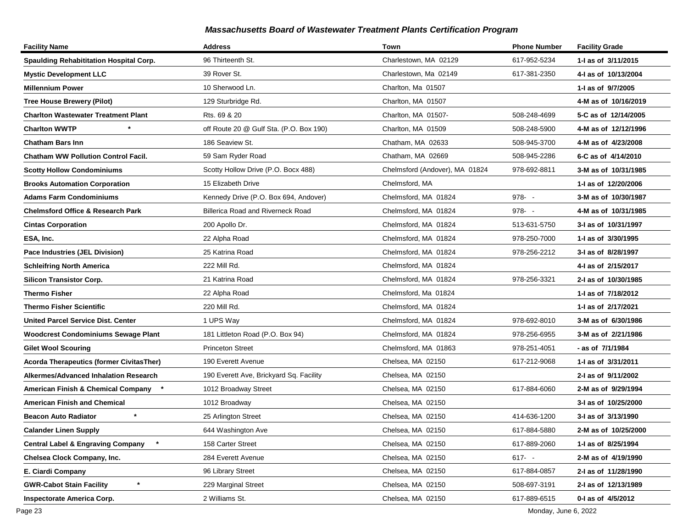| <b>Facility Name</b>                            | <b>Address</b>                           | Town                           | <b>Phone Number</b> | <b>Facility Grade</b> |
|-------------------------------------------------|------------------------------------------|--------------------------------|---------------------|-----------------------|
| Spaulding Rehabititation Hospital Corp.         | 96 Thirteenth St.                        | Charlestown, MA 02129          | 617-952-5234        | 1-I as of 3/11/2015   |
| <b>Mystic Development LLC</b>                   | 39 Rover St.                             | Charlestown, Ma 02149          | 617-381-2350        | 4-1 as of 10/13/2004  |
| <b>Millennium Power</b>                         | 10 Sherwood Ln.                          | Charlton, Ma 01507             |                     | 1-I as of 9/7/2005    |
| <b>Tree House Brewery (Pilot)</b>               | 129 Sturbridge Rd.                       | Charlton, MA 01507             |                     | 4-M as of 10/16/2019  |
| <b>Charlton Wastewater Treatment Plant</b>      | Rts. 69 & 20                             | Charlton, MA 01507-            | 508-248-4699        | 5-C as of 12/14/2005  |
| <b>Charlton WWTP</b>                            | off Route 20 @ Gulf Sta. (P.O. Box 190)  | Charlton, MA 01509             | 508-248-5900        | 4-M as of 12/12/1996  |
| Chatham Bars Inn                                | 186 Seaview St.                          | Chatham, MA 02633              | 508-945-3700        | 4-M as of 4/23/2008   |
| <b>Chatham WW Pollution Control Facil.</b>      | 59 Sam Ryder Road                        | Chatham, MA 02669              | 508-945-2286        | 6-C as of 4/14/2010   |
| <b>Scotty Hollow Condominiums</b>               | Scotty Hollow Drive (P.O. Bocx 488)      | Chelmsford (Andover), MA 01824 | 978-692-8811        | 3-M as of 10/31/1985  |
| <b>Brooks Automation Corporation</b>            | 15 Elizabeth Drive                       | Chelmsford, MA                 |                     | 1-I as of 12/20/2006  |
| Adams Farm Condominiums                         | Kennedy Drive (P.O. Box 694, Andover)    | Chelmsford, MA 01824           | 978- -              | 3-M as of 10/30/1987  |
| <b>Chelmsford Office &amp; Research Park</b>    | <b>Billerica Road and Riverneck Road</b> | Chelmsford, MA 01824           | $978 - -$           | 4-M as of 10/31/1985  |
| <b>Cintas Corporation</b>                       | 200 Apollo Dr.                           | Chelmsford, MA 01824           | 513-631-5750        | 3-I as of 10/31/1997  |
| ESA, Inc.                                       | 22 Alpha Road                            | Chelmsford, MA 01824           | 978-250-7000        | 1-I as of 3/30/1995   |
| Pace Industries (JEL Division)                  | 25 Katrina Road                          | Chelmsford, MA 01824           | 978-256-2212        | 3-I as of 8/28/1997   |
| <b>Schleifring North America</b>                | 222 Mill Rd.                             | Chelmsford, MA 01824           |                     | 4-1 as of 2/15/2017   |
| <b>Silicon Transistor Corp.</b>                 | 21 Katrina Road                          | Chelmsford, MA 01824           | 978-256-3321        | 2-I as of 10/30/1985  |
| Thermo Fisher                                   | 22 Alpha Road                            | Chelmsford, Ma 01824           |                     | 1-I as of 7/18/2012   |
| Thermo Fisher Scientific                        | 220 Mill Rd.                             | Chelmsford, MA 01824           |                     | 1-I as of 2/17/2021   |
| United Parcel Service Dist. Center              | 1 UPS Way                                | Chelmsford, MA 01824           | 978-692-8010        | 3-M as of 6/30/1986   |
| <b>Woodcrest Condominiums Sewage Plant</b>      | 181 Littleton Road (P.O. Box 94)         | Chelmsford, MA 01824           | 978-256-6955        | 3-M as of 2/21/1986   |
| <b>Gilet Wool Scouring</b>                      | <b>Princeton Street</b>                  | Chelmsford, MA 01863           | 978-251-4051        | - as of 7/1/1984      |
| <b>Acorda Therapeutics (former CivitasTher)</b> | 190 Everett Avenue                       | Chelsea, MA 02150              | 617-212-9068        | 1-I as of 3/31/2011   |
| Alkermes/Advanced Inhalation Research           | 190 Everett Ave, Brickyard Sq. Facility  | Chelsea, MA 02150              |                     | 2-I as of 9/11/2002   |
| American Finish & Chemical Company              | 1012 Broadway Street                     | Chelsea, MA 02150              | 617-884-6060        | 2-M as of 9/29/1994   |
| American Finish and Chemical                    | 1012 Broadway                            | Chelsea, MA 02150              |                     | 3-I as of 10/25/2000  |
| <b>Beacon Auto Radiator</b>                     | 25 Arlington Street                      | Chelsea, MA 02150              | 414-636-1200        | 3-I as of 3/13/1990   |
| <b>Calander Linen Supply</b>                    | 644 Washington Ave                       | Chelsea, MA 02150              | 617-884-5880        | 2-M as of 10/25/2000  |
| Central Label & Engraving Company               | 158 Carter Street                        | Chelsea, MA 02150              | 617-889-2060        | 1- as of 8/25/1994    |
| Chelsea Clock Company, Inc.                     | 284 Everett Avenue                       | Chelsea, MA 02150              | $617 - -$           | 2-M as of 4/19/1990   |
| E. Ciardi Company                               | 96 Library Street                        | Chelsea, MA 02150              | 617-884-0857        | 2-I as of 11/28/1990  |
| $\pmb{\ast}$<br><b>GWR-Cabot Stain Facility</b> | 229 Marginal Street                      | Chelsea, MA 02150              | 508-697-3191        | 2-I as of 12/13/1989  |
| <b>Inspectorate America Corp.</b>               | 2 Williams St.                           | Chelsea, MA 02150              | 617-889-6515        | 0-I as of 4/5/2012    |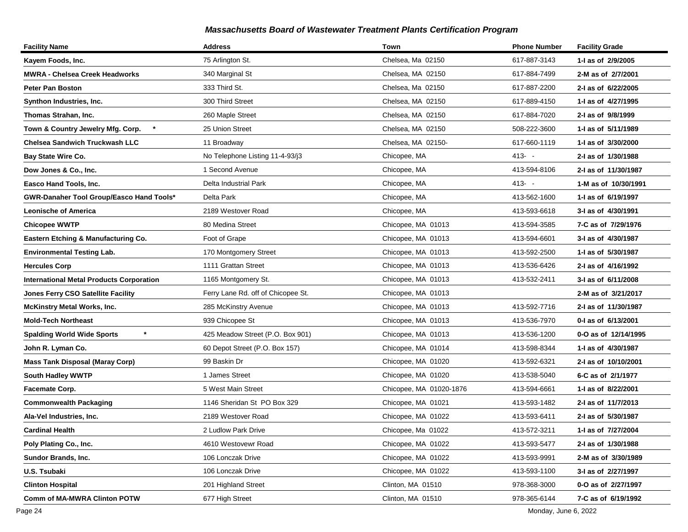| <b>Facility Name</b>                            | <b>Address</b>                     | Town                    | <b>Phone Number</b> | <b>Facility Grade</b> |
|-------------------------------------------------|------------------------------------|-------------------------|---------------------|-----------------------|
| Kayem Foods, Inc.                               | 75 Arlington St.                   | Chelsea, Ma 02150       | 617-887-3143        | 1-I as of 2/9/2005    |
| MWRA - Chelsea Creek Headworks                  | 340 Marginal St                    | Chelsea, MA 02150       | 617-884-7499        | 2-M as of 2/7/2001    |
| <b>Peter Pan Boston</b>                         | 333 Third St.                      | Chelsea, Ma 02150       | 617-887-2200        | 2-I as of 6/22/2005   |
| Synthon Industries, Inc.                        | 300 Third Street                   | Chelsea, MA 02150       | 617-889-4150        | 1-I as of 4/27/1995   |
| Thomas Strahan, Inc.                            | 260 Maple Street                   | Chelsea, MA 02150       | 617-884-7020        | 2-I as of 9/8/1999    |
| Town & Country Jewelry Mfg. Corp.               | 25 Union Street                    | Chelsea, MA 02150       | 508-222-3600        | 1-I as of 5/11/1989   |
| Chelsea Sandwich Truckwash LLC                  | 11 Broadway                        | Chelsea, MA 02150-      | 617-660-1119        | 1-I as of 3/30/2000   |
| Bay State Wire Co.                              | No Telephone Listing 11-4-93/j3    | Chicopee, MA            | $413 - -$           | 2-I as of 1/30/1988   |
| Dow Jones & Co., Inc.                           | 1 Second Avenue                    | Chicopee, MA            | 413-594-8106        | 2-I as of 11/30/1987  |
| Easco Hand Tools, Inc.                          | Delta Industrial Park              | Chicopee, MA            | $413 - -$           | 1-M as of 10/30/1991  |
| GWR-Danaher Tool Group/Easco Hand Tools*        | Delta Park                         | Chicopee, MA            | 413-562-1600        | 1-I as of 6/19/1997   |
| <b>Leonische of America</b>                     | 2189 Westover Road                 | Chicopee, MA            | 413-593-6618        | 3-I as of 4/30/1991   |
| <b>Chicopee WWTP</b>                            | 80 Medina Street                   | Chicopee, MA 01013      | 413-594-3585        | 7-C as of 7/29/1976   |
| Eastern Etching & Manufacturing Co.             | Foot of Grape                      | Chicopee, MA 01013      | 413-594-6601        | 3-I as of 4/30/1987   |
| <b>Environmental Testing Lab.</b>               | 170 Montgomery Street              | Chicopee, MA 01013      | 413-592-2500        | 1-J as of 5/30/1987   |
| <b>Hercules Corp</b>                            | 1111 Grattan Street                | Chicopee, MA 01013      | 413-536-6426        | 2-I as of 4/16/1992   |
| <b>International Metal Products Corporation</b> | 1165 Montgomery St.                | Chicopee, MA 01013      | 413-532-2411        | 3-I as of 6/11/2008   |
| <b>Jones Ferry CSO Satellite Facility</b>       | Ferry Lane Rd. off of Chicopee St. | Chicopee, MA 01013      |                     | 2-M as of 3/21/2017   |
| <b>McKinstry Metal Works, Inc.</b>              | 285 McKinstry Avenue               | Chicopee, MA 01013      | 413-592-7716        | 2-I as of 11/30/1987  |
| <b>Mold-Tech Northeast</b>                      | 939 Chicopee St                    | Chicopee, MA 01013      | 413-536-7970        | 0-1 as of 6/13/2001   |
| <b>Spalding World Wide Sports</b>               | 425 Meadow Street (P.O. Box 901)   | Chicopee, MA 01013      | 413-536-1200        | 0-O as of 12/14/1995  |
| John R. Lyman Co.                               | 60 Depot Street (P.O. Box 157)     | Chicopee, MA 01014      | 413-598-8344        | 1-I as of 4/30/1987   |
| <b>Mass Tank Disposal (Maray Corp)</b>          | 99 Baskin Dr                       | Chicopee, MA 01020      | 413-592-6321        | 2-I as of 10/10/2001  |
| South Hadley WWTP                               | 1 James Street                     | Chicopee, MA 01020      | 413-538-5040        | 6-C as of 2/1/1977    |
| Facemate Corp.                                  | 5 West Main Street                 | Chicopee, MA 01020-1876 | 413-594-6661        | 1-I as of 8/22/2001   |
| <b>Commonwealth Packaging</b>                   | 1146 Sheridan St PO Box 329        | Chicopee, MA 01021      | 413-593-1482        | 2-I as of 11/7/2013   |
| Ala-Vel Industries, Inc.                        | 2189 Westover Road                 | Chicopee, MA 01022      | 413-593-6411        | 2-I as of 5/30/1987   |
| <b>Cardinal Health</b>                          | 2 Ludlow Park Drive                | Chicopee, Ma 01022      | 413-572-3211        | 1-I as of 7/27/2004   |
| Poly Plating Co., Inc.                          | 4610 Westovewr Road                | Chicopee, MA 01022      | 413-593-5477        | 2-I as of 1/30/1988   |
| <b>Sundor Brands, Inc.</b>                      | 106 Lonczak Drive                  | Chicopee, MA 01022      | 413-593-9991        | 2-M as of 3/30/1989   |
| U.S. Tsubaki                                    | 106 Lonczak Drive                  | Chicopee, MA 01022      | 413-593-1100        | 3-I as of 2/27/1997   |
| <b>Clinton Hospital</b>                         | 201 Highland Street                | Clinton, MA 01510       | 978-368-3000        | 0-O as of 2/27/1997   |
| <b>Comm of MA-MWRA Clinton POTW</b>             | 677 High Street                    | Clinton, MA 01510       | 978-365-6144        | 7-C as of 6/19/1992   |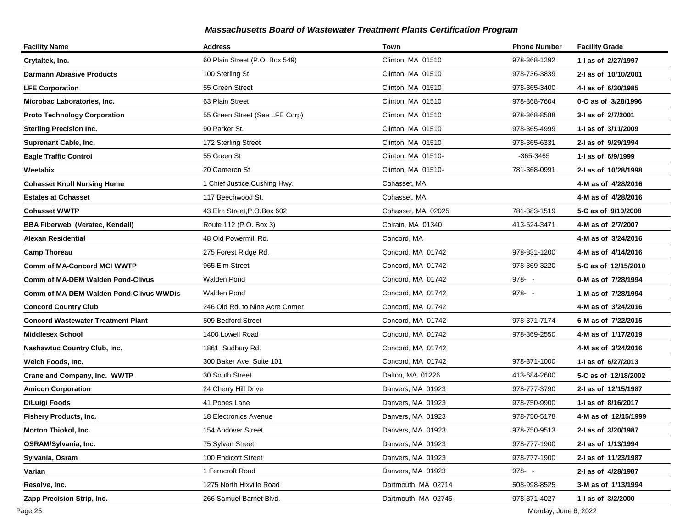| <b>Facility Name</b>                      | <b>Address</b>                  | Town                 | <b>Phone Number</b> | <b>Facility Grade</b> |
|-------------------------------------------|---------------------------------|----------------------|---------------------|-----------------------|
| Crytaltek, Inc.                           | 60 Plain Street (P.O. Box 549)  | Clinton, MA 01510    | 978-368-1292        | 1-I as of 2/27/1997   |
| <b>Darmann Abrasive Products</b>          | 100 Sterling St                 | Clinton, MA 01510    | 978-736-3839        | 2-I as of 10/10/2001  |
| <b>LFE Corporation</b>                    | 55 Green Street                 | Clinton, MA 01510    | 978-365-3400        | 4-1 as of 6/30/1985   |
| Microbac Laboratories, Inc.               | 63 Plain Street                 | Clinton, MA 01510    | 978-368-7604        | 0-O as of 3/28/1996   |
| <b>Proto Technology Corporation</b>       | 55 Green Street (See LFE Corp)  | Clinton, MA 01510    | 978-368-8588        | 3-I as of 2/7/2001    |
| <b>Sterling Precision Inc.</b>            | 90 Parker St.                   | Clinton, MA 01510    | 978-365-4999        | 1-1 as of 3/11/2009   |
| Suprenant Cable, Inc.                     | 172 Sterling Street             | Clinton, MA 01510    | 978-365-6331        | 2-I as of 9/29/1994   |
| <b>Eagle Traffic Control</b>              | 55 Green St                     | Clinton, MA 01510-   | -365-3465           | 1-J as of 6/9/1999    |
| Weetabix                                  | 20 Cameron St                   | Clinton, MA 01510-   | 781-368-0991        | 2-I as of 10/28/1998  |
| <b>Cohasset Knoll Nursing Home</b>        | 1 Chief Justice Cushing Hwy.    | Cohasset, MA         |                     | 4-M as of 4/28/2016   |
| <b>Estates at Cohasset</b>                | 117 Beechwood St.               | Cohasset, MA         |                     | 4-M as of 4/28/2016   |
| <b>Cohasset WWTP</b>                      | 43 Elm Street, P.O.Box 602      | Cohasset, MA 02025   | 781-383-1519        | 5-C as of 9/10/2008   |
| <b>BBA Fiberweb (Veratec, Kendall)</b>    | Route 112 (P.O. Box 3)          | Colrain, MA 01340    | 413-624-3471        | 4-M as of 2/7/2007    |
| Alexan Residential                        | 48 Old Powermill Rd.            | Concord, MA          |                     | 4-M as of 3/24/2016   |
| <b>Camp Thoreau</b>                       | 275 Forest Ridge Rd.            | Concord, MA 01742    | 978-831-1200        | 4-M as of 4/14/2016   |
| <b>Comm of MA-Concord MCI WWTP</b>        | 965 Elm Street                  | Concord, MA 01742    | 978-369-3220        | 5-C as of 12/15/2010  |
| <b>Comm of MA-DEM Walden Pond-Clivus</b>  | <b>Walden Pond</b>              | Concord, MA 01742    | $978 - -$           | 0-M as of 7/28/1994   |
| Comm of MA-DEM Walden Pond-Clivus WWDis   | <b>Walden Pond</b>              | Concord, MA 01742    | $978 - -$           | 1-M as of 7/28/1994   |
| <b>Concord Country Club</b>               | 246 Old Rd. to Nine Acre Corner | Concord, MA 01742    |                     | 4-M as of 3/24/2016   |
| <b>Concord Wastewater Treatment Plant</b> | 509 Bedford Street              | Concord, MA 01742    | 978-371-7174        | 6-M as of 7/22/2015   |
| <b>Middlesex School</b>                   | 1400 Lowell Road                | Concord, MA 01742    | 978-369-2550        | 4-M as of 1/17/2019   |
| Nashawtuc Country Club, Inc.              | 1861 Sudbury Rd.                | Concord, MA 01742    |                     | 4-M as of 3/24/2016   |
| Welch Foods, Inc.                         | 300 Baker Ave, Suite 101        | Concord, MA 01742    | 978-371-1000        | 1- as of 6/27/2013    |
| Crane and Company, Inc. WWTP              | 30 South Street                 | Dalton, MA 01226     | 413-684-2600        | 5-C as of 12/18/2002  |
| <b>Amicon Corporation</b>                 | 24 Cherry Hill Drive            | Danvers, MA 01923    | 978-777-3790        | 2-I as of 12/15/1987  |
| DiLuigi Foods                             | 41 Popes Lane                   | Danvers, MA 01923    | 978-750-9900        | 1-1 as of 8/16/2017   |
| <b>Fishery Products, Inc.</b>             | 18 Electronics Avenue           | Danvers, MA 01923    | 978-750-5178        | 4-M as of 12/15/1999  |
| Morton Thiokol, Inc.                      | 154 Andover Street              | Danvers, MA 01923    | 978-750-9513        | 2-I as of 3/20/1987   |
| OSRAM/Sylvania, Inc.                      | 75 Sylvan Street                | Danvers, MA 01923    | 978-777-1900        | 2-I as of 1/13/1994   |
| Sylvania, Osram                           | 100 Endicott Street             | Danvers, MA 01923    | 978-777-1900        | 2-I as of 11/23/1987  |
| Varian                                    | 1 Ferncroft Road                | Danvers, MA 01923    | $978 - -$           | 2-I as of 4/28/1987   |
| Resolve, Inc.                             | 1275 North Hixville Road        | Dartmouth, MA 02714  | 508-998-8525        | 3-M as of 1/13/1994   |
| Zapp Precision Strip, Inc.                | 266 Samuel Barnet Blvd.         | Dartmouth, MA 02745- | 978-371-4027        | 1-I as of 3/2/2000    |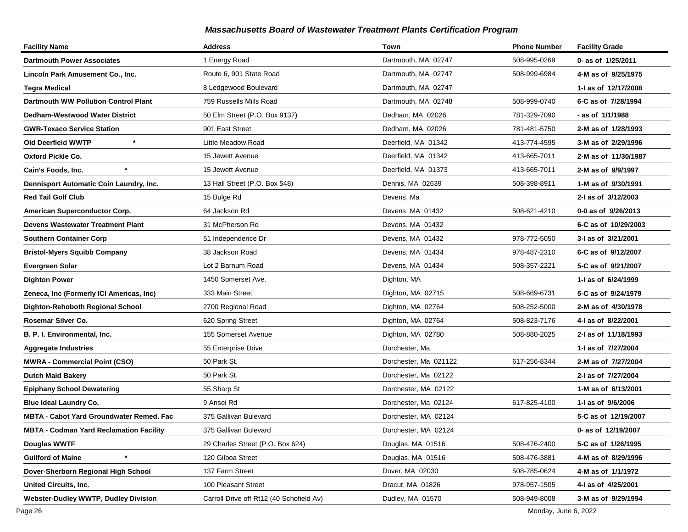| <b>Facility Name</b>                            | <b>Address</b>                           | Town                  | <b>Phone Number</b> | <b>Facility Grade</b> |
|-------------------------------------------------|------------------------------------------|-----------------------|---------------------|-----------------------|
| <b>Dartmouth Power Associates</b>               | 1 Energy Road                            | Dartmouth, MA 02747   | 508-995-0269        | 0- as of 1/25/2011    |
| Lincoln Park Amusement Co., Inc.                | Route 6, 901 State Road                  | Dartmouth, MA 02747   | 508-999-6984        | 4-M as of 9/25/1975   |
| Tegra Medical                                   | 8 Ledgewood Boulevard                    | Dartmouth, MA 02747   |                     | 1-I as of 12/17/2008  |
| <b>Dartmouth WW Pollution Control Plant</b>     | 759 Russells Mills Road                  | Dartmouth, MA 02748   | 508-999-0740        | 6-C as of 7/28/1994   |
| <b>Dedham-Westwood Water District</b>           | 50 Elm Street (P.O. Box 9137)            | Dedham, MA 02026      | 781-329-7090        | - as of 1/1/1988      |
| <b>GWR-Texaco Service Station</b>               | 901 East Street                          | Dedham, MA 02026      | 781-481-5750        | 2-M as of 1/28/1993   |
| $\star$<br>Old Deerfield WWTP                   | Little Meadow Road                       | Deerfield, MA 01342   | 413-774-4595        | 3-M as of 2/29/1996   |
| Oxford Pickle Co.                               | 15 Jewett Avenue                         | Deerfield, MA 01342   | 413-665-7011        | 2-M as of 11/30/1987  |
| $\star$<br>Cain's Foods, Inc.                   | 15 Jewett Avenue                         | Deerfield, MA 01373   | 413-665-7011        | 2-M as of 9/9/1997    |
| Dennisport Automatic Coin Laundry, Inc.         | 13 Hall Street (P.O. Box 548)            | Dennis, MA 02639      | 508-398-8911        | 1-M as of 9/30/1991   |
| <b>Red Tail Golf Club</b>                       | 15 Bulge Rd                              | Devens, Ma            |                     | 2-I as of 3/12/2003   |
| American Superconductor Corp.                   | 64 Jackson Rd                            | Devens, MA 01432      | 508-621-4210        | 0-0 as of 9/26/2013   |
| <b>Devens Wastewater Treatment Plant</b>        | 31 McPherson Rd                          | Devens, MA 01432      |                     | 6-C as of 10/29/2003  |
| <b>Southern Container Corp</b>                  | 51 Independence Dr                       | Devens, MA 01432      | 978-772-5050        | 3-I as of 3/21/2001   |
| <b>Bristol-Myers Squibb Company</b>             | 38 Jackson Road                          | Devens, MA 01434      | 978-487-2310        | 6-C as of 9/12/2007   |
| <b>Evergreen Solar</b>                          | Lot 2 Barnum Road                        | Devens, MA 01434      | 508-357-2221        | 5-C as of 9/21/2007   |
| <b>Dighton Power</b>                            | 1450 Somerset Ave.                       | Dighton, MA           |                     | 1-I as of 6/24/1999   |
| Zeneca, Inc (Formerly ICI Americas, Inc)        | 333 Main Street                          | Dighton, MA 02715     | 508-669-6731        | 5-C as of 9/24/1979   |
| Dighton-Rehoboth Regional School                | 2700 Regional Road                       | Dighton, MA 02764     | 508-252-5000        | 2-M as of 4/30/1978   |
| Rosemar Silver Co.                              | 620 Spring Street                        | Dighton, MA 02764     | 508-823-7176        | 4-I as of 8/22/2001   |
| B. P. I. Environmental, Inc.                    | 155 Somerset Avenue                      | Dighton, MA 02780     | 508-880-2025        | 2-I as of 11/18/1993  |
| <b>Aggregate Industries</b>                     | 55 Enterprise Drive                      | Dorchester, Ma        |                     | 1-I as of 7/27/2004   |
| <b>MWRA - Commercial Point (CSO)</b>            | 50 Park St.                              | Dorchester, Ma 021122 | 617-256-8344        | 2-M as of 7/27/2004   |
| <b>Dutch Maid Bakery</b>                        | 50 Park St.                              | Dorchester, Ma 02122  |                     | 2-I as of 7/27/2004   |
| <b>Epiphany School Dewatering</b>               | 55 Sharp St                              | Dorchester, MA 02122  |                     | 1-M as of 6/13/2001   |
| <b>Blue Ideal Laundry Co.</b>                   | 9 Ansei Rd                               | Dorchester, Ma 02124  | 617-825-4100        | 1-1 as of 9/6/2006    |
| <b>MBTA - Cabot Yard Groundwater Remed. Fac</b> | 375 Gallivan Bulevard                    | Dorchester, MA 02124  |                     | 5-C as of 12/19/2007  |
| <b>MBTA - Codman Yard Reclamation Facility</b>  | 375 Gallivan Bulevard                    | Dorchester, MA 02124  |                     | 0- as of 12/19/2007   |
| Douglas WWTF                                    | 29 Charles Street (P.O. Box 624)         | Douglas, MA 01516     | 508-476-2400        | 5-C as of 1/26/1995   |
| <b>Guilford of Maine</b>                        | 120 Gilboa Street                        | Douglas, MA 01516     | 508-476-3881        | 4-M as of 8/29/1996   |
| Dover-Sherborn Regional High School             | 137 Farm Street                          | Dover, MA 02030       | 508-785-0624        | 4-M as of 1/1/1972    |
| <b>United Circuits, Inc.</b>                    | 100 Pleasant Street                      | Dracut, MA 01826      | 978-957-1505        | 4-I as of 4/25/2001   |
| <b>Webster-Dudley WWTP, Dudley Division</b>     | Carroll Drive off Rt12 (40 Schofield Av) | Dudley, MA 01570      | 508-949-8008        | 3-M as of 9/29/1994   |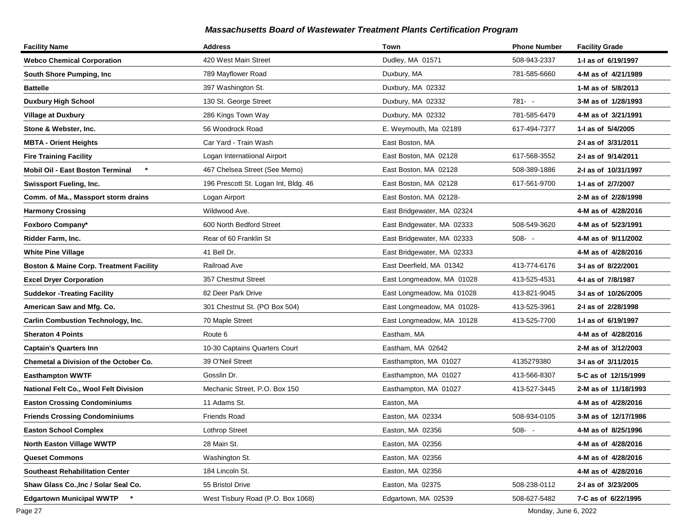| <b>Facility Name</b>                               | <b>Address</b>                       | Town                       | <b>Phone Number</b> | <b>Facility Grade</b> |
|----------------------------------------------------|--------------------------------------|----------------------------|---------------------|-----------------------|
| <b>Webco Chemical Corporation</b>                  | 420 West Main Street                 | Dudley, MA 01571           | 508-943-2337        | 1-I as of 6/19/1997   |
| South Shore Pumping, Inc.                          | 789 Mayflower Road                   | Duxbury, MA                | 781-585-6660        | 4-M as of 4/21/1989   |
| <b>Battelle</b>                                    | 397 Washington St.                   | Duxbury, MA 02332          |                     | 1-M as of 5/8/2013    |
| <b>Duxbury High School</b>                         | 130 St. George Street                | Duxbury, MA 02332          | $781 - -$           | 3-M as of 1/28/1993   |
| <b>Village at Duxbury</b>                          | 286 Kings Town Way                   | Duxbury, MA 02332          | 781-585-6479        | 4-M as of 3/21/1991   |
| Stone & Webster, Inc.                              | 56 Woodrock Road                     | E. Weymouth, Ma 02189      | 617-494-7377        | 1-I as of 5/4/2005    |
| <b>MBTA - Orient Heights</b>                       | Car Yard - Train Wash                | East Boston, MA            |                     | 2-I as of 3/31/2011   |
| <b>Fire Training Facility</b>                      | Logan Internatiional Airport         | East Boston, MA 02128      | 617-568-3552        | 2-I as of 9/14/2011   |
| $\star$<br>Mobil Oil - East Boston Terminal        | 467 Chelsea Street (See Memo)        | East Boston, MA 02128      | 508-389-1886        | 2-I as of 10/31/1997  |
| Swissport Fueling, Inc.                            | 196 Prescott St. Logan Int, Bldg. 46 | East Boston, MA 02128      | 617-561-9700        | 1-I as of 2/7/2007    |
| Comm. of Ma., Massport storm drains                | Logan Airport                        | East Boston, MA 02128-     |                     | 2-M as of 2/28/1998   |
| <b>Harmony Crossing</b>                            | Wildwood Ave.                        | East Bridgewater, MA 02324 |                     | 4-M as of 4/28/2016   |
| Foxboro Company*                                   | 600 North Bedford Street             | East Bridgewater, MA 02333 | 508-549-3620        | 4-M as of 5/23/1991   |
| Ridder Farm, Inc.                                  | Rear of 60 Franklin St               | East Bridgewater, MA 02333 | $508 - -$           | 4-M as of 9/11/2002   |
| <b>White Pine Village</b>                          | 41 Bell Dr.                          | East Bridgewater, MA 02333 |                     | 4-M as of 4/28/2016   |
| <b>Boston &amp; Maine Corp. Treatment Facility</b> | Railroad Ave                         | East Deerfield, MA 01342   | 413-774-6176        | 3-I as of 8/22/2001   |
| <b>Excel Dryer Corporation</b>                     | 357 Chestnut Street                  | East Longmeadow, MA 01028  | 413-525-4531        | 4-I as of 7/8/1987    |
| <b>Suddekor - Treating Facility</b>                | 82 Deer Park Drive                   | East Longmeadow, Ma 01028  | 413-821-9045        | 3-I as of 10/26/2005  |
| American Saw and Mfg. Co.                          | 301 Chestnut St. (PO Box 504)        | East Longmeadow, MA 01028- | 413-525-3961        | 2-I as of 2/28/1998   |
| <b>Carlin Combustion Technology, Inc.</b>          | 70 Maple Street                      | East Longmeadow, MA 10128  | 413-525-7700        | 1-I as of 6/19/1997   |
| <b>Sheraton 4 Points</b>                           | Route 6                              | Eastham, MA                |                     | 4-M as of 4/28/2016   |
| Captain's Quarters Inn                             | 10-30 Captains Quarters Court        | Eastham, MA 02642          |                     | 2-M as of 3/12/2003   |
| Chemetal a Division of the October Co.             | 39 O'Neil Street                     | Easthampton, MA 01027      | 4135279380          | 3-I as of 3/11/2015   |
| Easthampton WWTF                                   | Gosslin Dr.                          | Easthampton, MA 01027      | 413-566-8307        | 5-C as of 12/15/1999  |
| National Felt Co., Wool Felt Division              | Mechanic Street, P.O. Box 150        | Easthampton, MA 01027      | 413-527-3445        | 2-M as of 11/18/1993  |
| <b>Easton Crossing Condominiums</b>                | 11 Adams St.                         | Easton, MA                 |                     | 4-M as of 4/28/2016   |
| <b>Friends Crossing Condominiums</b>               | <b>Friends Road</b>                  | Easton, MA 02334           | 508-934-0105        | 3-M as of 12/17/1986  |
| <b>Easton School Complex</b>                       | Lothrop Street                       | Easton, MA 02356           | 508-                | 4-M as of 8/25/1996   |
| North Easton Village WWTP                          | 28 Main St.                          | Easton, MA 02356           |                     | 4-M as of 4/28/2016   |
| <b>Queset Commons</b>                              | Washington St.                       | Easton, MA 02356           |                     | 4-M as of 4/28/2016   |
| <b>Southeast Rehabilitation Center</b>             | 184 Lincoln St.                      | Easton, MA 02356           |                     | 4-M as of 4/28/2016   |
| Shaw Glass Co., Inc / Solar Seal Co.               | 55 Bristol Drive                     | Easton, Ma 02375           | 508-238-0112        | 2-I as of 3/23/2005   |
| <b>Edgartown Municipal WWTP</b>                    | West Tisbury Road (P.O. Box 1068)    | Edgartown, MA 02539        | 508-627-5482        | 7-C as of 6/22/1995   |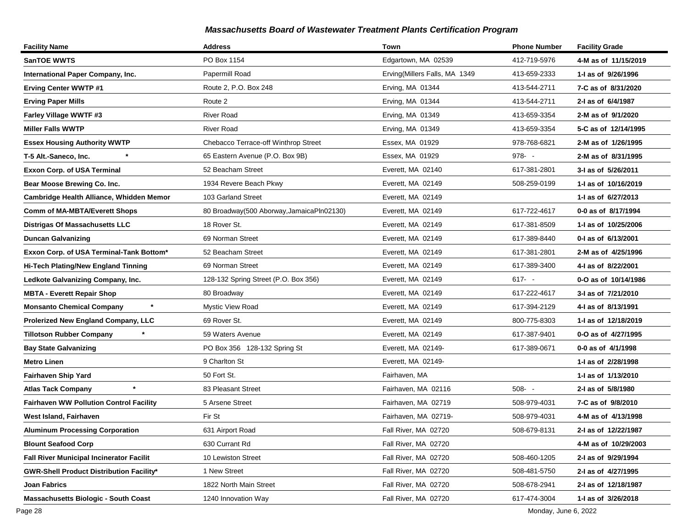| <b>Facility Name</b>                            | <b>Address</b>                            | Town                          | <b>Phone Number</b> | <b>Facility Grade</b> |
|-------------------------------------------------|-------------------------------------------|-------------------------------|---------------------|-----------------------|
| <b>SanTOE WWTS</b>                              | PO Box 1154                               | Edgartown, MA 02539           | 412-719-5976        | 4-M as of 11/15/2019  |
| International Paper Company, Inc.               | Papermill Road                            | Erving(Millers Falls, MA 1349 | 413-659-2333        | 1-I as of 9/26/1996   |
| <b>Erving Center WWTP #1</b>                    | Route 2, P.O. Box 248                     | Erving, MA 01344              | 413-544-2711        | 7-C as of 8/31/2020   |
| <b>Erving Paper Mills</b>                       | Route 2                                   | Erving, MA 01344              | 413-544-2711        | 2-I as of 6/4/1987    |
| Farley Village WWTF #3                          | <b>River Road</b>                         | Erving, MA 01349              | 413-659-3354        | 2-M as of 9/1/2020    |
| <b>Miller Falls WWTP</b>                        | <b>River Road</b>                         | Erving, MA 01349              | 413-659-3354        | 5-C as of 12/14/1995  |
| <b>Essex Housing Authority WWTP</b>             | Chebacco Terrace-off Winthrop Street      | Essex, MA 01929               | 978-768-6821        | 2-M as of 1/26/1995   |
| T-5 Alt.-Saneco, Inc.                           | 65 Eastern Avenue (P.O. Box 9B)           | Essex, MA 01929               | $978 - -$           | 2-M as of 8/31/1995   |
| <b>Exxon Corp. of USA Terminal</b>              | 52 Beacham Street                         | Everett, MA 02140             | 617-381-2801        | 3-I as of 5/26/2011   |
| Bear Moose Brewing Co. Inc.                     | 1934 Revere Beach Pkwy                    | Everett, MA 02149             | 508-259-0199        | 1-1 as of 10/16/2019  |
| Cambridge Health Alliance, Whidden Memor        | 103 Garland Street                        | Everett, MA 02149             |                     | 1- as of 6/27/2013    |
| <b>Comm of MA-MBTA/Everett Shops</b>            | 80 Broadway(500 Aborway, JamaicaPln02130) | Everett, MA 02149             | 617-722-4617        | 0-0 as of 8/17/1994   |
| <b>Distrigas Of Massachusetts LLC</b>           | 18 Rover St.                              | Everett, MA 02149             | 617-381-8509        | 1-1 as of 10/25/2006  |
| <b>Duncan Galvanizing</b>                       | 69 Norman Street                          | Everett, MA 02149             | 617-389-8440        | 0-1 as of 6/13/2001   |
| Exxon Corp. of USA Terminal-Tank Bottom*        | 52 Beacham Street                         | Everett, MA 02149             | 617-381-2801        | 2-M as of 4/25/1996   |
| Hi-Tech Plating/New England Tinning             | 69 Norman Street                          | Everett, MA 02149             | 617-389-3400        | 4-I as of 8/22/2001   |
| Ledkote Galvanizing Company, Inc.               | 128-132 Spring Street (P.O. Box 356)      | Everett, MA 02149             | $617 - -$           | 0-O as of 10/14/1986  |
| <b>MBTA - Everett Repair Shop</b>               | 80 Broadway                               | Everett, MA 02149             | 617-222-4617        | 3-I as of 7/21/2010   |
| $\star$<br><b>Monsanto Chemical Company</b>     | Mystic View Road                          | Everett, MA 02149             | 617-394-2129        | 4-1 as of 8/13/1991   |
| Prolerized New England Company, LLC             | 69 Rover St.                              | Everett, MA 02149             | 800-775-8303        | 1-I as of 12/18/2019  |
| <b>Tillotson Rubber Company</b>                 | 59 Waters Avenue                          | Everett, MA 02149             | 617-387-9401        | 0-O as of 4/27/1995   |
| <b>Bay State Galvanizing</b>                    | PO Box 356 128-132 Spring St              | Everett, MA 02149-            | 617-389-0671        | 0-0 as of 4/1/1998    |
| <b>Metro Linen</b>                              | 9 Charlton St                             | Everett, MA 02149-            |                     | 1-I as of 2/28/1998   |
| Fairhaven Ship Yard                             | 50 Fort St.                               | Fairhaven, MA                 |                     | 1-1 as of 1/13/2010   |
| $\star$<br><b>Atlas Tack Company</b>            | 83 Pleasant Street                        | Fairhaven, MA 02116           | $508 - -$           | 2-I as of 5/8/1980    |
| <b>Fairhaven WW Pollution Control Facility</b>  | 5 Arsene Street                           | Fairhaven, MA 02719           | 508-979-4031        | 7-C as of 9/8/2010    |
| West Island, Fairhaven                          | Fir St                                    | Fairhaven, MA 02719-          | 508-979-4031        | 4-M as of 4/13/1998   |
| <b>Aluminum Processing Corporation</b>          | 631 Airport Road                          | Fall River, MA 02720          | 508-679-8131        | 2-I as of 12/22/1987  |
| <b>Blount Seafood Corp</b>                      | 630 Currant Rd                            | Fall River, MA 02720          |                     | 4-M as of 10/29/2003  |
| <b>Fall River Municipal Incinerator Facilit</b> | 10 Lewiston Street                        | Fall River, MA 02720          | 508-460-1205        | 2-I as of 9/29/1994   |
| <b>GWR-Shell Product Distribution Facility*</b> | 1 New Street                              | Fall River, MA 02720          | 508-481-5750        | 2-I as of 4/27/1995   |
| Joan Fabrics                                    | 1822 North Main Street                    | Fall River, MA 02720          | 508-678-2941        | 2-I as of 12/18/1987  |
| <b>Massachusetts Biologic - South Coast</b>     | 1240 Innovation Way                       | Fall River, MA 02720          | 617-474-3004        | 1-I as of 3/26/2018   |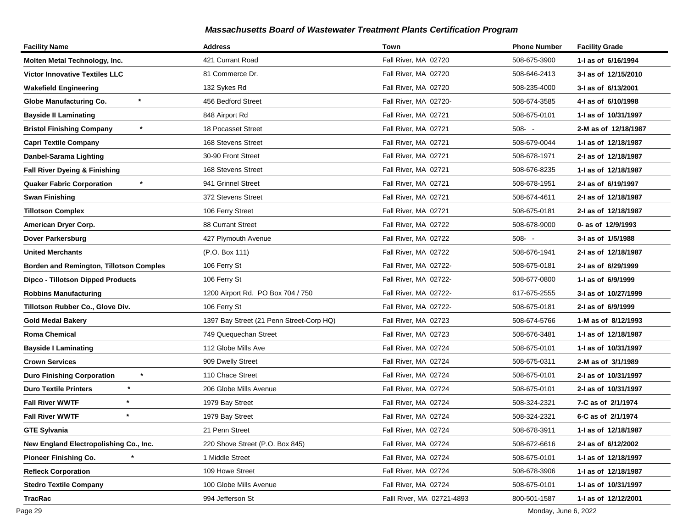| <b>Facility Name</b>                    | <b>Address</b>                           | Town                       | <b>Phone Number</b> | <b>Facility Grade</b> |
|-----------------------------------------|------------------------------------------|----------------------------|---------------------|-----------------------|
| Molten Metal Technology, Inc.           | 421 Currant Road                         | Fall River, MA 02720       | 508-675-3900        | 1-I as of 6/16/1994   |
| <b>Victor Innovative Textiles LLC</b>   | 81 Commerce Dr.                          | Fall River, MA 02720       | 508-646-2413        | 3-I as of 12/15/2010  |
| <b>Wakefield Engineering</b>            | 132 Sykes Rd                             | Fall River, MA 02720       | 508-235-4000        | 3-I as of 6/13/2001   |
| Globe Manufacturing Co.                 | 456 Bedford Street                       | Fall River, MA 02720-      | 508-674-3585        | 4-I as of 6/10/1998   |
| <b>Bayside II Laminating</b>            | 848 Airport Rd                           | Fall River, MA 02721       | 508-675-0101        | 1-I as of 10/31/1997  |
| <b>Bristol Finishing Company</b>        | 18 Pocasset Street                       | Fall River, MA 02721       | $508 - -$           | 2-M as of 12/18/1987  |
| <b>Capri Textile Company</b>            | 168 Stevens Street                       | Fall River, MA 02721       | 508-679-0044        | 1-I as of 12/18/1987  |
| Danbel-Sarama Lighting                  | 30-90 Front Street                       | Fall River, MA 02721       | 508-678-1971        | 2-I as of 12/18/1987  |
| Fall River Dyeing & Finishing           | 168 Stevens Street                       | Fall River, MA 02721       | 508-676-8235        | 1-I as of 12/18/1987  |
| <b>Quaker Fabric Corporation</b>        | 941 Grinnel Street                       | Fall River, MA 02721       | 508-678-1951        | 2-I as of 6/19/1997   |
| <b>Swan Finishing</b>                   | 372 Stevens Street                       | Fall River, MA 02721       | 508-674-4611        | 2-I as of 12/18/1987  |
| <b>Tillotson Complex</b>                | 106 Ferry Street                         | Fall River, MA 02721       | 508-675-0181        | 2-I as of 12/18/1987  |
| American Dryer Corp.                    | 88 Currant Street                        | Fall River, MA 02722       | 508-678-9000        | 0- as of 12/9/1993    |
| Dover Parkersburg                       | 427 Plymouth Avenue                      | Fall River, MA 02722       | $508 - -$           | 3-I as of 1/5/1988    |
| <b>United Merchants</b>                 | (P.O. Box 111)                           | Fall River, MA 02722       | 508-676-1941        | 2-I as of 12/18/1987  |
| Borden and Remington, Tillotson Comples | 106 Ferry St                             | Fall River, MA 02722-      | 508-675-0181        | 2-I as of 6/29/1999   |
| Dipco - Tillotson Dipped Products       | 106 Ferry St                             | Fall River, MA 02722-      | 508-677-0800        | 1-I as of 6/9/1999    |
| <b>Robbins Manufacturing</b>            | 1200 Airport Rd. PO Box 704 / 750        | Fall River, MA 02722-      | 617-675-2555        | 3-I as of 10/27/1999  |
| Tillotson Rubber Co., Glove Div.        | 106 Ferry St                             | Fall River, MA 02722-      | 508-675-0181        | 2-I as of 6/9/1999    |
| <b>Gold Medal Bakery</b>                | 1397 Bay Street (21 Penn Street-Corp HQ) | Fall River, MA 02723       | 508-674-5766        | 1-M as of 8/12/1993   |
| <b>Roma Chemical</b>                    | 749 Quequechan Street                    | Fall River, MA 02723       | 508-676-3481        | 1-I as of 12/18/1987  |
| <b>Bayside I Laminating</b>             | 112 Globe Mills Ave                      | Fall River, MA 02724       | 508-675-0101        | 1- as of 10/31/1997   |
| <b>Crown Services</b>                   | 909 Dwelly Street                        | Fall River, MA 02724       | 508-675-0311        | 2-M as of 3/1/1989    |
| <b>Duro Finishing Corporation</b>       | 110 Chace Street                         | Fall River, MA 02724       | 508-675-0101        | 2-I as of 10/31/1997  |
| $\ast$<br><b>Duro Textile Printers</b>  | 206 Globe Mills Avenue                   | Fall River, MA 02724       | 508-675-0101        | 2-I as of 10/31/1997  |
| $\star$<br><b>Fall River WWTF</b>       | 1979 Bay Street                          | Fall River, MA 02724       | 508-324-2321        | 7-C as of 2/1/1974    |
| <b>Fall River WWTF</b><br>$\star$       | 1979 Bay Street                          | Fall River, MA 02724       | 508-324-2321        | 6-C as of 2/1/1974    |
| <b>GTE Sylvania</b>                     | 21 Penn Street                           | Fall River, MA 02724       | 508-678-3911        | 1-I as of 12/18/1987  |
| New England Electropolishing Co., Inc.  | 220 Shove Street (P.O. Box 845)          | Fall River, MA 02724       | 508-672-6616        | 2-1 as of 6/12/2002   |
| <b>Pioneer Finishing Co.</b>            | 1 Middle Street                          | Fall River, MA 02724       | 508-675-0101        | 1- as of 12/18/1997   |
| <b>Refleck Corporation</b>              | 109 Howe Street                          | Fall River, MA 02724       | 508-678-3906        | 1-I as of 12/18/1987  |
| <b>Stedro Textile Company</b>           | 100 Globe Mills Avenue                   | Fall River, MA 02724       | 508-675-0101        | 1-I as of 10/31/1997  |
| <b>TracRac</b>                          | 994 Jefferson St                         | Falll River, MA 02721-4893 | 800-501-1587        | 1-I as of 12/12/2001  |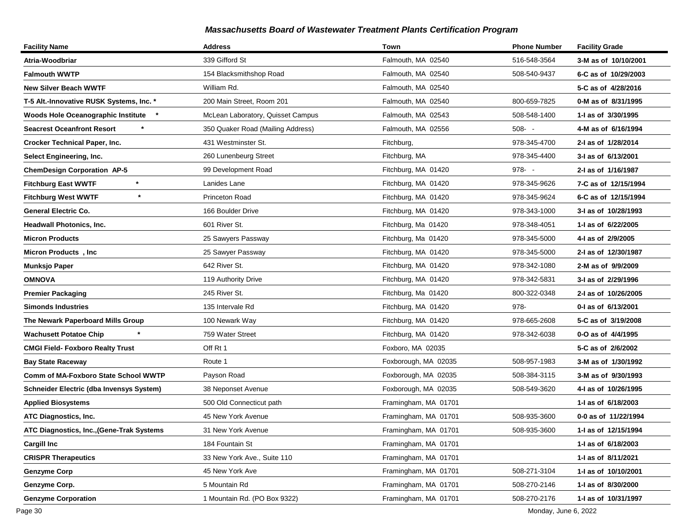| <b>Facility Name</b>                      | <b>Address</b>                    | Town                 | <b>Phone Number</b> | <b>Facility Grade</b> |
|-------------------------------------------|-----------------------------------|----------------------|---------------------|-----------------------|
| Atria-Woodbriar                           | 339 Gifford St                    | Falmouth, MA 02540   | 516-548-3564        | 3-M as of 10/10/2001  |
| <b>Falmouth WWTP</b>                      | 154 Blacksmithshop Road           | Falmouth, MA 02540   | 508-540-9437        | 6-C as of 10/29/2003  |
| New Silver Beach WWTF                     | William Rd.                       | Falmouth, MA 02540   |                     | 5-C as of 4/28/2016   |
| T-5 Alt.-Innovative RUSK Systems, Inc. *  | 200 Main Street, Room 201         | Falmouth, MA 02540   | 800-659-7825        | 0-M as of 8/31/1995   |
| Woods Hole Oceanographic Institute *      | McLean Laboratory, Quisset Campus | Falmouth, MA 02543   | 508-548-1400        | 1-I as of 3/30/1995   |
| <b>Seacrest Oceanfront Resort</b>         | 350 Quaker Road (Mailing Address) | Falmouth, MA 02556   | $508 - -$           | 4-M as of 6/16/1994   |
| <b>Crocker Technical Paper, Inc.</b>      | 431 Westminster St.               | Fitchburg,           | 978-345-4700        | 2-I as of 1/28/2014   |
| Select Engineering, Inc.                  | 260 Lunenbeurg Street             | Fitchburg, MA        | 978-345-4400        | 3-I as of 6/13/2001   |
| <b>ChemDesign Corporation AP-5</b>        | 99 Development Road               | Fitchburg, MA 01420  | $978 - -$           | 2-I as of 1/16/1987   |
| $\star$<br><b>Fitchburg East WWTF</b>     | Lanides Lane                      | Fitchburg, MA 01420  | 978-345-9626        | 7-C as of 12/15/1994  |
| $\star$<br><b>Fitchburg West WWTF</b>     | Princeton Road                    | Fitchburg, MA 01420  | 978-345-9624        | 6-C as of 12/15/1994  |
| <b>General Electric Co.</b>               | 166 Boulder Drive                 | Fitchburg, MA 01420  | 978-343-1000        | 3-I as of 10/28/1993  |
| Headwall Photonics, Inc.                  | 601 River St.                     | Fitchburg, Ma 01420  | 978-348-4051        | 1-I as of 6/22/2005   |
| Micron Products                           | 25 Sawyers Passway                | Fitchburg, Ma 01420  | 978-345-5000        | 4-I as of 2/9/2005    |
| Micron Products, Inc                      | 25 Sawyer Passway                 | Fitchburg, MA 01420  | 978-345-5000        | 2-I as of 12/30/1987  |
| Munksjo Paper                             | 642 River St.                     | Fitchburg, MA 01420  | 978-342-1080        | 2-M as of 9/9/2009    |
| OMNOVA                                    | 119 Authority Drive               | Fitchburg, MA 01420  | 978-342-5831        | 3-I as of 2/29/1996   |
| <b>Premier Packaging</b>                  | 245 River St.                     | Fitchburg, Ma 01420  | 800-322-0348        | 2-I as of 10/26/2005  |
| Simonds Industries                        | 135 Intervale Rd                  | Fitchburg, MA 01420  | 978-                | 0-I as of 6/13/2001   |
| The Newark Paperboard Mills Group         | 100 Newark Way                    | Fitchburg, MA 01420  | 978-665-2608        | 5-C as of 3/19/2008   |
| <b>Wachusett Potatoe Chip</b>             | 759 Water Street                  | Fitchburg, MA 01420  | 978-342-6038        | 0-O as of 4/4/1995    |
| CMGI Field- Foxboro Realty Trust          | Off Rt 1                          | Foxboro, MA 02035    |                     | 5-C as of 2/6/2002    |
| <b>Bay State Raceway</b>                  | Route 1                           | Foxborough, MA 02035 | 508-957-1983        | 3-M as of 1/30/1992   |
| Comm of MA-Foxboro State School WWTP      | Payson Road                       | Foxborough, MA 02035 | 508-384-3115        | 3-M as of 9/30/1993   |
| Schneider Electric (dba Invensys System)  | 38 Neponset Avenue                | Foxborough, MA 02035 | 508-549-3620        | 4-I as of 10/26/1995  |
| <b>Applied Biosystems</b>                 | 500 Old Connecticut path          | Framingham, MA 01701 |                     | 1-I as of 6/18/2003   |
| <b>ATC Diagnostics, Inc.</b>              | 45 New York Avenue                | Framingham, MA 01701 | 508-935-3600        | 0-0 as of 11/22/1994  |
| ATC Diagnostics, Inc., (Gene-Trak Systems | 31 New York Avenue                | Framingham, MA 01701 | 508-935-3600        | 1-I as of 12/15/1994  |
| <b>Cargill Inc</b>                        | 184 Fountain St                   | Framingham, MA 01701 |                     | 1-I as of 6/18/2003   |
| <b>CRISPR Therapeutics</b>                | 33 New York Ave., Suite 110       | Framingham, MA 01701 |                     | 1-I as of 8/11/2021   |
| <b>Genzyme Corp</b>                       | 45 New York Ave                   | Framingham, MA 01701 | 508-271-3104        | 1-I as of 10/10/2001  |
| Genzyme Corp.                             | 5 Mountain Rd                     | Framingham, MA 01701 | 508-270-2146        | 1-I as of 8/30/2000   |
| <b>Genzyme Corporation</b>                | 1 Mountain Rd. (PO Box 9322)      | Framingham, MA 01701 | 508-270-2176        | 1-I as of 10/31/1997  |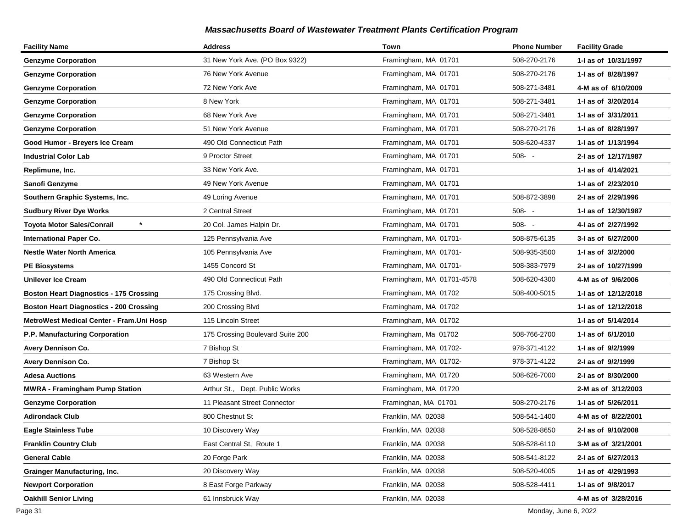| <b>Facility Name</b>                           | <b>Address</b>                   | Town                      | <b>Phone Number</b> | <b>Facility Grade</b> |
|------------------------------------------------|----------------------------------|---------------------------|---------------------|-----------------------|
| <b>Genzyme Corporation</b>                     | 31 New York Ave. (PO Box 9322)   | Framingham, MA 01701      | 508-270-2176        | 1-I as of 10/31/1997  |
| <b>Genzyme Corporation</b>                     | 76 New York Avenue               | Framingham, MA 01701      | 508-270-2176        | 1-I as of 8/28/1997   |
| <b>Genzyme Corporation</b>                     | 72 New York Ave                  | Framingham, MA 01701      | 508-271-3481        | 4-M as of 6/10/2009   |
| <b>Genzyme Corporation</b>                     | 8 New York                       | Framingham, MA 01701      | 508-271-3481        | 1-I as of 3/20/2014   |
| <b>Genzyme Corporation</b>                     | 68 New York Ave                  | Framingham, MA 01701      | 508-271-3481        | 1-I as of 3/31/2011   |
| <b>Genzyme Corporation</b>                     | 51 New York Avenue               | Framingham, MA 01701      | 508-270-2176        | 1-I as of 8/28/1997   |
| Good Humor - Breyers Ice Cream                 | 490 Old Connecticut Path         | Framingham, MA 01701      | 508-620-4337        | 1-I as of 1/13/1994   |
| Industrial Color Lab                           | 9 Proctor Street                 | Framingham, MA 01701      | $508 - -$           | 2-I as of 12/17/1987  |
| Replimune, Inc.                                | 33 New York Ave.                 | Framingham, MA 01701      |                     | 1-I as of 4/14/2021   |
| Sanofi Genzyme                                 | 49 New York Avenue               | Framingham, MA 01701      |                     | 1-1 as of 2/23/2010   |
| Southern Graphic Systems, Inc.                 | 49 Loring Avenue                 | Framingham, MA 01701      | 508-872-3898        | 2-I as of 2/29/1996   |
| <b>Sudbury River Dye Works</b>                 | 2 Central Street                 | Framingham, MA 01701      | $508 - -$           | 1-J as of 12/30/1987  |
| Toyota Motor Sales/Conrail                     | 20 Col. James Halpin Dr.         | Framingham, MA 01701      | $508 - -$           | 4-I as of 2/27/1992   |
| <b>International Paper Co.</b>                 | 125 Pennsylvania Ave             | Framingham, MA 01701-     | 508-875-6135        | 3-I as of 6/27/2000   |
| <b>Nestle Water North America</b>              | 105 Pennsylvania Ave             | Framingham, MA 01701-     | 508-935-3500        | 1-I as of 3/2/2000    |
| <b>PE Biosystems</b>                           | 1455 Concord St                  | Framingham, MA 01701-     | 508-383-7979        | 2-I as of 10/27/1999  |
| <b>Unilever Ice Cream</b>                      | 490 Old Connecticut Path         | Framingham, MA 01701-4578 | 508-620-4300        | 4-M as of 9/6/2006    |
| <b>Boston Heart Diagnostics - 175 Crossing</b> | 175 Crossing Blvd.               | Framingham, MA 01702      | 508-400-5015        | 1- as of 12/12/2018   |
| <b>Boston Heart Diagnostics - 200 Crossing</b> | 200 Crossing Blvd                | Framingham, MA 01702      |                     | 1- as of 12/12/2018   |
| MetroWest Medical Center - Fram. Uni Hosp      | 115 Lincoln Street               | Framingham, MA 01702      |                     | 1-I as of 5/14/2014   |
| P.P. Manufacturing Corporation                 | 175 Crossing Boulevard Suite 200 | Framingham, Ma 01702      | 508-766-2700        | 1-I as of 6/1/2010    |
| Avery Dennison Co.                             | 7 Bishop St                      | Framingham, MA 01702-     | 978-371-4122        | 1-I as of 9/2/1999    |
| <b>Avery Dennison Co.</b>                      | 7 Bishop St                      | Framingham, MA 01702-     | 978-371-4122        | 2-I as of 9/2/1999    |
| <b>Adesa Auctions</b>                          | 63 Western Ave                   | Framingham, MA 01720      | 508-626-7000        | 2-I as of 8/30/2000   |
| <b>MWRA - Framingham Pump Station</b>          | Arthur St., Dept. Public Works   | Framingham, MA 01720      |                     | 2-M as of 3/12/2003   |
| <b>Genzyme Corporation</b>                     | 11 Pleasant Street Connector     | Framinghan, MA 01701      | 508-270-2176        | 1-I as of 5/26/2011   |
| <b>Adirondack Club</b>                         | 800 Chestnut St                  | Franklin, MA 02038        | 508-541-1400        | 4-M as of 8/22/2001   |
| <b>Eagle Stainless Tube</b>                    | 10 Discovery Way                 | Franklin, MA 02038        | 508-528-8650        | 2-I as of 9/10/2008   |
| <b>Franklin Country Club</b>                   | East Central St. Route 1         | Franklin, MA 02038        | 508-528-6110        | 3-M as of 3/21/2001   |
| <b>General Cable</b>                           | 20 Forge Park                    | Franklin, MA 02038        | 508-541-8122        | 2-I as of 6/27/2013   |
| <b>Grainger Manufacturing, Inc.</b>            | 20 Discovery Way                 | Franklin, MA 02038        | 508-520-4005        | 1-I as of 4/29/1993   |
| <b>Newport Corporation</b>                     | 8 East Forge Parkway             | Franklin, MA 02038        | 508-528-4411        | 1-I as of 9/8/2017    |
| <b>Oakhill Senior Living</b>                   | 61 Innsbruck Way                 | Franklin, MA 02038        |                     | 4-M as of 3/28/2016   |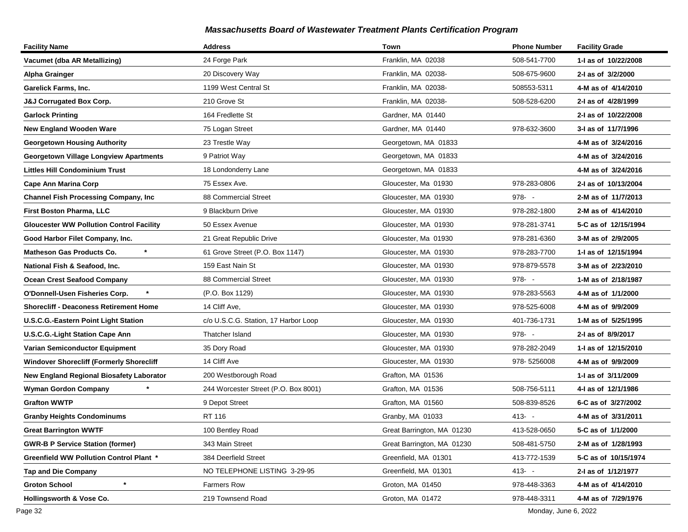| <b>Facility Name</b>                            | <b>Address</b>                       | Town                       | <b>Phone Number</b> | <b>Facility Grade</b> |
|-------------------------------------------------|--------------------------------------|----------------------------|---------------------|-----------------------|
| Vacumet (dba AR Metallizing)                    | 24 Forge Park                        | Franklin, MA 02038         | 508-541-7700        | 1-I as of 10/22/2008  |
| Alpha Grainger                                  | 20 Discovery Way                     | Franklin, MA 02038-        | 508-675-9600        | 2-I as of 3/2/2000    |
| Garelick Farms, Inc.                            | 1199 West Central St                 | Franklin, MA 02038-        | 508553-5311         | 4-M as of 4/14/2010   |
| <b>J&amp;J Corrugated Box Corp.</b>             | 210 Grove St                         | Franklin, MA 02038-        | 508-528-6200        | 2-I as of 4/28/1999   |
| <b>Garlock Printing</b>                         | 164 Fredlette St                     | Gardner, MA 01440          |                     | 2-I as of 10/22/2008  |
| <b>New England Wooden Ware</b>                  | 75 Logan Street                      | Gardner, MA 01440          | 978-632-3600        | 3-I as of 11/7/1996   |
| <b>Georgetown Housing Authority</b>             | 23 Trestle Way                       | Georgetown, MA 01833       |                     | 4-M as of 3/24/2016   |
| <b>Georgetown Village Longview Apartments</b>   | 9 Patriot Way                        | Georgetown, MA 01833       |                     | 4-M as of 3/24/2016   |
| Littles Hill Condominium Trust                  | 18 Londonderry Lane                  | Georgetown, MA 01833       |                     | 4-M as of 3/24/2016   |
| Cape Ann Marina Corp                            | 75 Essex Ave.                        | Gloucester, Ma 01930       | 978-283-0806        | 2-I as of 10/13/2004  |
| <b>Channel Fish Processing Company, Inc</b>     | 88 Commercial Street                 | Gloucester, MA 01930       | $978 - -$           | 2-M as of 11/7/2013   |
| <b>First Boston Pharma, LLC</b>                 | 9 Blackburn Drive                    | Gloucester, MA 01930       | 978-282-1800        | 2-M as of 4/14/2010   |
| <b>Gloucester WW Pollution Control Facility</b> | 50 Essex Avenue                      | Gloucester, MA 01930       | 978-281-3741        | 5-C as of 12/15/1994  |
| Good Harbor Filet Company, Inc.                 | 21 Great Republic Drive              | Gloucester, Ma 01930       | 978-281-6360        | 3-M as of 2/9/2005    |
| $\star$<br>Matheson Gas Products Co.            | 61 Grove Street (P.O. Box 1147)      | Gloucester, MA 01930       | 978-283-7700        | 1-J as of 12/15/1994  |
| National Fish & Seafood, Inc.                   | 159 East Nain St                     | Gloucester, MA 01930       | 978-879-5578        | 3-M as of 2/23/2010   |
| <b>Ocean Crest Seafood Company</b>              | 88 Commercial Street                 | Gloucester, MA 01930       | $978 - -$           | 1-M as of 2/18/1987   |
| O'Donnell-Usen Fisheries Corp.                  | (P.O. Box 1129)                      | Gloucester, MA 01930       | 978-283-5563        | 4-M as of 1/1/2000    |
| <b>Shorecliff - Deaconess Retirement Home</b>   | 14 Cliff Ave,                        | Gloucester, MA 01930       | 978-525-6008        | 4-M as of 9/9/2009    |
| <b>U.S.C.G.-Eastern Point Light Station</b>     | c/o U.S.C.G. Station, 17 Harbor Loop | Gloucester, MA 01930       | 401-736-1731        | 1-M as of 5/25/1995   |
| <b>U.S.C.G.-Light Station Cape Ann</b>          | Thatcher Island                      | Gloucester, MA 01930       | $978 - -$           | 2-I as of 8/9/2017    |
| Varian Semiconductor Equipment                  | 35 Dory Road                         | Gloucester, MA 01930       | 978-282-2049        | 1- as of 12/15/2010   |
| <b>Windover Shorecliff (Formerly Shorecliff</b> | 14 Cliff Ave                         | Gloucester, MA 01930       | 978-5256008         | 4-M as of 9/9/2009    |
| New England Regional Biosafety Laborator        | 200 Westborough Road                 | Grafton, MA 01536          |                     | 1-I as of 3/11/2009   |
| <b>Wyman Gordon Company</b>                     | 244 Worcester Street (P.O. Box 8001) | Grafton, MA 01536          | 508-756-5111        | 4-I as of 12/1/1986   |
| <b>Grafton WWTP</b>                             | 9 Depot Street                       | Grafton, MA 01560          | 508-839-8526        | 6-C as of 3/27/2002   |
| <b>Granby Heights Condominums</b>               | RT 116                               | Granby, MA 01033           | $413 - -$           | 4-M as of 3/31/2011   |
| <b>Great Barrington WWTF</b>                    | 100 Bentley Road                     | Great Barrington, MA 01230 | 413-528-0650        | 5-C as of 1/1/2000    |
| <b>GWR-B P Service Station (former)</b>         | 343 Main Street                      | Great Barrington, MA 01230 | 508-481-5750        | 2-M as of 1/28/1993   |
| <b>Greenfield WW Pollution Control Plant *</b>  | 384 Deerfield Street                 | Greenfield, MA 01301       | 413-772-1539        | 5-C as of 10/15/1974  |
| <b>Tap and Die Company</b>                      | NO TELEPHONE LISTING 3-29-95         | Greenfield, MA 01301       | $413 - 5$           | 2-I as of 1/12/1977   |
| <b>Groton School</b>                            | Farmers Row                          | Groton, MA 01450           | 978-448-3363        | 4-M as of 4/14/2010   |
| Hollingsworth & Vose Co.                        | 219 Townsend Road                    | Groton, MA 01472           | 978-448-3311        | 4-M as of 7/29/1976   |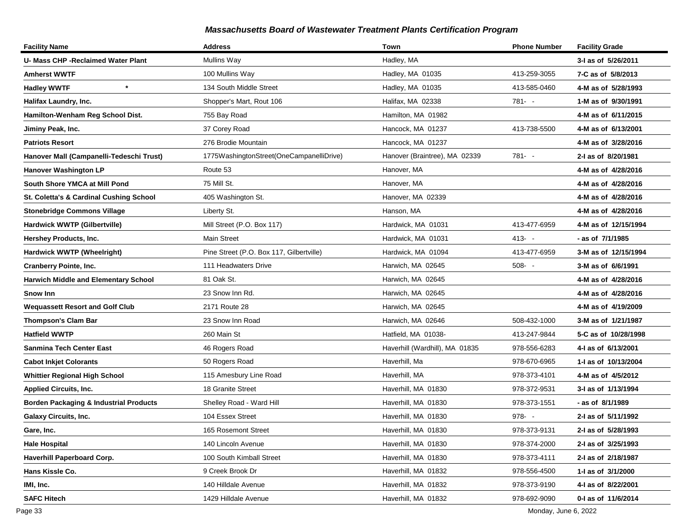| <b>Facility Name</b>                              | <b>Address</b>                           | Town                           | <b>Phone Number</b> | <b>Facility Grade</b> |
|---------------------------------------------------|------------------------------------------|--------------------------------|---------------------|-----------------------|
| U- Mass CHP -Reclaimed Water Plant                | Mullins Way                              | Hadley, MA                     |                     | 3-I as of 5/26/2011   |
| Amherst WWTF                                      | 100 Mullins Way                          | Hadley, MA 01035               | 413-259-3055        | 7-C as of 5/8/2013    |
| $\star$<br><b>Hadley WWTF</b>                     | 134 South Middle Street                  | Hadley, MA 01035               | 413-585-0460        | 4-M as of 5/28/1993   |
| Halifax Laundry, Inc.                             | Shopper's Mart, Rout 106                 | Halifax, MA 02338              | $781 - -$           | 1-M as of 9/30/1991   |
| Hamilton-Wenham Reg School Dist.                  | 755 Bay Road                             | Hamilton, MA 01982             |                     | 4-M as of 6/11/2015   |
| Jiminy Peak, Inc.                                 | 37 Corey Road                            | Hancock, MA 01237              | 413-738-5500        | 4-M as of 6/13/2001   |
| <b>Patriots Resort</b>                            | 276 Brodie Mountain                      | Hancock, MA 01237              |                     | 4-M as of 3/28/2016   |
| Hanover Mall (Campanelli-Tedeschi Trust)          | 1775WashingtonStreet(OneCampanelliDrive) | Hanover (Braintree), MA 02339  | $781 - -$           | 2-I as of 8/20/1981   |
| <b>Hanover Washington LP</b>                      | Route 53                                 | Hanover, MA                    |                     | 4-M as of 4/28/2016   |
| South Shore YMCA at Mill Pond                     | 75 Mill St.                              | Hanover, MA                    |                     | 4-M as of 4/28/2016   |
| St. Coletta's & Cardinal Cushing School           | 405 Washington St.                       | Hanover, MA 02339              |                     | 4-M as of 4/28/2016   |
| <b>Stonebridge Commons Village</b>                | Liberty St.                              | Hanson, MA                     |                     | 4-M as of 4/28/2016   |
| Hardwick WWTP (Gilbertville)                      | Mill Street (P.O. Box 117)               | Hardwick, MA 01031             | 413-477-6959        | 4-M as of 12/15/1994  |
| Hershey Products, Inc.                            | <b>Main Street</b>                       | Hardwick, MA 01031             | $413 - -$           | - as of 7/1/1985      |
| Hardwick WWTP (Wheelright)                        | Pine Street (P.O. Box 117, Gilbertville) | Hardwick, MA 01094             | 413-477-6959        | 3-M as of 12/15/1994  |
| <b>Cranberry Pointe, Inc.</b>                     | 111 Headwaters Drive                     | Harwich, MA 02645              | $508 - -$           | 3-M as of 6/6/1991    |
| <b>Harwich Middle and Elementary School</b>       | 81 Oak St.                               | Harwich, MA 02645              |                     | 4-M as of 4/28/2016   |
| Snow Inn                                          | 23 Snow Inn Rd.                          | Harwich, MA 02645              |                     | 4-M as of 4/28/2016   |
| <b>Wequassett Resort and Golf Club</b>            | 2171 Route 28                            | Harwich, MA 02645              |                     | 4-M as of 4/19/2009   |
| <b>Thompson's Clam Bar</b>                        | 23 Snow Inn Road                         | Harwich, MA 02646              | 508-432-1000        | 3-M as of 1/21/1987   |
| <b>Hatfield WWTP</b>                              | 260 Main St                              | Hatfield, MA 01038-            | 413-247-9844        | 5-C as of 10/28/1998  |
| Sanmina Tech Center East                          | 46 Rogers Road                           | Haverhill (Wardhill), MA 01835 | 978-556-6283        | 4-I as of 6/13/2001   |
| <b>Cabot Inkjet Colorants</b>                     | 50 Rogers Road                           | Haverhill, Ma                  | 978-670-6965        | 1-I as of 10/13/2004  |
| <b>Whittier Regional High School</b>              | 115 Amesbury Line Road                   | Haverhill, MA                  | 978-373-4101        | 4-M as of 4/5/2012    |
| <b>Applied Circuits, Inc.</b>                     | 18 Granite Street                        | Haverhill, MA 01830            | 978-372-9531        | 3-I as of 1/13/1994   |
| <b>Borden Packaging &amp; Industrial Products</b> | Shelley Road - Ward Hill                 | Haverhill, MA 01830            | 978-373-1551        | - as of 8/1/1989      |
| Galaxy Circuits, Inc.                             | 104 Essex Street                         | Haverhill, MA 01830            | $978 - -$           | 2-I as of 5/11/1992   |
| Gare, Inc.                                        | 165 Rosemont Street                      | Haverhill, MA 01830            | 978-373-9131        | 2-I as of 5/28/1993   |
| Hale Hospital                                     | 140 Lincoln Avenue                       | Haverhill, MA 01830            | 978-374-2000        | 2-I as of 3/25/1993   |
| Haverhill Paperboard Corp.                        | 100 South Kimball Street                 | Haverhill, MA 01830            | 978-373-4111        | 2-I as of 2/18/1987   |
| Hans Kissle Co.                                   | 9 Creek Brook Dr                         | Haverhill, MA 01832            | 978-556-4500        | 1-I as of 3/1/2000    |
| IMI, Inc.                                         | 140 Hilldale Avenue                      | Haverhill, MA 01832            | 978-373-9190        | 4-I as of 8/22/2001   |
| <b>SAFC Hitech</b>                                | 1429 Hilldale Avenue                     | Haverhill, MA 01832            | 978-692-9090        | 0-I as of 11/6/2014   |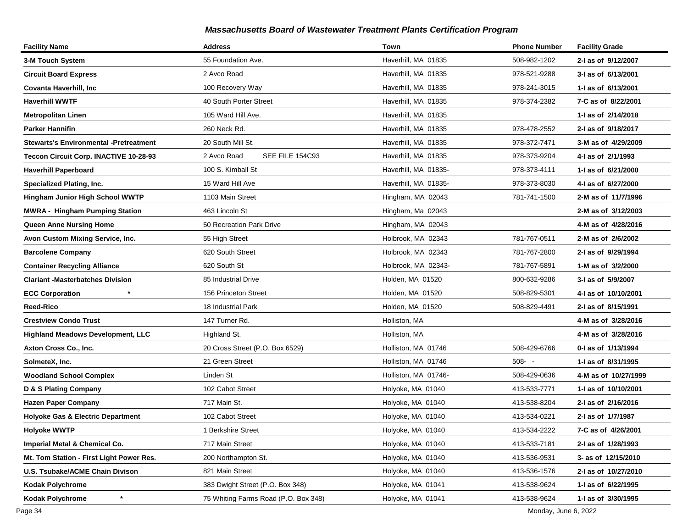| <b>Facility Name</b>                          | <b>Address</b>                       | Town                 | <b>Phone Number</b> | <b>Facility Grade</b> |
|-----------------------------------------------|--------------------------------------|----------------------|---------------------|-----------------------|
| 3-M Touch System                              | 55 Foundation Ave.                   | Haverhill, MA 01835  | 508-982-1202        | 2-I as of 9/12/2007   |
| <b>Circuit Board Express</b>                  | 2 Avco Road                          | Haverhill, MA 01835  | 978-521-9288        | 3-I as of 6/13/2001   |
| <b>Covanta Haverhill, Inc.</b>                | 100 Recovery Way                     | Haverhill, MA 01835  | 978-241-3015        | 1-I as of 6/13/2001   |
| <b>Haverhill WWTF</b>                         | 40 South Porter Street               | Haverhill, MA 01835  | 978-374-2382        | 7-C as of 8/22/2001   |
| <b>Metropolitan Linen</b>                     | 105 Ward Hill Ave.                   | Haverhill, MA 01835  |                     | 1-1 as of 2/14/2018   |
| <b>Parker Hannifin</b>                        | 260 Neck Rd.                         | Haverhill, MA 01835  | 978-478-2552        | 2-I as of 9/18/2017   |
| <b>Stewarts's Environmental -Pretreatment</b> | 20 South Mill St.                    | Haverhill, MA 01835  | 978-372-7471        | 3-M as of 4/29/2009   |
| Teccon Circuit Corp. INACTIVE 10-28-93        | 2 Avco Road<br>SEE FILE 154C93       | Haverhill, MA 01835  | 978-373-9204        | 4-I as of 2/1/1993    |
| <b>Haverhill Paperboard</b>                   | 100 S. Kimball St                    | Haverhill, MA 01835- | 978-373-4111        | 1-1 as of 6/21/2000   |
| <b>Specialized Plating, Inc.</b>              | 15 Ward Hill Ave                     | Haverhill, MA 01835- | 978-373-8030        | 4-1 as of 6/27/2000   |
| <b>Hingham Junior High School WWTP</b>        | 1103 Main Street                     | Hingham, MA 02043    | 781-741-1500        | 2-M as of 11/7/1996   |
| <b>MWRA - Hingham Pumping Station</b>         | 463 Lincoln St                       | Hingham, Ma 02043    |                     | 2-M as of 3/12/2003   |
| <b>Queen Anne Nursing Home</b>                | 50 Recreation Park Drive             | Hingham, MA 02043    |                     | 4-M as of 4/28/2016   |
| Avon Custom Mixing Service, Inc.              | 55 High Street                       | Holbrook, MA 02343   | 781-767-0511        | 2-M as of 2/6/2002    |
| <b>Barcolene Company</b>                      | 620 South Street                     | Holbrook, MA 02343   | 781-767-2800        | 2-I as of 9/29/1994   |
| <b>Container Recycling Alliance</b>           | 620 South St                         | Holbrook, MA 02343-  | 781-767-5891        | 1-M as of 3/2/2000    |
| <b>Clariant -Masterbatches Division</b>       | 85 Industrial Drive                  | Holden, MA 01520     | 800-632-9286        | 3-I as of 5/9/2007    |
| <b>ECC Corporation</b>                        | 156 Princeton Street                 | Holden, MA 01520     | 508-829-5301        | 4-1 as of 10/10/2001  |
| Reed-Rico                                     | 18 Industrial Park                   | Holden, MA 01520     | 508-829-4491        | 2-I as of 8/15/1991   |
| <b>Crestview Condo Trust</b>                  | 147 Turner Rd.                       | Holliston, MA        |                     | 4-M as of 3/28/2016   |
| <b>Highland Meadows Development, LLC</b>      | Highland St.                         | Holliston, MA        |                     | 4-M as of 3/28/2016   |
| Axton Cross Co., Inc.                         | 20 Cross Street (P.O. Box 6529)      | Holliston, MA 01746  | 508-429-6766        | 0-I as of 1/13/1994   |
| SolmeteX, Inc.                                | 21 Green Street                      | Holliston, MA 01746  | $508 - -$           | 1-J as of 8/31/1995   |
| <b>Woodland School Complex</b>                | Linden St                            | Holliston, MA 01746- | 508-429-0636        | 4-M as of 10/27/1999  |
| D & S Plating Company                         | 102 Cabot Street                     | Holyoke, MA 01040    | 413-533-7771        | 1-I as of 10/10/2001  |
| <b>Hazen Paper Company</b>                    | 717 Main St.                         | Holyoke, MA 01040    | 413-538-8204        | 2-I as of 2/16/2016   |
| <b>Holyoke Gas &amp; Electric Department</b>  | 102 Cabot Street                     | Holyoke, MA 01040    | 413-534-0221        | 2-I as of 1/7/1987    |
| <b>Holyoke WWTP</b>                           | 1 Berkshire Street                   | Holyoke, MA 01040    | 413-534-2222        | 7-C as of 4/26/2001   |
| Imperial Metal & Chemical Co.                 | 717 Main Street                      | Holyoke, MA 01040    | 413-533-7181        | 2-1 as of 1/28/1993   |
| Mt. Tom Station - First Light Power Res.      | 200 Northampton St.                  | Holyoke, MA 01040    | 413-536-9531        | 3- as of 12/15/2010   |
| U.S. Tsubake/ACME Chain Divison               | 821 Main Street                      | Holyoke, MA 01040    | 413-536-1576        | 2-I as of 10/27/2010  |
| Kodak Polychrome                              | 383 Dwight Street (P.O. Box 348)     | Holyoke, MA 01041    | 413-538-9624        | 1-I as of 6/22/1995   |
| $\ast$<br><b>Kodak Polychrome</b>             | 75 Whiting Farms Road (P.O. Box 348) | Holyoke, MA 01041    | 413-538-9624        | 1-I as of 3/30/1995   |

Page 34 Monday, June 6, 2022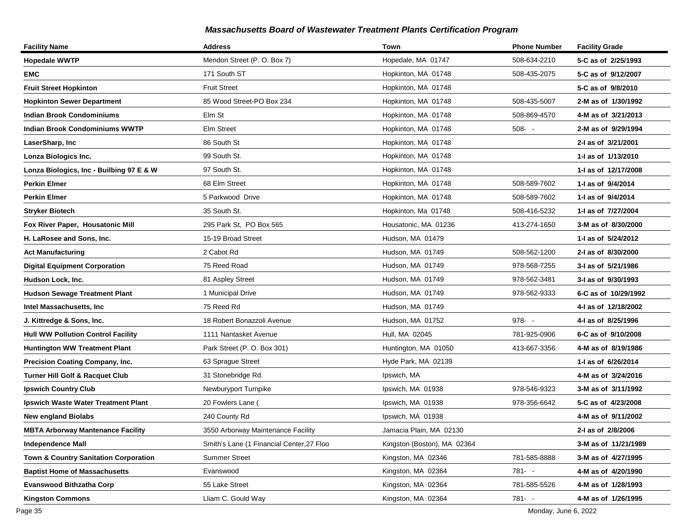| <b>Facility Name</b>                       | <b>Address</b>                            | Town                        | <b>Phone Number</b> | <b>Facility Grade</b> |
|--------------------------------------------|-------------------------------------------|-----------------------------|---------------------|-----------------------|
| <b>Hopedale WWTP</b>                       | Mendon Street (P. O. Box 7)               | Hopedale, MA 01747          | 508-634-2210        | 5-C as of 2/25/1993   |
| <b>EMC</b>                                 | 171 South ST                              | Hopkinton, MA 01748         | 508-435-2075        | 5-C as of 9/12/2007   |
| <b>Fruit Street Hopkinton</b>              | <b>Fruit Street</b>                       | Hopkinton, MA 01748         |                     | 5-C as of 9/8/2010    |
| <b>Hopkinton Sewer Department</b>          | 85 Wood Street-PO Box 234                 | Hopkinton, MA 01748         | 508-435-5007        | 2-M as of 1/30/1992   |
| <b>Indian Brook Condominiums</b>           | Elm St                                    | Hopkinton, MA 01748         | 508-869-4570        | 4-M as of 3/21/2013   |
| <b>Indian Brook Condominiums WWTP</b>      | Elm Street                                | Hopkinton, MA 01748         | $508 - -$           | 2-M as of 9/29/1994   |
| LaserSharp, Inc                            | 86 South St                               | Hopkinton, MA 01748         |                     | 2-I as of 3/21/2001   |
| Lonza Biologics Inc.                       | 99 South St.                              | Hopkinton, MA 01748         |                     | 1-I as of 1/13/2010   |
| Lonza Biologics, Inc - Builbing 97 E & W   | 97 South St.                              | Hopkinton, MA 01748         |                     | 1-I as of 12/17/2008  |
| Perkin Elmer                               | 68 Elm Street                             | Hopkinton, MA 01748         | 508-589-7602        | 1-I as of 9/4/2014    |
| Perkin Elmer                               | 5 Parkwood Drive                          | Hopkinton, MA 01748         | 508-589-7602        | 1-I as of 9/4/2014    |
| <b>Stryker Biotech</b>                     | 35 South St.                              | Hopkinton, Ma 01748         | 508-416-5232        | 1-I as of 7/27/2004   |
| Fox River Paper, Housatonic Mill           | 295 Park St, PO Box 565                   | Housatonic, MA 01236        | 413-274-1650        | 3-M as of 8/30/2000   |
| H. LaRosee and Sons. Inc.                  | 15-19 Broad Street                        | Hudson, MA 01479            |                     | 1-I as of 5/24/2012   |
| <b>Act Manufacturing</b>                   | 2 Cabot Rd                                | Hudson, MA 01749            | 508-562-1200        | 2-I as of 8/30/2000   |
| <b>Digital Equipment Corporation</b>       | 75 Reed Road                              | Hudson, MA 01749            | 978-568-7255        | 3-I as of 5/21/1986   |
| Hudson Lock, Inc.                          | 81 Aspley Street                          | Hudson, MA 01749            | 978-562-3481        | 3-I as of 9/30/1993   |
| <b>Hudson Sewage Treatment Plant</b>       | 1 Municipal Drive                         | Hudson, MA 01749            | 978-562-9333        | 6-C as of 10/29/1992  |
| Intel Massachusetts, Inc                   | 75 Reed Rd                                | Hudson, MA 01749            |                     | 4-I as of 12/18/2002  |
| J. Kittredge & Sons, Inc.                  | 18 Robert Bonazzoli Avenue                | Hudson, MA 01752            | $978 - -$           | 4-I as of 8/25/1996   |
| <b>Hull WW Pollution Control Facility</b>  | 1111 Nantasket Avenue                     | Hull, MA 02045              | 781-925-0906        | 6-C as of 9/10/2008   |
| <b>Huntington WW Treatment Plant</b>       | Park Street (P. O. Box 301)               | Huntington, MA 01050        | 413-667-3356        | 4-M as of 8/19/1986   |
| Precision Coating Company, Inc.            | 63 Sprague Street                         | Hyde Park, MA 02139         |                     | 1-I as of 6/26/2014   |
| <b>Turner Hill Golf &amp; Racquet Club</b> | 31 Stonebridge Rd.                        | Ipswich, MA                 |                     | 4-M as of 3/24/2016   |
| <b>Ipswich Country Club</b>                | Newburyport Turnpike                      | Ipswich, MA 01938           | 978-546-9323        | 3-M as of 3/11/1992   |
| Ipswich Waste Water Treatment Plant        | 20 Fowlers Lane (                         | Ipswich, MA 01938           | 978-356-6642        | 5-C as of 4/23/2008   |
| <b>New england Biolabs</b>                 | 240 County Rd                             | Ipswich, MA 01938           |                     | 4-M as of 9/11/2002   |
| <b>MBTA Arborway Mantenance Facility</b>   | 3550 Arborway Maintenance Facility        | Jamacia Plain, MA 02130     |                     | 2-I as of 2/8/2006    |
| <b>Independence Mall</b>                   | Smith's Lane (1 Financial Center, 27 Floo | Kingston (Boston), MA 02364 |                     | 3-M as of 11/21/1989  |
| Town & Country Sanitation Corporation      | <b>Summer Street</b>                      | Kingston, MA 02346          | 781-585-8888        | 3-M as of 4/27/1995   |
| <b>Baptist Home of Massachusetts</b>       | Evanswood                                 | Kingston, MA 02364          | 781- -              | 4-M as of 4/20/1990   |
| <b>Evanswood Bithzatha Corp</b>            | 55 Lake Street                            | Kingston, MA 02364          | 781-585-5526        | 4-M as of 1/28/1993   |
| <b>Kingston Commons</b>                    | Lliam C. Gould Way                        | Kingston, MA 02364          | 781- -              | 4-M as of 1/26/1995   |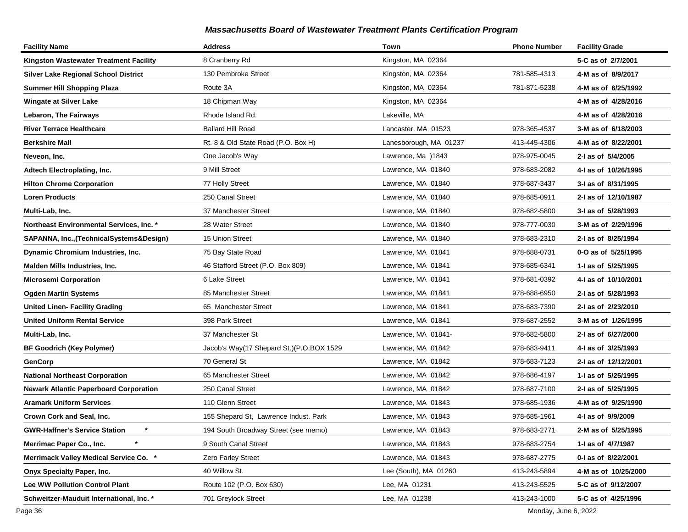| <b>Facility Name</b>                          | <b>Address</b>                           | Town                   | <b>Phone Number</b> | <b>Facility Grade</b> |
|-----------------------------------------------|------------------------------------------|------------------------|---------------------|-----------------------|
| Kingston Wastewater Treatment Facility        | 8 Cranberry Rd                           | Kingston, MA 02364     |                     | 5-C as of 2/7/2001    |
| <b>Silver Lake Regional School District</b>   | 130 Pembroke Street                      | Kingston, MA 02364     | 781-585-4313        | 4-M as of 8/9/2017    |
| <b>Summer Hill Shopping Plaza</b>             | Route 3A                                 | Kingston, MA 02364     | 781-871-5238        | 4-M as of 6/25/1992   |
| <b>Wingate at Silver Lake</b>                 | 18 Chipman Way                           | Kingston, MA 02364     |                     | 4-M as of 4/28/2016   |
| Lebaron, The Fairways                         | Rhode Island Rd.                         | Lakeville, MA          |                     | 4-M as of 4/28/2016   |
| <b>River Terrace Healthcare</b>               | <b>Ballard Hill Road</b>                 | Lancaster, MA 01523    | 978-365-4537        | 3-M as of 6/18/2003   |
| <b>Berkshire Mall</b>                         | Rt. 8 & Old State Road (P.O. Box H)      | Lanesborough, MA 01237 | 413-445-4306        | 4-M as of 8/22/2001   |
| Neveon, Inc.                                  | One Jacob's Way                          | Lawrence, Ma )1843     | 978-975-0045        | 2-I as of 5/4/2005    |
| Adtech Electroplating, Inc.                   | 9 Mill Street                            | Lawrence, MA 01840     | 978-683-2082        | 4-I as of 10/26/1995  |
| <b>Hilton Chrome Corporation</b>              | 77 Holly Street                          | Lawrence, MA 01840     | 978-687-3437        | 3-I as of 8/31/1995   |
| <b>Loren Products</b>                         | 250 Canal Street                         | Lawrence, MA 01840     | 978-685-0911        | 2-I as of 12/10/1987  |
| Multi-Lab, Inc.                               | 37 Manchester Street                     | Lawrence, MA 01840     | 978-682-5800        | 3-I as of 5/28/1993   |
| Northeast Environmental Services, Inc. *      | 28 Water Street                          | Lawrence, MA 01840     | 978-777-0030        | 3-M as of 2/29/1996   |
| SAPANNA, Inc., (TechnicalSystems&Design)      | 15 Union Street                          | Lawrence, MA 01840     | 978-683-2310        | 2-I as of 8/25/1994   |
| Dynamic Chromium Industries, Inc.             | 75 Bay State Road                        | Lawrence, MA 01841     | 978-688-0731        | 0-O as of 5/25/1995   |
| Malden Mills Industries, Inc.                 | 46 Stafford Street (P.O. Box 809)        | Lawrence, MA 01841     | 978-685-6341        | 1-I as of 5/25/1995   |
| <b>Microsemi Corporation</b>                  | 6 Lake Street                            | Lawrence, MA 01841     | 978-681-0392        | 4-I as of 10/10/2001  |
| <b>Ogden Martin Systems</b>                   | 85 Manchester Street                     | Lawrence, MA 01841     | 978-688-6950        | 2-I as of 5/28/1993   |
| <b>United Linen- Facility Grading</b>         | 65 Manchester Street                     | Lawrence, MA 01841     | 978-683-7390        | 2-I as of 2/23/2010   |
| <b>United Uniform Rental Service</b>          | 398 Park Street                          | Lawrence, MA 01841     | 978-687-2552        | 3-M as of 1/26/1995   |
| Multi-Lab, Inc.                               | 37 Manchester St                         | Lawrence, MA 01841-    | 978-682-5800        | 2-I as of 6/27/2000   |
| <b>BF Goodrich (Key Polymer)</b>              | Jacob's Way(17 Shepard St.)(P.O.BOX 1529 | Lawrence, MA 01842     | 978-683-9411        | 4-I as of 3/25/1993   |
| GenCorp                                       | 70 General St                            | Lawrence, MA 01842     | 978-683-7123        | 2-I as of 12/12/2001  |
| <b>National Northeast Corporation</b>         | 65 Manchester Street                     | Lawrence, MA 01842     | 978-686-4197        | 1-I as of 5/25/1995   |
| <b>Newark Atlantic Paperboard Corporation</b> | 250 Canal Street                         | Lawrence, MA 01842     | 978-687-7100        | 2-I as of 5/25/1995   |
| <b>Aramark Uniform Services</b>               | 110 Glenn Street                         | Lawrence, MA 01843     | 978-685-1936        | 4-M as of 9/25/1990   |
| Crown Cork and Seal, Inc.                     | 155 Shepard St, Lawrence Indust. Park    | Lawrence, MA 01843     | 978-685-1961        | 4-I as of 9/9/2009    |
| <b>GWR-Haffner's Service Station</b>          | 194 South Broadway Street (see memo)     | Lawrence, MA 01843     | 978-683-2771        | 2-M as of 5/25/1995   |
| Merrimac Paper Co., Inc.                      | 9 South Canal Street                     | Lawrence, MA 01843     | 978-683-2754        | 1-I as of 4/7/1987    |
| <b>Merrimack Valley Medical Service Co. *</b> | <b>Zero Farley Street</b>                | Lawrence, MA 01843     | 978-687-2775        | 0-1 as of 8/22/2001   |
| <b>Onyx Specialty Paper, Inc.</b>             | 40 Willow St.                            | Lee (South), MA 01260  | 413-243-5894        | 4-M as of 10/25/2000  |
| <b>Lee WW Pollution Control Plant</b>         | Route 102 (P.O. Box 630)                 | Lee, MA 01231          | 413-243-5525        | 5-C as of 9/12/2007   |
| Schweitzer-Mauduit International, Inc. *      | 701 Greylock Street                      | Lee, MA 01238          | 413-243-1000        | 5-C as of 4/25/1996   |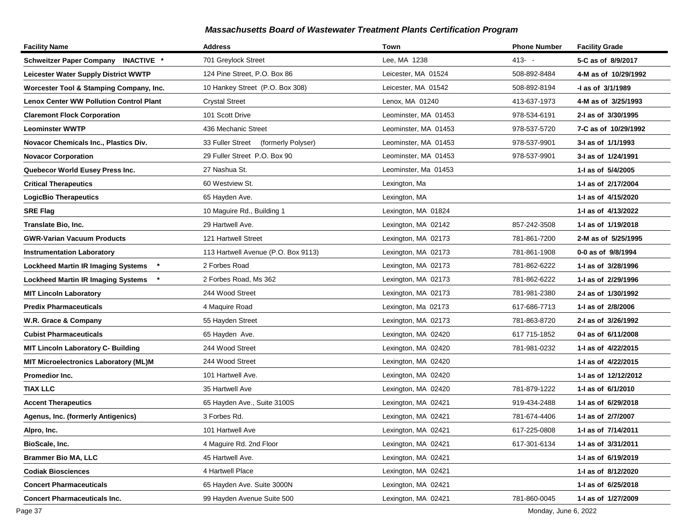| <b>Facility Name</b>                           | <b>Address</b>                         | Town                 | <b>Phone Number</b> | <b>Facility Grade</b> |
|------------------------------------------------|----------------------------------------|----------------------|---------------------|-----------------------|
| Schweitzer Paper Company INACTIVE *            | 701 Greylock Street                    | Lee, MA 1238         | $413 - -$           | 5-C as of 8/9/2017    |
| <b>Leicester Water Supply District WWTP</b>    | 124 Pine Street, P.O. Box 86           | Leicester, MA 01524  | 508-892-8484        | 4-M as of 10/29/1992  |
| Worcester Tool & Stamping Company, Inc.        | 10 Hankey Street (P.O. Box 308)        | Leicester, MA 01542  | 508-892-8194        | -I as of 3/1/1989     |
| <b>Lenox Center WW Pollution Control Plant</b> | <b>Crystal Street</b>                  | Lenox, MA 01240      | 413-637-1973        | 4-M as of 3/25/1993   |
| <b>Claremont Flock Corporation</b>             | 101 Scott Drive                        | Leominster, MA 01453 | 978-534-6191        | 2-I as of 3/30/1995   |
| <b>Leominster WWTP</b>                         | 436 Mechanic Street                    | Leominster, MA 01453 | 978-537-5720        | 7-C as of 10/29/1992  |
| Novacor Chemicals Inc., Plastics Div.          | 33 Fuller Street<br>(formerly Polyser) | Leominster, MA 01453 | 978-537-9901        | 3-I as of 1/1/1993    |
| <b>Novacor Corporation</b>                     | 29 Fuller Street P.O. Box 90           | Leominster, MA 01453 | 978-537-9901        | 3-I as of 1/24/1991   |
| Quebecor World Eusey Press Inc.                | 27 Nashua St.                          | Leominster, Ma 01453 |                     | 1-I as of 5/4/2005    |
| <b>Critical Therapeutics</b>                   | 60 Westview St.                        | Lexington, Ma        |                     | 1-I as of 2/17/2004   |
| <b>LogicBio Therapeutics</b>                   | 65 Hayden Ave.                         | Lexington, MA        |                     | 1-1 as of 4/15/2020   |
| <b>SRE Flag</b>                                | 10 Maguire Rd., Building 1             | Lexington, MA 01824  |                     | 1-I as of 4/13/2022   |
| Translate Bio, Inc.                            | 29 Hartwell Ave.                       | Lexington, MA 02142  | 857-242-3508        | 1-1 as of 1/19/2018   |
| <b>GWR-Varian Vacuum Products</b>              | 121 Hartwell Street                    | Lexington, MA 02173  | 781-861-7200        | 2-M as of 5/25/1995   |
| <b>Instrumentation Laboratory</b>              | 113 Hartwell Avenue (P.O. Box 9113)    | Lexington, MA 02173  | 781-861-1908        | 0-0 as of 9/8/1994    |
| <b>Lockheed Martin IR Imaging Systems</b>      | 2 Forbes Road                          | Lexington, MA 02173  | 781-862-6222        | 1-I as of 3/28/1996   |
| <b>Lockheed Martin IR Imaging Systems</b>      | 2 Forbes Road, Ms 362                  | Lexington, MA 02173  | 781-862-6222        | 1-I as of 2/29/1996   |
| <b>MIT Lincoln Laboratory</b>                  | 244 Wood Street                        | Lexington, MA 02173  | 781-981-2380        | 2-I as of 1/30/1992   |
| <b>Predix Pharmaceuticals</b>                  | 4 Maquire Road                         | Lexington, Ma 02173  | 617-686-7713        | 1-I as of 2/8/2006    |
| W.R. Grace & Company                           | 55 Hayden Street                       | Lexington, MA 02173  | 781-863-8720        | 2-I as of 3/26/1992   |
| <b>Cubist Pharmaceuticals</b>                  | 65 Hayden Ave.                         | Lexington, MA 02420  | 617 715-1852        | 0-1 as of 6/11/2008   |
| <b>MIT Lincoln Laboratory C- Building</b>      | 244 Wood Street                        | Lexington, MA 02420  | 781-981-0232        | 1-1 as of 4/22/2015   |
| <b>MIT Microelectronics Laboratory (ML)M</b>   | 244 Wood Street                        | Lexington, MA 02420  |                     | 1-I as of 4/22/2015   |
| <b>Promedior Inc.</b>                          | 101 Hartwell Ave.                      | Lexington, MA 02420  |                     | 1- as of 12/12/2012   |
| <b>TIAX LLC</b>                                | 35 Hartwell Ave                        | Lexington, MA 02420  | 781-879-1222        | 1-I as of 6/1/2010    |
| <b>Accent Therapeutics</b>                     | 65 Hayden Ave., Suite 3100S            | Lexington, MA 02421  | 919-434-2488        | 1-I as of 6/29/2018   |
| Agenus, Inc. (formerly Antigenics)             | 3 Forbes Rd.                           | Lexington, MA 02421  | 781-674-4406        | 1-I as of 2/7/2007    |
| Alpro, Inc.                                    | 101 Hartwell Ave                       | Lexington, MA 02421  | 617-225-0808        | 1-I as of 7/14/2011   |
| BioScale, Inc.                                 | 4 Maguire Rd. 2nd Floor                | Lexington, MA 02421  | 617-301-6134        | 1-1 as of 3/31/2011   |
| <b>Brammer Bio MA, LLC</b>                     | 45 Hartwell Ave.                       | Lexington, MA 02421  |                     | 1- as of 6/19/2019    |
| <b>Codiak Biosciences</b>                      | 4 Hartwell Place                       | Lexington, MA 02421  |                     | 1-I as of 8/12/2020   |
| <b>Concert Pharmaceuticals</b>                 | 65 Hayden Ave. Suite 3000N             | Lexington, MA 02421  |                     | 1-I as of 6/25/2018   |
| <b>Concert Pharmaceuticals Inc.</b>            | 99 Hayden Avenue Suite 500             | Lexington, MA 02421  | 781-860-0045        | 1-I as of 1/27/2009   |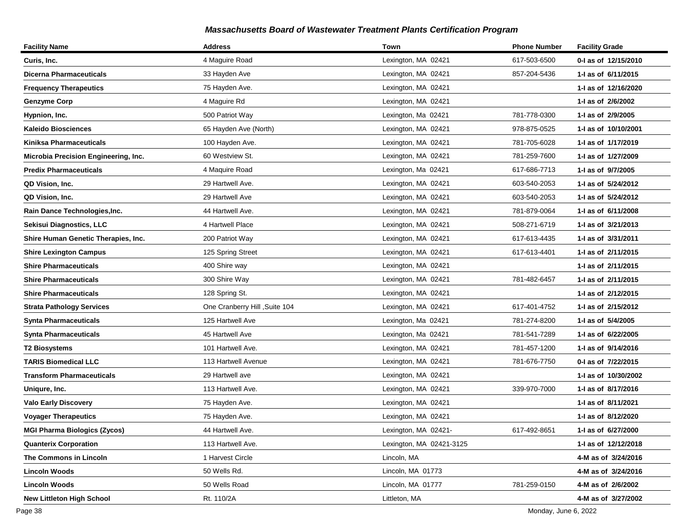| <b>Facility Name</b>                 | <b>Address</b>                 | Town                     | <b>Phone Number</b> | <b>Facility Grade</b> |
|--------------------------------------|--------------------------------|--------------------------|---------------------|-----------------------|
| Curis, Inc.                          | 4 Maguire Road                 | Lexington, MA 02421      | 617-503-6500        | 0-I as of 12/15/2010  |
| <b>Dicerna Pharmaceuticals</b>       | 33 Hayden Ave                  | Lexington, MA 02421      | 857-204-5436        | 1-1 as of 6/11/2015   |
| <b>Frequency Therapeutics</b>        | 75 Hayden Ave.                 | Lexington, MA 02421      |                     | 1-I as of 12/16/2020  |
| <b>Genzyme Corp</b>                  | 4 Maguire Rd                   | Lexington, MA 02421      |                     | 1-I as of 2/6/2002    |
| Hypnion, Inc.                        | 500 Patriot Way                | Lexington, Ma 02421      | 781-778-0300        | 1-I as of 2/9/2005    |
| <b>Kaleido Biosciences</b>           | 65 Hayden Ave (North)          | Lexington, MA 02421      | 978-875-0525        | 1-I as of 10/10/2001  |
| Kiniksa Pharmaceuticals              | 100 Hayden Ave.                | Lexington, MA 02421      | 781-705-6028        | 1-I as of 1/17/2019   |
| Microbia Precision Engineering, Inc. | 60 Westview St.                | Lexington, MA 02421      | 781-259-7600        | 1-I as of 1/27/2009   |
| <b>Predix Pharmaceuticals</b>        | 4 Maquire Road                 | Lexington, Ma 02421      | 617-686-7713        | 1-I as of 9/7/2005    |
| QD Vision, Inc.                      | 29 Hartwell Ave.               | Lexington, MA 02421      | 603-540-2053        | 1-I as of 5/24/2012   |
| QD Vision, Inc.                      | 29 Hartwell Ave                | Lexington, MA 02421      | 603-540-2053        | 1-I as of 5/24/2012   |
| Rain Dance Technologies, Inc.        | 44 Hartwell Ave.               | Lexington, MA 02421      | 781-879-0064        | 1-I as of 6/11/2008   |
| Sekisui Diagnostics, LLC             | 4 Hartwell Place               | Lexington, MA 02421      | 508-271-6719        | 1-I as of 3/21/2013   |
| Shire Human Genetic Therapies, Inc.  | 200 Patriot Way                | Lexington, MA 02421      | 617-613-4435        | 1-I as of 3/31/2011   |
| <b>Shire Lexington Campus</b>        | 125 Spring Street              | Lexington, MA 02421      | 617-613-4401        | 1-I as of 2/11/2015   |
| <b>Shire Pharmaceuticals</b>         | 400 Shire way                  | Lexington, MA 02421      |                     | 1-I as of 2/11/2015   |
| <b>Shire Pharmaceuticals</b>         | 300 Shire Way                  | Lexington, MA 02421      | 781-482-6457        | 1-I as of 2/11/2015   |
| <b>Shire Pharmaceuticals</b>         | 128 Spring St.                 | Lexington, MA 02421      |                     | 1-1 as of 2/12/2015   |
| <b>Strata Pathology Services</b>     | One Cranberry Hill , Suite 104 | Lexington, MA 02421      | 617-401-4752        | 1-I as of 2/15/2012   |
| <b>Synta Pharmaceuticals</b>         | 125 Hartwell Ave               | Lexington, Ma 02421      | 781-274-8200        | 1-I as of 5/4/2005    |
| <b>Synta Pharmaceuticals</b>         | 45 Hartwell Ave                | Lexington, Ma 02421      | 781-541-7289        | 1-I as of 6/22/2005   |
| <b>T2 Biosystems</b>                 | 101 Hartwell Ave.              | Lexington, MA 02421      | 781-457-1200        | 1-I as of 9/14/2016   |
| <b>TARIS Biomedical LLC</b>          | 113 Hartwell Avenue            | Lexington, MA 02421      | 781-676-7750        | 0-I as of 7/22/2015   |
| <b>Transform Pharmaceuticals</b>     | 29 Hartwell ave                | Lexington, MA 02421      |                     | 1-I as of 10/30/2002  |
| Uniqure, Inc.                        | 113 Hartwell Ave.              | Lexington, MA 02421      | 339-970-7000        | 1-I as of 8/17/2016   |
| <b>Valo Early Discovery</b>          | 75 Hayden Ave.                 | Lexington, MA 02421      |                     | 1-I as of 8/11/2021   |
| <b>Voyager Therapeutics</b>          | 75 Hayden Ave.                 | Lexington, MA 02421      |                     | 1-I as of 8/12/2020   |
| <b>MGI Pharma Biologics (Zycos)</b>  | 44 Hartwell Ave.               | Lexington, MA 02421-     | 617-492-8651        | 1-I as of 6/27/2000   |
| <b>Quanterix Corporation</b>         | 113 Hartwell Ave.              | Lexington, MA 02421-3125 |                     | 1-I as of 12/12/2018  |
| The Commons in Lincoln               | 1 Harvest Circle               | Lincoln, MA              |                     | 4-M as of 3/24/2016   |
| <b>Lincoln Woods</b>                 | 50 Wells Rd.                   | Lincoln, MA 01773        |                     | 4-M as of 3/24/2016   |
| <b>Lincoln Woods</b>                 | 50 Wells Road                  | Lincoln, MA 01777        | 781-259-0150        | 4-M as of 2/6/2002    |
| <b>New Littleton High School</b>     | Rt. 110/2A                     | Littleton, MA            |                     | 4-M as of 3/27/2002   |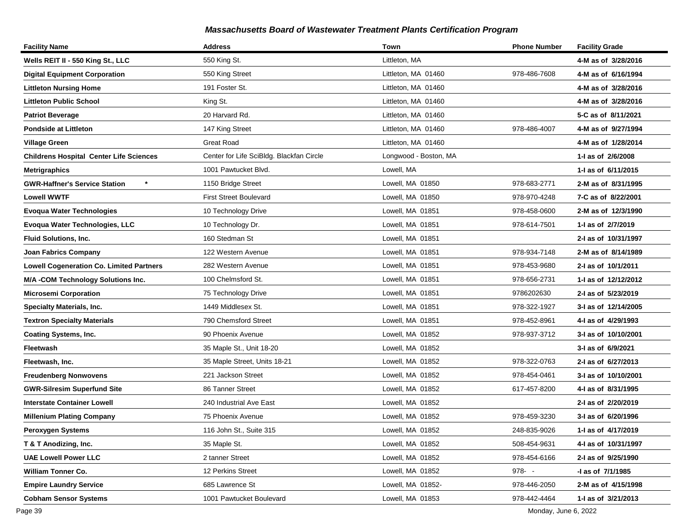| <b>Facility Name</b>                            | <b>Address</b>                           | Town                  | <b>Phone Number</b> | <b>Facility Grade</b> |
|-------------------------------------------------|------------------------------------------|-----------------------|---------------------|-----------------------|
| Wells REIT II - 550 King St., LLC               | 550 King St.                             | Littleton, MA         |                     | 4-M as of 3/28/2016   |
| <b>Digital Equipment Corporation</b>            | 550 King Street                          | Littleton, MA 01460   | 978-486-7608        | 4-M as of 6/16/1994   |
| <b>Littleton Nursing Home</b>                   | 191 Foster St.                           | Littleton, MA 01460   |                     | 4-M as of 3/28/2016   |
| <b>Littleton Public School</b>                  | King St.                                 | Littleton, MA 01460   |                     | 4-M as of 3/28/2016   |
| <b>Patriot Beverage</b>                         | 20 Harvard Rd.                           | Littleton, MA 01460   |                     | 5-C as of 8/11/2021   |
| <b>Pondside at Littleton</b>                    | 147 King Street                          | Littleton, MA 01460   | 978-486-4007        | 4-M as of 9/27/1994   |
| <b>Village Green</b>                            | <b>Great Road</b>                        | Littleton, MA 01460   |                     | 4-M as of 1/28/2014   |
| <b>Childrens Hospital Center Life Sciences</b>  | Center for Life SciBldg. Blackfan Circle | Longwood - Boston, MA |                     | 1-I as of 2/6/2008    |
| <b>Metrigraphics</b>                            | 1001 Pawtucket Blvd.                     | Lowell, MA            |                     | 1-I as of 6/11/2015   |
| <b>GWR-Haffner's Service Station</b>            | 1150 Bridge Street                       | Lowell, MA 01850      | 978-683-2771        | 2-M as of 8/31/1995   |
| <b>Lowell WWTF</b>                              | <b>First Street Boulevard</b>            | Lowell, MA 01850      | 978-970-4248        | 7-C as of 8/22/2001   |
| <b>Evoqua Water Technologies</b>                | 10 Technology Drive                      | Lowell, MA 01851      | 978-458-0600        | 2-M as of 12/3/1990   |
| Evoqua Water Technologies, LLC                  | 10 Technology Dr.                        | Lowell, MA 01851      | 978-614-7501        | 1-I as of 2/7/2019    |
| <b>Fluid Solutions, Inc.</b>                    | 160 Stedman St                           | Lowell, MA 01851      |                     | 2-I as of 10/31/1997  |
| Joan Fabrics Company                            | 122 Western Avenue                       | Lowell, MA 01851      | 978-934-7148        | 2-M as of 8/14/1989   |
| <b>Lowell Cogeneration Co. Limited Partners</b> | 282 Western Avenue                       | Lowell, MA 01851      | 978-453-9680        | 2-I as of 10/1/2011   |
| M/A -COM Technology Solutions Inc.              | 100 Chelmsford St.                       | Lowell, MA 01851      | 978-656-2731        | 1-I as of 12/12/2012  |
| <b>Microsemi Corporation</b>                    | 75 Technology Drive                      | Lowell, MA 01851      | 9786202630          | 2-I as of 5/23/2019   |
| <b>Specialty Materials, Inc.</b>                | 1449 Middlesex St.                       | Lowell, MA 01851      | 978-322-1927        | 3-I as of 12/14/2005  |
| <b>Textron Specialty Materials</b>              | 790 Chemsford Street                     | Lowell, MA 01851      | 978-452-8961        | 4-I as of 4/29/1993   |
| <b>Coating Systems, Inc.</b>                    | 90 Phoenix Avenue                        | Lowell, MA 01852      | 978-937-3712        | 3-I as of 10/10/2001  |
| Fleetwash                                       | 35 Maple St., Unit 18-20                 | Lowell, MA 01852      |                     | 3-I as of 6/9/2021    |
| Fleetwash, Inc.                                 | 35 Maple Street, Units 18-21             | Lowell, MA 01852      | 978-322-0763        | 2-I as of 6/27/2013   |
| <b>Freudenberg Nonwovens</b>                    | 221 Jackson Street                       | Lowell, MA 01852      | 978-454-0461        | 3-I as of 10/10/2001  |
| <b>GWR-Silresim Superfund Site</b>              | 86 Tanner Street                         | Lowell, MA 01852      | 617-457-8200        | 4-I as of 8/31/1995   |
| <b>Interstate Container Lowell</b>              | 240 Industrial Ave East                  | Lowell, MA 01852      |                     | 2-I as of 2/20/2019   |
| <b>Millenium Plating Company</b>                | 75 Phoenix Avenue                        | Lowell, MA 01852      | 978-459-3230        | 3-I as of 6/20/1996   |
| Peroxygen Systems                               | 116 John St., Suite 315                  | Lowell, MA 01852      | 248-835-9026        | 1-I as of 4/17/2019   |
| T & T Anodizing, Inc.                           | 35 Maple St.                             | Lowell, MA 01852      | 508-454-9631        | 4-I as of 10/31/1997  |
| <b>UAE Lowell Power LLC</b>                     | 2 tanner Street                          | Lowell, MA 01852      | 978-454-6166        | 2-I as of 9/25/1990   |
| William Tonner Co.                              | 12 Perkins Street                        | Lowell, MA 01852      | $978 - -$           | -I as of 7/1/1985     |
| <b>Empire Laundry Service</b>                   | 685 Lawrence St                          | Lowell, MA 01852-     | 978-446-2050        | 2-M as of 4/15/1998   |
| <b>Cobham Sensor Systems</b>                    | 1001 Pawtucket Boulevard                 | Lowell, MA 01853      | 978-442-4464        | 1-I as of 3/21/2013   |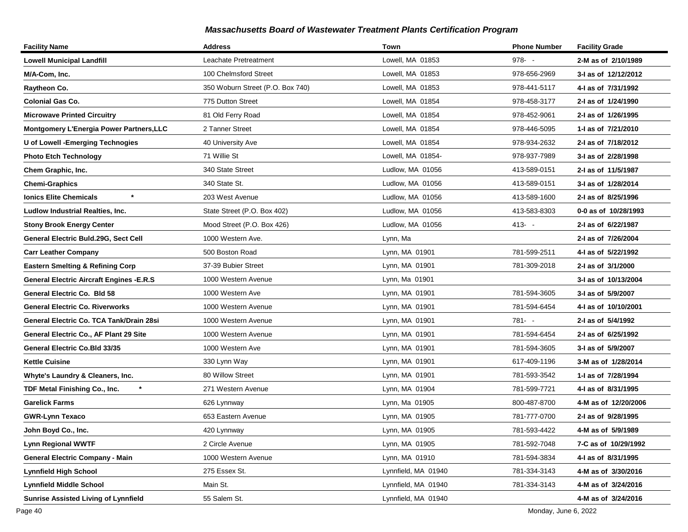| <b>Facility Name</b>                             | <b>Address</b>                   | Town                | <b>Phone Number</b> | <b>Facility Grade</b> |
|--------------------------------------------------|----------------------------------|---------------------|---------------------|-----------------------|
| <b>Lowell Municipal Landfill</b>                 | Leachate Pretreatment            | Lowell, MA 01853    | $978 - -$           | 2-M as of 2/10/1989   |
| M/A-Com, Inc.                                    | 100 Chelmsford Street            | Lowell, MA 01853    | 978-656-2969        | 3-I as of 12/12/2012  |
| Raytheon Co.                                     | 350 Woburn Street (P.O. Box 740) | Lowell, MA 01853    | 978-441-5117        | 4-I as of 7/31/1992   |
| <b>Colonial Gas Co.</b>                          | 775 Dutton Street                | Lowell, MA 01854    | 978-458-3177        | 2-I as of 1/24/1990   |
| <b>Microwave Printed Circuitry</b>               | 81 Old Ferry Road                | Lowell, MA 01854    | 978-452-9061        | 2-I as of 1/26/1995   |
| Montgomery L'Energia Power Partners, LLC         | 2 Tanner Street                  | Lowell, MA 01854    | 978-446-5095        | 1-I as of 7/21/2010   |
| U of Lowell - Emerging Technogies                | 40 University Ave                | Lowell, MA 01854    | 978-934-2632        | 2-I as of 7/18/2012   |
| <b>Photo Etch Technology</b>                     | 71 Willie St                     | Lowell, MA 01854-   | 978-937-7989        | 3-I as of 2/28/1998   |
| Chem Graphic, Inc.                               | 340 State Street                 | Ludlow, MA 01056    | 413-589-0151        | 2-I as of 11/5/1987   |
| <b>Chemi-Graphics</b>                            | 340 State St.                    | Ludlow, MA 01056    | 413-589-0151        | 3-I as of 1/28/2014   |
| $\star$<br>Ionics Elite Chemicals                | 203 West Avenue                  | Ludlow, MA 01056    | 413-589-1600        | 2-I as of 8/25/1996   |
| Ludlow Industrial Realties, Inc.                 | State Street (P.O. Box 402)      | Ludlow, MA 01056    | 413-583-8303        | 0-0 as of 10/28/1993  |
| Stony Brook Energy Center                        | Mood Street (P.O. Box 426)       | Ludlow, MA 01056    | $413 - -$           | 2-I as of 6/22/1987   |
| General Electric Buld.29G, Sect Cell             | 1000 Western Ave.                | Lynn, Ma            |                     | 2-I as of 7/26/2004   |
| <b>Carr Leather Company</b>                      | 500 Boston Road                  | Lynn, MA 01901      | 781-599-2511        | 4-I as of 5/22/1992   |
| <b>Eastern Smelting &amp; Refining Corp</b>      | 37-39 Bubier Street              | Lynn, MA 01901      | 781-309-2018        | 2-I as of 3/1/2000    |
| <b>General Electric Aircraft Engines - E.R.S</b> | 1000 Western Avenue              | Lynn, Ma 01901      |                     | 3-I as of 10/13/2004  |
| General Electric Co. Bld 58                      | 1000 Western Ave                 | Lynn, MA 01901      | 781-594-3605        | 3-I as of 5/9/2007    |
| General Electric Co. Riverworks                  | 1000 Western Avenue              | Lynn, MA 01901      | 781-594-6454        | 4-I as of 10/10/2001  |
| General Electric Co. TCA Tank/Drain 28si         | 1000 Western Avenue              | Lynn, MA 01901      | $781 - -$           | 2-I as of 5/4/1992    |
| General Electric Co., AF Plant 29 Site           | 1000 Western Avenue              | Lynn, MA 01901      | 781-594-6454        | 2-I as of 6/25/1992   |
| General Electric Co.Bld 33/35                    | 1000 Western Ave                 | Lynn, MA 01901      | 781-594-3605        | 3-I as of 5/9/2007    |
| <b>Kettle Cuisine</b>                            | 330 Lynn Way                     | Lynn, MA 01901      | 617-409-1196        | 3-M as of 1/28/2014   |
| Whyte's Laundry & Cleaners, Inc.                 | 80 Willow Street                 | Lynn, MA 01901      | 781-593-3542        | 1-I as of 7/28/1994   |
| $\star$<br>TDF Metal Finishing Co., Inc.         | 271 Western Avenue               | Lynn, MA 01904      | 781-599-7721        | 4-I as of 8/31/1995   |
| Garelick Farms                                   | 626 Lynnway                      | Lynn, Ma 01905      | 800-487-8700        | 4-M as of 12/20/2006  |
| <b>GWR-Lynn Texaco</b>                           | 653 Eastern Avenue               | Lynn, MA 01905      | 781-777-0700        | 2-I as of 9/28/1995   |
| John Boyd Co., Inc.                              | 420 Lynnway                      | Lynn, MA 01905      | 781-593-4422        | 4-M as of 5/9/1989    |
| <b>Lynn Regional WWTF</b>                        | 2 Circle Avenue                  | Lynn, MA 01905      | 781-592-7048        | 7-C as of 10/29/1992  |
| <b>General Electric Company - Main</b>           | 1000 Western Avenue              | Lynn, MA 01910      | 781-594-3834        | 4-I as of 8/31/1995   |
| <b>Lynnfield High School</b>                     | 275 Essex St.                    | Lynnfield, MA 01940 | 781-334-3143        | 4-M as of 3/30/2016   |
| <b>Lynnfield Middle School</b>                   | Main St.                         | Lynnfield, MA 01940 | 781-334-3143        | 4-M as of 3/24/2016   |
| <b>Sunrise Assisted Living of Lynnfield</b>      | 55 Salem St.                     | Lynnfield, MA 01940 |                     | 4-M as of 3/24/2016   |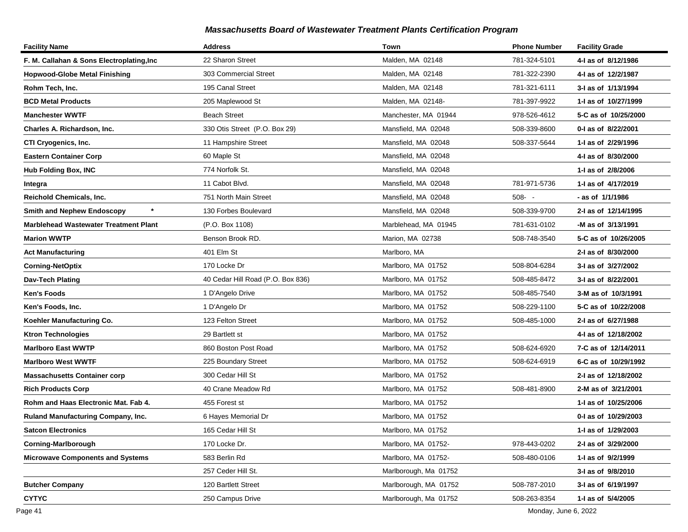| <b>Facility Name</b>                         | <b>Address</b>                    | Town                  | <b>Phone Number</b> | <b>Facility Grade</b> |
|----------------------------------------------|-----------------------------------|-----------------------|---------------------|-----------------------|
| F. M. Callahan & Sons Electroplating, Inc    | 22 Sharon Street                  | Malden, MA 02148      | 781-324-5101        | 4-I as of 8/12/1986   |
| Hopwood-Globe Metal Finishing                | 303 Commercial Street             | Malden, MA 02148      | 781-322-2390        | 4-I as of 12/2/1987   |
| Rohm Tech, Inc.                              | 195 Canal Street                  | Malden, MA 02148      | 781-321-6111        | 3-I as of 1/13/1994   |
| <b>BCD Metal Products</b>                    | 205 Maplewood St                  | Malden, MA 02148-     | 781-397-9922        | 1-I as of 10/27/1999  |
| <b>Manchester WWTF</b>                       | <b>Beach Street</b>               | Manchester, MA 01944  | 978-526-4612        | 5-C as of 10/25/2000  |
| Charles A. Richardson, Inc.                  | 330 Otis Street (P.O. Box 29)     | Mansfield, MA 02048   | 508-339-8600        | 0-I as of 8/22/2001   |
| CTI Cryogenics, Inc.                         | 11 Hampshire Street               | Mansfield, MA 02048   | 508-337-5644        | 1-I as of 2/29/1996   |
| <b>Eastern Container Corp</b>                | 60 Maple St                       | Mansfield, MA 02048   |                     | 4-I as of 8/30/2000   |
| Hub Folding Box, INC                         | 774 Norfolk St.                   | Mansfield, MA 02048   |                     | 1-I as of 2/8/2006    |
| Integra                                      | 11 Cabot Blvd.                    | Mansfield, MA 02048   | 781-971-5736        | 1-I as of 4/17/2019   |
| Reichold Chemicals, Inc.                     | 751 North Main Street             | Mansfield, MA 02048   | $508 - -$           | - as of 1/1/1986      |
| $\star$<br><b>Smith and Nephew Endoscopy</b> | 130 Forbes Boulevard              | Mansfield, MA 02048   | 508-339-9700        | 2-I as of 12/14/1995  |
| Marblehead Wastewater Treatment Plant        | (P.O. Box 1108)                   | Marblehead, MA 01945  | 781-631-0102        | -M as of 3/13/1991    |
| <b>Marion WWTP</b>                           | Benson Brook RD.                  | Marion, MA 02738      | 508-748-3540        | 5-C as of 10/26/2005  |
| <b>Act Manufacturing</b>                     | 401 Elm St                        | Marlboro, MA          |                     | 2-I as of 8/30/2000   |
| <b>Corning-NetOptix</b>                      | 170 Locke Dr                      | Marlboro, MA 01752    | 508-804-6284        | 3-I as of 3/27/2002   |
| Dav-Tech Plating                             | 40 Cedar Hill Road (P.O. Box 836) | Marlboro, MA 01752    | 508-485-8472        | 3-I as of 8/22/2001   |
| Ken's Foods                                  | 1 D'Angelo Drive                  | Marlboro, MA 01752    | 508-485-7540        | 3-M as of 10/3/1991   |
| Ken's Foods, Inc.                            | 1 D'Angelo Dr                     | Marlboro, MA 01752    | 508-229-1100        | 5-C as of 10/22/2008  |
| Koehler Manufacturing Co.                    | 123 Felton Street                 | Marlboro, MA 01752    | 508-485-1000        | 2-I as of 6/27/1988   |
| Ktron Technologies                           | 29 Bartlett st                    | Marlboro, MA 01752    |                     | 4-I as of 12/18/2002  |
| <b>Marlboro East WWTP</b>                    | 860 Boston Post Road              | Marlboro, MA 01752    | 508-624-6920        | 7-C as of 12/14/2011  |
| <b>Marlboro West WWTF</b>                    | 225 Boundary Street               | Marlboro, MA 01752    | 508-624-6919        | 6-C as of 10/29/1992  |
| <b>Massachusetts Container corp</b>          | 300 Cedar Hill St                 | Marlboro, MA 01752    |                     | 2-I as of 12/18/2002  |
| <b>Rich Products Corp</b>                    | 40 Crane Meadow Rd                | Marlboro, MA 01752    | 508-481-8900        | 2-M as of 3/21/2001   |
| Rohm and Haas Electronic Mat. Fab 4.         | 455 Forest st                     | Marlboro, MA 01752    |                     | 1-I as of 10/25/2006  |
| <b>Ruland Manufacturing Company, Inc.</b>    | 6 Hayes Memorial Dr               | Marlboro, MA 01752    |                     | 0-I as of 10/29/2003  |
| <b>Satcon Electronics</b>                    | 165 Cedar Hill St                 | Marlboro, MA 01752    |                     | 1-I as of 1/29/2003   |
| Corning-Marlborough                          | 170 Locke Dr.                     | Marlboro, MA 01752-   | 978-443-0202        | 2-I as of 3/29/2000   |
| <b>Microwave Components and Systems</b>      | 583 Berlin Rd                     | Marlboro, MA 01752-   | 508-480-0106        | 1- as of 9/2/1999     |
|                                              | 257 Ceder Hill St.                | Marlborough, Ma 01752 |                     | 3-I as of 9/8/2010    |
| <b>Butcher Company</b>                       | 120 Bartlett Street               | Marlborough, MA 01752 | 508-787-2010        | 3-I as of 6/19/1997   |
| <b>CYTYC</b>                                 | 250 Campus Drive                  | Marlborough, Ma 01752 | 508-263-8354        | 1-I as of 5/4/2005    |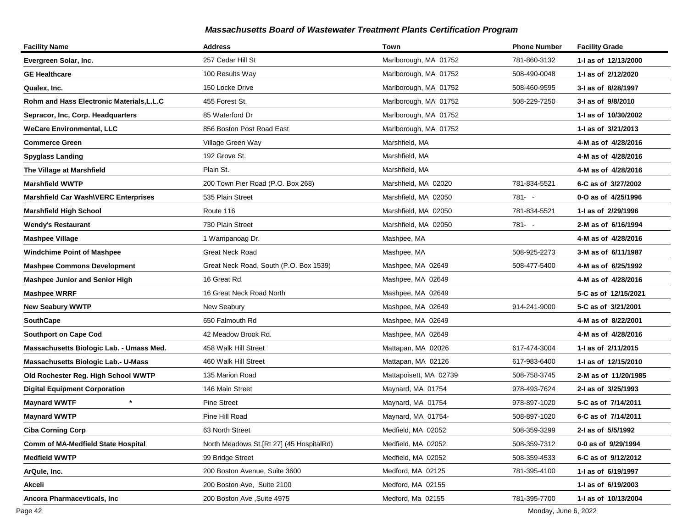| <b>Facility Name</b>                        | <b>Address</b>                            | <b>Town</b>            | <b>Phone Number</b> | <b>Facility Grade</b> |
|---------------------------------------------|-------------------------------------------|------------------------|---------------------|-----------------------|
| Evergreen Solar, Inc.                       | 257 Cedar Hill St                         | Marlborough, MA 01752  | 781-860-3132        | 1-I as of 12/13/2000  |
| <b>GE Healthcare</b>                        | 100 Results Way                           | Marlborough, MA 01752  | 508-490-0048        | 1-1 as of 2/12/2020   |
| Qualex, Inc.                                | 150 Locke Drive                           | Marlborough, MA 01752  | 508-460-9595        | 3-I as of 8/28/1997   |
| Rohm and Hass Electronic Materials, L.L.C   | 455 Forest St.                            | Marlborough, MA 01752  | 508-229-7250        | 3-I as of 9/8/2010    |
| Sepracor, Inc, Corp. Headquarters           | 85 Waterford Dr                           | Marlborough, MA 01752  |                     | 1-I as of 10/30/2002  |
| <b>WeCare Environmental, LLC</b>            | 856 Boston Post Road East                 | Marlborough, MA 01752  |                     | 1-1 as of 3/21/2013   |
| <b>Commerce Green</b>                       | Village Green Way                         | Marshfield, MA         |                     | 4-M as of 4/28/2016   |
| <b>Spyglass Landing</b>                     | 192 Grove St.                             | Marshfield, MA         |                     | 4-M as of 4/28/2016   |
| The Village at Marshfield                   | Plain St.                                 | Marshfield, MA         |                     | 4-M as of 4/28/2016   |
| <b>Marshfield WWTP</b>                      | 200 Town Pier Road (P.O. Box 268)         | Marshfield, MA 02020   | 781-834-5521        | 6-C as of 3/27/2002   |
| <b>Marshfield Car Wash\VERC Enterprises</b> | 535 Plain Street                          | Marshfield, MA 02050   | 781- -              | 0-O as of 4/25/1996   |
| <b>Marshfield High School</b>               | Route 116                                 | Marshfield, MA 02050   | 781-834-5521        | 1-I as of 2/29/1996   |
| Wendy's Restaurant                          | 730 Plain Street                          | Marshfield, MA 02050   | 781- -              | 2-M as of 6/16/1994   |
| <b>Mashpee Village</b>                      | 1 Wampanoag Dr.                           | Mashpee, MA            |                     | 4-M as of 4/28/2016   |
| <b>Windchime Point of Mashpee</b>           | <b>Great Neck Road</b>                    | Mashpee, MA            | 508-925-2273        | 3-M as of 6/11/1987   |
| <b>Mashpee Commons Development</b>          | Great Neck Road, South (P.O. Box 1539)    | Mashpee, MA 02649      | 508-477-5400        | 4-M as of 6/25/1992   |
| <b>Mashpee Junior and Senior High</b>       | 16 Great Rd.                              | Mashpee, MA 02649      |                     | 4-M as of 4/28/2016   |
| <b>Mashpee WRRF</b>                         | 16 Great Neck Road North                  | Mashpee, MA 02649      |                     | 5-C as of 12/15/2021  |
| <b>New Seabury WWTP</b>                     | New Seabury                               | Mashpee, MA 02649      | 914-241-9000        | 5-C as of 3/21/2001   |
| <b>SouthCape</b>                            | 650 Falmouth Rd                           | Mashpee, MA 02649      |                     | 4-M as of 8/22/2001   |
| <b>Southport on Cape Cod</b>                | 42 Meadow Brook Rd.                       | Mashpee, MA 02649      |                     | 4-M as of 4/28/2016   |
| Massachusetts Biologic Lab. - Umass Med.    | 458 Walk Hill Street                      | Mattapan, MA 02026     | 617-474-3004        | 1-1 as of 2/11/2015   |
| <b>Massachusetts Biologic Lab.- U-Mass</b>  | 460 Walk Hill Street                      | Mattapan, MA 02126     | 617-983-6400        | 1- as of 12/15/2010   |
| Old Rochester Reg. High School WWTP         | 135 Marion Road                           | Mattapoisett, MA 02739 | 508-758-3745        | 2-M as of 11/20/1985  |
| <b>Digital Equipment Corporation</b>        | 146 Main Street                           | Maynard, MA 01754      | 978-493-7624        | 2-I as of 3/25/1993   |
| $\star$<br><b>Maynard WWTF</b>              | <b>Pine Street</b>                        | Maynard, MA 01754      | 978-897-1020        | 5-C as of 7/14/2011   |
| <b>Maynard WWTP</b>                         | Pine Hill Road                            | Maynard, MA 01754-     | 508-897-1020        | 6-C as of 7/14/2011   |
| <b>Ciba Corning Corp</b>                    | 63 North Street                           | Medfield, MA 02052     | 508-359-3299        | 2-I as of 5/5/1992    |
| <b>Comm of MA-Medfield State Hospital</b>   | North Meadows St. [Rt 27] (45 HospitalRd) | Medfield, MA 02052     | 508-359-7312        | 0-0 as of 9/29/1994   |
| <b>Medfield WWTP</b>                        | 99 Bridge Street                          | Medfield, MA 02052     | 508-359-4533        | 6-C as of 9/12/2012   |
| ArQule, Inc.                                | 200 Boston Avenue, Suite 3600             | Medford, MA 02125      | 781-395-4100        | 1-I as of 6/19/1997   |
| Akceli                                      | 200 Boston Ave, Suite 2100                | Medford, MA 02155      |                     | 1-I as of 6/19/2003   |
| Ancora Pharmacevticals, Inc                 | 200 Boston Ave, Suite 4975                | Medford, Ma 02155      | 781-395-7700        | 1-I as of 10/13/2004  |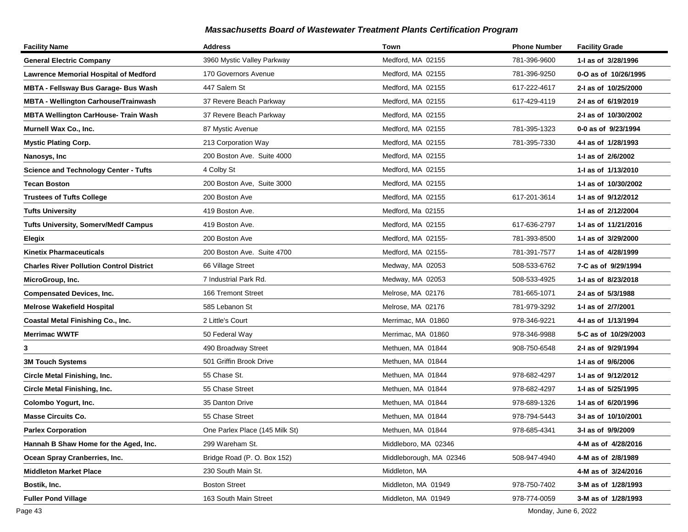| <b>Facility Name</b>                            | <b>Address</b>                 | Town                    | <b>Phone Number</b> | <b>Facility Grade</b> |
|-------------------------------------------------|--------------------------------|-------------------------|---------------------|-----------------------|
| <b>General Electric Company</b>                 | 3960 Mystic Valley Parkway     | Medford, MA 02155       | 781-396-9600        | 1-I as of 3/28/1996   |
| <b>Lawrence Memorial Hospital of Medford</b>    | 170 Governors Avenue           | Medford, MA 02155       | 781-396-9250        | 0-O as of 10/26/1995  |
| MBTA - Fellsway Bus Garage- Bus Wash            | 447 Salem St                   | Medford, MA 02155       | 617-222-4617        | 2-I as of 10/25/2000  |
| <b>MBTA - Wellington Carhouse/Trainwash</b>     | 37 Revere Beach Parkway        | Medford, MA 02155       | 617-429-4119        | 2-I as of 6/19/2019   |
| <b>MBTA Wellington CarHouse- Train Wash</b>     | 37 Revere Beach Parkway        | Medford, MA 02155       |                     | 2-I as of 10/30/2002  |
| Murnell Wax Co., Inc.                           | 87 Mystic Avenue               | Medford, MA 02155       | 781-395-1323        | 0-0 as of 9/23/1994   |
| <b>Mystic Plating Corp.</b>                     | 213 Corporation Way            | Medford, MA 02155       | 781-395-7330        | 4-I as of 1/28/1993   |
| Nanosys, Inc                                    | 200 Boston Ave. Suite 4000     | Medford, MA 02155       |                     | 1-I as of 2/6/2002    |
| <b>Science and Technology Center - Tufts</b>    | 4 Colby St                     | Medford, MA 02155       |                     | 1-I as of 1/13/2010   |
| <b>Tecan Boston</b>                             | 200 Boston Ave, Suite 3000     | Medford, MA 02155       |                     | 1-I as of 10/30/2002  |
| <b>Trustees of Tufts College</b>                | 200 Boston Ave                 | Medford, MA 02155       | 617-201-3614        | 1-1 as of 9/12/2012   |
| <b>Tufts University</b>                         | 419 Boston Ave.                | Medford, Ma 02155       |                     | 1-I as of 2/12/2004   |
| <b>Tufts University, Somerv/Medf Campus</b>     | 419 Boston Ave.                | Medford, MA 02155       | 617-636-2797        | 1-I as of 11/21/2016  |
| Elegix                                          | 200 Boston Ave                 | Medford, MA 02155-      | 781-393-8500        | 1-I as of 3/29/2000   |
| <b>Kinetix Pharmaceuticals</b>                  | 200 Boston Ave. Suite 4700     | Medford, MA 02155-      | 781-391-7577        | 1-I as of 4/28/1999   |
| <b>Charles River Pollution Control District</b> | 66 Village Street              | Medway, MA 02053        | 508-533-6762        | 7-C as of 9/29/1994   |
| MicroGroup, Inc.                                | 7 Industrial Park Rd.          | Medway, MA 02053        | 508-533-4925        | 1-I as of 8/23/2018   |
| <b>Compensated Devices, Inc.</b>                | 166 Tremont Street             | Melrose, MA 02176       | 781-665-1071        | 2-I as of 5/3/1988    |
| Melrose Wakefield Hospital                      | 585 Lebanon St                 | Melrose, MA 02176       | 781-979-3292        | 1-I as of 2/7/2001    |
| Coastal Metal Finishing Co., Inc.               | 2 Little's Court               | Merrimac, MA 01860      | 978-346-9221        | 4-I as of 1/13/1994   |
| <b>Merrimac WWTF</b>                            | 50 Federal Way                 | Merrimac, MA 01860      | 978-346-9988        | 5-C as of 10/29/2003  |
| 3                                               | 490 Broadway Street            | Methuen, MA 01844       | 908-750-6548        | 2-I as of 9/29/1994   |
| <b>3M Touch Systems</b>                         | 501 Griffin Brook Drive        | Methuen, MA 01844       |                     | 1- as of 9/6/2006     |
| Circle Metal Finishing, Inc.                    | 55 Chase St.                   | Methuen, MA 01844       | 978-682-4297        | 1-I as of 9/12/2012   |
| <b>Circle Metal Finishing, Inc.</b>             | 55 Chase Street                | Methuen, MA 01844       | 978-682-4297        | 1-I as of 5/25/1995   |
| Colombo Yogurt, Inc.                            | 35 Danton Drive                | Methuen, MA 01844       | 978-689-1326        | 1-I as of 6/20/1996   |
| <b>Masse Circuits Co.</b>                       | 55 Chase Street                | Methuen, MA 01844       | 978-794-5443        | 3-I as of 10/10/2001  |
| <b>Parlex Corporation</b>                       | One Parlex Place (145 Milk St) | Methuen, MA 01844       | 978-685-4341        | 3-I as of 9/9/2009    |
| Hannah B Shaw Home for the Aged, Inc.           | 299 Wareham St.                | Middleboro, MA 02346    |                     | 4-M as of 4/28/2016   |
| Ocean Spray Cranberries, Inc.                   | Bridge Road (P. O. Box 152)    | Middleborough, MA 02346 | 508-947-4940        | 4-M as of 2/8/1989    |
| <b>Middleton Market Place</b>                   | 230 South Main St.             | Middleton, MA           |                     | 4-M as of 3/24/2016   |
| Bostik, Inc.                                    | <b>Boston Street</b>           | Middleton, MA 01949     | 978-750-7402        | 3-M as of 1/28/1993   |
| <b>Fuller Pond Village</b>                      | 163 South Main Street          | Middleton, MA 01949     | 978-774-0059        | 3-M as of 1/28/1993   |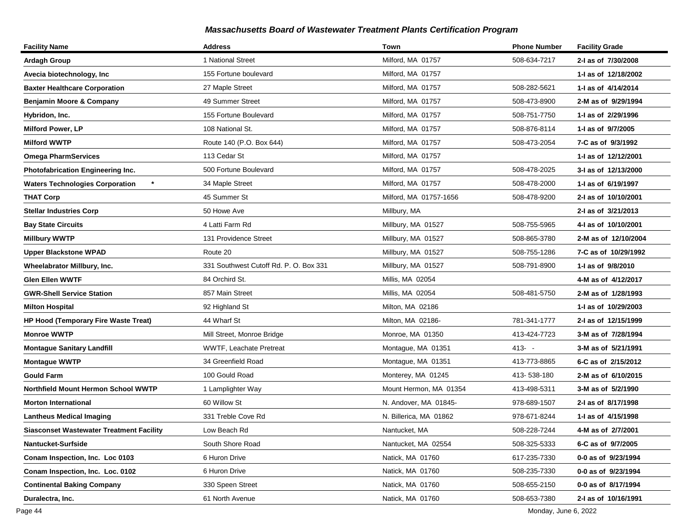| <b>Facility Name</b>                            | <b>Address</b>                         | Town                   | <b>Phone Number</b> | <b>Facility Grade</b> |
|-------------------------------------------------|----------------------------------------|------------------------|---------------------|-----------------------|
| <b>Ardagh Group</b>                             | 1 National Street                      | Milford, MA 01757      | 508-634-7217        | 2-I as of 7/30/2008   |
| Avecia biotechnology, Inc                       | 155 Fortune boulevard                  | Milford, MA 01757      |                     | 1-I as of 12/18/2002  |
| <b>Baxter Healthcare Corporation</b>            | 27 Maple Street                        | Milford, MA 01757      | 508-282-5621        | 1-I as of 4/14/2014   |
| <b>Benjamin Moore &amp; Company</b>             | 49 Summer Street                       | Milford, MA 01757      | 508-473-8900        | 2-M as of 9/29/1994   |
| Hybridon, Inc.                                  | 155 Fortune Boulevard                  | Milford, MA 01757      | 508-751-7750        | 1-I as of 2/29/1996   |
| <b>Milford Power, LP</b>                        | 108 National St.                       | Milford, MA 01757      | 508-876-8114        | 1-I as of 9/7/2005    |
| <b>Milford WWTP</b>                             | Route 140 (P.O. Box 644)               | Milford, MA 01757      | 508-473-2054        | 7-C as of 9/3/1992    |
| <b>Omega PharmServices</b>                      | 113 Cedar St                           | Milford, MA 01757      |                     | 1-I as of 12/12/2001  |
| Photofabrication Engineering Inc.               | 500 Fortune Boulevard                  | Milford, MA 01757      | 508-478-2025        | 3-I as of 12/13/2000  |
| <b>Waters Technologies Corporation</b>          | 34 Maple Street                        | Milford, MA 01757      | 508-478-2000        | 1-I as of 6/19/1997   |
| <b>THAT Corp</b>                                | 45 Summer St                           | Milford, MA 01757-1656 | 508-478-9200        | 2-I as of 10/10/2001  |
| Stellar Industries Corp                         | 50 Howe Ave                            | Millbury, MA           |                     | 2-I as of 3/21/2013   |
| <b>Bay State Circuits</b>                       | 4 Latti Farm Rd                        | Millbury, MA 01527     | 508-755-5965        | 4-I as of 10/10/2001  |
| <b>Millbury WWTP</b>                            | 131 Providence Street                  | Millbury, MA 01527     | 508-865-3780        | 2-M as of 12/10/2004  |
| <b>Upper Blackstone WPAD</b>                    | Route 20                               | Millbury, MA 01527     | 508-755-1286        | 7-C as of 10/29/1992  |
| Wheelabrator Millbury, Inc.                     | 331 Southwest Cutoff Rd. P. O. Box 331 | Millbury, MA 01527     | 508-791-8900        | 1-I as of 9/8/2010    |
| Glen Ellen WWTF                                 | 84 Orchird St.                         | Millis, MA 02054       |                     | 4-M as of 4/12/2017   |
| <b>GWR-Shell Service Station</b>                | 857 Main Street                        | Millis, MA 02054       | 508-481-5750        | 2-M as of 1/28/1993   |
| <b>Milton Hospital</b>                          | 92 Highland St                         | Milton, MA 02186       |                     | 1-I as of 10/29/2003  |
| HP Hood (Temporary Fire Waste Treat)            | 44 Wharf St                            | Milton, MA 02186-      | 781-341-1777        | 2-I as of 12/15/1999  |
| <b>Monroe WWTP</b>                              | Mill Street, Monroe Bridge             | Monroe, MA 01350       | 413-424-7723        | 3-M as of 7/28/1994   |
| <b>Montague Sanitary Landfill</b>               | WWTF, Leachate Pretreat                | Montague, MA 01351     | $413 - -$           | 3-M as of 5/21/1991   |
| <b>Montague WWTP</b>                            | 34 Greenfield Road                     | Montague, MA 01351     | 413-773-8865        | 6-C as of 2/15/2012   |
| <b>Gould Farm</b>                               | 100 Gould Road                         | Monterey, MA 01245     | 413-538-180         | 2-M as of 6/10/2015   |
| Northfield Mount Hermon School WWTP             | 1 Lamplighter Way                      | Mount Hermon, MA 01354 | 413-498-5311        | 3-M as of 5/2/1990    |
| <b>Morton International</b>                     | 60 Willow St                           | N. Andover, MA 01845-  | 978-689-1507        | 2-I as of 8/17/1998   |
| <b>Lantheus Medical Imaging</b>                 | 331 Treble Cove Rd                     | N. Billerica. MA 01862 | 978-671-8244        | 1-I as of 4/15/1998   |
| <b>Siasconset Wastewater Treatment Facility</b> | Low Beach Rd                           | Nantucket, MA          | 508-228-7244        | 4-M as of 2/7/2001    |
| Nantucket-Surfside                              | South Shore Road                       | Nantucket, MA 02554    | 508-325-5333        | 6-C as of 9/7/2005    |
| Conam Inspection, Inc. Loc 0103                 | 6 Huron Drive                          | Natick, MA 01760       | 617-235-7330        | 0-0 as of 9/23/1994   |
| Conam Inspection, Inc. Loc. 0102                | 6 Huron Drive                          | Natick, MA 01760       | 508-235-7330        | 0-0 as of 9/23/1994   |
| <b>Continental Baking Company</b>               | 330 Speen Street                       | Natick, MA 01760       | 508-655-2150        | 0-0 as of 8/17/1994   |
| Duralectra, Inc.                                | 61 North Avenue                        | Natick, MA 01760       | 508-653-7380        | 2-I as of 10/16/1991  |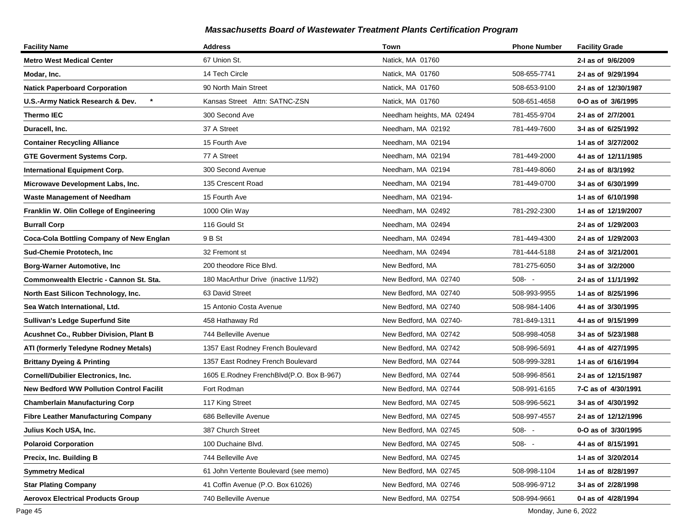| <b>Facility Name</b>                            | <b>Address</b>                           | Town                      | <b>Phone Number</b> | <b>Facility Grade</b> |
|-------------------------------------------------|------------------------------------------|---------------------------|---------------------|-----------------------|
| Metro West Medical Center                       | 67 Union St.                             | Natick, MA 01760          |                     | 2-I as of 9/6/2009    |
| Modar, Inc.                                     | 14 Tech Circle                           | Natick, MA 01760          | 508-655-7741        | 2-I as of 9/29/1994   |
| <b>Natick Paperboard Corporation</b>            | 90 North Main Street                     | Natick, MA 01760          | 508-653-9100        | 2-I as of 12/30/1987  |
| U.S.-Army Natick Research & Dev.                | Kansas Street Attn: SATNC-ZSN            | Natick, MA 01760          | 508-651-4658        | 0-O as of 3/6/1995    |
| Thermo IEC                                      | 300 Second Ave                           | Needham heights, MA 02494 | 781-455-9704        | 2-I as of 2/7/2001    |
| Duracell, Inc.                                  | 37 A Street                              | Needham, MA 02192         | 781-449-7600        | 3-I as of 6/25/1992   |
| <b>Container Recycling Alliance</b>             | 15 Fourth Ave                            | Needham, MA 02194         |                     | 1-I as of 3/27/2002   |
| <b>GTE Goverment Systems Corp.</b>              | 77 A Street                              | Needham, MA 02194         | 781-449-2000        | 4-I as of 12/11/1985  |
| <b>International Equipment Corp.</b>            | 300 Second Avenue                        | Needham, MA 02194         | 781-449-8060        | 2-I as of 8/3/1992    |
| Microwave Development Labs, Inc.                | 135 Crescent Road                        | Needham, MA 02194         | 781-449-0700        | 3-I as of 6/30/1999   |
| <b>Waste Management of Needham</b>              | 15 Fourth Ave                            | Needham, MA 02194-        |                     | 1-I as of 6/10/1998   |
| Franklin W. Olin College of Engineering         | 1000 Olin Way                            | Needham, MA 02492         | 781-292-2300        | 1-J as of 12/19/2007  |
| <b>Burrall Corp</b>                             | 116 Gould St                             | Needham, MA 02494         |                     | 2-I as of 1/29/2003   |
| Coca-Cola Bottling Company of New Englan        | 9 B St                                   | Needham, MA 02494         | 781-449-4300        | 2-I as of 1/29/2003   |
| Sud-Chemie Prototech, Inc                       | 32 Fremont st                            | Needham, MA 02494         | 781-444-5188        | 2-I as of 3/21/2001   |
| <b>Borg-Warner Automotive, Inc</b>              | 200 theodore Rice Blvd.                  | New Bedford, MA           | 781-275-6050        | 3-I as of 3/2/2000    |
| Commonwealth Electric - Cannon St. Sta.         | 180 MacArthur Drive (inactive 11/92)     | New Bedford, MA 02740     | $508 - -$           | 2-I as of 11/1/1992   |
| North East Silicon Technology, Inc.             | 63 David Street                          | New Bedford, MA 02740     | 508-993-9955        | 1-I as of 8/25/1996   |
| Sea Watch International, Ltd.                   | 15 Antonio Costa Avenue                  | New Bedford, MA 02740     | 508-984-1406        | 4-I as of 3/30/1995   |
| <b>Sullivan's Ledge Superfund Site</b>          | 458 Hathaway Rd                          | New Bedford, MA 02740-    | 781-849-1311        | 4-I as of 9/15/1999   |
| Acushnet Co., Rubber Division, Plant B          | 744 Belleville Avenue                    | New Bedford, MA 02742     | 508-998-4058        | 3-I as of 5/23/1988   |
| ATI (formerly Teledyne Rodney Metals)           | 1357 East Rodney French Boulevard        | New Bedford, MA 02742     | 508-996-5691        | 4-I as of 4/27/1995   |
| <b>Brittany Dyeing &amp; Printing</b>           | 1357 East Rodney French Boulevard        | New Bedford, MA 02744     | 508-999-3281        | 1-I as of 6/16/1994   |
| <b>Cornell/Dubilier Electronics, Inc.</b>       | 1605 E.Rodney FrenchBlvd(P.O. Box B-967) | New Bedford, MA 02744     | 508-996-8561        | 2-I as of 12/15/1987  |
| <b>New Bedford WW Pollution Control Facilit</b> | Fort Rodman                              | New Bedford, MA 02744     | 508-991-6165        | 7-C as of 4/30/1991   |
| Chamberlain Manufacturing Corp                  | 117 King Street                          | New Bedford, MA 02745     | 508-996-5621        | 3-I as of 4/30/1992   |
| <b>Fibre Leather Manufacturing Company</b>      | 686 Belleville Avenue                    | New Bedford, MA 02745     | 508-997-4557        | 2-I as of 12/12/1996  |
| Julius Koch USA, Inc.                           | 387 Church Street                        | New Bedford, MA 02745     | $508 - -$           | 0-O as of 3/30/1995   |
| <b>Polaroid Corporation</b>                     | 100 Duchaine Blvd.                       | New Bedford, MA 02745     | $508 - -$           | 4-1 as of 8/15/1991   |
| Precix, Inc. Building B                         | 744 Belleville Ave                       | New Bedford, MA 02745     |                     | 1-I as of 3/20/2014   |
| <b>Symmetry Medical</b>                         | 61 John Vertente Boulevard (see memo)    | New Bedford, MA 02745     | 508-998-1104        | 1- as of 8/28/1997    |
| <b>Star Plating Company</b>                     | 41 Coffin Avenue (P.O. Box 61026)        | New Bedford, MA 02746     | 508-996-9712        | 3-I as of 2/28/1998   |
| <b>Aerovox Electrical Products Group</b>        | 740 Belleville Avenue                    | New Bedford, MA 02754     | 508-994-9661        | 0-I as of 4/28/1994   |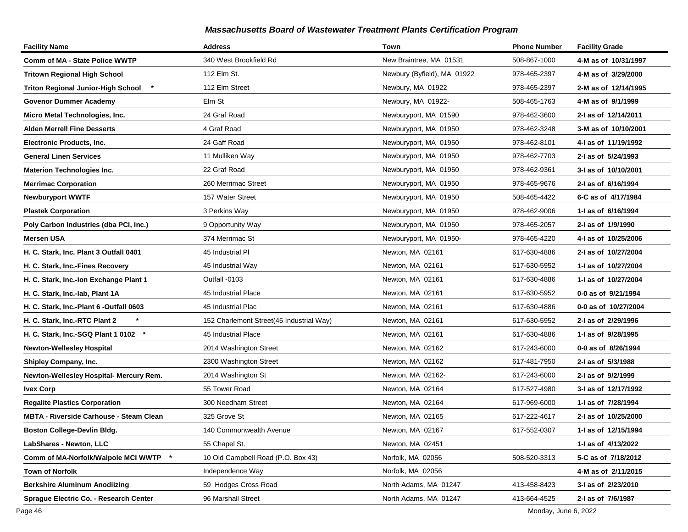| <b>Facility Name</b>                           | <b>Address</b>                           | Town                        | <b>Phone Number</b> | <b>Facility Grade</b> |
|------------------------------------------------|------------------------------------------|-----------------------------|---------------------|-----------------------|
| <b>Comm of MA - State Police WWTP</b>          | 340 West Brookfield Rd                   | New Braintree, MA 01531     | 508-867-1000        | 4-M as of 10/31/1997  |
| <b>Tritown Regional High School</b>            | 112 Elm St.                              | Newbury (Byfield), MA 01922 | 978-465-2397        | 4-M as of 3/29/2000   |
| <b>Triton Regional Junior-High School</b>      | 112 Elm Street                           | Newbury, MA 01922           | 978-465-2397        | 2-M as of 12/14/1995  |
| <b>Govenor Dummer Academy</b>                  | Elm St                                   | Newbury, MA 01922-          | 508-465-1763        | 4-M as of 9/1/1999    |
| Micro Metal Technologies, Inc.                 | 24 Graf Road                             | Newburyport, MA 01590       | 978-462-3600        | 2-I as of 12/14/2011  |
| <b>Alden Merrell Fine Desserts</b>             | 4 Graf Road                              | Newburyport, MA 01950       | 978-462-3248        | 3-M as of 10/10/2001  |
| <b>Electronic Products, Inc.</b>               | 24 Gaff Road                             | Newburyport, MA 01950       | 978-462-8101        | 4-I as of 11/19/1992  |
| <b>General Linen Services</b>                  | 11 Mulliken Way                          | Newburyport, MA 01950       | 978-462-7703        | 2-I as of 5/24/1993   |
| <b>Materion Technologies Inc.</b>              | 22 Graf Road                             | Newburyport, MA 01950       | 978-462-9361        | 3-I as of 10/10/2001  |
| <b>Merrimac Corporation</b>                    | 260 Merrimac Street                      | Newburyport, MA 01950       | 978-465-9676        | 2-I as of 6/16/1994   |
| <b>Newburyport WWTF</b>                        | 157 Water Street                         | Newburyport, MA 01950       | 508-465-4422        | 6-C as of 4/17/1984   |
| <b>Plastek Corporation</b>                     | 3 Perkins Way                            | Newburyport, MA 01950       | 978-462-9006        | 1- as of 6/16/1994    |
| Poly Carbon Industries (dba PCI, Inc.)         | 9 Opportunity Way                        | Newburyport, MA 01950       | 978-465-2057        | 2-I as of 1/9/1990    |
| <b>Mersen USA</b>                              | 374 Merrimac St                          | Newburyport, MA 01950-      | 978-465-4220        | 4-I as of 10/25/2006  |
| H. C. Stark, Inc. Plant 3 Outfall 0401         | 45 Industrial PI                         | Newton, MA 02161            | 617-630-4886        | 2-I as of 10/27/2004  |
| H. C. Stark, Inc.-Fines Recovery               | 45 Industrial Way                        | Newton, MA 02161            | 617-630-5952        | 1-I as of 10/27/2004  |
| H. C. Stark, Inc.-Ion Exchange Plant 1         | Outfall -0103                            | Newton, MA 02161            | 617-630-4886        | 1-I as of 10/27/2004  |
| H. C. Stark, Inc.-lab, Plant 1A                | 45 Industrial Place                      | Newton, MA 02161            | 617-630-5952        | 0-0 as of 9/21/1994   |
| H. C. Stark, Inc.-Plant 6 -Outfall 0603        | 45 Industrial Plac                       | Newton, MA 02161            | 617-630-4886        | 0-0 as of 10/27/2004  |
| $\star$<br>H. C. Stark, Inc.-RTC Plant 2       | 152 Charlemont Street(45 Industrial Way) | Newton, MA 02161            | 617-630-5952        | 2-I as of 2/29/1996   |
| H. C. Stark, Inc.-SGQ Plant 1 0102 *           | 45 Industrial Place                      | Newton, MA 02161            | 617-630-4886        | 1-I as of 9/28/1995   |
| <b>Newton-Wellesley Hospital</b>               | 2014 Washington Street                   | Newton, MA 02162            | 617-243-6000        | 0-0 as of 8/26/1994   |
| Shipley Company, Inc.                          | 2300 Washington Street                   | Newton, MA 02162            | 617-481-7950        | 2-I as of 5/3/1988    |
| Newton-Wellesley Hospital- Mercury Rem.        | 2014 Washington St                       | Newton, MA 02162-           | 617-243-6000        | 2-I as of 9/2/1999    |
| <b>Ivex Corp</b>                               | 55 Tower Road                            | Newton, MA 02164            | 617-527-4980        | 3-I as of 12/17/1992  |
| <b>Regalite Plastics Corporation</b>           | 300 Needham Street                       | Newton, MA 02164            | 617-969-6000        | 1-I as of 7/28/1994   |
| <b>MBTA - Riverside Carhouse - Steam Clean</b> | 325 Grove St                             | Newton, MA 02165            | 617-222-4617        | 2-I as of 10/25/2000  |
| Boston College-Devlin Bldg.                    | 140 Commonwealth Avenue                  | Newton, MA 02167            | 617-552-0307        | 1-I as of 12/15/1994  |
| LabShares - Newton, LLC                        | 55 Chapel St.                            | Newton, MA 02451            |                     | 1-I as of 4/13/2022   |
| Comm of MA-Norfolk/Walpole MCI WWTP *          | 10 Old Campbell Road (P.O. Box 43)       | Norfolk, MA 02056           | 508-520-3313        | 5-C as of 7/18/2012   |
| Town of Norfolk                                | Independence Way                         | Norfolk, MA 02056           |                     | 4-M as of 2/11/2015   |
| <b>Berkshire Aluminum Anodiizing</b>           | 59 Hodges Cross Road                     | North Adams, MA 01247       | 413-458-8423        | 3-I as of 2/23/2010   |
| Sprague Electric Co. - Research Center         | 96 Marshall Street                       | North Adams, MA 01247       | 413-664-4525        | 2-I as of 7/6/1987    |

Page 46 Monday, June 6, 2022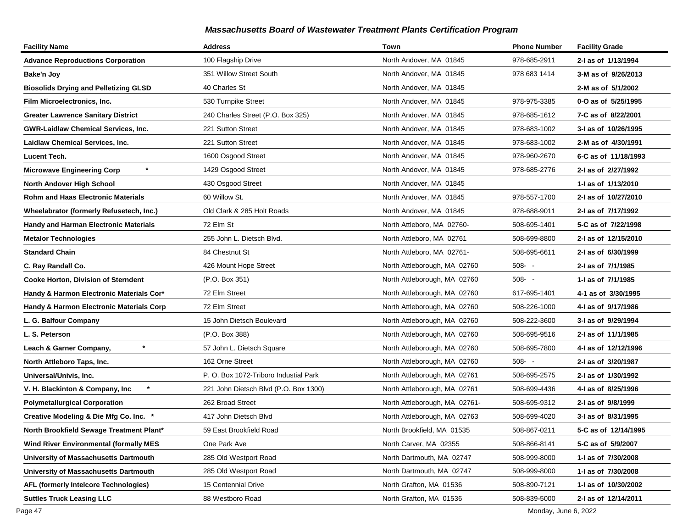| <b>Facility Name</b>                          | <b>Address</b>                        | Town                          | <b>Phone Number</b> | <b>Facility Grade</b> |
|-----------------------------------------------|---------------------------------------|-------------------------------|---------------------|-----------------------|
| <b>Advance Reproductions Corporation</b>      | 100 Flagship Drive                    | North Andover, MA 01845       | 978-685-2911        | 2-I as of 1/13/1994   |
| Bake'n Joy                                    | 351 Willow Street South               | North Andover, MA 01845       | 978 683 1414        | 3-M as of 9/26/2013   |
| <b>Biosolids Drying and Pelletizing GLSD</b>  | 40 Charles St                         | North Andover, MA 01845       |                     | 2-M as of 5/1/2002    |
| Film Microelectronics, Inc.                   | 530 Turnpike Street                   | North Andover, MA 01845       | 978-975-3385        | 0-O as of 5/25/1995   |
| <b>Greater Lawrence Sanitary District</b>     | 240 Charles Street (P.O. Box 325)     | North Andover, MA 01845       | 978-685-1612        | 7-C as of 8/22/2001   |
| <b>GWR-Laidlaw Chemical Services, Inc.</b>    | 221 Sutton Street                     | North Andover, MA 01845       | 978-683-1002        | 3-I as of 10/26/1995  |
| Laidlaw Chemical Services, Inc.               | 221 Sutton Street                     | North Andover, MA 01845       | 978-683-1002        | 2-M as of 4/30/1991   |
| Lucent Tech.                                  | 1600 Osgood Street                    | North Andover, MA 01845       | 978-960-2670        | 6-C as of 11/18/1993  |
| $\star$<br><b>Microwave Engineering Corp</b>  | 1429 Osgood Street                    | North Andover, MA 01845       | 978-685-2776        | 2-I as of 2/27/1992   |
| North Andover High School                     | 430 Osgood Street                     | North Andover, MA 01845       |                     | 1- as of 1/13/2010    |
| Rohm and Haas Electronic Materials            | 60 Willow St.                         | North Andover, MA 01845       | 978-557-1700        | 2-I as of 10/27/2010  |
| Wheelabrator (formerly Refusetech, Inc.)      | Old Clark & 285 Holt Roads            | North Andover, MA 01845       | 978-688-9011        | 2-I as of 7/17/1992   |
| <b>Handy and Harman Electronic Materials</b>  | 72 Elm St                             | North Attleboro, MA 02760-    | 508-695-1401        | 5-C as of 7/22/1998   |
| <b>Metalor Technologies</b>                   | 255 John L. Dietsch Blvd.             | North Attleboro, MA 02761     | 508-699-8800        | 2-I as of 12/15/2010  |
| <b>Standard Chain</b>                         | 84 Chestnut St                        | North Attleboro, MA 02761-    | 508-695-6611        | 2-I as of 6/30/1999   |
| C. Ray Randall Co.                            | 426 Mount Hope Street                 | North Attleborough, MA 02760  | $508 - -$           | 2-I as of 7/1/1985    |
| <b>Cooke Horton, Division of Sterndent</b>    | (P.O. Box 351)                        | North Attleborough, MA 02760  | $508 - -$           | 1-I as of 7/1/1985    |
| Handy & Harmon Electronic Materials Cor*      | 72 Elm Street                         | North Attleborough, MA 02760  | 617-695-1401        | 4-1 as of 3/30/1995   |
| Handy & Harmon Electronic Materials Corp      | 72 Elm Street                         | North Attleborough, MA 02760  | 508-226-1000        | 4-I as of 9/17/1986   |
| L. G. Balfour Company                         | 15 John Dietsch Boulevard             | North Attleborough, MA 02760  | 508-222-3600        | 3-I as of 9/29/1994   |
| L. S. Peterson                                | (P.O. Box 388)                        | North Attleborough, MA 02760  | 508-695-9516        | 2-I as of 11/1/1985   |
| $\pmb{\ast}$<br>Leach & Garner Company,       | 57 John L. Dietsch Square             | North Attleborough, MA 02760  | 508-695-7800        | 4-I as of 12/12/1996  |
| North Attleboro Taps, Inc.                    | 162 Orne Street                       | North Attleborough, MA 02760  | $508 - -$           | 2-I as of 3/20/1987   |
| Universal/Univis, Inc.                        | P. O. Box 1072-Triboro Industial Park | North Attleborough, MA 02761  | 508-695-2575        | 2-I as of 1/30/1992   |
| $\star$<br>V. H. Blackinton & Company, Inc    | 221 John Dietsch Blvd (P.O. Box 1300) | North Attleborough, MA 02761  | 508-699-4436        | 4-I as of 8/25/1996   |
| <b>Polymetallurgical Corporation</b>          | 262 Broad Street                      | North Attleborough, MA 02761- | 508-695-9312        | 2-I as of 9/8/1999    |
| Creative Modeling & Die Mfg Co. Inc.          | 417 John Dietsch Blvd                 | North Attleborough, MA 02763  | 508-699-4020        | 3-I as of 8/31/1995   |
| North Brookfield Sewage Treatment Plant*      | 59 East Brookfield Road               | North Brookfield, MA 01535    | 508-867-0211        | 5-C as of 12/14/1995  |
| <b>Wind River Environmental (formally MES</b> | One Park Ave                          | North Carver, MA 02355        | 508-866-8141        | 5-C as of 5/9/2007    |
| University of Massachusetts Dartmouth         | 285 Old Westport Road                 | North Dartmouth, MA 02747     | 508-999-8000        | 1-I as of 7/30/2008   |
| University of Massachusetts Dartmouth         | 285 Old Westport Road                 | North Dartmouth, MA 02747     | 508-999-8000        | 1-1 as of 7/30/2008   |
| AFL (formerly Intelcore Technologies)         | 15 Centennial Drive                   | North Grafton, MA 01536       | 508-890-7121        | 1-I as of 10/30/2002  |
| <b>Suttles Truck Leasing LLC</b>              | 88 Westboro Road                      | North Grafton, MA 01536       | 508-839-5000        | 2-I as of 12/14/2011  |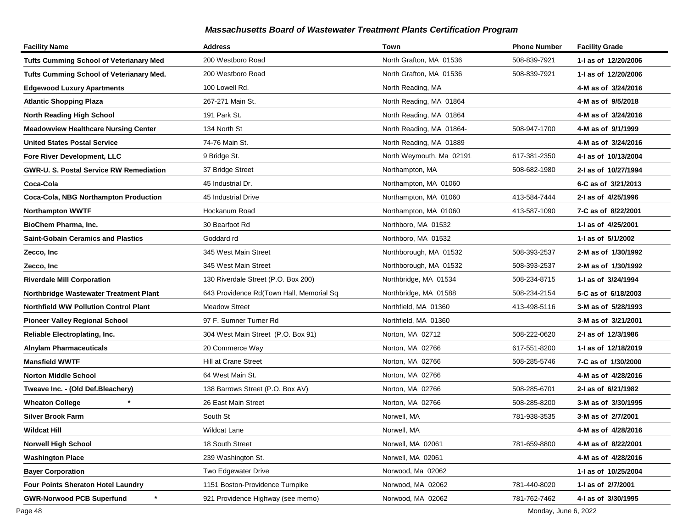| <b>Facility Name</b>                           | <b>Address</b>                           | Town                     | <b>Phone Number</b> | <b>Facility Grade</b> |
|------------------------------------------------|------------------------------------------|--------------------------|---------------------|-----------------------|
| <b>Tufts Cumming School of Veterianary Med</b> | 200 Westboro Road                        | North Grafton, MA 01536  | 508-839-7921        | 1-I as of 12/20/2006  |
| Tufts Cumming School of Veterianary Med.       | 200 Westboro Road                        | North Grafton, MA 01536  | 508-839-7921        | 1-I as of 12/20/2006  |
| <b>Edgewood Luxury Apartments</b>              | 100 Lowell Rd.                           | North Reading, MA        |                     | 4-M as of 3/24/2016   |
| <b>Atlantic Shopping Plaza</b>                 | 267-271 Main St.                         | North Reading, MA 01864  |                     | 4-M as of 9/5/2018    |
| <b>North Reading High School</b>               | 191 Park St.                             | North Reading, MA 01864  |                     | 4-M as of 3/24/2016   |
| <b>Meadowview Healthcare Nursing Center</b>    | 134 North St                             | North Reading, MA 01864- | 508-947-1700        | 4-M as of 9/1/1999    |
| <b>United States Postal Service</b>            | 74-76 Main St.                           | North Reading, MA 01889  |                     | 4-M as of 3/24/2016   |
| Fore River Development, LLC                    | 9 Bridge St.                             | North Weymouth, Ma 02191 | 617-381-2350        | 4-I as of 10/13/2004  |
| <b>GWR-U. S. Postal Service RW Remediation</b> | 37 Bridge Street                         | Northampton, MA          | 508-682-1980        | 2-I as of 10/27/1994  |
| Coca-Cola                                      | 45 Industrial Dr.                        | Northampton, MA 01060    |                     | 6-C as of 3/21/2013   |
| Coca-Cola, NBG Northampton Production          | 45 Industrial Drive                      | Northampton, MA 01060    | 413-584-7444        | 2-I as of 4/25/1996   |
| <b>Northampton WWTF</b>                        | Hockanum Road                            | Northampton, MA 01060    | 413-587-1090        | 7-C as of 8/22/2001   |
| BioChem Pharma, Inc.                           | 30 Bearfoot Rd                           | Northboro, MA 01532      |                     | 1-I as of 4/25/2001   |
| <b>Saint-Gobain Ceramics and Plastics</b>      | Goddard rd                               | Northboro, MA 01532      |                     | 1-I as of 5/1/2002    |
| Zecco, Inc                                     | 345 West Main Street                     | Northborough, MA 01532   | 508-393-2537        | 2-M as of 1/30/1992   |
| Zecco, Inc                                     | 345 West Main Street                     | Northborough, MA 01532   | 508-393-2537        | 2-M as of 1/30/1992   |
| <b>Riverdale Mill Corporation</b>              | 130 Riverdale Street (P.O. Box 200)      | Northbridge, MA 01534    | 508-234-8715        | 1-I as of 3/24/1994   |
| Northbridge Wastewater Treatment Plant         | 643 Providence Rd(Town Hall, Memorial Sq | Northbridge, MA 01588    | 508-234-2154        | 5-C as of 6/18/2003   |
| <b>Northfield WW Pollution Control Plant</b>   | <b>Meadow Street</b>                     | Northfield, MA 01360     | 413-498-5116        | 3-M as of 5/28/1993   |
| <b>Pioneer Valley Regional School</b>          | 97 F. Sumner Turner Rd                   | Northfield, MA 01360     |                     | 3-M as of 3/21/2001   |
| Reliable Electroplating, Inc.                  | 304 West Main Street (P.O. Box 91)       | Norton, MA 02712         | 508-222-0620        | 2-I as of 12/3/1986   |
| <b>Alnylam Pharmaceuticals</b>                 | 20 Commerce Way                          | Norton, MA 02766         | 617-551-8200        | 1-I as of 12/18/2019  |
| <b>Mansfield WWTF</b>                          | Hill at Crane Street                     | Norton, MA 02766         | 508-285-5746        | 7-C as of 1/30/2000   |
| <b>Norton Middle School</b>                    | 64 West Main St.                         | Norton, MA 02766         |                     | 4-M as of 4/28/2016   |
| Tweave Inc. - (Old Def.Bleachery)              | 138 Barrows Street (P.O. Box AV)         | Norton, MA 02766         | 508-285-6701        | 2-I as of 6/21/1982   |
| <b>Wheaton College</b>                         | 26 East Main Street                      | Norton, MA 02766         | 508-285-8200        | 3-M as of 3/30/1995   |
| <b>Silver Brook Farm</b>                       | South St                                 | Norwell, MA              | 781-938-3535        | 3-M as of 2/7/2001    |
| Wildcat Hill                                   | <b>Wildcat Lane</b>                      | Norwell, MA              |                     | 4-M as of 4/28/2016   |
| Norwell High School                            | 18 South Street                          | Norwell, MA 02061        | 781-659-8800        | 4-M as of 8/22/2001   |
| <b>Washington Place</b>                        | 239 Washington St.                       | Norwell, MA 02061        |                     | 4-M as of 4/28/2016   |
| <b>Bayer Corporation</b>                       | Two Edgewater Drive                      | Norwood, Ma 02062        |                     | 1-I as of 10/25/2004  |
| Four Points Sheraton Hotel Laundry             | 1151 Boston-Providence Turnpike          | Norwood, MA 02062        | 781-440-8020        | 1-I as of 2/7/2001    |
| *<br><b>GWR-Norwood PCB Superfund</b>          | 921 Providence Highway (see memo)        | Norwood, MA 02062        | 781-762-7462        | 4-I as of 3/30/1995   |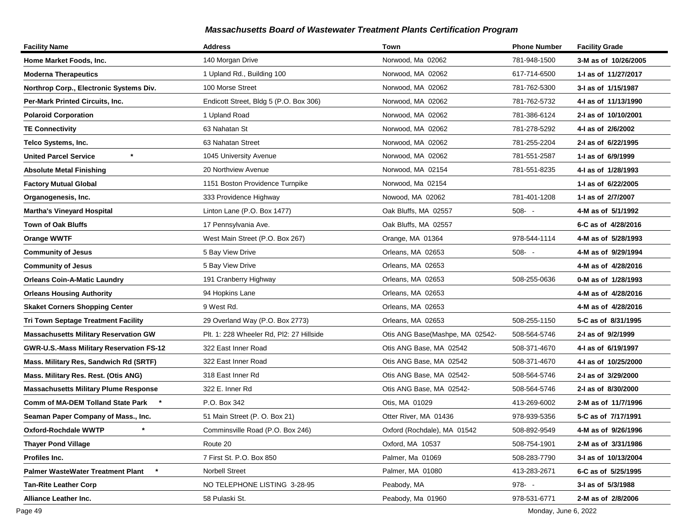| <b>Facility Name</b>                         | <b>Address</b>                           | Town                            | <b>Phone Number</b> | <b>Facility Grade</b> |
|----------------------------------------------|------------------------------------------|---------------------------------|---------------------|-----------------------|
| Home Market Foods, Inc.                      | 140 Morgan Drive                         | Norwood, Ma 02062               | 781-948-1500        | 3-M as of 10/26/2005  |
| <b>Moderna Therapeutics</b>                  | 1 Upland Rd., Building 100               | Norwood, MA 02062               | 617-714-6500        | 1-I as of 11/27/2017  |
| Northrop Corp., Electronic Systems Div.      | 100 Morse Street                         | Norwood, MA 02062               | 781-762-5300        | 3-I as of 1/15/1987   |
| Per-Mark Printed Circuits, Inc.              | Endicott Street, Bldg 5 (P.O. Box 306)   | Norwood, MA 02062               | 781-762-5732        | 4-I as of 11/13/1990  |
| <b>Polaroid Corporation</b>                  | 1 Upland Road                            | Norwood, MA 02062               | 781-386-6124        | 2-I as of 10/10/2001  |
| <b>TE Connectivity</b>                       | 63 Nahatan St                            | Norwood, MA 02062               | 781-278-5292        | 4-I as of 2/6/2002    |
| Telco Systems, Inc.                          | 63 Nahatan Street                        | Norwood, MA 02062               | 781-255-2204        | 2-I as of 6/22/1995   |
| $\star$<br><b>United Parcel Service</b>      | 1045 University Avenue                   | Norwood, MA 02062               | 781-551-2587        | 1-I as of 6/9/1999    |
| <b>Absolute Metal Finishing</b>              | 20 Northview Avenue                      | Norwood, MA 02154               | 781-551-8235        | 4-I as of 1/28/1993   |
| <b>Factory Mutual Global</b>                 | 1151 Boston Providence Turnpike          | Norwood, Ma 02154               |                     | 1-1 as of 6/22/2005   |
| Organogenesis, Inc.                          | 333 Providence Highway                   | Nowood, MA 02062                | 781-401-1208        | 1-I as of 2/7/2007    |
| <b>Martha's Vineyard Hospital</b>            | Linton Lane (P.O. Box 1477)              | Oak Bluffs, MA 02557            | $508 - -$           | 4-M as of 5/1/1992    |
| <b>Town of Oak Bluffs</b>                    | 17 Pennsylvania Ave.                     | Oak Bluffs, MA 02557            |                     | 6-C as of 4/28/2016   |
| <b>Orange WWTF</b>                           | West Main Street (P.O. Box 267)          | Orange, MA 01364                | 978-544-1114        | 4-M as of 5/28/1993   |
| <b>Community of Jesus</b>                    | 5 Bay View Drive                         | Orleans, MA 02653               | $508 - -$           | 4-M as of 9/29/1994   |
| <b>Community of Jesus</b>                    | 5 Bay View Drive                         | Orleans, MA 02653               |                     | 4-M as of 4/28/2016   |
| <b>Orleans Coin-A-Matic Laundry</b>          | 191 Cranberry Highway                    | Orleans, MA 02653               | 508-255-0636        | 0-M as of 1/28/1993   |
| <b>Orleans Housing Authority</b>             | 94 Hopkins Lane                          | Orleans, MA 02653               |                     | 4-M as of 4/28/2016   |
| <b>Skaket Corners Shopping Center</b>        | 9 West Rd.                               | Orleans, MA 02653               |                     | 4-M as of 4/28/2016   |
| <b>Tri Town Septage Treatment Facility</b>   | 29 Overland Way (P.O. Box 2773)          | Orleans, MA 02653               | 508-255-1150        | 5-C as of 8/31/1995   |
| <b>Massachusetts Military Reservation GW</b> | Plt. 1: 228 Wheeler Rd, Pl2: 27 Hillside | Otis ANG Base(Mashpe, MA 02542- | 508-564-5746        | 2-I as of 9/2/1999    |
| GWR-U.S.-Mass Military Reservation FS-12     | 322 East Inner Road                      | Otis ANG Base, MA 02542         | 508-371-4670        | 4-I as of 6/19/1997   |
| Mass. Military Res, Sandwich Rd (SRTF)       | 322 East Inner Road                      | Otis ANG Base, MA 02542         | 508-371-4670        | 4-I as of 10/25/2000  |
| Mass. Military Res. Rest. (Otis ANG)         | 318 East Inner Rd                        | Otis ANG Base, MA 02542-        | 508-564-5746        | 2-I as of 3/29/2000   |
| <b>Massachusetts Military Plume Response</b> | 322 E. Inner Rd                          | Otis ANG Base, MA 02542-        | 508-564-5746        | 2-I as of 8/30/2000   |
| Comm of MA-DEM Tolland State Park            | P.O. Box 342                             | Otis, MA 01029                  | 413-269-6002        | 2-M as of 11/7/1996   |
| Seaman Paper Company of Mass., Inc.          | 51 Main Street (P. O. Box 21)            | Otter River, MA 01436           | 978-939-5356        | 5-C as of 7/17/1991   |
| <b>Oxford-Rochdale WWTP</b>                  | Comminsville Road (P.O. Box 246)         | Oxford (Rochdale), MA 01542     | 508-892-9549        | 4-M as of 9/26/1996   |
| <b>Thayer Pond Village</b>                   | Route 20                                 | Oxford, MA 10537                | 508-754-1901        | 2-M as of 3/31/1986   |
| Profiles Inc.                                | 7 First St. P.O. Box 850                 | Palmer, Ma 01069                | 508-283-7790        | 3-I as of 10/13/2004  |
| <b>Palmer WasteWater Treatment Plant</b>     | <b>Norbell Street</b>                    | Palmer, MA 01080                | 413-283-2671        | 6-C as of 5/25/1995   |
| <b>Tan-Rite Leather Corp</b>                 | NO TELEPHONE LISTING 3-28-95             | Peabody, MA                     | $978 - -$           | 3-I as of 5/3/1988    |
| Alliance Leather Inc.                        | 58 Pulaski St.                           | Peabody, Ma 01960               | 978-531-6771        | 2-M as of 2/8/2006    |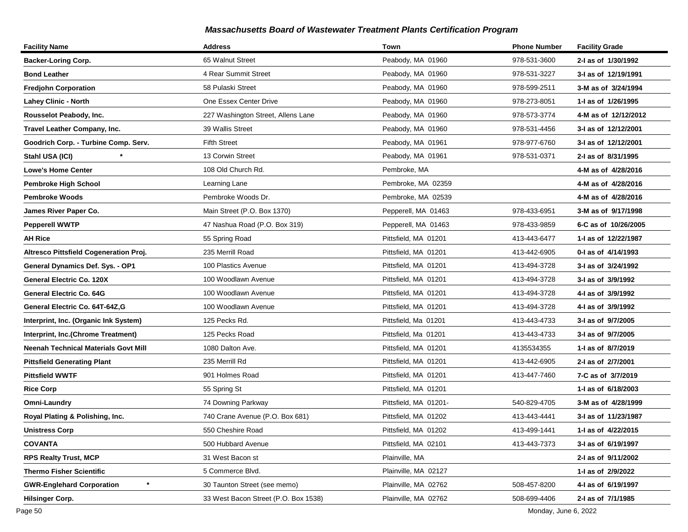| <b>Facility Name</b>                          | <b>Address</b>                       | Town                  | <b>Phone Number</b> | <b>Facility Grade</b> |
|-----------------------------------------------|--------------------------------------|-----------------------|---------------------|-----------------------|
| <b>Backer-Loring Corp.</b>                    | 65 Walnut Street                     | Peabody, MA 01960     | 978-531-3600        | 2-I as of 1/30/1992   |
| <b>Bond Leather</b>                           | 4 Rear Summit Street                 | Peabody, MA 01960     | 978-531-3227        | 3-I as of 12/19/1991  |
| <b>Fredjohn Corporation</b>                   | 58 Pulaski Street                    | Peabody, MA 01960     | 978-599-2511        | 3-M as of 3/24/1994   |
| <b>Lahey Clinic - North</b>                   | One Essex Center Drive               | Peabody, MA 01960     | 978-273-8051        | 1-I as of 1/26/1995   |
| Rousselot Peabody, Inc.                       | 227 Washington Street, Allens Lane   | Peabody, MA 01960     | 978-573-3774        | 4-M as of 12/12/2012  |
| Travel Leather Company, Inc.                  | 39 Wallis Street                     | Peabody, MA 01960     | 978-531-4456        | 3-I as of 12/12/2001  |
| Goodrich Corp. - Turbine Comp. Serv.          | <b>Fifth Street</b>                  | Peabody, MA 01961     | 978-977-6760        | 3-I as of 12/12/2001  |
| Stahl USA (ICI)                               | 13 Corwin Street                     | Peabody, MA 01961     | 978-531-0371        | 2-I as of 8/31/1995   |
| <b>Lowe's Home Center</b>                     | 108 Old Church Rd.                   | Pembroke, MA          |                     | 4-M as of 4/28/2016   |
| <b>Pembroke High School</b>                   | Learning Lane                        | Pembroke, MA 02359    |                     | 4-M as of 4/28/2016   |
| Pembroke Woods                                | Pembroke Woods Dr.                   | Pembroke, MA 02539    |                     | 4-M as of 4/28/2016   |
| James River Paper Co.                         | Main Street (P.O. Box 1370)          | Pepperell, MA 01463   | 978-433-6951        | 3-M as of 9/17/1998   |
| <b>Pepperell WWTP</b>                         | 47 Nashua Road (P.O. Box 319)        | Pepperell, MA 01463   | 978-433-9859        | 6-C as of 10/26/2005  |
| AH Rice                                       | 55 Spring Road                       | Pittsfield, MA 01201  | 413-443-6477        | 1-I as of 12/22/1987  |
| <b>Altresco Pittsfield Cogeneration Proj.</b> | 235 Merrill Road                     | Pittsfield, MA 01201  | 413-442-6905        | 0-I as of 4/14/1993   |
| General Dynamics Def. Sys. - OP1              | 100 Plastics Avenue                  | Pittsfield, MA 01201  | 413-494-3728        | 3-I as of 3/24/1992   |
| General Electric Co. 120X                     | 100 Woodlawn Avenue                  | Pittsfield, MA 01201  | 413-494-3728        | 3-I as of 3/9/1992    |
| General Electric Co. 64G                      | 100 Woodlawn Avenue                  | Pittsfield, MA 01201  | 413-494-3728        | 4-I as of 3/9/1992    |
| General Electric Co. 64T-64Z,G                | 100 Woodlawn Avenue                  | Pittsfield, MA 01201  | 413-494-3728        | 4-I as of 3/9/1992    |
| Interprint, Inc. (Organic Ink System)         | 125 Pecks Rd.                        | Pittsfield, Ma 01201  | 413-443-4733        | 3-I as of 9/7/2005    |
| Interprint, Inc.(Chrome Treatment)            | 125 Pecks Road                       | Pittsfield, Ma 01201  | 413-443-4733        | 3-I as of 9/7/2005    |
| Neenah Technical Materials Govt Mill          | 1080 Dalton Ave.                     | Pittsfield, MA 01201  | 4135534355          | 1-I as of 8/7/2019    |
| <b>Pittsfield Generating Plant</b>            | 235 Merrill Rd                       | Pittsfield, MA 01201  | 413-442-6905        | 2-I as of 2/7/2001    |
| <b>Pittsfield WWTF</b>                        | 901 Holmes Road                      | Pittsfield, MA 01201  | 413-447-7460        | 7-C as of 3/7/2019    |
| <b>Rice Corp</b>                              | 55 Spring St                         | Pittsfield, MA 01201  |                     | 1-I as of 6/18/2003   |
| Omni-Laundry                                  | 74 Downing Parkway                   | Pittsfield, MA 01201- | 540-829-4705        | 3-M as of 4/28/1999   |
| Royal Plating & Polishing, Inc.               | 740 Crane Avenue (P.O. Box 681)      | Pittsfield, MA 01202  | 413-443-4441        | 3-I as of 11/23/1987  |
| <b>Unistress Corp</b>                         | 550 Cheshire Road                    | Pittsfield, MA 01202  | 413-499-1441        | 1-I as of 4/22/2015   |
| COVANTA                                       | 500 Hubbard Avenue                   | Pittsfield, MA 02101  | 413-443-7373        | 3-I as of 6/19/1997   |
| <b>RPS Realty Trust, MCP</b>                  | 31 West Bacon st                     | Plainville, MA        |                     | 2-I as of 9/11/2002   |
| <b>Thermo Fisher Scientific</b>               | 5 Commerce Blvd.                     | Plainville, MA 02127  |                     | 1-I as of 2/9/2022    |
| $\ast$<br><b>GWR-Englehard Corporation</b>    | 30 Taunton Street (see memo)         | Plainville, MA 02762  | 508-457-8200        | 4-I as of 6/19/1997   |
| <b>Hilsinger Corp.</b>                        | 33 West Bacon Street (P.O. Box 1538) | Plainville, MA 02762  | 508-699-4406        | 2-I as of 7/1/1985    |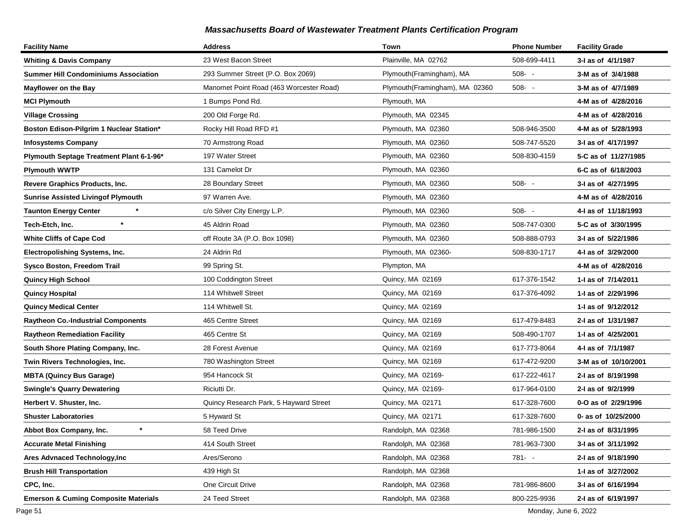| <b>Facility Name</b>                            | <b>Address</b>                          | Town                           | <b>Phone Number</b> | <b>Facility Grade</b> |
|-------------------------------------------------|-----------------------------------------|--------------------------------|---------------------|-----------------------|
| <b>Whiting &amp; Davis Company</b>              | 23 West Bacon Street                    | Plainville, MA 02762           | 508-699-4411        | 3-I as of 4/1/1987    |
| <b>Summer Hill Condominiums Association</b>     | 293 Summer Street (P.O. Box 2069)       | Plymouth(Framingham), MA       | $508 - -$           | 3-M as of 3/4/1988    |
| <b>Mayflower on the Bay</b>                     | Manomet Point Road (463 Worcester Road) | Plymouth(Framingham), MA 02360 | $508 - -$           | 3-M as of 4/7/1989    |
| <b>MCI Plymouth</b>                             | 1 Bumps Pond Rd.                        | Plymouth, MA                   |                     | 4-M as of 4/28/2016   |
| <b>Village Crossing</b>                         | 200 Old Forge Rd.                       | Plymouth, MA 02345             |                     | 4-M as of 4/28/2016   |
| Boston Edison-Pilgrim 1 Nuclear Station*        | Rocky Hill Road RFD #1                  | Plymouth, MA 02360             | 508-946-3500        | 4-M as of 5/28/1993   |
| <b>Infosystems Company</b>                      | 70 Armstrong Road                       | Plymouth, MA 02360             | 508-747-5520        | 3-I as of 4/17/1997   |
| Plymouth Septage Treatment Plant 6-1-96*        | 197 Water Street                        | Plymouth, MA 02360             | 508-830-4159        | 5-C as of 11/27/1985  |
| <b>Plymouth WWTP</b>                            | 131 Camelot Dr                          | Plymouth, MA 02360             |                     | 6-C as of 6/18/2003   |
| Revere Graphics Products, Inc.                  | 28 Boundary Street                      | Plymouth, MA 02360             | $508 - -$           | 3-I as of 4/27/1995   |
| <b>Sunrise Assisted Livingof Plymouth</b>       | 97 Warren Ave.                          | Plymouth, MA 02360             |                     | 4-M as of 4/28/2016   |
| <b>Taunton Energy Center</b>                    | c/o Silver City Energy L.P.             | Plymouth, MA 02360             | $508 - -$           | 4-I as of 11/18/1993  |
| $\star$<br>Tech-Etch, Inc.                      | 45 Aldrin Road                          | Plymouth, MA 02360             | 508-747-0300        | 5-C as of 3/30/1995   |
| <b>White Cliffs of Cape Cod</b>                 | off Route 3A (P.O. Box 1098)            | Plymouth, MA 02360             | 508-888-0793        | 3-I as of 5/22/1986   |
| Electropolishing Systems, Inc.                  | 24 Aldrin Rd                            | Plymouth, MA 02360-            | 508-830-1717        | 4-I as of 3/29/2000   |
| <b>Sysco Boston, Freedom Trail</b>              | 99 Spring St.                           | Plympton, MA                   |                     | 4-M as of 4/28/2016   |
| <b>Quincy High School</b>                       | 100 Coddington Street                   | Quincy, MA 02169               | 617-376-1542        | 1-I as of 7/14/2011   |
| <b>Quincy Hospital</b>                          | 114 Whitwell Street                     | Quincy, MA 02169               | 617-376-4092        | 1-I as of 2/29/1996   |
| <b>Quincy Medical Center</b>                    | 114 Whitwell St.                        | Quincy, MA 02169               |                     | 1-1 as of 9/12/2012   |
| <b>Raytheon Co.-Industrial Components</b>       | 465 Centre Street                       | Quincy, MA 02169               | 617-479-8483        | 2-I as of 1/31/1987   |
| <b>Raytheon Remediation Facility</b>            | 465 Centre St                           | Quincy, MA 02169               | 508-490-1707        | 1-I as of 4/25/2001   |
| South Shore Plating Company, Inc.               | 28 Forest Avenue                        | Quincy, MA 02169               | 617-773-8064        | 4-I as of 7/1/1987    |
| Twin Rivers Technologies, Inc.                  | 780 Washington Street                   | Quincy, MA 02169               | 617-472-9200        | 3-M as of 10/10/2001  |
| <b>MBTA (Quincy Bus Garage)</b>                 | 954 Hancock St                          | Quincy, MA 02169-              | 617-222-4617        | 2-I as of 8/19/1998   |
| <b>Swingle's Quarry Dewatering</b>              | Riciutti Dr.                            | Quincy, MA 02169-              | 617-964-0100        | 2-I as of 9/2/1999    |
| Herbert V. Shuster, Inc.                        | Quincy Research Park, 5 Hayward Street  | Quincy, MA 02171               | 617-328-7600        | 0-O as of 2/29/1996   |
| <b>Shuster Laboratories</b>                     | 5 Hyward St                             | Quincy, MA 02171               | 617-328-7600        | 0- as of 10/25/2000   |
| Abbot Box Company, Inc.<br>$\ast$               | 58 Teed Drive                           | Randolph, MA 02368             | 781-986-1500        | 2-I as of 8/31/1995   |
| <b>Accurate Metal Finishing</b>                 | 414 South Street                        | Randolph, MA 02368             | 781-963-7300        | 3-I as of 3/11/1992   |
| Ares Advnaced Technology, Inc                   | Ares/Serono                             | Randolph, MA 02368             | 781- -              | 2-1 as of 9/18/1990   |
| <b>Brush Hill Transportation</b>                | 439 High St                             | Randolph, MA 02368             |                     | 1-I as of 3/27/2002   |
| CPC, Inc.                                       | One Circuit Drive                       | Randolph, MA 02368             | 781-986-8600        | 3-I as of 6/16/1994   |
| <b>Emerson &amp; Cuming Composite Materials</b> | 24 Teed Street                          | Randolph, MA 02368             | 800-225-9936        | 2-I as of 6/19/1997   |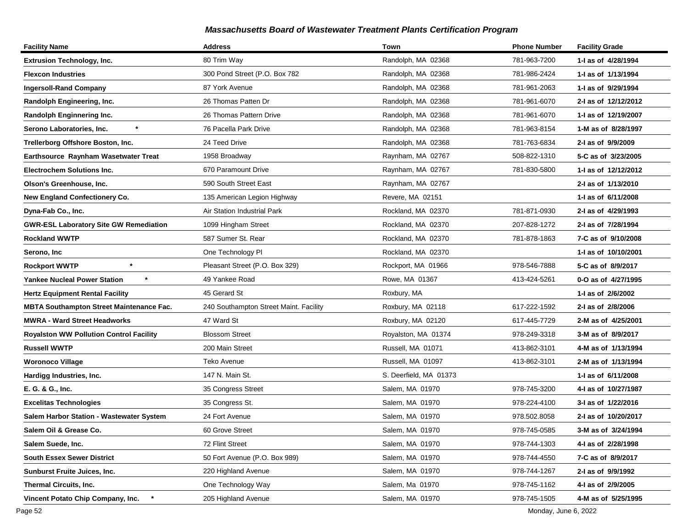| <b>Facility Name</b>                            | <b>Address</b>                         | Town                   | <b>Phone Number</b> | <b>Facility Grade</b> |
|-------------------------------------------------|----------------------------------------|------------------------|---------------------|-----------------------|
| <b>Extrusion Technology, Inc.</b>               | 80 Trim Way                            | Randolph, MA 02368     | 781-963-7200        | 1-I as of 4/28/1994   |
| <b>Flexcon Industries</b>                       | 300 Pond Street (P.O. Box 782          | Randolph, MA 02368     | 781-986-2424        | 1-I as of 1/13/1994   |
| <b>Ingersoll-Rand Company</b>                   | 87 York Avenue                         | Randolph, MA 02368     | 781-961-2063        | 1-I as of 9/29/1994   |
| Randolph Engineering, Inc.                      | 26 Thomas Patten Dr                    | Randolph, MA 02368     | 781-961-6070        | 2-I as of 12/12/2012  |
| Randolph Enginnering Inc.                       | 26 Thomas Pattern Drive                | Randolph, MA 02368     | 781-961-6070        | 1-I as of 12/19/2007  |
| $\ast$<br>Serono Laboratories, Inc.             | 76 Pacella Park Drive                  | Randolph, MA 02368     | 781-963-8154        | 1-M as of 8/28/1997   |
| Trellerborg Offshore Boston, Inc.               | 24 Teed Drive                          | Randolph, MA 02368     | 781-763-6834        | 2-I as of 9/9/2009    |
| Earthsource Raynham Wasetwater Treat            | 1958 Broadway                          | Raynham, MA 02767      | 508-822-1310        | 5-C as of 3/23/2005   |
| <b>Electrochem Solutions Inc.</b>               | 670 Paramount Drive                    | Raynham, MA 02767      | 781-830-5800        | 1-I as of 12/12/2012  |
| Olson's Greenhouse, Inc.                        | 590 South Street East                  | Raynham, MA 02767      |                     | 2-I as of 1/13/2010   |
| New England Confectionery Co.                   | 135 American Legion Highway            | Revere, MA 02151       |                     | 1-I as of 6/11/2008   |
| Dyna-Fab Co., Inc.                              | Air Station Industrial Park            | Rockland, MA 02370     | 781-871-0930        | 2-I as of 4/29/1993   |
| <b>GWR-ESL Laboratory Site GW Remediation</b>   | 1099 Hingham Street                    | Rockland, MA 02370     | 207-828-1272        | 2-I as of 7/28/1994   |
| Rockland WWTP                                   | 587 Sumer St. Rear                     | Rockland, MA 02370     | 781-878-1863        | 7-C as of 9/10/2008   |
| Serono, Inc                                     | One Technology PI                      | Rockland, MA 02370     |                     | 1-1 as of 10/10/2001  |
| <b>Rockport WWTP</b>                            | Pleasant Street (P.O. Box 329)         | Rockport, MA 01966     | 978-546-7888        | 5-C as of 8/9/2017    |
| <b>Yankee Nucleal Power Station</b>             | 49 Yankee Road                         | Rowe, MA 01367         | 413-424-5261        | 0-O as of 4/27/1995   |
| <b>Hertz Equipment Rental Facility</b>          | 45 Gerard St                           | Roxbury, MA            |                     | 1-1 as of 2/6/2002    |
| <b>MBTA Southampton Street Maintenance Fac.</b> | 240 Southampton Street Maint. Facility | Roxbury, MA 02118      | 617-222-1592        | 2-I as of 2/8/2006    |
| <b>MWRA - Ward Street Headworks</b>             | 47 Ward St                             | Roxbury, MA 02120      | 617-445-7729        | 2-M as of 4/25/2001   |
| <b>Royalston WW Pollution Control Facility</b>  | <b>Blossom Street</b>                  | Royalston, MA 01374    | 978-249-3318        | 3-M as of 8/9/2017    |
| Russell WWTP                                    | 200 Main Street                        | Russell, MA 01071      | 413-862-3101        | 4-M as of 1/13/1994   |
| <b>Woronoco Village</b>                         | Teko Avenue                            | Russell, MA 01097      | 413-862-3101        | 2-M as of 1/13/1994   |
| Hardigg Industries, Inc.                        | 147 N. Main St.                        | S. Deerfield, MA 01373 |                     | 1-I as of 6/11/2008   |
| E. G. & G., Inc.                                | 35 Congress Street                     | Salem, MA 01970        | 978-745-3200        | 4-I as of 10/27/1987  |
| <b>Excelitas Technologies</b>                   | 35 Congress St.                        | Salem, MA 01970        | 978-224-4100        | 3-I as of 1/22/2016   |
| Salem Harbor Station - Wastewater System        | 24 Fort Avenue                         | Salem, MA 01970        | 978.502.8058        | 2-I as of 10/20/2017  |
| Salem Oil & Grease Co.                          | 60 Grove Street                        | Salem, MA 01970        | 978-745-0585        | 3-M as of 3/24/1994   |
| Salem Suede, Inc.                               | 72 Flint Street                        | Salem, MA 01970        | 978-744-1303        | 4-1 as of 2/28/1998   |
| <b>South Essex Sewer District</b>               | 50 Fort Avenue (P.O. Box 989)          | Salem, MA 01970        | 978-744-4550        | 7-C as of 8/9/2017    |
| <b>Sunburst Fruite Juices, Inc.</b>             | 220 Highland Avenue                    | Salem, MA 01970        | 978-744-1267        | 2-I as of 9/9/1992    |
| Thermal Circuits, Inc.                          | One Technology Way                     | Salem, Ma 01970        | 978-745-1162        | 4-I as of 2/9/2005    |
| Vincent Potato Chip Company, Inc.               | 205 Highland Avenue                    | Salem, MA 01970        | 978-745-1505        | 4-M as of 5/25/1995   |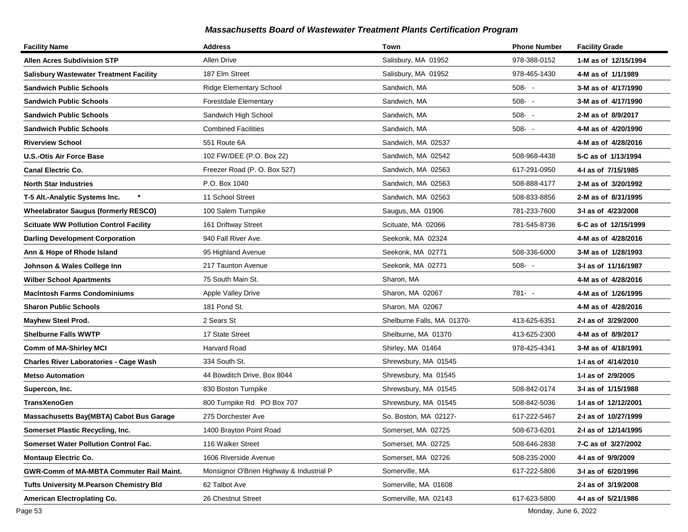| <b>Facility Name</b>                            | <b>Address</b>                           | Town                       | <b>Phone Number</b> | <b>Facility Grade</b> |
|-------------------------------------------------|------------------------------------------|----------------------------|---------------------|-----------------------|
| <b>Allen Acres Subdivision STP</b>              | <b>Allen Drive</b>                       | Salisbury, MA 01952        | 978-388-0152        | 1-M as of 12/15/1994  |
| <b>Salisbury Wastewater Treatment Facility</b>  | 187 Elm Street                           | Salisbury, MA 01952        | 978-465-1430        | 4-M as of 1/1/1989    |
| <b>Sandwich Public Schools</b>                  | <b>Ridge Elementary School</b>           | Sandwich, MA               | $508 - -$           | 3-M as of 4/17/1990   |
| <b>Sandwich Public Schools</b>                  | <b>Forestdale Elementary</b>             | Sandwich, MA               | $508 - -$           | 3-M as of 4/17/1990   |
| <b>Sandwich Public Schools</b>                  | Sandwich High School                     | Sandwich, MA               | $508 - -$           | 2-M as of 8/9/2017    |
| <b>Sandwich Public Schools</b>                  | <b>Combined Facilities</b>               | Sandwich, MA               | $508 - -$           | 4-M as of 4/20/1990   |
| <b>Riverview School</b>                         | 551 Route 6A                             | Sandwich, MA 02537         |                     | 4-M as of 4/28/2016   |
| <b>U.S.-Otis Air Force Base</b>                 | 102 FW/DEE (P.O. Box 22)                 | Sandwich, MA 02542         | 508-968-4438        | 5-C as of 1/13/1994   |
| <b>Canal Electric Co.</b>                       | Freezer Road (P. O. Box 527)             | Sandwich, MA 02563         | 617-291-0950        | 4-I as of 7/15/1985   |
| <b>North Star Industries</b>                    | P.O. Box 1040                            | Sandwich, MA 02563         | 508-888-4177        | 2-M as of 3/20/1992   |
| T-5 Alt.-Analytic Systems Inc.                  | 11 School Street                         | Sandwich, MA 02563         | 508-833-8856        | 2-M as of 8/31/1995   |
| <b>Wheelabrator Saugus (formerly RESCO)</b>     | 100 Salem Turnpike                       | Saugus, MA 01906           | 781-233-7600        | 3-I as of 4/23/2008   |
| <b>Scituate WW Pollution Control Facility</b>   | 161 Driftway Street                      | Scituate, MA 02066         | 781-545-8736        | 6-C as of 12/15/1999  |
| <b>Darling Development Corporation</b>          | 940 Fall River Ave.                      | Seekonk, MA 02324          |                     | 4-M as of 4/28/2016   |
| Ann & Hope of Rhode Island                      | 95 Highland Avenue                       | Seekonk, MA 02771          | 508-336-6000        | 3-M as of 1/28/1993   |
| Johnson & Wales College Inn                     | 217 Taunton Avenue                       | Seekonk, MA 02771          | $508 - -$           | 3-I as of 11/16/1987  |
| <b>Wilber School Apartments</b>                 | 75 South Main St.                        | Sharon, MA                 |                     | 4-M as of 4/28/2016   |
| <b>MacIntosh Farms Condominiums</b>             | Apple Valley Drive                       | Sharon, MA 02067           | $781 - -$           | 4-M as of 1/26/1995   |
| <b>Sharon Public Schools</b>                    | 181 Pond St.                             | Sharon, MA 02067           |                     | 4-M as of 4/28/2016   |
| <b>Mayhew Steel Prod.</b>                       | 2 Sears St                               | Shelburne Falls, MA 01370- | 413-625-6351        | 2-I as of 3/29/2000   |
| <b>Shelburne Falls WWTP</b>                     | 17 State Street                          | Shelburne, MA 01370        | 413-625-2300        | 4-M as of 8/9/2017    |
| <b>Comm of MA-Shirley MCI</b>                   | <b>Harvard Road</b>                      | Shirley, MA 01464          | 978-425-4341        | 3-M as of 4/18/1991   |
| <b>Charles River Laboratories - Cage Wash</b>   | 334 South St.                            | Shrewsbury, MA 01545       |                     | 1-I as of 4/14/2010   |
| <b>Metso Automation</b>                         | 44 Bowditch Drive, Box 8044              | Shrewsbury, Ma 01545       |                     | 1-I as of 2/9/2005    |
| Supercon, Inc.                                  | 830 Boston Turnpike                      | Shrewsbury, MA 01545       | 508-842-0174        | 3-I as of 1/15/1988   |
| <b>TransXenoGen</b>                             | 800 Turnpike Rd PO Box 707               | Shrewsbury, MA 01545       | 508-842-5036        | 1-I as of 12/12/2001  |
| Massachusetts Bay(MBTA) Cabot Bus Garage        | 275 Dorchester Ave                       | So. Boston, MA 02127-      | 617-222-5467        | 2-I as of 10/27/1999  |
| Somerset Plastic Recycling, Inc.                | 1400 Brayton Point Road                  | Somerset, MA 02725         | 508-673-6201        | 2-I as of 12/14/1995  |
| <b>Somerset Water Pollution Control Fac.</b>    | 116 Walker Street                        | Somerset, MA 02725         | 508-646-2838        | 7-C as of 3/27/2002   |
| <b>Montaup Electric Co.</b>                     | 1606 Riverside Avenue                    | Somerset, MA 02726         | 508-235-2000        | 4-I as of 9/9/2009    |
| <b>GWR-Comm of MA-MBTA Commuter Rail Maint.</b> | Monsignor O'Brien Highway & Industrial P | Somerville, MA             | 617-222-5806        | 3-I as of 6/20/1996   |
| <b>Tufts University M.Pearson Chemistry Bld</b> | 62 Talbot Ave                            | Somerville, MA 01608       |                     | 2-I as of 3/19/2008   |
| American Electroplating Co.                     | 26 Chestnut Street                       | Somerville, MA 02143       | 617-623-5800        | 4-I as of 5/21/1986   |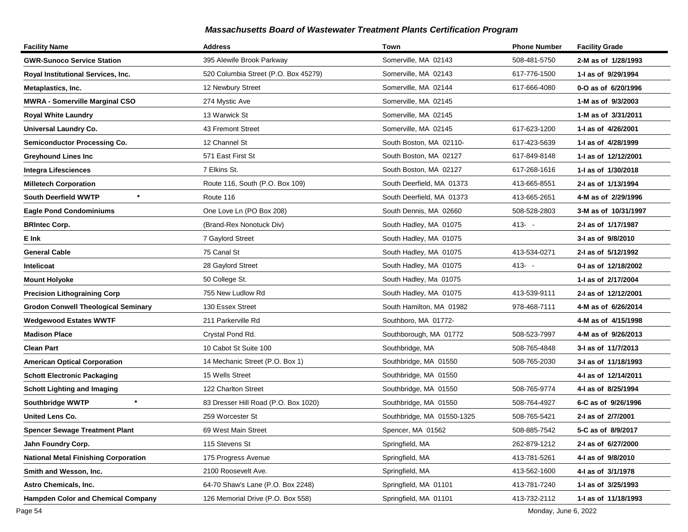| <b>Facility Name</b>                        | <b>Address</b>                       | Town                       | <b>Phone Number</b> | <b>Facility Grade</b> |
|---------------------------------------------|--------------------------------------|----------------------------|---------------------|-----------------------|
| <b>GWR-Sunoco Service Station</b>           | 395 Alewife Brook Parkway            | Somerville, MA 02143       | 508-481-5750        | 2-M as of 1/28/1993   |
| Royal Institutional Services, Inc.          | 520 Columbia Street (P.O. Box 45279) | Somerville, MA 02143       | 617-776-1500        | 1-I as of 9/29/1994   |
| Metaplastics, Inc.                          | 12 Newbury Street                    | Somerville, MA 02144       | 617-666-4080        | 0-O as of 6/20/1996   |
| <b>MWRA - Somerville Marginal CSO</b>       | 274 Mystic Ave                       | Somerville, MA 02145       |                     | 1-M as of 9/3/2003    |
| <b>Royal White Laundry</b>                  | 13 Warwick St                        | Somerville, MA 02145       |                     | 1-M as of 3/31/2011   |
| Universal Laundry Co.                       | 43 Fremont Street                    | Somerville, MA 02145       | 617-623-1200        | 1-I as of 4/26/2001   |
| <b>Semiconductor Processing Co.</b>         | 12 Channel St                        | South Boston, MA 02110-    | 617-423-5639        | 1-I as of 4/28/1999   |
| <b>Greyhound Lines Inc</b>                  | 571 East First St                    | South Boston, MA 02127     | 617-849-8148        | 1-I as of 12/12/2001  |
| <b>Integra Lifesciences</b>                 | 7 Elkins St.                         | South Boston, MA 02127     | 617-268-1616        | 1-I as of 1/30/2018   |
| <b>Milletech Corporation</b>                | Route 116, South (P.O. Box 109)      | South Deerfield, MA 01373  | 413-665-8551        | 2-I as of 1/13/1994   |
| $\star$<br><b>South Deerfield WWTP</b>      | Route 116                            | South Deerfield, MA 01373  | 413-665-2651        | 4-M as of 2/29/1996   |
| <b>Eagle Pond Condominiums</b>              | One Love Ln (PO Box 208)             | South Dennis, MA 02660     | 508-528-2803        | 3-M as of 10/31/1997  |
| <b>BRIntec Corp.</b>                        | (Brand-Rex Nonotuck Div)             | South Hadley, MA 01075     | $413 - -$           | 2-I as of 1/17/1987   |
| E Ink                                       | 7 Gaylord Street                     | South Hadley, MA 01075     |                     | 3-I as of 9/8/2010    |
| <b>General Cable</b>                        | 75 Canal St                          | South Hadley, MA 01075     | 413-534-0271        | 2-I as of 5/12/1992   |
| Intelicoat                                  | 28 Gaylord Street                    | South Hadley, MA 01075     | $413 - -$           | 0-I as of 12/18/2002  |
| <b>Mount Holyoke</b>                        | 50 College St.                       | South Hadley, Ma 01075     |                     | 1-I as of 2/17/2004   |
| <b>Precision Lithograining Corp</b>         | 755 New Ludlow Rd                    | South Hadley, MA 01075     | 413-539-9111        | 2-I as of 12/12/2001  |
| <b>Grodon Conwell Theological Seminary</b>  | 130 Essex Street                     | South Hamilton, MA 01982   | 978-468-7111        | 4-M as of 6/26/2014   |
| <b>Wedgewood Estates WWTF</b>               | 211 Parkerville Rd                   | Southboro, MA 01772-       |                     | 4-M as of 4/15/1998   |
| <b>Madison Place</b>                        | Crystal Pond Rd.                     | Southborough, MA 01772     | 508-523-7997        | 4-M as of 9/26/2013   |
| Clean Part                                  | 10 Cabot St Suite 100                | Southbridge, MA            | 508-765-4848        | 3-I as of 11/7/2013   |
| <b>American Optical Corporation</b>         | 14 Mechanic Street (P.O. Box 1)      | Southbridge, MA 01550      | 508-765-2030        | 3-I as of 11/18/1993  |
| <b>Schott Electronic Packaging</b>          | 15 Wells Street                      | Southbridge, MA 01550      |                     | 4-I as of 12/14/2011  |
| <b>Schott Lighting and Imaging</b>          | 122 Charlton Street                  | Southbridge, MA 01550      | 508-765-9774        | 4-I as of 8/25/1994   |
| $\star$<br><b>Southbridge WWTP</b>          | 83 Dresser Hill Road (P.O. Box 1020) | Southbridge, MA 01550      | 508-764-4927        | 6-C as of 9/26/1996   |
| <b>United Lens Co.</b>                      | 259 Worcester St                     | Southbridge, MA 01550-1325 | 508-765-5421        | 2-I as of 2/7/2001    |
| <b>Spencer Sewage Treatment Plant</b>       | 69 West Main Street                  | Spencer, MA 01562          | 508-885-7542        | 5-C as of 8/9/2017    |
| Jahn Foundry Corp.                          | 115 Stevens St                       | Springfield, MA            | 262-879-1212        | 2-I as of 6/27/2000   |
| <b>National Metal Finishing Corporation</b> | 175 Progress Avenue                  | Springfield, MA            | 413-781-5261        | 4-I as of 9/8/2010    |
| Smith and Wesson, Inc.                      | 2100 Roosevelt Ave.                  | Springfield, MA            | 413-562-1600        | 4-I as of 3/1/1978    |
| Astro Chemicals, Inc.                       | 64-70 Shaw's Lane (P.O. Box 2248)    | Springfield, MA 01101      | 413-781-7240        | 1-I as of 3/25/1993   |
| <b>Hampden Color and Chemical Company</b>   | 126 Memorial Drive (P.O. Box 558)    | Springfield, MA 01101      | 413-732-2112        | 1-I as of 11/18/1993  |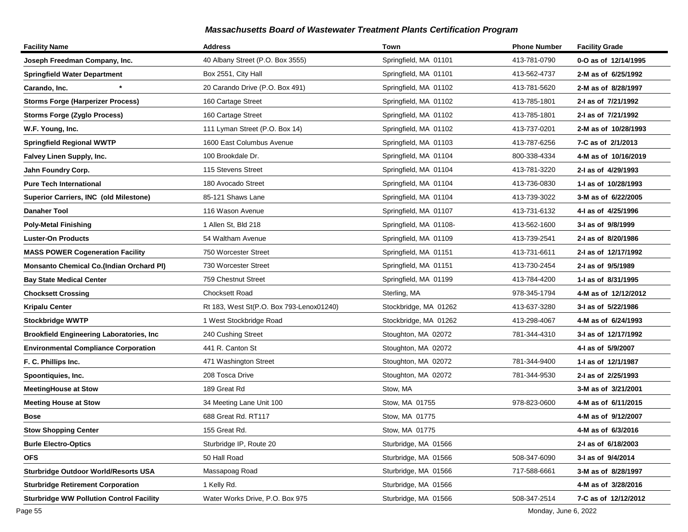| <b>Facility Name</b>                            | <b>Address</b>                           | Town                   | <b>Phone Number</b> | <b>Facility Grade</b> |
|-------------------------------------------------|------------------------------------------|------------------------|---------------------|-----------------------|
| Joseph Freedman Company, Inc.                   | 40 Albany Street (P.O. Box 3555)         | Springfield, MA 01101  | 413-781-0790        | 0-O as of 12/14/1995  |
| <b>Springfield Water Department</b>             | Box 2551, City Hall                      | Springfield, MA 01101  | 413-562-4737        | 2-M as of 6/25/1992   |
| Carando, Inc.                                   | 20 Carando Drive (P.O. Box 491)          | Springfield, MA 01102  | 413-781-5620        | 2-M as of 8/28/1997   |
| <b>Storms Forge (Harperizer Process)</b>        | 160 Cartage Street                       | Springfield, MA 01102  | 413-785-1801        | 2-I as of 7/21/1992   |
| Storms Forge (Zyglo Process)                    | 160 Cartage Street                       | Springfield, MA 01102  | 413-785-1801        | 2-I as of 7/21/1992   |
| W.F. Young, Inc.                                | 111 Lyman Street (P.O. Box 14)           | Springfield, MA 01102  | 413-737-0201        | 2-M as of 10/28/1993  |
| <b>Springfield Regional WWTP</b>                | 1600 East Columbus Avenue                | Springfield, MA 01103  | 413-787-6256        | 7-C as of 2/1/2013    |
| Falvey Linen Supply, Inc.                       | 100 Brookdale Dr.                        | Springfield, MA 01104  | 800-338-4334        | 4-M as of 10/16/2019  |
| Jahn Foundry Corp.                              | 115 Stevens Street                       | Springfield, MA 01104  | 413-781-3220        | 2-I as of 4/29/1993   |
| <b>Pure Tech International</b>                  | 180 Avocado Street                       | Springfield, MA 01104  | 413-736-0830        | 1-I as of 10/28/1993  |
| Superior Carriers, INC (old Milestone)          | 85-121 Shaws Lane                        | Springfield, MA 01104  | 413-739-3022        | 3-M as of 6/22/2005   |
| <b>Danaher Tool</b>                             | 116 Wason Avenue                         | Springfield, MA 01107  | 413-731-6132        | 4-1 as of 4/25/1996   |
| <b>Poly-Metal Finishing</b>                     | 1 Allen St, Bld 218                      | Springfield, MA 01108- | 413-562-1600        | 3-I as of 9/8/1999    |
| <b>Luster-On Products</b>                       | 54 Waltham Avenue                        | Springfield, MA 01109  | 413-739-2541        | 2-I as of 8/20/1986   |
| <b>MASS POWER Cogeneration Facility</b>         | 750 Worcester Street                     | Springfield, MA 01151  | 413-731-6611        | 2-I as of 12/17/1992  |
| <b>Monsanto Chemical Co.(Indian Orchard PI)</b> | 730 Worcester Street                     | Springfield, MA 01151  | 413-730-2454        | 2-I as of 9/5/1989    |
| <b>Bay State Medical Center</b>                 | 759 Chestnut Street                      | Springfield, MA 01199  | 413-784-4200        | 1-I as of 8/31/1995   |
| <b>Chocksett Crossing</b>                       | Chocksett Road                           | Sterling, MA           | 978-345-1794        | 4-M as of 12/12/2012  |
| Kripalu Center                                  | Rt 183, West St(P.O. Box 793-Lenox01240) | Stockbridge, MA 01262  | 413-637-3280        | 3-I as of 5/22/1986   |
| <b>Stockbridge WWTP</b>                         | 1 West Stockbridge Road                  | Stockbridge, MA 01262  | 413-298-4067        | 4-M as of 6/24/1993   |
| <b>Brookfield Engineering Laboratories, Inc</b> | 240 Cushing Street                       | Stoughton, MA 02072    | 781-344-4310        | 3-I as of 12/17/1992  |
| <b>Environmental Compliance Corporation</b>     | 441 R. Canton St                         | Stoughton, MA 02072    |                     | 4-I as of 5/9/2007    |
| F. C. Phillips Inc.                             | 471 Washington Street                    | Stoughton, MA 02072    | 781-344-9400        | 1-I as of 12/1/1987   |
| Spoontiquies, Inc.                              | 208 Tosca Drive                          | Stoughton, MA 02072    | 781-344-9530        | 2-I as of 2/25/1993   |
| <b>MeetingHouse at Stow</b>                     | 189 Great Rd                             | Stow, MA               |                     | 3-M as of 3/21/2001   |
| <b>Meeting House at Stow</b>                    | 34 Meeting Lane Unit 100                 | Stow, MA 01755         | 978-823-0600        | 4-M as of 6/11/2015   |
| Bose                                            | 688 Great Rd. RT117                      | Stow, MA 01775         |                     | 4-M as of 9/12/2007   |
| <b>Stow Shopping Center</b>                     | 155 Great Rd.                            | Stow, MA 01775         |                     | 4-M as of 6/3/2016    |
| <b>Burle Electro-Optics</b>                     | Sturbridge IP, Route 20                  | Sturbridge, MA 01566   |                     | 2-I as of 6/18/2003   |
| <b>OFS</b>                                      | 50 Hall Road                             | Sturbridge, MA 01566   | 508-347-6090        | 3-I as of 9/4/2014    |
| <b>Sturbridge Outdoor World/Resorts USA</b>     | Massapoag Road                           | Sturbridge, MA 01566   | 717-588-6661        | 3-M as of 8/28/1997   |
| <b>Sturbridge Retirement Corporation</b>        | 1 Kelly Rd.                              | Sturbridge, MA 01566   |                     | 4-M as of 3/28/2016   |
| <b>Sturbridge WW Pollution Control Facility</b> | Water Works Drive, P.O. Box 975          | Sturbridge, MA 01566   | 508-347-2514        | 7-C as of 12/12/2012  |

Page 55 Monday, June 6, 2022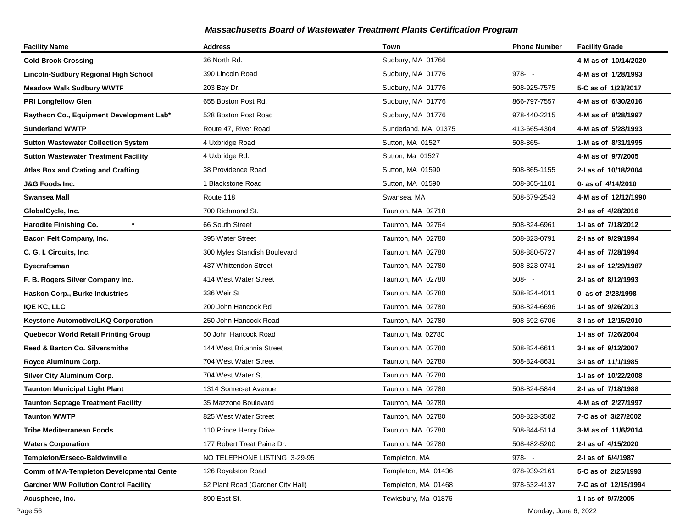| <b>Facility Name</b>                            | <b>Address</b>                    | Town                 | <b>Phone Number</b> | <b>Facility Grade</b> |
|-------------------------------------------------|-----------------------------------|----------------------|---------------------|-----------------------|
| Cold Brook Crossing                             | 36 North Rd.                      | Sudbury, MA 01766    |                     | 4-M as of 10/14/2020  |
| Lincoln-Sudbury Regional High School            | 390 Lincoln Road                  | Sudbury, MA 01776    | $978 - -$           | 4-M as of 1/28/1993   |
| Meadow Walk Sudbury WWTF                        | 203 Bay Dr.                       | Sudbury, MA 01776    | 508-925-7575        | 5-C as of 1/23/2017   |
| <b>PRI Longfellow Glen</b>                      | 655 Boston Post Rd.               | Sudbury, MA 01776    | 866-797-7557        | 4-M as of 6/30/2016   |
| Raytheon Co., Equipment Development Lab*        | 528 Boston Post Road              | Sudbury, MA 01776    | 978-440-2215        | 4-M as of 8/28/1997   |
| Sunderland WWTP                                 | Route 47, River Road              | Sunderland, MA 01375 | 413-665-4304        | 4-M as of 5/28/1993   |
| <b>Sutton Wastewater Collection System</b>      | 4 Uxbridge Road                   | Sutton, MA 01527     | 508-865-            | 1-M as of 8/31/1995   |
| <b>Sutton Wastewater Treatment Facility</b>     | 4 Uxbridge Rd.                    | Sutton, Ma 01527     |                     | 4-M as of 9/7/2005    |
| <b>Atlas Box and Crating and Crafting</b>       | 38 Providence Road                | Sutton, MA 01590     | 508-865-1155        | 2-I as of 10/18/2004  |
| J&G Foods Inc.                                  | 1 Blackstone Road                 | Sutton, MA 01590     | 508-865-1101        | 0- as of 4/14/2010    |
| Swansea Mall                                    | Route 118                         | Swansea, MA          | 508-679-2543        | 4-M as of 12/12/1990  |
| GlobalCycle, Inc.                               | 700 Richmond St.                  | Taunton, MA 02718    |                     | 2-I as of 4/28/2016   |
| Harodite Finishing Co.                          | 66 South Street                   | Taunton, MA 02764    | 508-824-6961        | 1- as of 7/18/2012    |
| Bacon Felt Company, Inc.                        | 395 Water Street                  | Taunton, MA 02780    | 508-823-0791        | 2-I as of 9/29/1994   |
| C. G. I. Circuits, Inc.                         | 300 Myles Standish Boulevard      | Taunton, MA 02780    | 508-880-5727        | 4-I as of 7/28/1994   |
| Dyecraftsman                                    | 437 Whittendon Street             | Taunton, MA 02780    | 508-823-0741        | 2-I as of 12/29/1987  |
| F. B. Rogers Silver Company Inc.                | 414 West Water Street             | Taunton, MA 02780    | $508 - -$           | 2-I as of 8/12/1993   |
| Haskon Corp., Burke Industries                  | 336 Weir St                       | Taunton, MA 02780    | 508-824-4011        | 0- as of 2/28/1998    |
| <b>IQE KC, LLC</b>                              | 200 John Hancock Rd               | Taunton, MA 02780    | 508-824-6696        | 1-I as of 9/26/2013   |
| Keystone Automotive/LKQ Corporation             | 250 John Hancock Road             | Taunton, MA 02780    | 508-692-6706        | 3-I as of 12/15/2010  |
| <b>Quebecor World Retail Printing Group</b>     | 50 John Hancock Road              | Taunton, Ma 02780    |                     | 1-I as of 7/26/2004   |
| <b>Reed &amp; Barton Co. Silversmiths</b>       | 144 West Britannia Street         | Taunton, MA 02780    | 508-824-6611        | 3-I as of 9/12/2007   |
| Royce Aluminum Corp.                            | 704 West Water Street             | Taunton, MA 02780    | 508-824-8631        | 3-I as of 11/1/1985   |
| <b>Silver City Aluminum Corp.</b>               | 704 West Water St.                | Taunton, MA 02780    |                     | 1-I as of 10/22/2008  |
| <b>Taunton Municipal Light Plant</b>            | 1314 Somerset Avenue              | Taunton, MA 02780    | 508-824-5844        | 2-I as of 7/18/1988   |
| <b>Taunton Septage Treatment Facility</b>       | 35 Mazzone Boulevard              | Taunton, MA 02780    |                     | 4-M as of 2/27/1997   |
| <b>Taunton WWTP</b>                             | 825 West Water Street             | Taunton, MA 02780    | 508-823-3582        | 7-C as of 3/27/2002   |
| <b>Tribe Mediterranean Foods</b>                | 110 Prince Henry Drive            | Taunton, MA 02780    | 508-844-5114        | 3-M as of 11/6/2014   |
| Waters Corporation                              | 177 Robert Treat Paine Dr.        | Taunton, MA 02780    | 508-482-5200        | 2-I as of 4/15/2020   |
| Templeton/Erseco-Baldwinville                   | NO TELEPHONE LISTING 3-29-95      | Templeton, MA        | $978 - -$           | 2-I as of 6/4/1987    |
| <b>Comm of MA-Templeton Developmental Cente</b> | 126 Royalston Road                | Templeton, MA 01436  | 978-939-2161        | 5-C as of 2/25/1993   |
| <b>Gardner WW Pollution Control Facility</b>    | 52 Plant Road (Gardner City Hall) | Templeton, MA 01468  | 978-632-4137        | 7-C as of 12/15/1994  |
| Acusphere, Inc.                                 | 890 East St.                      | Tewksbury, Ma 01876  |                     | 1-I as of 9/7/2005    |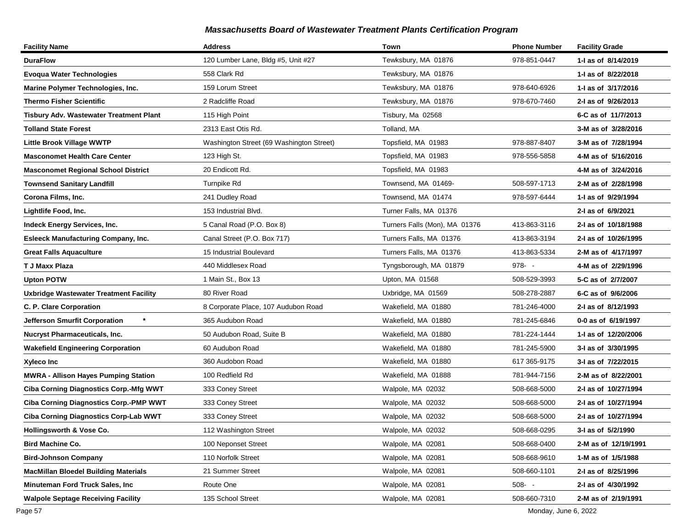| <b>Facility Name</b>                            | <b>Address</b>                           | Town                          | <b>Phone Number</b> | <b>Facility Grade</b> |
|-------------------------------------------------|------------------------------------------|-------------------------------|---------------------|-----------------------|
| <b>DuraFlow</b>                                 | 120 Lumber Lane, Bldg #5, Unit #27       | Tewksbury, MA 01876           | 978-851-0447        | 1- as of 8/14/2019    |
| <b>Evoqua Water Technologies</b>                | 558 Clark Rd                             | Tewksbury, MA 01876           |                     | 1-1 as of 8/22/2018   |
| Marine Polymer Technologies, Inc.               | 159 Lorum Street                         | Tewksbury, MA 01876           | 978-640-6926        | 1-1 as of 3/17/2016   |
| <b>Thermo Fisher Scientific</b>                 | 2 Radcliffe Road                         | Tewksbury, MA 01876           | 978-670-7460        | 2-I as of 9/26/2013   |
| Tisbury Adv. Wastewater Treatment Plant         | 115 High Point                           | Tisbury, Ma 02568             |                     | 6-C as of 11/7/2013   |
| <b>Tolland State Forest</b>                     | 2313 East Otis Rd.                       | Tolland, MA                   |                     | 3-M as of 3/28/2016   |
| <b>Little Brook Village WWTP</b>                | Washington Street (69 Washington Street) | Topsfield, MA 01983           | 978-887-8407        | 3-M as of 7/28/1994   |
| <b>Masconomet Health Care Center</b>            | 123 High St.                             | Topsfield, MA 01983           | 978-556-5858        | 4-M as of 5/16/2016   |
| <b>Masconomet Regional School District</b>      | 20 Endicott Rd.                          | Topsfield, MA 01983           |                     | 4-M as of 3/24/2016   |
| <b>Townsend Sanitary Landfill</b>               | Turnpike Rd                              | Townsend, MA 01469-           | 508-597-1713        | 2-M as of 2/28/1998   |
| Corona Films, Inc.                              | 241 Dudley Road                          | Townsend, MA 01474            | 978-597-6444        | 1-I as of 9/29/1994   |
| Lightlife Food, Inc.                            | 153 Industrial Blvd.                     | Turner Falls, MA 01376        |                     | 2-I as of 6/9/2021    |
| Indeck Energy Services, Inc.                    | 5 Canal Road (P.O. Box 8)                | Turners Falls (Mon), MA 01376 | 413-863-3116        | 2-I as of 10/18/1988  |
| <b>Esleeck Manufacturing Company, Inc.</b>      | Canal Street (P.O. Box 717)              | Turners Falls, MA 01376       | 413-863-3194        | 2-I as of 10/26/1995  |
| <b>Great Falls Aquaculture</b>                  | 15 Industrial Boulevard                  | Turners Falls, MA 01376       | 413-863-5334        | 2-M as of 4/17/1997   |
| T J Maxx Plaza                                  | 440 Middlesex Road                       | Tyngsborough, MA 01879        | $978 - -$           | 4-M as of 2/29/1996   |
| <b>Upton POTW</b>                               | 1 Main St., Box 13                       | Upton, MA 01568               | 508-529-3993        | 5-C as of 2/7/2007    |
| <b>Uxbridge Wastewater Treatment Facility</b>   | 80 River Road                            | Uxbridge, MA 01569            | 508-278-2887        | 6-C as of 9/6/2006    |
| C. P. Clare Corporation                         | 8 Corporate Place, 107 Audubon Road      | Wakefield, MA 01880           | 781-246-4000        | 2-I as of 8/12/1993   |
| $\star$<br><b>Jefferson Smurfit Corporation</b> | 365 Audubon Road                         | Wakefield, MA 01880           | 781-245-6846        | 0-0 as of 6/19/1997   |
| <b>Nucryst Pharmaceuticals, Inc.</b>            | 50 Audubon Road, Suite B                 | Wakefield, MA 01880           | 781-224-1444        | 1-1 as of 12/20/2006  |
| <b>Wakefield Engineering Corporation</b>        | 60 Audubon Road                          | Wakefield, MA 01880           | 781-245-5900        | 3-I as of 3/30/1995   |
| Xyleco Inc                                      | 360 Audobon Road                         | Wakefield, MA 01880           | 617 365-9175        | 3-I as of 7/22/2015   |
| <b>MWRA - Allison Hayes Pumping Station</b>     | 100 Redfield Rd                          | Wakefield, MA 01888           | 781-944-7156        | 2-M as of 8/22/2001   |
| <b>Ciba Corning Diagnostics Corp.-Mfg WWT</b>   | 333 Coney Street                         | Walpole, MA 02032             | 508-668-5000        | 2-I as of 10/27/1994  |
| <b>Ciba Corning Diagnostics Corp.-PMP WWT</b>   | 333 Coney Street                         | Walpole, MA 02032             | 508-668-5000        | 2-I as of 10/27/1994  |
| <b>Ciba Corning Diagnostics Corp-Lab WWT</b>    | 333 Coney Street                         | Walpole, MA 02032             | 508-668-5000        | 2-I as of 10/27/1994  |
| Hollingsworth & Vose Co.                        | 112 Washington Street                    | Walpole, MA 02032             | 508-668-0295        | 3-I as of 5/2/1990    |
| <b>Bird Machine Co.</b>                         | 100 Neponset Street                      | Walpole, MA 02081             | 508-668-0400        | 2-M as of 12/19/1991  |
| <b>Bird-Johnson Company</b>                     | 110 Norfolk Street                       | Walpole, MA 02081             | 508-668-9610        | 1-M as of 1/5/1988    |
| <b>MacMillan Bloedel Building Materials</b>     | 21 Summer Street                         | Walpole, MA 02081             | 508-660-1101        | 2-I as of 8/25/1996   |
| Minuteman Ford Truck Sales, Inc.                | Route One                                | Walpole, MA 02081             | $508 - -$           | 2-I as of 4/30/1992   |
| <b>Walpole Septage Receiving Facility</b>       | 135 School Street                        | Walpole, MA 02081             | 508-660-7310        | 2-M as of 2/19/1991   |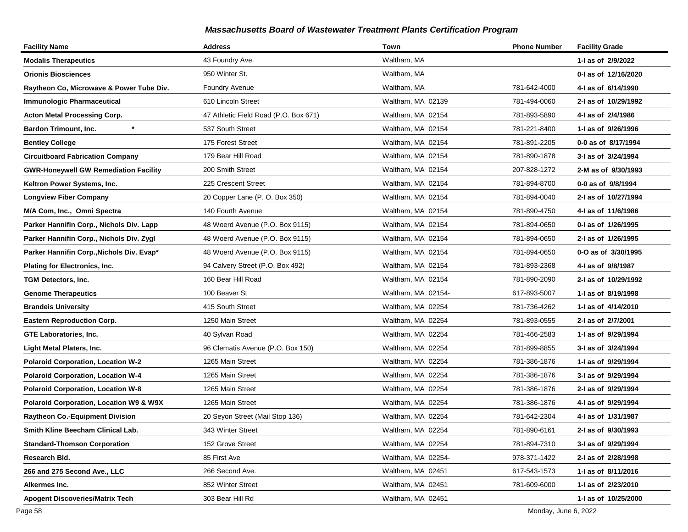| <b>Facility Name</b>                         | <b>Address</b>                        | Town               | <b>Phone Number</b> | <b>Facility Grade</b> |
|----------------------------------------------|---------------------------------------|--------------------|---------------------|-----------------------|
| <b>Modalis Therapeutics</b>                  | 43 Foundry Ave.                       | Waltham, MA        |                     | 1-I as of 2/9/2022    |
| <b>Orionis Biosciences</b>                   | 950 Winter St.                        | Waltham, MA        |                     | 0-I as of 12/16/2020  |
| Raytheon Co, Microwave & Power Tube Div.     | <b>Foundry Avenue</b>                 | Waltham, MA        | 781-642-4000        | 4-I as of 6/14/1990   |
| <b>Immunologic Pharmaceutical</b>            | 610 Lincoln Street                    | Waltham, MA 02139  | 781-494-0060        | 2-I as of 10/29/1992  |
| <b>Acton Metal Processing Corp.</b>          | 47 Athletic Field Road (P.O. Box 671) | Waltham, MA 02154  | 781-893-5890        | 4-I as of 2/4/1986    |
| $\star$<br><b>Bardon Trimount, Inc.</b>      | 537 South Street                      | Waltham, MA 02154  | 781-221-8400        | 1-I as of 9/26/1996   |
| <b>Bentley College</b>                       | 175 Forest Street                     | Waltham, MA 02154  | 781-891-2205        | 0-0 as of 8/17/1994   |
| <b>Circuitboard Fabrication Company</b>      | 179 Bear Hill Road                    | Waltham, MA 02154  | 781-890-1878        | 3-I as of 3/24/1994   |
| <b>GWR-Honeywell GW Remediation Facility</b> | 200 Smith Street                      | Waltham, MA 02154  | 207-828-1272        | 2-M as of 9/30/1993   |
| Keltron Power Systems, Inc.                  | 225 Crescent Street                   | Waltham, MA 02154  | 781-894-8700        | 0-0 as of 9/8/1994    |
| <b>Longview Fiber Company</b>                | 20 Copper Lane (P. O. Box 350)        | Waltham, MA 02154  | 781-894-0040        | 2-I as of 10/27/1994  |
| M/A Com, Inc., Omni Spectra                  | 140 Fourth Avenue                     | Waltham, MA 02154  | 781-890-4750        | 4-1 as of 11/6/1986   |
| Parker Hannifin Corp., Nichols Div. Lapp     | 48 Woerd Avenue (P.O. Box 9115)       | Waltham, MA 02154  | 781-894-0650        | 0-I as of 1/26/1995   |
| Parker Hannifin Corp., Nichols Div. Zygl     | 48 Woerd Avenue (P.O. Box 9115)       | Waltham, MA 02154  | 781-894-0650        | 2-I as of 1/26/1995   |
| Parker Hannifin Corp., Nichols Div. Evap*    | 48 Woerd Avenue (P.O. Box 9115)       | Waltham, MA 02154  | 781-894-0650        | 0-O as of 3/30/1995   |
| Plating for Electronics, Inc.                | 94 Calvery Street (P.O. Box 492)      | Waltham, MA 02154  | 781-893-2368        | 4-I as of 9/8/1987    |
| TGM Detectors, Inc.                          | 160 Bear Hill Road                    | Waltham, MA 02154  | 781-890-2090        | 2-I as of 10/29/1992  |
| <b>Genome Therapeutics</b>                   | 100 Beaver St                         | Waltham, MA 02154- | 617-893-5007        | 1-I as of 8/19/1998   |
| <b>Brandeis University</b>                   | 415 South Street                      | Waltham, MA 02254  | 781-736-4262        | 1-I as of 4/14/2010   |
| <b>Eastern Reproduction Corp.</b>            | 1250 Main Street                      | Waltham, MA 02254  | 781-893-0555        | 2-I as of 2/7/2001    |
| GTE Laboratories, Inc.                       | 40 Sylvan Road                        | Waltham, MA 02254  | 781-466-2583        | 1-I as of 9/29/1994   |
| Light Metal Platers, Inc.                    | 96 Clematis Avenue (P.O. Box 150)     | Waltham, MA 02254  | 781-899-8855        | 3-I as of 3/24/1994   |
| <b>Polaroid Corporation, Location W-2</b>    | 1265 Main Street                      | Waltham, MA 02254  | 781-386-1876        | 1-I as of 9/29/1994   |
| <b>Polaroid Corporation, Location W-4</b>    | 1265 Main Street                      | Waltham, MA 02254  | 781-386-1876        | 3-I as of 9/29/1994   |
| <b>Polaroid Corporation, Location W-8</b>    | 1265 Main Street                      | Waltham, MA 02254  | 781-386-1876        | 2-I as of 9/29/1994   |
| Polaroid Corporation, Location W9 & W9X      | 1265 Main Street                      | Waltham, MA 02254  | 781-386-1876        | 4-I as of 9/29/1994   |
| <b>Raytheon Co.-Equipment Division</b>       | 20 Seyon Street (Mail Stop 136)       | Waltham, MA 02254  | 781-642-2304        | 4-I as of 1/31/1987   |
| Smith Kline Beecham Clinical Lab.            | 343 Winter Street                     | Waltham, MA 02254  | 781-890-6161        | 2-I as of 9/30/1993   |
| <b>Standard-Thomson Corporation</b>          | 152 Grove Street                      | Waltham, MA 02254  | 781-894-7310        | 3-I as of 9/29/1994   |
| Research Bld.                                | 85 First Ave                          | Waltham, MA 02254- | 978-371-1422        | 2-I as of 2/28/1998   |
| 266 and 275 Second Ave., LLC                 | 266 Second Ave.                       | Waltham, MA 02451  | 617-543-1573        | 1-1 as of 8/11/2016   |
| Alkermes Inc.                                | 852 Winter Street                     | Waltham, MA 02451  | 781-609-6000        | 1-I as of 2/23/2010   |
| <b>Apogent Discoveries/Matrix Tech</b>       | 303 Bear Hill Rd                      | Waltham, MA 02451  |                     | 1-I as of 10/25/2000  |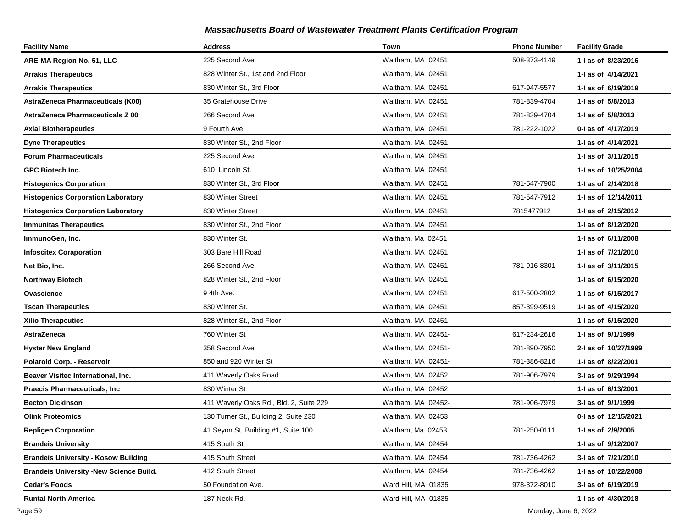| <b>Facility Name</b>                           | <b>Address</b>                          | Town                | <b>Phone Number</b> | <b>Facility Grade</b> |
|------------------------------------------------|-----------------------------------------|---------------------|---------------------|-----------------------|
| ARE-MA Region No. 51, LLC                      | 225 Second Ave.                         | Waltham, MA 02451   | 508-373-4149        | 1-1 as of 8/23/2016   |
| <b>Arrakis Therapeutics</b>                    | 828 Winter St., 1st and 2nd Floor       | Waltham, MA 02451   |                     | 1-I as of 4/14/2021   |
| <b>Arrakis Therapeutics</b>                    | 830 Winter St., 3rd Floor               | Waltham, MA 02451   | 617-947-5577        | 1-1 as of 6/19/2019   |
| AstraZeneca Pharmaceuticals (K00)              | 35 Gratehouse Drive                     | Waltham, MA 02451   | 781-839-4704        | 1-I as of 5/8/2013    |
| AstraZeneca Pharmaceuticals Z 00               | 266 Second Ave                          | Waltham, MA 02451   | 781-839-4704        | 1-I as of 5/8/2013    |
| <b>Axial Biotherapeutics</b>                   | 9 Fourth Ave.                           | Waltham, MA 02451   | 781-222-1022        | 0-1 as of 4/17/2019   |
| <b>Dyne Therapeutics</b>                       | 830 Winter St., 2nd Floor               | Waltham, MA 02451   |                     | 1- as of 4/14/2021    |
| <b>Forum Pharmaceuticals</b>                   | 225 Second Ave                          | Waltham, MA 02451   |                     | 1-I as of 3/11/2015   |
| <b>GPC Biotech Inc.</b>                        | 610 Lincoln St.                         | Waltham, MA 02451   |                     | 1-I as of 10/25/2004  |
| <b>Histogenics Corporation</b>                 | 830 Winter St., 3rd Floor               | Waltham, MA 02451   | 781-547-7900        | 1-1 as of 2/14/2018   |
| <b>Histogenics Corporation Laboratory</b>      | 830 Winter Street                       | Waltham, MA 02451   | 781-547-7912        | 1- as of 12/14/2011   |
| <b>Histogenics Corporation Laboratory</b>      | 830 Winter Street                       | Waltham, MA 02451   | 7815477912          | 1-I as of 2/15/2012   |
| <b>Immunitas Therapeutics</b>                  | 830 Winter St., 2nd Floor               | Waltham, MA 02451   |                     | 1- as of 8/12/2020    |
| ImmunoGen, Inc.                                | 830 Winter St.                          | Waltham, Ma 02451   |                     | 1-1 as of 6/11/2008   |
| <b>Infoscitex Coraporation</b>                 | 303 Bare Hill Road                      | Waltham, MA 02451   |                     | 1- as of 7/21/2010    |
| Net Bio, Inc.                                  | 266 Second Ave.                         | Waltham, MA 02451   | 781-916-8301        | 1-I as of 3/11/2015   |
| <b>Northway Biotech</b>                        | 828 Winter St., 2nd Floor               | Waltham, MA 02451   |                     | 1- as of 6/15/2020    |
| Ovascience                                     | 94th Ave.                               | Waltham, MA 02451   | 617-500-2802        | 1-1 as of 6/15/2017   |
| <b>Tscan Therapeutics</b>                      | 830 Winter St.                          | Waltham, MA 02451   | 857-399-9519        | 1-1 as of 4/15/2020   |
| <b>Xilio Therapeutics</b>                      | 828 Winter St., 2nd Floor               | Waltham, MA 02451   |                     | 1-I as of 6/15/2020   |
| AstraZeneca                                    | 760 Winter St                           | Waltham, MA 02451-  | 617-234-2616        | 1-I as of 9/1/1999    |
| <b>Hyster New England</b>                      | 358 Second Ave                          | Waltham, MA 02451-  | 781-890-7950        | 2-I as of 10/27/1999  |
| Polaroid Corp. - Reservoir                     | 850 and 920 Winter St                   | Waltham, MA 02451-  | 781-386-8216        | 1- as of 8/22/2001    |
| Beaver Visitec International, Inc.             | 411 Waverly Oaks Road                   | Waltham, MA 02452   | 781-906-7979        | 3-I as of 9/29/1994   |
| <b>Praecis Pharmaceuticals, Inc.</b>           | 830 Winter St                           | Waltham, MA 02452   |                     | 1-I as of 6/13/2001   |
| <b>Becton Dickinson</b>                        | 411 Waverly Oaks Rd., Bld. 2, Suite 229 | Waltham, MA 02452-  | 781-906-7979        | 3-I as of 9/1/1999    |
| <b>Olink Proteomics</b>                        | 130 Turner St., Building 2, Suite 230   | Waltham, MA 02453   |                     | 0-I as of 12/15/2021  |
| <b>Repligen Corporation</b>                    | 41 Seyon St. Building #1, Suite 100     | Waltham, Ma 02453   | 781-250-0111        | 1-I as of 2/9/2005    |
| <b>Brandeis University</b>                     | 415 South St                            | Waltham, MA 02454   |                     | 1- as of 9/12/2007    |
| <b>Brandeis University - Kosow Building</b>    | 415 South Street                        | Waltham, MA 02454   | 781-736-4262        | 3-I as of 7/21/2010   |
| <b>Brandeis University -New Science Build.</b> | 412 South Street                        | Waltham, MA 02454   | 781-736-4262        | 1-I as of 10/22/2008  |
| <b>Cedar's Foods</b>                           | 50 Foundation Ave.                      | Ward Hill, MA 01835 | 978-372-8010        | 3-I as of 6/19/2019   |
| <b>Runtal North America</b>                    | 187 Neck Rd.                            | Ward Hill, MA 01835 |                     | 1-I as of 4/30/2018   |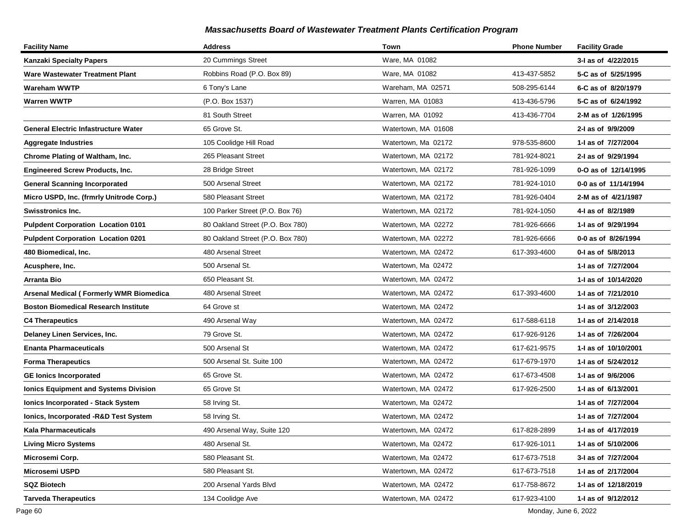| <b>Facility Name</b>                           | <b>Address</b>                   | Town                | <b>Phone Number</b> | <b>Facility Grade</b> |
|------------------------------------------------|----------------------------------|---------------------|---------------------|-----------------------|
| <b>Kanzaki Specialty Papers</b>                | 20 Cummings Street               | Ware, MA 01082      |                     | 3-I as of 4/22/2015   |
| Ware Wastewater Treatment Plant                | Robbins Road (P.O. Box 89)       | Ware, MA 01082      | 413-437-5852        | 5-C as of 5/25/1995   |
| Wareham WWTP                                   | 6 Tony's Lane                    | Wareham, MA 02571   | 508-295-6144        | 6-C as of 8/20/1979   |
| <b>Warren WWTP</b>                             | (P.O. Box 1537)                  | Warren, MA 01083    | 413-436-5796        | 5-C as of 6/24/1992   |
|                                                | 81 South Street                  | Warren, MA 01092    | 413-436-7704        | 2-M as of 1/26/1995   |
| <b>General Electric Infastructure Water</b>    | 65 Grove St.                     | Watertown, MA 01608 |                     | 2-I as of 9/9/2009    |
| Aggregate Industries                           | 105 Coolidge Hill Road           | Watertown, Ma 02172 | 978-535-8600        | 1-I as of 7/27/2004   |
| <b>Chrome Plating of Waltham, Inc.</b>         | 265 Pleasant Street              | Watertown, MA 02172 | 781-924-8021        | 2-I as of 9/29/1994   |
| <b>Engineered Screw Products, Inc.</b>         | 28 Bridge Street                 | Watertown, MA 02172 | 781-926-1099        | 0-O as of 12/14/1995  |
| <b>General Scanning Incorporated</b>           | 500 Arsenal Street               | Watertown, MA 02172 | 781-924-1010        | 0-0 as of 11/14/1994  |
| Micro USPD, Inc. (frmrly Unitrode Corp.)       | 580 Pleasant Street              | Watertown, MA 02172 | 781-926-0404        | 2-M as of 4/21/1987   |
| <b>Swisstronics Inc.</b>                       | 100 Parker Street (P.O. Box 76)  | Watertown, MA 02172 | 781-924-1050        | 4-1 as of 8/2/1989    |
| <b>Pulpdent Corporation Location 0101</b>      | 80 Oakland Street (P.O. Box 780) | Watertown, MA 02272 | 781-926-6666        | 1-I as of 9/29/1994   |
| <b>Pulpdent Corporation Location 0201</b>      | 80 Oakland Street (P.O. Box 780) | Watertown, MA 02272 | 781-926-6666        | 0-0 as of 8/26/1994   |
| 480 Biomedical, Inc.                           | 480 Arsenal Street               | Watertown, MA 02472 | 617-393-4600        | 0-1 as of 5/8/2013    |
| Acusphere, Inc.                                | 500 Arsenal St.                  | Watertown, Ma 02472 |                     | 1-I as of 7/27/2004   |
| Arranta Bio                                    | 650 Pleasant St.                 | Watertown, MA 02472 |                     | 1-I as of 10/14/2020  |
| <b>Arsenal Medical (Formerly WMR Biomedica</b> | 480 Arsenal Street               | Watertown, MA 02472 | 617-393-4600        | 1-I as of 7/21/2010   |
| Boston Biomedical Research Institute           | 64 Grove st                      | Watertown, MA 02472 |                     | 1-I as of 3/12/2003   |
| <b>C4 Therapeutics</b>                         | 490 Arsenal Way                  | Watertown, MA 02472 | 617-588-6118        | 1-I as of 2/14/2018   |
| Delaney Linen Services, Inc.                   | 79 Grove St.                     | Watertown, MA 02472 | 617-926-9126        | 1-I as of 7/26/2004   |
| <b>Enanta Pharmaceuticals</b>                  | 500 Arsenal St                   | Watertown, MA 02472 | 617-621-9575        | 1-I as of 10/10/2001  |
| <b>Forma Therapeutics</b>                      | 500 Arsenal St. Suite 100        | Watertown, MA 02472 | 617-679-1970        | 1-1 as of 5/24/2012   |
| <b>GE lonics Incorporated</b>                  | 65 Grove St.                     | Watertown, MA 02472 | 617-673-4508        | 1-I as of 9/6/2006    |
| <b>Ionics Equipment and Systems Division</b>   | 65 Grove St                      | Watertown, MA 02472 | 617-926-2500        | 1-I as of 6/13/2001   |
| <b>Ionics Incorporated - Stack System</b>      | 58 Irving St.                    | Watertown, Ma 02472 |                     | 1-I as of 7/27/2004   |
| Ionics, Incorporated -R&D Test System          | 58 Irving St.                    | Watertown, MA 02472 |                     | 1-I as of 7/27/2004   |
| Kala Pharmaceuticals                           | 490 Arsenal Way, Suite 120       | Watertown, MA 02472 | 617-828-2899        | 1-I as of 4/17/2019   |
| <b>Living Micro Systems</b>                    | 480 Arsenal St.                  | Watertown, Ma 02472 | 617-926-1011        | 1-1 as of 5/10/2006   |
| Microsemi Corp.                                | 580 Pleasant St.                 | Watertown, Ma 02472 | 617-673-7518        | 3-I as of 7/27/2004   |
| Microsemi USPD                                 | 580 Pleasant St.                 | Watertown, MA 02472 | 617-673-7518        | 1- as of 2/17/2004    |
| <b>SQZ Biotech</b>                             | 200 Arsenal Yards Blvd           | Watertown, MA 02472 | 617-758-8672        | 1-I as of 12/18/2019  |
| <b>Tarveda Therapeutics</b>                    | 134 Coolidge Ave                 | Watertown, MA 02472 | 617-923-4100        | 1-I as of 9/12/2012   |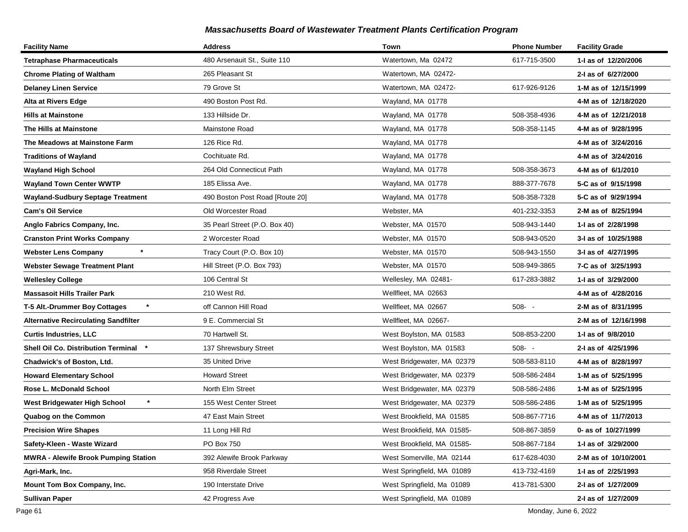| <b>Facility Name</b>                        | <b>Address</b>                  | Town                       | <b>Phone Number</b> | <b>Facility Grade</b> |
|---------------------------------------------|---------------------------------|----------------------------|---------------------|-----------------------|
| <b>Tetraphase Pharmaceuticals</b>           | 480 Arsenauit St., Suite 110    | Watertown, Ma 02472        | 617-715-3500        | 1-I as of 12/20/2006  |
| <b>Chrome Plating of Waltham</b>            | 265 Pleasant St                 | Watertown, MA 02472-       |                     | 2-I as of 6/27/2000   |
| <b>Delaney Linen Service</b>                | 79 Grove St                     | Watertown, MA 02472-       | 617-926-9126        | 1-M as of 12/15/1999  |
| Alta at Rivers Edge                         | 490 Boston Post Rd.             | Wayland, MA 01778          |                     | 4-M as of 12/18/2020  |
| <b>Hills at Mainstone</b>                   | 133 Hillside Dr.                | Wayland, MA 01778          | 508-358-4936        | 4-M as of 12/21/2018  |
| The Hills at Mainstone                      | Mainstone Road                  | Wayland, MA 01778          | 508-358-1145        | 4-M as of 9/28/1995   |
| The Meadows at Mainstone Farm               | 126 Rice Rd.                    | Wayland, MA 01778          |                     | 4-M as of 3/24/2016   |
| <b>Traditions of Wayland</b>                | Cochituate Rd.                  | Wayland, MA 01778          |                     | 4-M as of 3/24/2016   |
| <b>Wayland High School</b>                  | 264 Old Connecticut Path        | Wayland, MA 01778          | 508-358-3673        | 4-M as of 6/1/2010    |
| <b>Wayland Town Center WWTP</b>             | 185 Elissa Ave.                 | Wayland, MA 01778          | 888-377-7678        | 5-C as of 9/15/1998   |
| <b>Wayland-Sudbury Septage Treatment</b>    | 490 Boston Post Road [Route 20] | Wayland, MA 01778          | 508-358-7328        | 5-C as of 9/29/1994   |
| <b>Cam's Oil Service</b>                    | Old Worcester Road              | Webster, MA                | 401-232-3353        | 2-M as of 8/25/1994   |
| Anglo Fabrics Company, Inc.                 | 35 Pearl Street (P.O. Box 40)   | Webster, MA 01570          | 508-943-1440        | 1-I as of 2/28/1998   |
| <b>Cranston Print Works Company</b>         | 2 Worcester Road                | Webster, MA 01570          | 508-943-0520        | 3-I as of 10/25/1988  |
| <b>Webster Lens Company</b>                 | Tracy Court (P.O. Box 10)       | Webster, MA 01570          | 508-943-1550        | 3-I as of 4/27/1995   |
| <b>Webster Sewage Treatment Plant</b>       | Hill Street (P.O. Box 793)      | Webster, MA 01570          | 508-949-3865        | 7-C as of 3/25/1993   |
| <b>Wellesley College</b>                    | 106 Central St                  | Wellesley, MA 02481-       | 617-283-3882        | 1-I as of 3/29/2000   |
| <b>Massasoit Hills Trailer Park</b>         | 210 West Rd.                    | Wellfleet, MA 02663        |                     | 4-M as of 4/28/2016   |
| T-5 Alt.-Drummer Boy Cottages               | off Cannon Hill Road            | Wellfleet, MA 02667        | $508 - -$           | 2-M as of 8/31/1995   |
| <b>Alternative Recirculating Sandfilter</b> | 9 E. Commercial St              | Wellfleet, MA 02667-       |                     | 2-M as of 12/16/1998  |
| <b>Curtis Industries, LLC</b>               | 70 Hartwell St.                 | West Boylston, MA 01583    | 508-853-2200        | 1-I as of 9/8/2010    |
| Shell Oil Co. Distribution Terminal         | 137 Shrewsbury Street           | West Boylston, MA 01583    | $508 - -$           | 2-I as of 4/25/1996   |
| <b>Chadwick's of Boston, Ltd.</b>           | 35 United Drive                 | West Bridgewater, MA 02379 | 508-583-8110        | 4-M as of 8/28/1997   |
| <b>Howard Elementary School</b>             | <b>Howard Street</b>            | West Bridgewater, MA 02379 | 508-586-2484        | 1-M as of 5/25/1995   |
| Rose L. McDonald School                     | North Elm Street                | West Bridgewater, MA 02379 | 508-586-2486        | 1-M as of 5/25/1995   |
| West Bridgewater High School<br>$\ast$      | 155 West Center Street          | West Bridgewater, MA 02379 | 508-586-2486        | 1-M as of 5/25/1995   |
| <b>Quabog on the Common</b>                 | 47 East Main Street             | West Brookfield, MA 01585  | 508-867-7716        | 4-M as of 11/7/2013   |
| <b>Precision Wire Shapes</b>                | 11 Long Hill Rd                 | West Brookfield, MA 01585- | 508-867-3859        | 0- as of 10/27/1999   |
| Safety-Kleen - Waste Wizard                 | PO Box 750                      | West Brookfield, MA 01585- | 508-867-7184        | 1-I as of 3/29/2000   |
| <b>MWRA - Alewife Brook Pumping Station</b> | 392 Alewife Brook Parkway       | West Somerville, MA 02144  | 617-628-4030        | 2-M as of 10/10/2001  |
| Agri-Mark, Inc.                             | 958 Riverdale Street            | West Springfield, MA 01089 | 413-732-4169        | 1-I as of 2/25/1993   |
| Mount Tom Box Company, Inc.                 | 190 Interstate Drive            | West Springfield, Ma 01089 | 413-781-5300        | 2-I as of 1/27/2009   |
| <b>Sullivan Paper</b>                       | 42 Progress Ave                 | West Springfield, MA 01089 |                     | 2-I as of 1/27/2009   |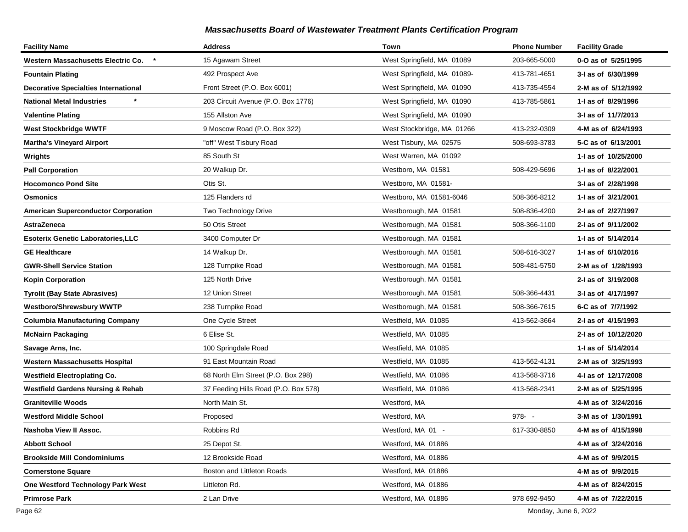| <b>Facility Name</b>                         | <b>Address</b>                       | Town                        | <b>Phone Number</b> | <b>Facility Grade</b> |
|----------------------------------------------|--------------------------------------|-----------------------------|---------------------|-----------------------|
| Western Massachusetts Electric Co.           | 15 Agawam Street                     | West Springfield, MA 01089  | 203-665-5000        | 0-O as of 5/25/1995   |
| Fountain Plating                             | 492 Prospect Ave                     | West Springfield, MA 01089- | 413-781-4651        | 3-I as of 6/30/1999   |
| <b>Decorative Specialties International</b>  | Front Street (P.O. Box 6001)         | West Springfield, MA 01090  | 413-735-4554        | 2-M as of 5/12/1992   |
| <b>National Metal Industries</b>             | 203 Circuit Avenue (P.O. Box 1776)   | West Springfield, MA 01090  | 413-785-5861        | 1-I as of 8/29/1996   |
| <b>Valentine Plating</b>                     | 155 Allston Ave                      | West Springfield, MA 01090  |                     | 3-I as of 11/7/2013   |
| <b>West Stockbridge WWTF</b>                 | 9 Moscow Road (P.O. Box 322)         | West Stockbridge, MA 01266  | 413-232-0309        | 4-M as of 6/24/1993   |
| <b>Martha's Vineyard Airport</b>             | "off" West Tisbury Road              | West Tisbury, MA 02575      | 508-693-3783        | 5-C as of 6/13/2001   |
| Wrights                                      | 85 South St                          | West Warren, MA 01092       |                     | 1-I as of 10/25/2000  |
| <b>Pall Corporation</b>                      | 20 Walkup Dr.                        | Westboro, MA 01581          | 508-429-5696        | 1-I as of 8/22/2001   |
| <b>Hocomonco Pond Site</b>                   | Otis St.                             | Westboro, MA 01581-         |                     | 3-I as of 2/28/1998   |
| Osmonics                                     | 125 Flanders rd                      | Westboro, MA 01581-6046     | 508-366-8212        | 1-I as of 3/21/2001   |
| <b>American Superconductor Corporation</b>   | Two Technology Drive                 | Westborough, MA 01581       | 508-836-4200        | 2-I as of 2/27/1997   |
| AstraZeneca                                  | 50 Otis Street                       | Westborough, MA 01581       | 508-366-1100        | 2-I as of 9/11/2002   |
| <b>Esoterix Genetic Laboratories, LLC</b>    | 3400 Computer Dr                     | Westborough, MA 01581       |                     | 1-I as of 5/14/2014   |
| <b>GE Healthcare</b>                         | 14 Walkup Dr.                        | Westborough, MA 01581       | 508-616-3027        | 1-1 as of 6/10/2016   |
| <b>GWR-Shell Service Station</b>             | 128 Turnpike Road                    | Westborough, MA 01581       | 508-481-5750        | 2-M as of 1/28/1993   |
| <b>Kopin Corporation</b>                     | 125 North Drive                      | Westborough, MA 01581       |                     | 2-I as of 3/19/2008   |
| <b>Tyrolit (Bay State Abrasives)</b>         | 12 Union Street                      | Westborough, MA 01581       | 508-366-4431        | 3-I as of 4/17/1997   |
| Westboro/Shrewsbury WWTP                     | 238 Turnpike Road                    | Westborough, MA 01581       | 508-366-7615        | 6-C as of 7/7/1992    |
| <b>Columbia Manufacturing Company</b>        | One Cycle Street                     | Westfield, MA 01085         | 413-562-3664        | 2-I as of 4/15/1993   |
| <b>McNairn Packaging</b>                     | 6 Elise St.                          | Westfield, MA 01085         |                     | 2-I as of 10/12/2020  |
| Savage Arns, Inc.                            | 100 Springdale Road                  | Westfield, MA 01085         |                     | 1-I as of 5/14/2014   |
| <b>Western Massachusetts Hospital</b>        | 91 East Mountain Road                | Westfield, MA 01085         | 413-562-4131        | 2-M as of 3/25/1993   |
| <b>Westfield Electroplating Co.</b>          | 68 North Elm Street (P.O. Box 298)   | Westfield, MA 01086         | 413-568-3716        | 4-I as of 12/17/2008  |
| <b>Westfield Gardens Nursing &amp; Rehab</b> | 37 Feeding Hills Road (P.O. Box 578) | Westfield, MA 01086         | 413-568-2341        | 2-M as of 5/25/1995   |
| Graniteville Woods                           | North Main St.                       | Westford, MA                |                     | 4-M as of 3/24/2016   |
| Westford Middle School                       | Proposed                             | Westford, MA                | 978-                | 3-M as of 1/30/1991   |
| Nashoba View II Assoc.                       | Robbins Rd                           | Westford, MA 01 -           | 617-330-8850        | 4-M as of 4/15/1998   |
| <b>Abbott School</b>                         | 25 Depot St.                         | Westford, MA 01886          |                     | 4-M as of 3/24/2016   |
| <b>Brookside Mill Condominiums</b>           | 12 Brookside Road                    | Westford, MA 01886          |                     | 4-M as of 9/9/2015    |
| <b>Cornerstone Square</b>                    | Boston and Littleton Roads           | Westford, MA 01886          |                     | 4-M as of 9/9/2015    |
| One Westford Technology Park West            | Littleton Rd.                        | Westford, MA 01886          |                     | 4-M as of 8/24/2015   |
| <b>Primrose Park</b>                         | 2 Lan Drive                          | Westford, MA 01886          | 978 692-9450        | 4-M as of 7/22/2015   |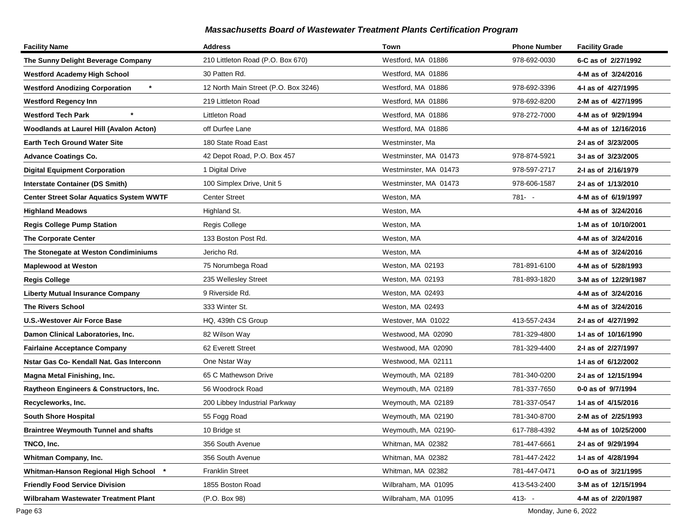| <b>Facility Name</b>                             | <b>Address</b>                       | Town                  | <b>Phone Number</b> | <b>Facility Grade</b> |
|--------------------------------------------------|--------------------------------------|-----------------------|---------------------|-----------------------|
| The Sunny Delight Beverage Company               | 210 Littleton Road (P.O. Box 670)    | Westford, MA 01886    | 978-692-0030        | 6-C as of 2/27/1992   |
| <b>Westford Academy High School</b>              | 30 Patten Rd.                        | Westford, MA 01886    |                     | 4-M as of 3/24/2016   |
| $\star$<br><b>Westford Anodizing Corporation</b> | 12 North Main Street (P.O. Box 3246) | Westford, MA 01886    | 978-692-3396        | 4-1 as of 4/27/1995   |
| <b>Westford Regency Inn</b>                      | 219 Littleton Road                   | Westford, MA 01886    | 978-692-8200        | 2-M as of 4/27/1995   |
| <b>Westford Tech Park</b>                        | <b>Littleton Road</b>                | Westford, MA 01886    | 978-272-7000        | 4-M as of 9/29/1994   |
| Woodlands at Laurel Hill (Avalon Acton)          | off Durfee Lane                      | Westford, MA 01886    |                     | 4-M as of 12/16/2016  |
| <b>Earth Tech Ground Water Site</b>              | 180 State Road East                  | Westminster, Ma       |                     | 2-I as of 3/23/2005   |
| <b>Advance Coatings Co.</b>                      | 42 Depot Road, P.O. Box 457          | Westminster, MA 01473 | 978-874-5921        | 3-I as of 3/23/2005   |
| <b>Digital Equipment Corporation</b>             | 1 Digital Drive                      | Westminster, MA 01473 | 978-597-2717        | 2-I as of 2/16/1979   |
| <b>Interstate Container (DS Smith)</b>           | 100 Simplex Drive, Unit 5            | Westminster, MA 01473 | 978-606-1587        | 2-I as of 1/13/2010   |
| <b>Center Street Solar Aquatics System WWTF</b>  | <b>Center Street</b>                 | Weston, MA            | 781- -              | 4-M as of 6/19/1997   |
| <b>Highland Meadows</b>                          | Highland St.                         | Weston, MA            |                     | 4-M as of 3/24/2016   |
| <b>Regis College Pump Station</b>                | Regis College                        | Weston, MA            |                     | 1-M as of 10/10/2001  |
| <b>The Corporate Center</b>                      | 133 Boston Post Rd.                  | Weston, MA            |                     | 4-M as of 3/24/2016   |
| The Stonegate at Weston Condiminiums             | Jericho Rd.                          | Weston, MA            |                     | 4-M as of 3/24/2016   |
| <b>Maplewood at Weston</b>                       | 75 Norumbega Road                    | Weston, MA 02193      | 781-891-6100        | 4-M as of 5/28/1993   |
| <b>Regis College</b>                             | 235 Wellesley Street                 | Weston, MA 02193      | 781-893-1820        | 3-M as of 12/29/1987  |
| Liberty Mutual Insurance Company                 | 9 Riverside Rd.                      | Weston, MA 02493      |                     | 4-M as of 3/24/2016   |
| <b>The Rivers School</b>                         | 333 Winter St.                       | Weston, MA 02493      |                     | 4-M as of 3/24/2016   |
| <b>U.S.-Westover Air Force Base</b>              | HQ, 439th CS Group                   | Westover, MA 01022    | 413-557-2434        | 2-I as of 4/27/1992   |
| Damon Clinical Laboratories, Inc.                | 82 Wilson Way                        | Westwood, MA 02090    | 781-329-4800        | 1- as of 10/16/1990   |
| <b>Fairlaine Acceptance Company</b>              | 62 Everett Street                    | Westwood, MA 02090    | 781-329-4400        | 2-I as of 2/27/1997   |
| Nstar Gas Co- Kendall Nat. Gas Interconn         | One Nstar Way                        | Westwood, MA 02111    |                     | 1- as of 6/12/2002    |
| Magna Metal Finishing, Inc.                      | 65 C Mathewson Drive                 | Weymouth, MA 02189    | 781-340-0200        | 2-I as of 12/15/1994  |
| Raytheon Engineers & Constructors, Inc.          | 56 Woodrock Road                     | Weymouth, MA 02189    | 781-337-7650        | 0-0 as of 9/7/1994    |
| Recycleworks, Inc.                               | 200 Libbey Industrial Parkway        | Weymouth, MA 02189    | 781-337-0547        | 1-1 as of 4/15/2016   |
| <b>South Shore Hospital</b>                      | 55 Fogg Road                         | Weymouth, MA 02190    | 781-340-8700        | 2-M as of 2/25/1993   |
| <b>Braintree Weymouth Tunnel and shafts</b>      | 10 Bridge st                         | Weymouth, MA 02190-   | 617-788-4392        | 4-M as of 10/25/2000  |
| TNCO, Inc.                                       | 356 South Avenue                     | Whitman, MA 02382     | 781-447-6661        | 2-I as of 9/29/1994   |
| Whitman Company, Inc.                            | 356 South Avenue                     | Whitman, MA 02382     | 781-447-2422        | 1-I as of 4/28/1994   |
| Whitman-Hanson Regional High School *            | <b>Franklin Street</b>               | Whitman, MA 02382     | 781-447-0471        | 0-O as of 3/21/1995   |
| <b>Friendly Food Service Division</b>            | 1855 Boston Road                     | Wilbraham, MA 01095   | 413-543-2400        | 3-M as of 12/15/1994  |
| Wilbraham Wastewater Treatment Plant             | (P.O. Box 98)                        | Wilbraham, MA 01095   | $413 - -$           | 4-M as of 2/20/1987   |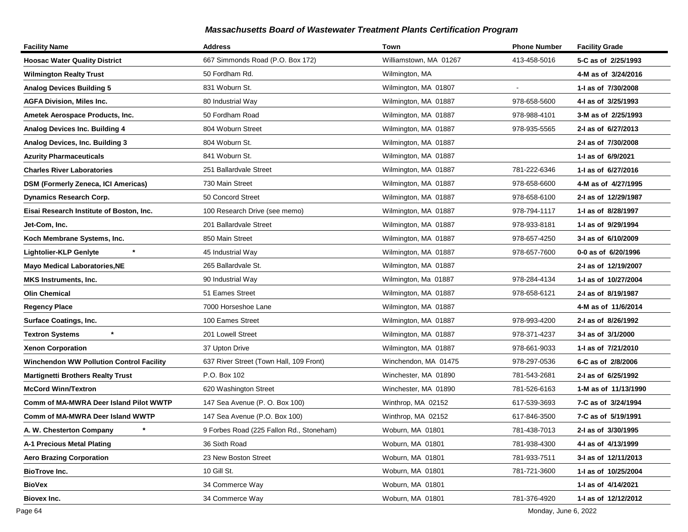| <b>Facility Name</b>                            | <b>Address</b>                           | Town                   | <b>Phone Number</b> | <b>Facility Grade</b> |
|-------------------------------------------------|------------------------------------------|------------------------|---------------------|-----------------------|
| <b>Hoosac Water Quality District</b>            | 667 Simmonds Road (P.O. Box 172)         | Williamstown, MA 01267 | 413-458-5016        | 5-C as of 2/25/1993   |
| <b>Wilmington Realty Trust</b>                  | 50 Fordham Rd.                           | Wilmington, MA         |                     | 4-M as of 3/24/2016   |
| <b>Analog Devices Building 5</b>                | 831 Woburn St.                           | Wilmington, MA 01807   |                     | 1-I as of 7/30/2008   |
| <b>AGFA Division, Miles Inc.</b>                | 80 Industrial Way                        | Wilmington, MA 01887   | 978-658-5600        | 4-I as of 3/25/1993   |
| Ametek Aerospace Products, Inc.                 | 50 Fordham Road                          | Wilmington, MA 01887   | 978-988-4101        | 3-M as of 2/25/1993   |
| Analog Devices Inc. Building 4                  | 804 Woburn Street                        | Wilmington, MA 01887   | 978-935-5565        | 2-I as of 6/27/2013   |
| Analog Devices, Inc. Building 3                 | 804 Woburn St.                           | Wilmington, MA 01887   |                     | 2-I as of 7/30/2008   |
| <b>Azurity Pharmaceuticals</b>                  | 841 Woburn St.                           | Wilmington, MA 01887   |                     | 1-I as of 6/9/2021    |
| <b>Charles River Laboratories</b>               | 251 Ballardvale Street                   | Wilmington, MA 01887   | 781-222-6346        | 1-I as of 6/27/2016   |
| DSM (Formerly Zeneca, ICI Americas)             | 730 Main Street                          | Wilmington, MA 01887   | 978-658-6600        | 4-M as of 4/27/1995   |
| <b>Dynamics Research Corp.</b>                  | 50 Concord Street                        | Wilmington, MA 01887   | 978-658-6100        | 2-I as of 12/29/1987  |
| Eisai Research Institute of Boston, Inc.        | 100 Research Drive (see memo)            | Wilmington, MA 01887   | 978-794-1117        | 1-I as of 8/28/1997   |
| Jet-Com, Inc.                                   | 201 Ballardvale Street                   | Wilmington, MA 01887   | 978-933-8181        | 1-I as of 9/29/1994   |
| Koch Membrane Systems, Inc.                     | 850 Main Street                          | Wilmington, MA 01887   | 978-657-4250        | 3-I as of 6/10/2009   |
| $\star$<br><b>Lightolier-KLP Genlyte</b>        | 45 Industrial Way                        | Wilmington, MA 01887   | 978-657-7600        | 0-0 as of 6/20/1996   |
| <b>Mayo Medical Laboratories, NE</b>            | 265 Ballardvale St.                      | Wilmington, MA 01887   |                     | 2-I as of 12/19/2007  |
| <b>MKS Instruments, Inc.</b>                    | 90 Industrial Way                        | Wilmington, Ma 01887   | 978-284-4134        | 1-I as of 10/27/2004  |
| <b>Olin Chemical</b>                            | 51 Eames Street                          | Wilmington, MA 01887   | 978-658-6121        | 2-I as of 8/19/1987   |
| <b>Regency Place</b>                            | 7000 Horseshoe Lane                      | Wilmington, MA 01887   |                     | 4-M as of 11/6/2014   |
| <b>Surface Coatings, Inc.</b>                   | 100 Eames Street                         | Wilmington, MA 01887   | 978-993-4200        | 2-I as of 8/26/1992   |
| $\star$<br><b>Textron Systems</b>               | 201 Lowell Street                        | Wilmington, MA 01887   | 978-371-4237        | 3-I as of 3/1/2000    |
| <b>Xenon Corporation</b>                        | 37 Upton Drive                           | Wilmington, MA 01887   | 978-661-9033        | 1-I as of 7/21/2010   |
| <b>Winchendon WW Pollution Control Facility</b> | 637 River Street (Town Hall, 109 Front)  | Winchendon, MA 01475   | 978-297-0536        | 6-C as of 2/8/2006    |
| <b>Martignetti Brothers Realty Trust</b>        | P.O. Box 102                             | Winchester, MA 01890   | 781-543-2681        | 2-I as of 6/25/1992   |
| <b>McCord Winn/Textron</b>                      | 620 Washington Street                    | Winchester, MA 01890   | 781-526-6163        | 1-M as of 11/13/1990  |
| Comm of MA-MWRA Deer Island Pilot WWTP          | 147 Sea Avenue (P. O. Box 100)           | Winthrop, MA 02152     | 617-539-3693        | 7-C as of 3/24/1994   |
| Comm of MA-MWRA Deer Island WWTP                | 147 Sea Avenue (P.O. Box 100)            | Winthrop, MA 02152     | 617-846-3500        | 7-C as of 5/19/1991   |
| A. W. Chesterton Company                        | 9 Forbes Road (225 Fallon Rd., Stoneham) | Woburn, MA 01801       | 781-438-7013        | 2-I as of 3/30/1995   |
| A-1 Precious Metal Plating                      | 36 Sixth Road                            | Woburn, MA 01801       | 781-938-4300        | 4-1 as of 4/13/1999   |
| <b>Aero Brazing Corporation</b>                 | 23 New Boston Street                     | Woburn, MA 01801       | 781-933-7511        | 3-I as of 12/11/2013  |
| <b>BioTrove Inc.</b>                            | 10 Gill St.                              | Woburn, MA 01801       | 781-721-3600        | 1- as of 10/25/2004   |
| <b>BioVex</b>                                   | 34 Commerce Way                          | Woburn, MA 01801       |                     | 1-I as of 4/14/2021   |
| Biovex Inc.                                     | 34 Commerce Way                          | Woburn, MA 01801       | 781-376-4920        | 1-I as of 12/12/2012  |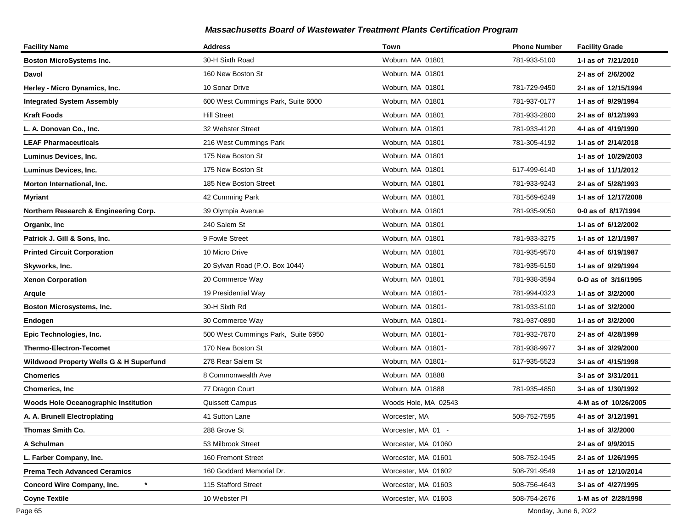| <b>Facility Name</b>                               | <b>Address</b>                     | Town                 | <b>Phone Number</b> | <b>Facility Grade</b> |
|----------------------------------------------------|------------------------------------|----------------------|---------------------|-----------------------|
| <b>Boston MicroSystems Inc.</b>                    | 30-H Sixth Road                    | Woburn, MA 01801     | 781-933-5100        | 1-I as of 7/21/2010   |
| Davol                                              | 160 New Boston St                  | Woburn, MA 01801     |                     | 2-I as of 2/6/2002    |
| Herley - Micro Dynamics, Inc.                      | 10 Sonar Drive                     | Woburn, MA 01801     | 781-729-9450        | 2-I as of 12/15/1994  |
| <b>Integrated System Assembly</b>                  | 600 West Cummings Park, Suite 6000 | Woburn, MA 01801     | 781-937-0177        | 1-I as of 9/29/1994   |
| Kraft Foods                                        | <b>Hill Street</b>                 | Woburn, MA 01801     | 781-933-2800        | 2-I as of 8/12/1993   |
| L. A. Donovan Co., Inc.                            | 32 Webster Street                  | Woburn, MA 01801     | 781-933-4120        | 4-I as of 4/19/1990   |
| <b>LEAF Pharmaceuticals</b>                        | 216 West Cummings Park             | Woburn, MA 01801     | 781-305-4192        | 1-1 as of 2/14/2018   |
| Luminus Devices, Inc.                              | 175 New Boston St                  | Woburn, MA 01801     |                     | 1-I as of 10/29/2003  |
| Luminus Devices, Inc.                              | 175 New Boston St                  | Woburn, MA 01801     | 617-499-6140        | 1-I as of 11/1/2012   |
| Morton International, Inc.                         | 185 New Boston Street              | Woburn, MA 01801     | 781-933-9243        | 2-I as of 5/28/1993   |
| <b>Myriant</b>                                     | 42 Cumming Park                    | Woburn, MA 01801     | 781-569-6249        | 1-I as of 12/17/2008  |
| Northern Research & Engineering Corp.              | 39 Olympia Avenue                  | Woburn, MA 01801     | 781-935-9050        | 0-0 as of 8/17/1994   |
| Organix, Inc                                       | 240 Salem St                       | Woburn, MA 01801     |                     | 1-1 as of 6/12/2002   |
| Patrick J. Gill & Sons, Inc.                       | 9 Fowle Street                     | Woburn, MA 01801     | 781-933-3275        | 1-I as of 12/1/1987   |
| <b>Printed Circuit Corporation</b>                 | 10 Micro Drive                     | Woburn, MA 01801     | 781-935-9570        | 4-I as of 6/19/1987   |
| Skyworks, Inc.                                     | 20 Sylvan Road (P.O. Box 1044)     | Woburn, MA 01801     | 781-935-5150        | 1-I as of 9/29/1994   |
| <b>Xenon Corporation</b>                           | 20 Commerce Way                    | Woburn, MA 01801     | 781-938-3594        | 0-O as of 3/16/1995   |
| Arqule                                             | 19 Presidential Way                | Woburn, MA 01801-    | 781-994-0323        | 1-I as of 3/2/2000    |
| Boston Microsystems, Inc.                          | 30-H Sixth Rd                      | Woburn, MA 01801-    | 781-933-5100        | 1-I as of 3/2/2000    |
| Endogen                                            | 30 Commerce Way                    | Woburn, MA 01801-    | 781-937-0890        | 1-I as of 3/2/2000    |
| Epic Technologies, Inc.                            | 500 West Cummings Park, Suite 6950 | Woburn, MA 01801-    | 781-932-7870        | 2-I as of 4/28/1999   |
| Thermo-Electron-Tecomet                            | 170 New Boston St                  | Woburn, MA 01801-    | 781-938-9977        | 3-I as of 3/29/2000   |
| <b>Wildwood Property Wells G &amp; H Superfund</b> | 278 Rear Salem St                  | Woburn, MA 01801-    | 617-935-5523        | 3-I as of 4/15/1998   |
| <b>Chomerics</b>                                   | 8 Commonwealth Ave                 | Woburn, MA 01888     |                     | 3-I as of 3/31/2011   |
| <b>Chomerics, Inc.</b>                             | 77 Dragon Court                    | Woburn, MA 01888     | 781-935-4850        | 3-I as of 1/30/1992   |
| <b>Woods Hole Oceanographic Institution</b>        | Quissett Campus                    | Woods Hole, MA 02543 |                     | 4-M as of 10/26/2005  |
| A. A. Brunell Electroplating                       | 41 Sutton Lane                     | Worcester, MA        | 508-752-7595        | 4-I as of 3/12/1991   |
| Thomas Smith Co.                                   | 288 Grove St                       | Worcester, MA 01 -   |                     | 1-I as of 3/2/2000    |
| A Schulman                                         | 53 Milbrook Street                 | Worcester, MA 01060  |                     | 2-I as of 9/9/2015    |
| L. Farber Company, Inc.                            | 160 Fremont Street                 | Worcester, MA 01601  | 508-752-1945        | 2-I as of 1/26/1995   |
| Prema Tech Advanced Ceramics                       | 160 Goddard Memorial Dr.           | Worcester, MA 01602  | 508-791-9549        | 1-I as of 12/10/2014  |
| $\star$<br><b>Concord Wire Company, Inc.</b>       | 115 Stafford Street                | Worcester, MA 01603  | 508-756-4643        | 3-I as of 4/27/1995   |
| <b>Coyne Textile</b>                               | 10 Webster PI                      | Worcester, MA 01603  | 508-754-2676        | 1-M as of 2/28/1998   |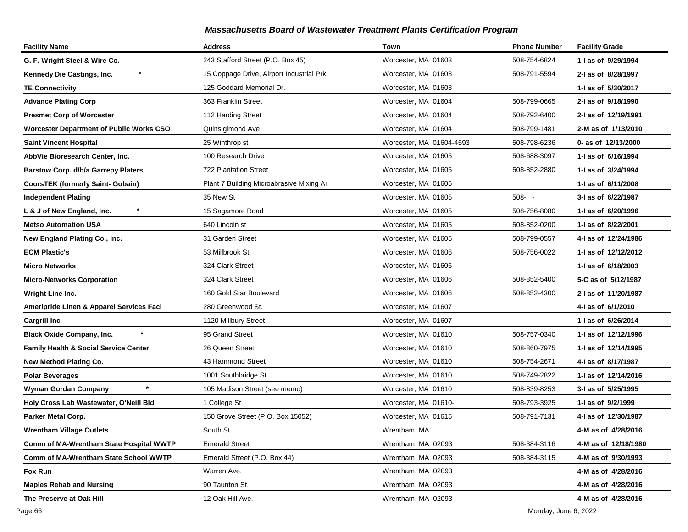| <b>Facility Name</b>                             | <b>Address</b>                           | Town                     | <b>Phone Number</b> | <b>Facility Grade</b> |
|--------------------------------------------------|------------------------------------------|--------------------------|---------------------|-----------------------|
| G. F. Wright Steel & Wire Co.                    | 243 Stafford Street (P.O. Box 45)        | Worcester, MA 01603      | 508-754-6824        | 1-I as of 9/29/1994   |
| Kennedy Die Castings, Inc.                       | 15 Coppage Drive, Airport Industrial Prk | Worcester, MA 01603      | 508-791-5594        | 2-I as of 8/28/1997   |
| <b>TE Connectivity</b>                           | 125 Goddard Memorial Dr.                 | Worcester, MA 01603      |                     | 1-I as of 5/30/2017   |
| <b>Advance Plating Corp</b>                      | 363 Franklin Street                      | Worcester, MA 01604      | 508-799-0665        | 2-I as of 9/18/1990   |
| <b>Presmet Corp of Worcester</b>                 | 112 Harding Street                       | Worcester, MA 01604      | 508-792-6400        | 2-I as of 12/19/1991  |
| <b>Worcester Department of Public Works CSO</b>  | Quinsigimond Ave                         | Worcester, MA 01604      | 508-799-1481        | 2-M as of 1/13/2010   |
| Saint Vincent Hospital                           | 25 Winthrop st                           | Worcester, MA 01604-4593 | 508-798-6236        | 0- as of 12/13/2000   |
| AbbVie Bioresearch Center, Inc.                  | 100 Research Drive                       | Worcester, MA 01605      | 508-688-3097        | 1-I as of 6/16/1994   |
| <b>Barstow Corp. d/b/a Garrepy Platers</b>       | <b>722 Plantation Street</b>             | Worcester, MA 01605      | 508-852-2880        | 1-I as of 3/24/1994   |
| <b>CoorsTEK (formerly Saint- Gobain)</b>         | Plant 7 Building Microabrasive Mixing Ar | Worcester, MA 01605      |                     | 1-I as of 6/11/2008   |
| <b>Independent Plating</b>                       | 35 New St                                | Worcester, MA 01605      | $508 - -$           | 3-I as of 6/22/1987   |
| $\star$<br>L & J of New England, Inc.            | 15 Sagamore Road                         | Worcester, MA 01605      | 508-756-8080        | 1-I as of 6/20/1996   |
| <b>Metso Automation USA</b>                      | 640 Lincoln st                           | Worcester, MA 01605      | 508-852-0200        | 1-I as of 8/22/2001   |
| New England Plating Co., Inc.                    | 31 Garden Street                         | Worcester, MA 01605      | 508-799-0557        | 4-I as of 12/24/1986  |
| <b>ECM Plastic's</b>                             | 53 Millbrook St.                         | Worcester, MA 01606      | 508-756-0022        | 1-I as of 12/12/2012  |
| <b>Micro Networks</b>                            | 324 Clark Street                         | Worcester, MA 01606      |                     | 1-I as of 6/18/2003   |
| <b>Micro-Networks Corporation</b>                | 324 Clark Street                         | Worcester, MA 01606      | 508-852-5400        | 5-C as of 5/12/1987   |
| Wright Line Inc.                                 | 160 Gold Star Boulevard                  | Worcester, MA 01606      | 508-852-4300        | 2-I as of 11/20/1987  |
| Ameripride Linen & Apparel Services Faci         | 280 Greenwood St.                        | Worcester, MA 01607      |                     | 4-I as of 6/1/2010    |
| <b>Cargrill Inc</b>                              | 1120 Millbury Street                     | Worcester, MA 01607      |                     | 1-I as of 6/26/2014   |
| <b>Black Oxide Company, Inc.</b>                 | 95 Grand Street                          | Worcester, MA 01610      | 508-757-0340        | 1-I as of 12/12/1996  |
| <b>Family Health &amp; Social Service Center</b> | 26 Queen Street                          | Worcester, MA 01610      | 508-860-7975        | 1-I as of 12/14/1995  |
| New Method Plating Co.                           | 43 Hammond Street                        | Worcester, MA 01610      | 508-754-2671        | 4-I as of 8/17/1987   |
| <b>Polar Beverages</b>                           | 1001 Southbridge St.                     | Worcester, MA 01610      | 508-749-2822        | 1-I as of 12/14/2016  |
| $\star$<br><b>Wyman Gordan Company</b>           | 105 Madison Street (see memo)            | Worcester, MA 01610      | 508-839-8253        | 3-I as of 5/25/1995   |
| Holy Cross Lab Wastewater, O'Neill Bld           | 1 College St                             | Worcester, MA 01610-     | 508-793-3925        | 1-I as of 9/2/1999    |
| Parker Metal Corp.                               | 150 Grove Street (P.O. Box 15052)        | Worcester, MA 01615      | 508-791-7131        | 4-I as of 12/30/1987  |
| <b>Wrentham Village Outlets</b>                  | South St.                                | Wrentham, MA             |                     | 4-M as of 4/28/2016   |
| Comm of MA-Wrentham State Hospital WWTP          | <b>Emerald Street</b>                    | Wrentham, MA 02093       | 508-384-3116        | 4-M as of 12/18/1980  |
| Comm of MA-Wrentham State School WWTP            | Emerald Street (P.O. Box 44)             | Wrentham, MA 02093       | 508-384-3115        | 4-M as of 9/30/1993   |
| Fox Run                                          | Warren Ave.                              | Wrentham, MA 02093       |                     | 4-M as of 4/28/2016   |
| <b>Maples Rehab and Nursing</b>                  | 90 Taunton St.                           | Wrentham, MA 02093       |                     | 4-M as of 4/28/2016   |
| The Preserve at Oak Hill                         | 12 Oak Hill Ave.                         | Wrentham, MA 02093       |                     | 4-M as of 4/28/2016   |